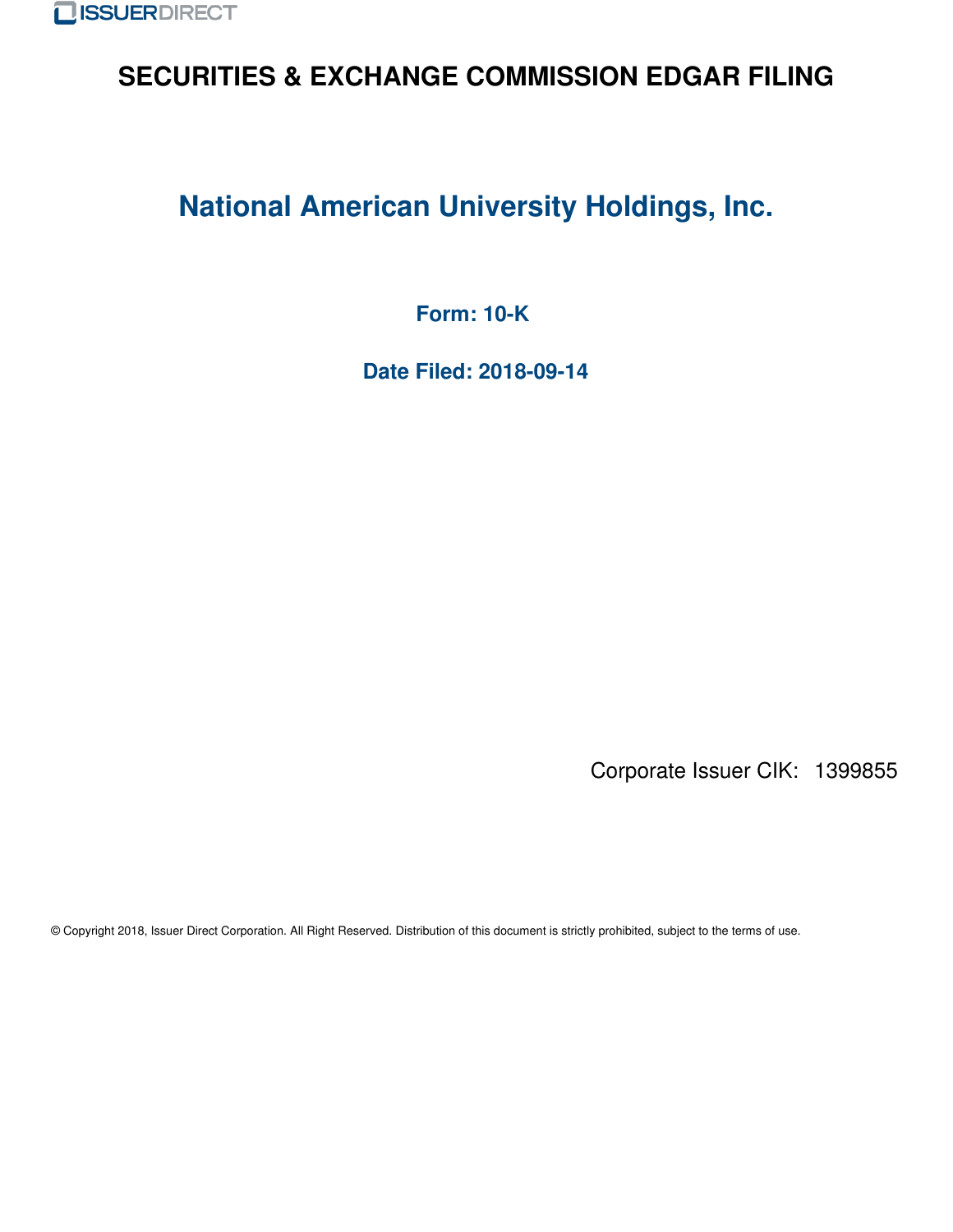

# **SECURITIES & EXCHANGE COMMISSION EDGAR FILING**

# **National American University Holdings, Inc.**

**Form: 10-K**

**Date Filed: 2018-09-14**

Corporate Issuer CIK: 1399855

© Copyright 2018, Issuer Direct Corporation. All Right Reserved. Distribution of this document is strictly prohibited, subject to the terms of use.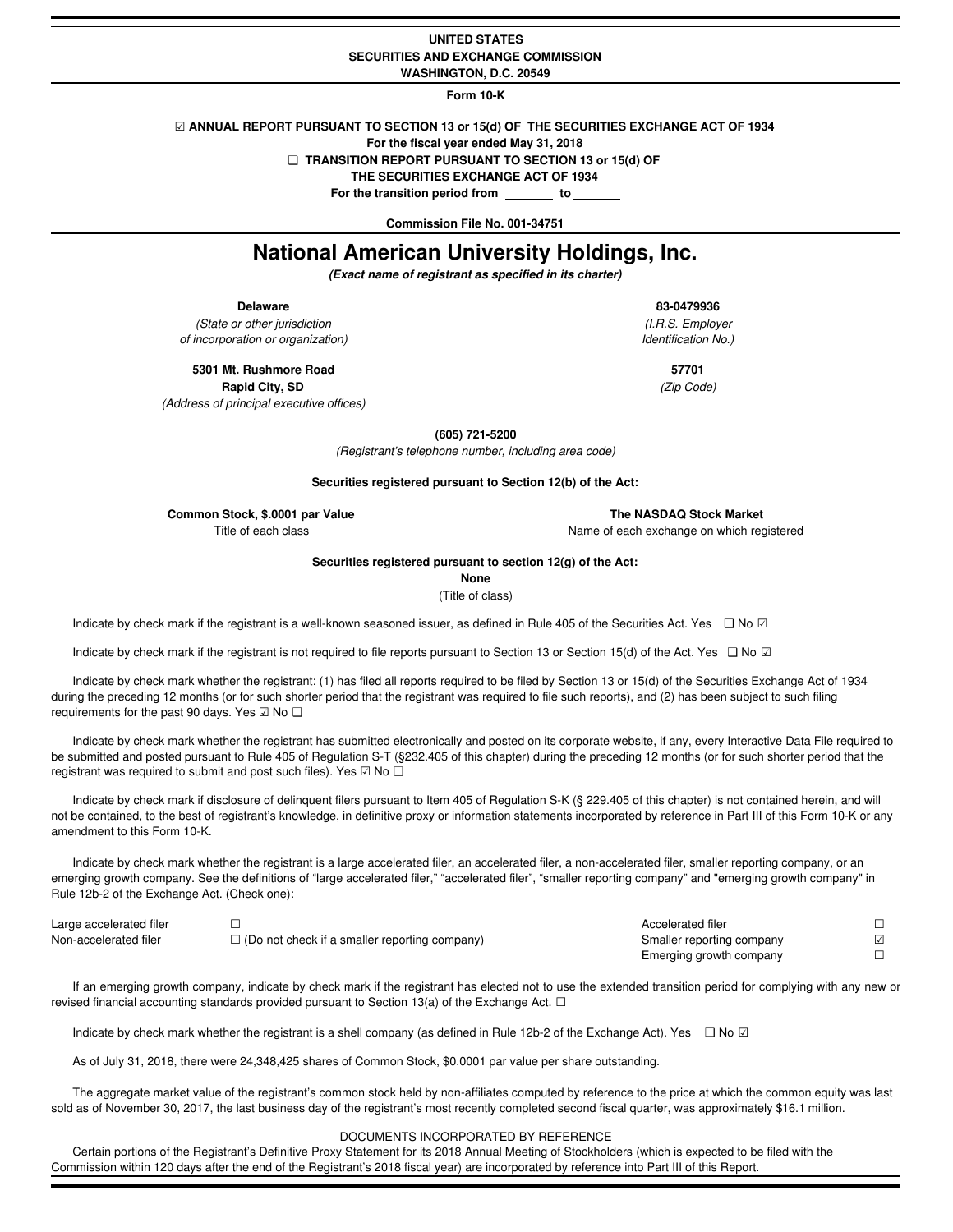#### **UNITED STATES SECURITIES AND EXCHANGE COMMISSION WASHINGTON, D.C. 20549**

**Form 10-K**

**☑ ANNUAL REPORT PURSUANT TO SECTION 13 or 15(d) OF THE SECURITIES EXCHANGE ACT OF 1934**

**For the fiscal year ended May 31, 2018**

**❑ TRANSITION REPORT PURSUANT TO SECTION 13 or 15(d) OF**

**THE SECURITIES EXCHANGE ACT OF 1934**

**For the transition period from to**

**Commission File No. 001-34751**

# **National American University Holdings, Inc.**

*(Exact name of registrant as specified in its charter)*

**Delaware 83-0479936**

*(State or other jurisdiction of incorporation or organization)*

**5301 Mt. Rushmore Road 57701**

**Rapid City, SD** *(Zip Code) (Address of principal executive offices)*

**(605) 721-5200**

*(Registrant's telephone number, including area code)*

**Securities registered pursuant to Section 12(b) of the Act:**

**Common Stock, \$.0001 par Value The NASDAQ Stock Market**

Title of each class **Name of each exchange on which registered** Name of each exchange on which registered

**Securities registered pursuant to section 12(g) of the Act:**

**None**

(Title of class)

Indicate by check mark if the registrant is a well-known seasoned issuer, as defined in Rule 405 of the Securities Act. Yes  $\Box$  No  $\Box$ 

Indicate by check mark if the registrant is not required to file reports pursuant to Section 13 or Section 15(d) of the Act. Yes  $\Box$  No  $\Box$ 

Indicate by check mark whether the registrant: (1) has filed all reports required to be filed by Section 13 or 15(d) of the Securities Exchange Act of 1934 during the preceding 12 months (or for such shorter period that the registrant was required to file such reports), and (2) has been subject to such filing requirements for the past 90 days. Yes ⊠ No □

Indicate by check mark whether the registrant has submitted electronically and posted on its corporate website, if any, every Interactive Data File required to be submitted and posted pursuant to Rule 405 of Regulation S-T (§232.405 of this chapter) during the preceding 12 months (or for such shorter period that the registrant was required to submit and post such files). Yes  $□$  No  $□$ 

Indicate by check mark if disclosure of delinquent filers pursuant to Item 405 of Regulation S-K (§ 229.405 of this chapter) is not contained herein, and will not be contained, to the best of registrant's knowledge, in definitive proxy or information statements incorporated by reference in Part III of this Form 10-K or any amendment to this Form 10-K.

Indicate by check mark whether the registrant is a large accelerated filer, an accelerated filer, a non-accelerated filer, smaller reporting company, or an emerging growth company. See the definitions of "large accelerated filer," "accelerated filer", "smaller reporting company" and "emerging growth company" in Rule 12b-2 of the Exchange Act. (Check one):

| Large accelerated filer |                                                      | Accelerated filer         |  |
|-------------------------|------------------------------------------------------|---------------------------|--|
| Non-accelerated filer   | $\Box$ (Do not check if a smaller reporting company) | Smaller reporting company |  |
|                         |                                                      | Emerging growth company   |  |

If an emerging growth company, indicate by check mark if the registrant has elected not to use the extended transition period for complying with any new or revised financial accounting standards provided pursuant to Section 13(a) of the Exchange Act. □

Indicate by check mark whether the registrant is a shell company (as defined in Rule 12b-2 of the Exchange Act). Yes  $□$  No  $□$ 

As of July 31, 2018, there were 24,348,425 shares of Common Stock, \$0.0001 par value per share outstanding.

The aggregate market value of the registrant's common stock held by non-affiliates computed by reference to the price at which the common equity was last sold as of November 30, 2017, the last business day of the registrant's most recently completed second fiscal quarter, was approximately \$16.1 million.

DOCUMENTS INCORPORATED BY REFERENCE

Certain portions of the Registrant's Definitive Proxy Statement for its 2018 Annual Meeting of Stockholders (which is expected to be filed with the Commission within 120 days after the end of the Registrant's 2018 fiscal year) are incorporated by reference into Part III of this Report.

#### *(I.R.S. Employer Identification No.)*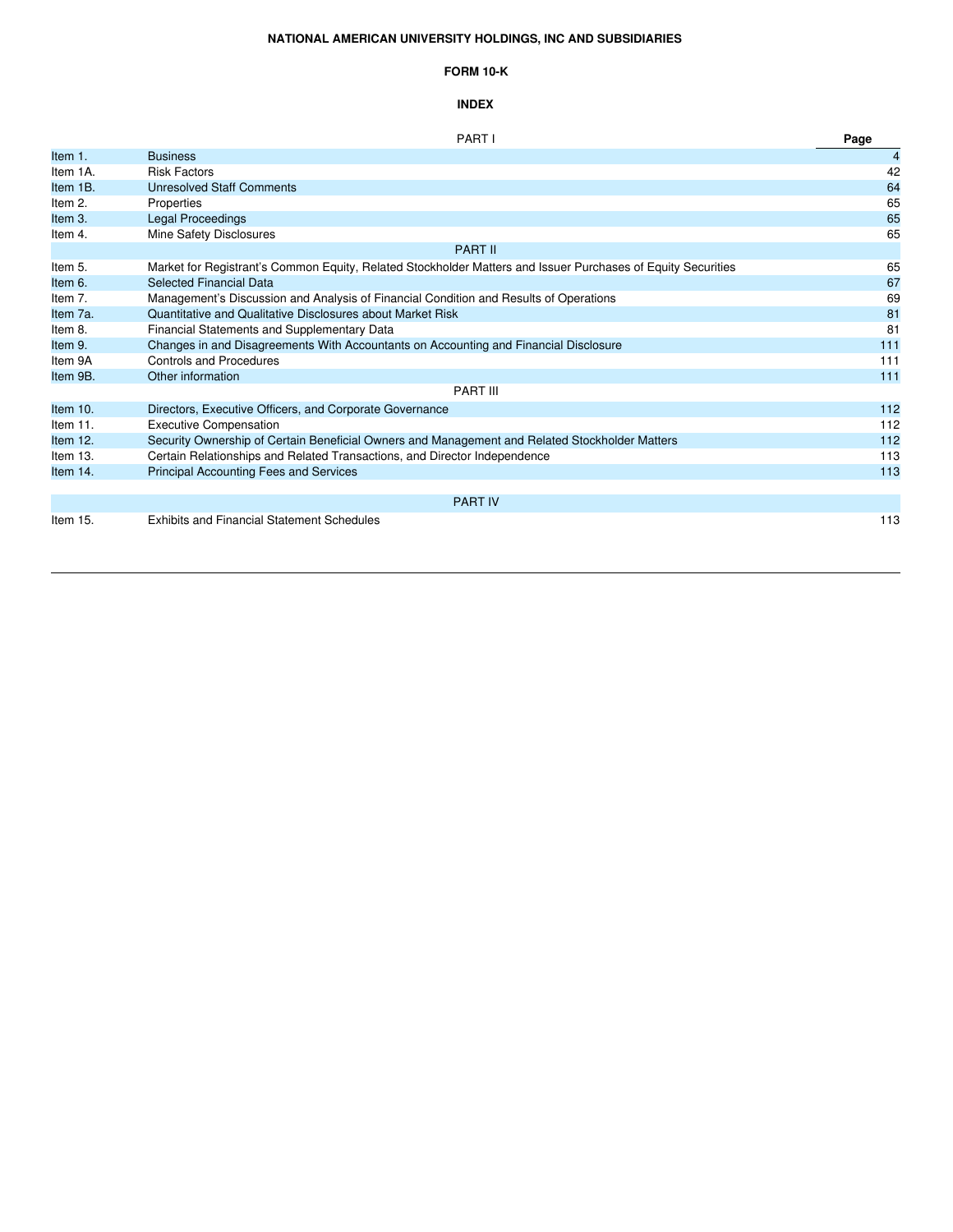## **NATIONAL AMERICAN UNIVERSITY HOLDINGS, INC AND SUBSIDIARIES**

### **FORM 10-K**

# **INDEX**

|                 | <b>PART</b>                                                                                                  | Page           |  |
|-----------------|--------------------------------------------------------------------------------------------------------------|----------------|--|
| Item 1.         | <b>Business</b>                                                                                              | $\overline{4}$ |  |
| Item 1A.        | <b>Risk Factors</b>                                                                                          | 42             |  |
| Item 1B.        | <b>Unresolved Staff Comments</b>                                                                             | 64             |  |
| Item 2.         | Properties                                                                                                   | 65             |  |
| Item 3.         | Legal Proceedings                                                                                            | 65             |  |
| Item 4.         | Mine Safety Disclosures                                                                                      | 65             |  |
|                 | <b>PART II</b>                                                                                               |                |  |
| Item 5.         | Market for Registrant's Common Equity, Related Stockholder Matters and Issuer Purchases of Equity Securities | 65             |  |
| Item 6.         | <b>Selected Financial Data</b>                                                                               | 67             |  |
| Item 7.         | Management's Discussion and Analysis of Financial Condition and Results of Operations                        | 69             |  |
| Item 7a.        | Quantitative and Qualitative Disclosures about Market Risk                                                   |                |  |
| Item 8.         | Financial Statements and Supplementary Data                                                                  | 81             |  |
| Item 9.         | Changes in and Disagreements With Accountants on Accounting and Financial Disclosure                         | 111            |  |
| Item 9A         | Controls and Procedures                                                                                      | 111            |  |
| Item 9B.        | Other information                                                                                            | 111            |  |
| <b>PART III</b> |                                                                                                              |                |  |
| Item 10.        | Directors, Executive Officers, and Corporate Governance                                                      | 112            |  |
| Item 11.        | <b>Executive Compensation</b>                                                                                | 112            |  |
| Item $12$ .     | Security Ownership of Certain Beneficial Owners and Management and Related Stockholder Matters               | 112            |  |
| Item 13.        | Certain Relationships and Related Transactions, and Director Independence                                    | 113            |  |
| Item 14.        | <b>Principal Accounting Fees and Services</b>                                                                | 113            |  |
|                 | <b>PART IV</b>                                                                                               |                |  |
| Item $15.$      | <b>Exhibits and Financial Statement Schedules</b>                                                            | 113            |  |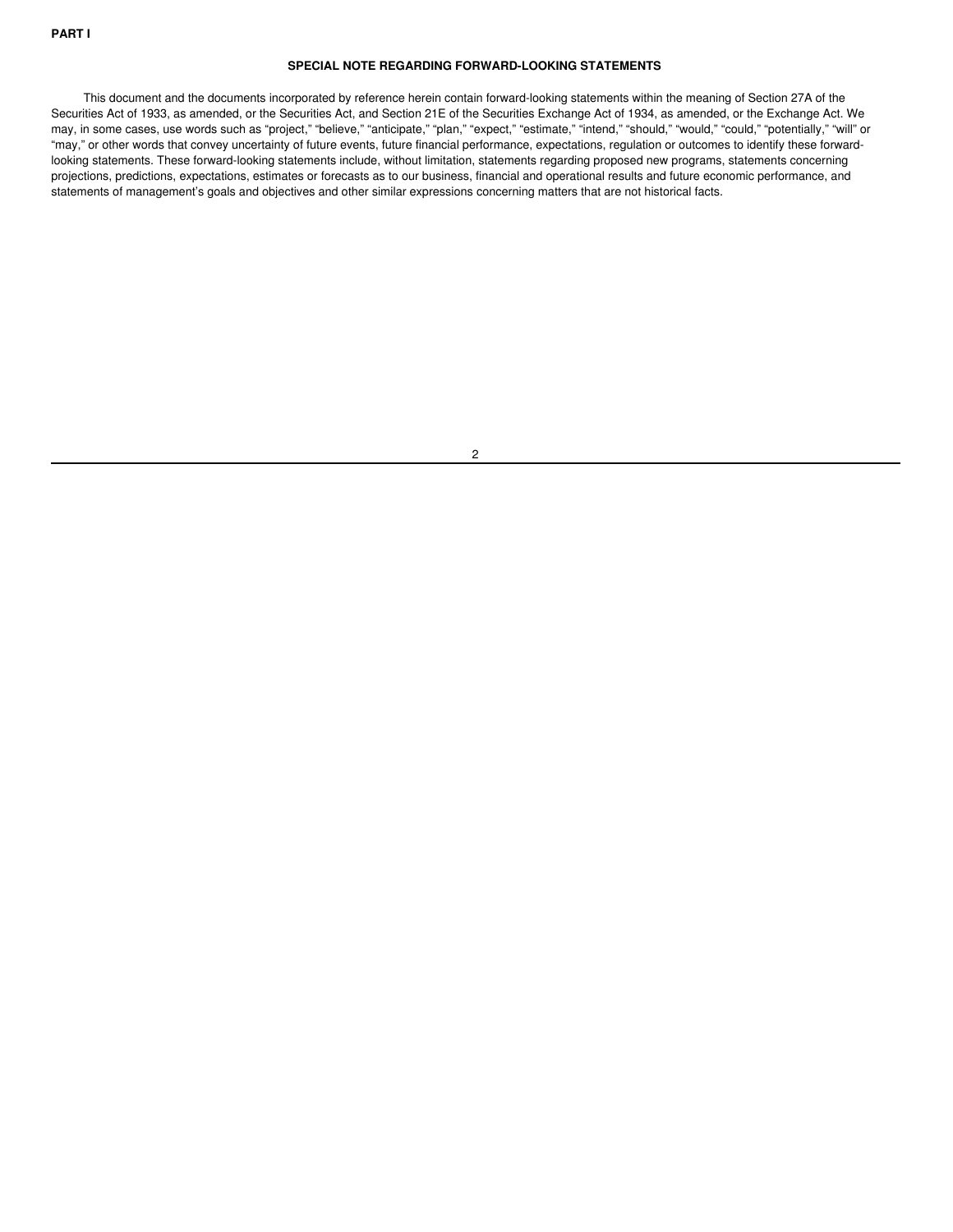#### **SPECIAL NOTE REGARDING FORWARD-LOOKING STATEMENTS**

This document and the documents incorporated by reference herein contain forward-looking statements within the meaning of Section 27A of the Securities Act of 1933, as amended, or the Securities Act, and Section 21E of the Securities Exchange Act of 1934, as amended, or the Exchange Act. We may, in some cases, use words such as "project," "believe," "anticipate," "plan," "expect," "estimate," "intend," "should," "would," "could," "potentially," "will" or "may," or other words that convey uncertainty of future events, future financial performance, expectations, regulation or outcomes to identify these forwardlooking statements. These forward-looking statements include, without limitation, statements regarding proposed new programs, statements concerning projections, predictions, expectations, estimates or forecasts as to our business, financial and operational results and future economic performance, and statements of management's goals and objectives and other similar expressions concerning matters that are not historical facts.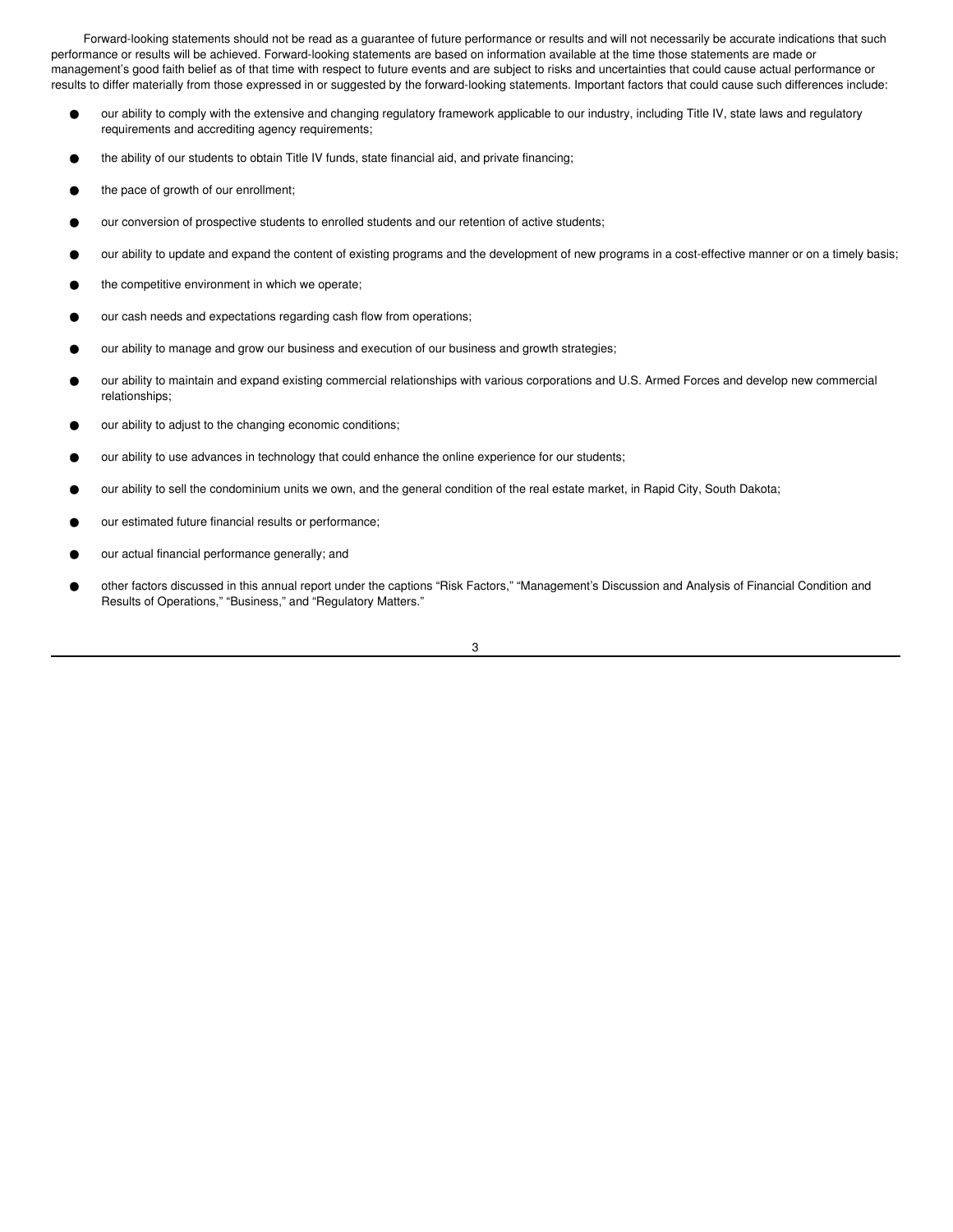Forward-looking statements should not be read as a guarantee of future performance or results and will not necessarily be accurate indications that such performance or results will be achieved. Forward-looking statements are based on information available at the time those statements are made or management's good faith belief as of that time with respect to future events and are subject to risks and uncertainties that could cause actual performance or results to differ materially from those expressed in or suggested by the forward-looking statements. Important factors that could cause such differences include:

- **●** our ability to comply with the extensive and changing regulatory framework applicable to our industry, including Title IV, state laws and regulatory requirements and accrediting agency requirements;
- the ability of our students to obtain Title IV funds, state financial aid, and private financing;
- the pace of growth of our enrollment;
- our conversion of prospective students to enrolled students and our retention of active students;
- our ability to update and expand the content of existing programs and the development of new programs in a cost-effective manner or on a timely basis;
- the competitive environment in which we operate;
- our cash needs and expectations regarding cash flow from operations;
- our ability to manage and grow our business and execution of our business and growth strategies;
- **●** our ability to maintain and expand existing commercial relationships with various corporations and U.S. Armed Forces and develop new commercial relationships;
- our ability to adjust to the changing economic conditions;
- our ability to use advances in technology that could enhance the online experience for our students;
- our ability to sell the condominium units we own, and the general condition of the real estate market, in Rapid City, South Dakota;
- our estimated future financial results or performance;
- our actual financial performance generally; and
- **●** other factors discussed in this annual report under the captions "Risk Factors," "Management's Discussion and Analysis of Financial Condition and Results of Operations," "Business," and "Regulatory Matters."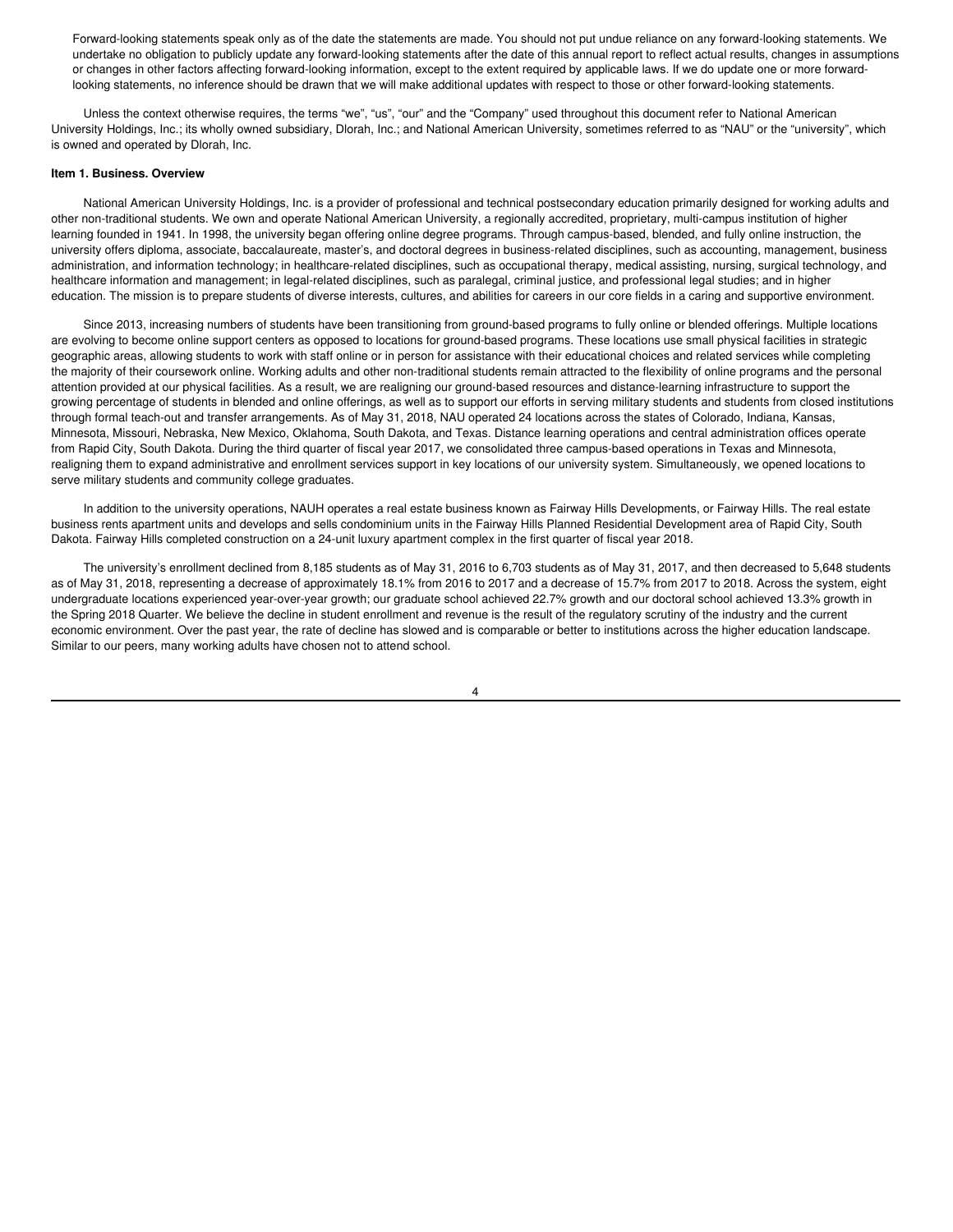Forward-looking statements speak only as of the date the statements are made. You should not put undue reliance on any forward-looking statements. We undertake no obligation to publicly update any forward-looking statements after the date of this annual report to reflect actual results, changes in assumptions or changes in other factors affecting forward-looking information, except to the extent required by applicable laws. If we do update one or more forwardlooking statements, no inference should be drawn that we will make additional updates with respect to those or other forward-looking statements.

Unless the context otherwise requires, the terms "we", "us", "our" and the "Company" used throughout this document refer to National American University Holdings, Inc.; its wholly owned subsidiary, Dlorah, Inc.; and National American University, sometimes referred to as "NAU" or the "university", which is owned and operated by Dlorah, Inc.

#### **Item 1. Business. Overview**

National American University Holdings, Inc. is a provider of professional and technical postsecondary education primarily designed for working adults and other non-traditional students. We own and operate National American University, a regionally accredited, proprietary, multi-campus institution of higher learning founded in 1941. In 1998, the university began offering online degree programs. Through campus-based, blended, and fully online instruction, the university offers diploma, associate, baccalaureate, master's, and doctoral degrees in business-related disciplines, such as accounting, management, business administration, and information technology; in healthcare-related disciplines, such as occupational therapy, medical assisting, nursing, surgical technology, and healthcare information and management; in legal-related disciplines, such as paralegal, criminal justice, and professional legal studies; and in higher education. The mission is to prepare students of diverse interests, cultures, and abilities for careers in our core fields in a caring and supportive environment.

Since 2013, increasing numbers of students have been transitioning from ground-based programs to fully online or blended offerings. Multiple locations are evolving to become online support centers as opposed to locations for ground-based programs. These locations use small physical facilities in strategic geographic areas, allowing students to work with staff online or in person for assistance with their educational choices and related services while completing the majority of their coursework online. Working adults and other non-traditional students remain attracted to the flexibility of online programs and the personal attention provided at our physical facilities. As a result, we are realigning our ground-based resources and distance-learning infrastructure to support the growing percentage of students in blended and online offerings, as well as to support our efforts in serving military students and students from closed institutions through formal teach-out and transfer arrangements. As of May 31, 2018, NAU operated 24 locations across the states of Colorado, Indiana, Kansas, Minnesota, Missouri, Nebraska, New Mexico, Oklahoma, South Dakota, and Texas. Distance learning operations and central administration offices operate from Rapid City, South Dakota. During the third quarter of fiscal year 2017, we consolidated three campus-based operations in Texas and Minnesota, realigning them to expand administrative and enrollment services support in key locations of our university system. Simultaneously, we opened locations to serve military students and community college graduates.

In addition to the university operations, NAUH operates a real estate business known as Fairway Hills Developments, or Fairway Hills. The real estate business rents apartment units and develops and sells condominium units in the Fairway Hills Planned Residential Development area of Rapid City, South Dakota. Fairway Hills completed construction on a 24-unit luxury apartment complex in the first quarter of fiscal year 2018.

The university's enrollment declined from 8,185 students as of May 31, 2016 to 6,703 students as of May 31, 2017, and then decreased to 5,648 students as of May 31, 2018, representing a decrease of approximately 18.1% from 2016 to 2017 and a decrease of 15.7% from 2017 to 2018. Across the system, eight undergraduate locations experienced year-over-year growth; our graduate school achieved 22.7% growth and our doctoral school achieved 13.3% growth in the Spring 2018 Quarter. We believe the decline in student enrollment and revenue is the result of the regulatory scrutiny of the industry and the current economic environment. Over the past year, the rate of decline has slowed and is comparable or better to institutions across the higher education landscape. Similar to our peers, many working adults have chosen not to attend school.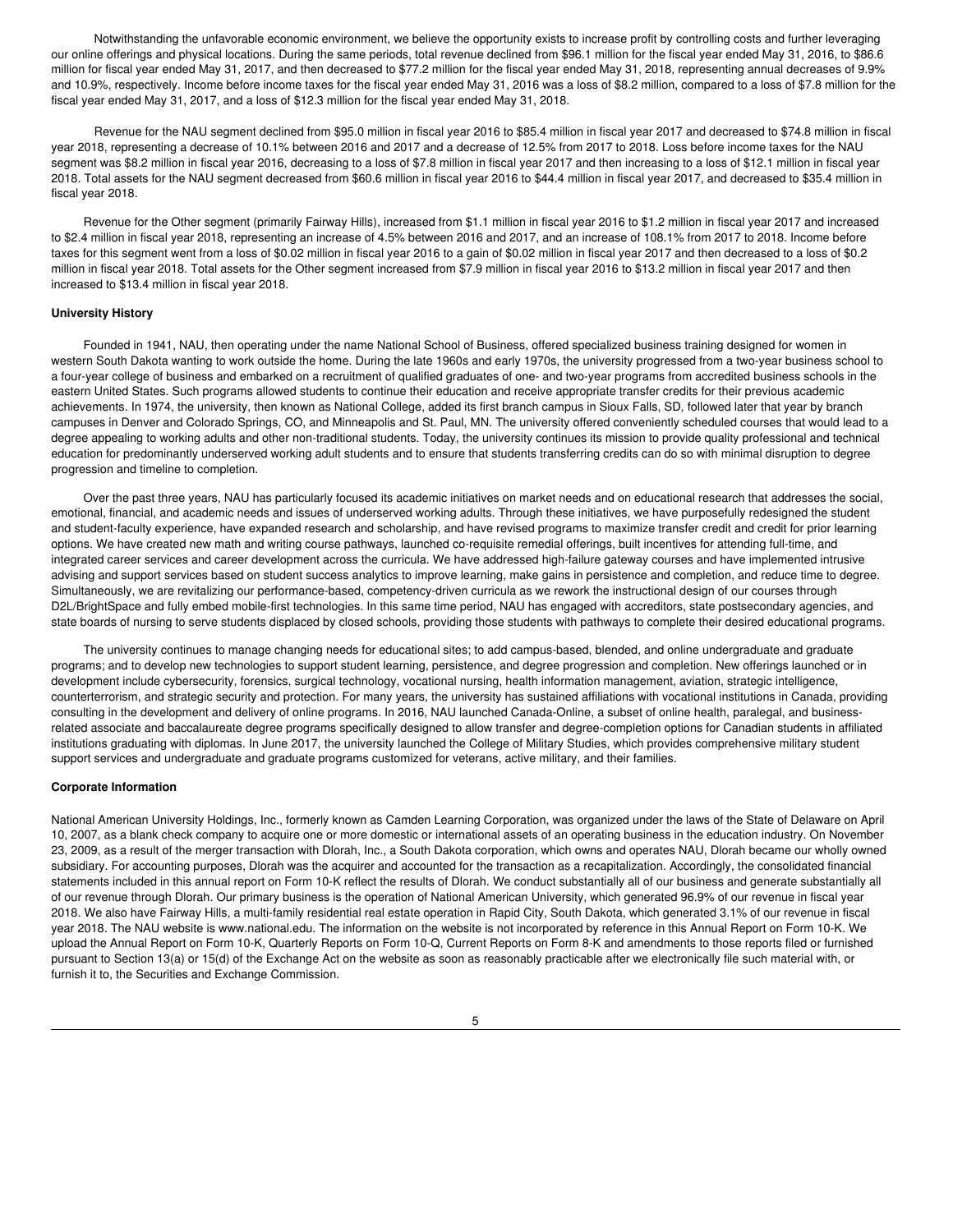Notwithstanding the unfavorable economic environment, we believe the opportunity exists to increase profit by controlling costs and further leveraging our online offerings and physical locations. During the same periods, total revenue declined from \$96.1 million for the fiscal year ended May 31, 2016, to \$86.6 million for fiscal year ended May 31, 2017, and then decreased to \$77.2 million for the fiscal year ended May 31, 2018, representing annual decreases of 9.9% and 10.9%, respectively. Income before income taxes for the fiscal year ended May 31, 2016 was a loss of \$8.2 million, compared to a loss of \$7.8 million for the fiscal year ended May 31, 2017, and a loss of \$12.3 million for the fiscal year ended May 31, 2018.

Revenue for the NAU segment declined from \$95.0 million in fiscal year 2016 to \$85.4 million in fiscal year 2017 and decreased to \$74.8 million in fiscal year 2018, representing a decrease of 10.1% between 2016 and 2017 and a decrease of 12.5% from 2017 to 2018. Loss before income taxes for the NAU segment was \$8.2 million in fiscal year 2016, decreasing to a loss of \$7.8 million in fiscal year 2017 and then increasing to a loss of \$12.1 million in fiscal year 2018. Total assets for the NAU segment decreased from \$60.6 million in fiscal year 2016 to \$44.4 million in fiscal year 2017, and decreased to \$35.4 million in fiscal year 2018.

Revenue for the Other segment (primarily Fairway Hills), increased from \$1.1 million in fiscal year 2016 to \$1.2 million in fiscal year 2017 and increased to \$2.4 million in fiscal year 2018, representing an increase of 4.5% between 2016 and 2017, and an increase of 108.1% from 2017 to 2018. Income before taxes for this segment went from a loss of \$0.02 million in fiscal year 2016 to a gain of \$0.02 million in fiscal year 2017 and then decreased to a loss of \$0.2 million in fiscal year 2018. Total assets for the Other segment increased from \$7.9 million in fiscal year 2016 to \$13.2 million in fiscal year 2017 and then increased to \$13.4 million in fiscal year 2018.

#### **University History**

Founded in 1941, NAU, then operating under the name National School of Business, offered specialized business training designed for women in western South Dakota wanting to work outside the home. During the late 1960s and early 1970s, the university progressed from a two-year business school to a four-year college of business and embarked on a recruitment of qualified graduates of one- and two-year programs from accredited business schools in the eastern United States. Such programs allowed students to continue their education and receive appropriate transfer credits for their previous academic achievements. In 1974, the university, then known as National College, added its first branch campus in Sioux Falls, SD, followed later that year by branch campuses in Denver and Colorado Springs, CO, and Minneapolis and St. Paul, MN. The university offered conveniently scheduled courses that would lead to a degree appealing to working adults and other non-traditional students. Today, the university continues its mission to provide quality professional and technical education for predominantly underserved working adult students and to ensure that students transferring credits can do so with minimal disruption to degree progression and timeline to completion.

Over the past three years, NAU has particularly focused its academic initiatives on market needs and on educational research that addresses the social, emotional, financial, and academic needs and issues of underserved working adults. Through these initiatives, we have purposefully redesigned the student and student-faculty experience, have expanded research and scholarship, and have revised programs to maximize transfer credit and credit for prior learning options. We have created new math and writing course pathways, launched co-requisite remedial offerings, built incentives for attending full-time, and integrated career services and career development across the curricula. We have addressed high-failure gateway courses and have implemented intrusive advising and support services based on student success analytics to improve learning, make gains in persistence and completion, and reduce time to degree. Simultaneously, we are revitalizing our performance-based, competency-driven curricula as we rework the instructional design of our courses through D2L/BrightSpace and fully embed mobile-first technologies. In this same time period, NAU has engaged with accreditors, state postsecondary agencies, and state boards of nursing to serve students displaced by closed schools, providing those students with pathways to complete their desired educational programs.

The university continues to manage changing needs for educational sites; to add campus-based, blended, and online undergraduate and graduate programs; and to develop new technologies to support student learning, persistence, and degree progression and completion. New offerings launched or in development include cybersecurity, forensics, surgical technology, vocational nursing, health information management, aviation, strategic intelligence, counterterrorism, and strategic security and protection. For many years, the university has sustained affiliations with vocational institutions in Canada, providing consulting in the development and delivery of online programs. In 2016, NAU launched Canada-Online, a subset of online health, paralegal, and businessrelated associate and baccalaureate degree programs specifically designed to allow transfer and degree-completion options for Canadian students in affiliated institutions graduating with diplomas. In June 2017, the university launched the College of Military Studies, which provides comprehensive military student support services and undergraduate and graduate programs customized for veterans, active military, and their families.

#### **Corporate Information**

National American University Holdings, Inc., formerly known as Camden Learning Corporation, was organized under the laws of the State of Delaware on April 10, 2007, as a blank check company to acquire one or more domestic or international assets of an operating business in the education industry. On November 23, 2009, as a result of the merger transaction with Dlorah, Inc., a South Dakota corporation, which owns and operates NAU, Dlorah became our wholly owned subsidiary. For accounting purposes, Dlorah was the acquirer and accounted for the transaction as a recapitalization. Accordingly, the consolidated financial statements included in this annual report on Form 10-K reflect the results of Dlorah. We conduct substantially all of our business and generate substantially all of our revenue through Dlorah. Our primary business is the operation of National American University, which generated 96.9% of our revenue in fiscal year 2018. We also have Fairway Hills, a multi-family residential real estate operation in Rapid City, South Dakota, which generated 3.1% of our revenue in fiscal year 2018. The NAU website is www.national.edu. The information on the website is not incorporated by reference in this Annual Report on Form 10-K. We upload the Annual Report on Form 10-K, Quarterly Reports on Form 10-Q, Current Reports on Form 8-K and amendments to those reports filed or furnished pursuant to Section 13(a) or 15(d) of the Exchange Act on the website as soon as reasonably practicable after we electronically file such material with, or furnish it to, the Securities and Exchange Commission.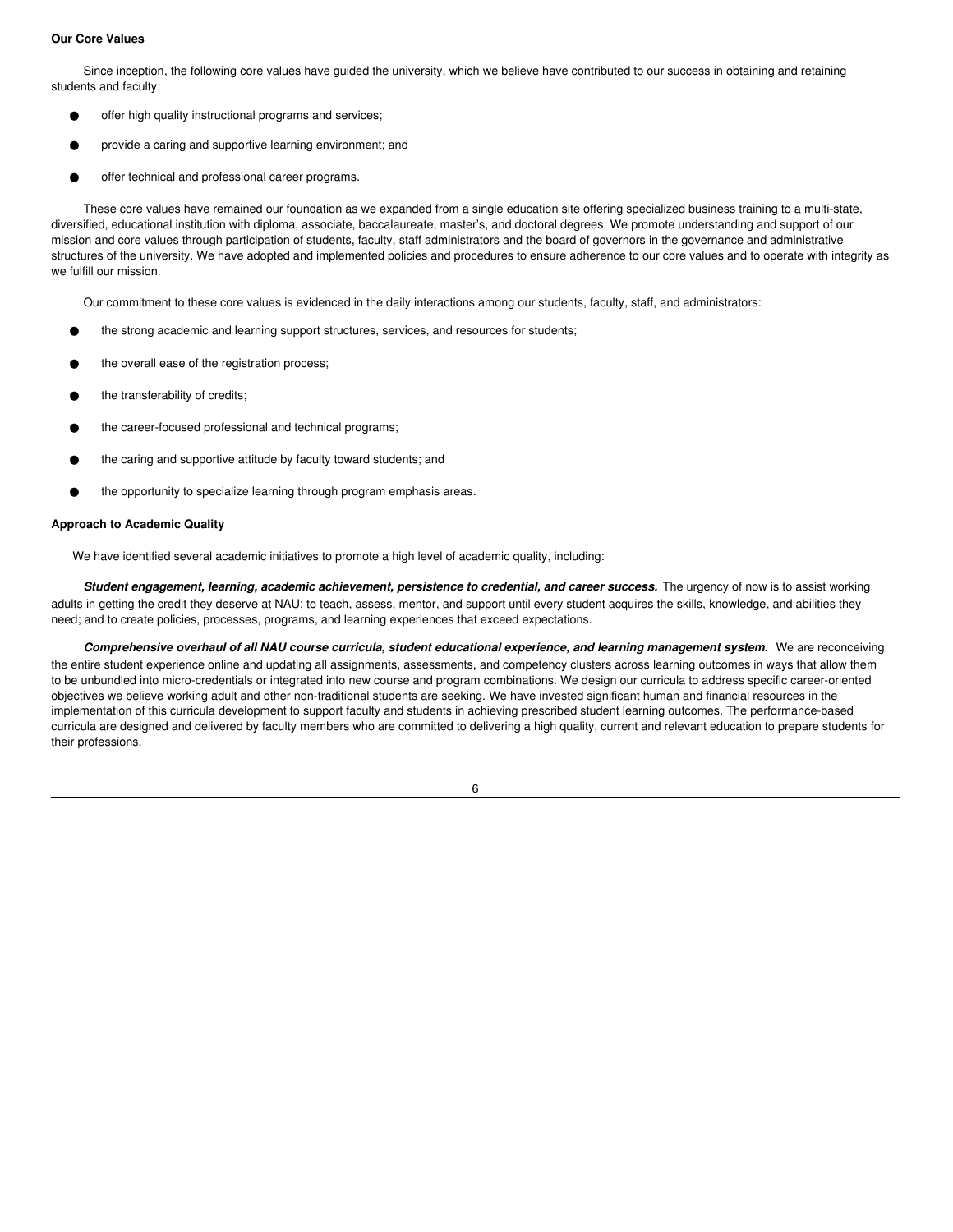#### **Our Core Values**

Since inception, the following core values have guided the university, which we believe have contributed to our success in obtaining and retaining students and faculty:

- offer high quality instructional programs and services;
- **●** provide a caring and supportive learning environment; and
- offer technical and professional career programs.

These core values have remained our foundation as we expanded from a single education site offering specialized business training to a multi-state, diversified, educational institution with diploma, associate, baccalaureate, master's, and doctoral degrees. We promote understanding and support of our mission and core values through participation of students, faculty, staff administrators and the board of governors in the governance and administrative structures of the university. We have adopted and implemented policies and procedures to ensure adherence to our core values and to operate with integrity as we fulfill our mission.

Our commitment to these core values is evidenced in the daily interactions among our students, faculty, staff, and administrators:

- the strong academic and learning support structures, services, and resources for students;
- the overall ease of the registration process;
- the transferability of credits;
- **●** the career-focused professional and technical programs;
- the caring and supportive attitude by faculty toward students; and
- **●** the opportunity to specialize learning through program emphasis areas.

#### **Approach to Academic Quality**

We have identified several academic initiatives to promote a high level of academic quality, including:

*Student engagement, learning, academic achievement, persistence to credential, and career success.* The urgency of now is to assist working adults in getting the credit they deserve at NAU; to teach, assess, mentor, and support until every student acquires the skills, knowledge, and abilities they need; and to create policies, processes, programs, and learning experiences that exceed expectations.

Comprehensive overhaul of all NAU course curricula, student educational experience, and learning management system. We are reconceiving the entire student experience online and updating all assignments, assessments, and competency clusters across learning outcomes in ways that allow them to be unbundled into micro-credentials or integrated into new course and program combinations. We design our curricula to address specific career-oriented objectives we believe working adult and other non-traditional students are seeking. We have invested significant human and financial resources in the implementation of this curricula development to support faculty and students in achieving prescribed student learning outcomes. The performance-based curricula are designed and delivered by faculty members who are committed to delivering a high quality, current and relevant education to prepare students for their professions.

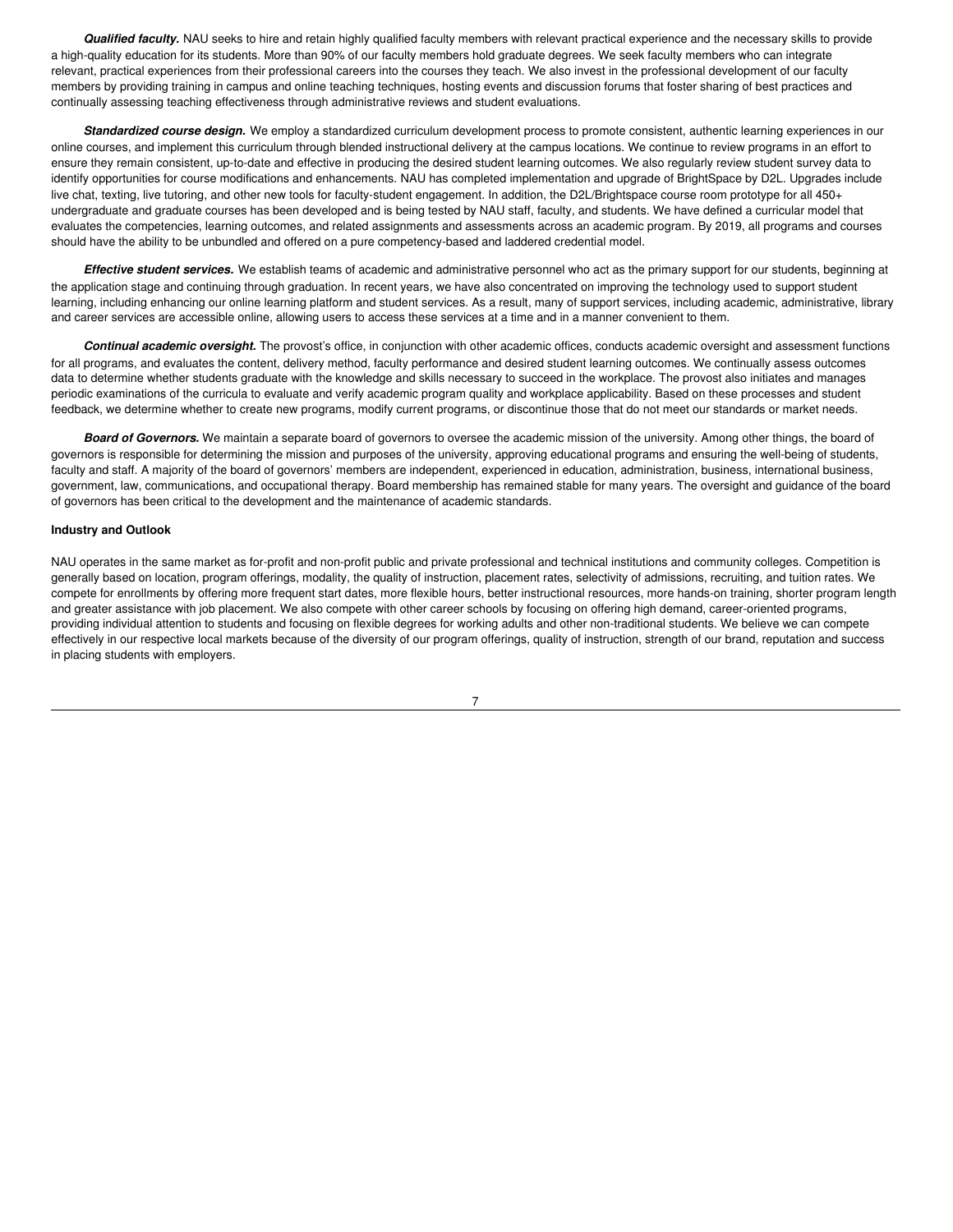*Qualified faculty.* NAU seeks to hire and retain highly qualified faculty members with relevant practical experience and the necessary skills to provide a high-quality education for its students. More than 90% of our faculty members hold graduate degrees. We seek faculty members who can integrate relevant, practical experiences from their professional careers into the courses they teach. We also invest in the professional development of our faculty members by providing training in campus and online teaching techniques, hosting events and discussion forums that foster sharing of best practices and continually assessing teaching effectiveness through administrative reviews and student evaluations.

*Standardized course design.* We employ a standardized curriculum development process to promote consistent, authentic learning experiences in our online courses, and implement this curriculum through blended instructional delivery at the campus locations. We continue to review programs in an effort to ensure they remain consistent, up-to-date and effective in producing the desired student learning outcomes. We also regularly review student survey data to identify opportunities for course modifications and enhancements. NAU has completed implementation and upgrade of BrightSpace by D2L. Upgrades include live chat, texting, live tutoring, and other new tools for faculty-student engagement. In addition, the D2L/Brightspace course room prototype for all 450+ undergraduate and graduate courses has been developed and is being tested by NAU staff, faculty, and students. We have defined a curricular model that evaluates the competencies, learning outcomes, and related assignments and assessments across an academic program. By 2019, all programs and courses should have the ability to be unbundled and offered on a pure competency-based and laddered credential model.

*Effective student services.* We establish teams of academic and administrative personnel who act as the primary support for our students, beginning at the application stage and continuing through graduation. In recent years, we have also concentrated on improving the technology used to support student learning, including enhancing our online learning platform and student services. As a result, many of support services, including academic, administrative, library and career services are accessible online, allowing users to access these services at a time and in a manner convenient to them.

*Continual academic oversight.* The provost's office, in conjunction with other academic offices, conducts academic oversight and assessment functions for all programs, and evaluates the content, delivery method, faculty performance and desired student learning outcomes. We continually assess outcomes data to determine whether students graduate with the knowledge and skills necessary to succeed in the workplace. The provost also initiates and manages periodic examinations of the curricula to evaluate and verify academic program quality and workplace applicability. Based on these processes and student feedback, we determine whether to create new programs, modify current programs, or discontinue those that do not meet our standards or market needs.

*Board of Governors.* We maintain a separate board of governors to oversee the academic mission of the university. Among other things, the board of governors is responsible for determining the mission and purposes of the university, approving educational programs and ensuring the well-being of students, faculty and staff. A majority of the board of governors' members are independent, experienced in education, administration, business, international business, government, law, communications, and occupational therapy. Board membership has remained stable for many years. The oversight and guidance of the board of governors has been critical to the development and the maintenance of academic standards.

#### **Industry and Outlook**

NAU operates in the same market as for-profit and non-profit public and private professional and technical institutions and community colleges. Competition is generally based on location, program offerings, modality, the quality of instruction, placement rates, selectivity of admissions, recruiting, and tuition rates. We compete for enrollments by offering more frequent start dates, more flexible hours, better instructional resources, more hands-on training, shorter program length and greater assistance with job placement. We also compete with other career schools by focusing on offering high demand, career-oriented programs, providing individual attention to students and focusing on flexible degrees for working adults and other non-traditional students. We believe we can compete effectively in our respective local markets because of the diversity of our program offerings, quality of instruction, strength of our brand, reputation and success in placing students with employers.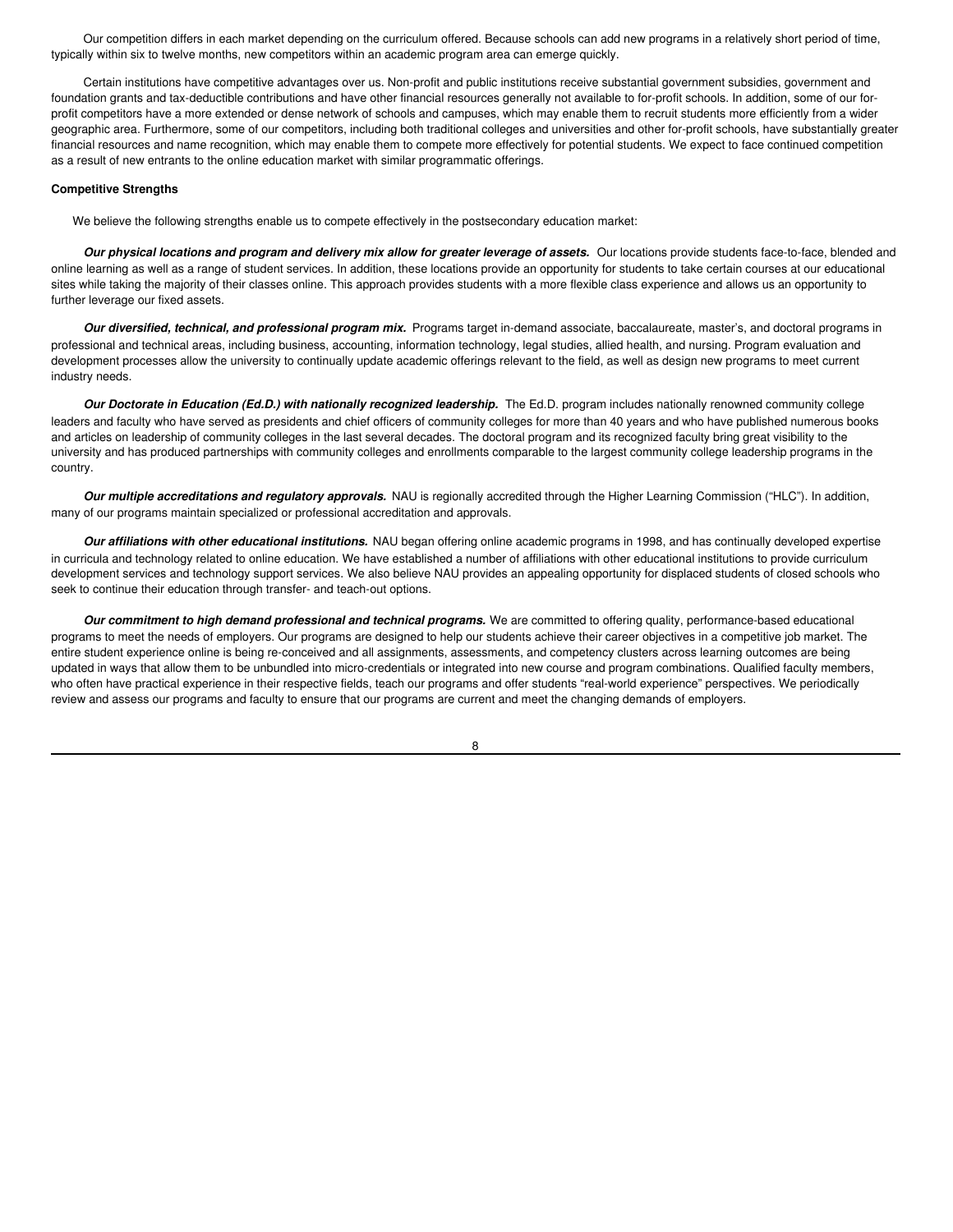Our competition differs in each market depending on the curriculum offered. Because schools can add new programs in a relatively short period of time, typically within six to twelve months, new competitors within an academic program area can emerge quickly.

Certain institutions have competitive advantages over us. Non-profit and public institutions receive substantial government subsidies, government and foundation grants and tax-deductible contributions and have other financial resources generally not available to for-profit schools. In addition, some of our forprofit competitors have a more extended or dense network of schools and campuses, which may enable them to recruit students more efficiently from a wider geographic area. Furthermore, some of our competitors, including both traditional colleges and universities and other for-profit schools, have substantially greater financial resources and name recognition, which may enable them to compete more effectively for potential students. We expect to face continued competition as a result of new entrants to the online education market with similar programmatic offerings.

#### **Competitive Strengths**

We believe the following strengths enable us to compete effectively in the postsecondary education market:

Our physical locations and program and delivery mix allow for greater leverage of assets. Our locations provide students face-to-face, blended and online learning as well as a range of student services. In addition, these locations provide an opportunity for students to take certain courses at our educational sites while taking the majority of their classes online. This approach provides students with a more flexible class experience and allows us an opportunity to further leverage our fixed assets.

*Our diversified, technical, and professional program mix.* Programs target in-demand associate, baccalaureate, master's, and doctoral programs in professional and technical areas, including business, accounting, information technology, legal studies, allied health, and nursing. Program evaluation and development processes allow the university to continually update academic offerings relevant to the field, as well as design new programs to meet current industry needs.

*Our Doctorate in Education (Ed.D.) with nationally recognized leadership.* The Ed.D. program includes nationally renowned community college leaders and faculty who have served as presidents and chief officers of community colleges for more than 40 years and who have published numerous books and articles on leadership of community colleges in the last several decades. The doctoral program and its recognized faculty bring great visibility to the university and has produced partnerships with community colleges and enrollments comparable to the largest community college leadership programs in the country.

*Our multiple accreditations and regulatory approvals.* NAU is regionally accredited through the Higher Learning Commission ("HLC"). In addition, many of our programs maintain specialized or professional accreditation and approvals.

*Our affiliations with other educational institutions.* NAU began offering online academic programs in 1998, and has continually developed expertise in curricula and technology related to online education. We have established a number of affiliations with other educational institutions to provide curriculum development services and technology support services. We also believe NAU provides an appealing opportunity for displaced students of closed schools who seek to continue their education through transfer- and teach-out options.

*Our commitment to high demand professional and technical programs.* We are committed to offering quality, performance-based educational programs to meet the needs of employers. Our programs are designed to help our students achieve their career objectives in a competitive job market. The entire student experience online is being re-conceived and all assignments, assessments, and competency clusters across learning outcomes are being updated in ways that allow them to be unbundled into micro-credentials or integrated into new course and program combinations. Qualified faculty members, who often have practical experience in their respective fields, teach our programs and offer students "real-world experience" perspectives. We periodically review and assess our programs and faculty to ensure that our programs are current and meet the changing demands of employers.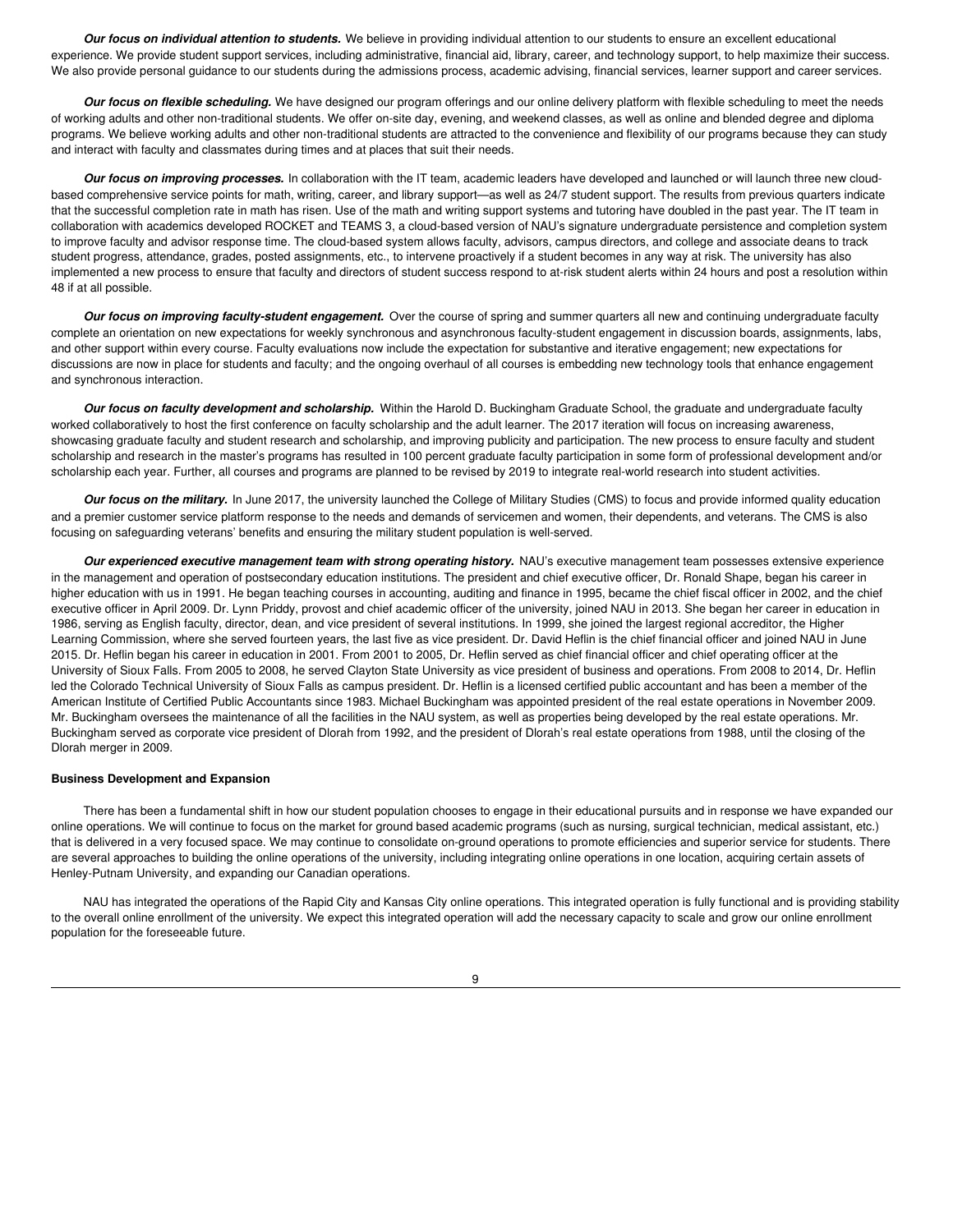*Our focus on individual attention to students.* We believe in providing individual attention to our students to ensure an excellent educational experience. We provide student support services, including administrative, financial aid, library, career, and technology support, to help maximize their success. We also provide personal guidance to our students during the admissions process, academic advising, financial services, learner support and career services.

*Our focus on flexible scheduling.* We have designed our program offerings and our online delivery platform with flexible scheduling to meet the needs of working adults and other non-traditional students. We offer on-site day, evening, and weekend classes, as well as online and blended degree and diploma programs. We believe working adults and other non-traditional students are attracted to the convenience and flexibility of our programs because they can study and interact with faculty and classmates during times and at places that suit their needs.

*Our focus on improving processes.* In collaboration with the IT team, academic leaders have developed and launched or will launch three new cloudbased comprehensive service points for math, writing, career, and library support—as well as 24/7 student support. The results from previous quarters indicate that the successful completion rate in math has risen. Use of the math and writing support systems and tutoring have doubled in the past year. The IT team in collaboration with academics developed ROCKET and TEAMS 3, a cloud-based version of NAU's signature undergraduate persistence and completion system to improve faculty and advisor response time. The cloud-based system allows faculty, advisors, campus directors, and college and associate deans to track student progress, attendance, grades, posted assignments, etc., to intervene proactively if a student becomes in any way at risk. The university has also implemented a new process to ensure that faculty and directors of student success respond to at-risk student alerts within 24 hours and post a resolution within 48 if at all possible.

*Our focus on improving faculty-student engagement.* Over the course of spring and summer quarters all new and continuing undergraduate faculty complete an orientation on new expectations for weekly synchronous and asynchronous faculty-student engagement in discussion boards, assignments, labs, and other support within every course. Faculty evaluations now include the expectation for substantive and iterative engagement; new expectations for discussions are now in place for students and faculty; and the ongoing overhaul of all courses is embedding new technology tools that enhance engagement and synchronous interaction.

*Our focus on faculty development and scholarship.* Within the Harold D. Buckingham Graduate School, the graduate and undergraduate faculty worked collaboratively to host the first conference on faculty scholarship and the adult learner. The 2017 iteration will focus on increasing awareness, showcasing graduate faculty and student research and scholarship, and improving publicity and participation. The new process to ensure faculty and student scholarship and research in the master's programs has resulted in 100 percent graduate faculty participation in some form of professional development and/or scholarship each year. Further, all courses and programs are planned to be revised by 2019 to integrate real-world research into student activities.

*Our focus on the military.* In June 2017, the university launched the College of Military Studies (CMS) to focus and provide informed quality education and a premier customer service platform response to the needs and demands of servicemen and women, their dependents, and veterans. The CMS is also focusing on safeguarding veterans' benefits and ensuring the military student population is well-served.

*Our experienced executive management team with strong operating history.* NAU's executive management team possesses extensive experience in the management and operation of postsecondary education institutions. The president and chief executive officer, Dr. Ronald Shape, began his career in higher education with us in 1991. He began teaching courses in accounting, auditing and finance in 1995, became the chief fiscal officer in 2002, and the chief executive officer in April 2009. Dr. Lynn Priddy, provost and chief academic officer of the university, joined NAU in 2013. She began her career in education in 1986, serving as English faculty, director, dean, and vice president of several institutions. In 1999, she joined the largest regional accreditor, the Higher Learning Commission, where she served fourteen years, the last five as vice president. Dr. David Heflin is the chief financial officer and joined NAU in June 2015. Dr. Heflin began his career in education in 2001. From 2001 to 2005, Dr. Heflin served as chief financial officer and chief operating officer at the University of Sioux Falls. From 2005 to 2008, he served Clayton State University as vice president of business and operations. From 2008 to 2014, Dr. Heflin led the Colorado Technical University of Sioux Falls as campus president. Dr. Heflin is a licensed certified public accountant and has been a member of the American Institute of Certified Public Accountants since 1983. Michael Buckingham was appointed president of the real estate operations in November 2009. Mr. Buckingham oversees the maintenance of all the facilities in the NAU system, as well as properties being developed by the real estate operations. Mr. Buckingham served as corporate vice president of Dlorah from 1992, and the president of Dlorah's real estate operations from 1988, until the closing of the Dlorah merger in 2009.

#### **Business Development and Expansion**

There has been a fundamental shift in how our student population chooses to engage in their educational pursuits and in response we have expanded our online operations. We will continue to focus on the market for ground based academic programs (such as nursing, surgical technician, medical assistant, etc.) that is delivered in a very focused space. We may continue to consolidate on-ground operations to promote efficiencies and superior service for students. There are several approaches to building the online operations of the university, including integrating online operations in one location, acquiring certain assets of Henley-Putnam University, and expanding our Canadian operations.

NAU has integrated the operations of the Rapid City and Kansas City online operations. This integrated operation is fully functional and is providing stability to the overall online enrollment of the university. We expect this integrated operation will add the necessary capacity to scale and grow our online enrollment population for the foreseeable future.

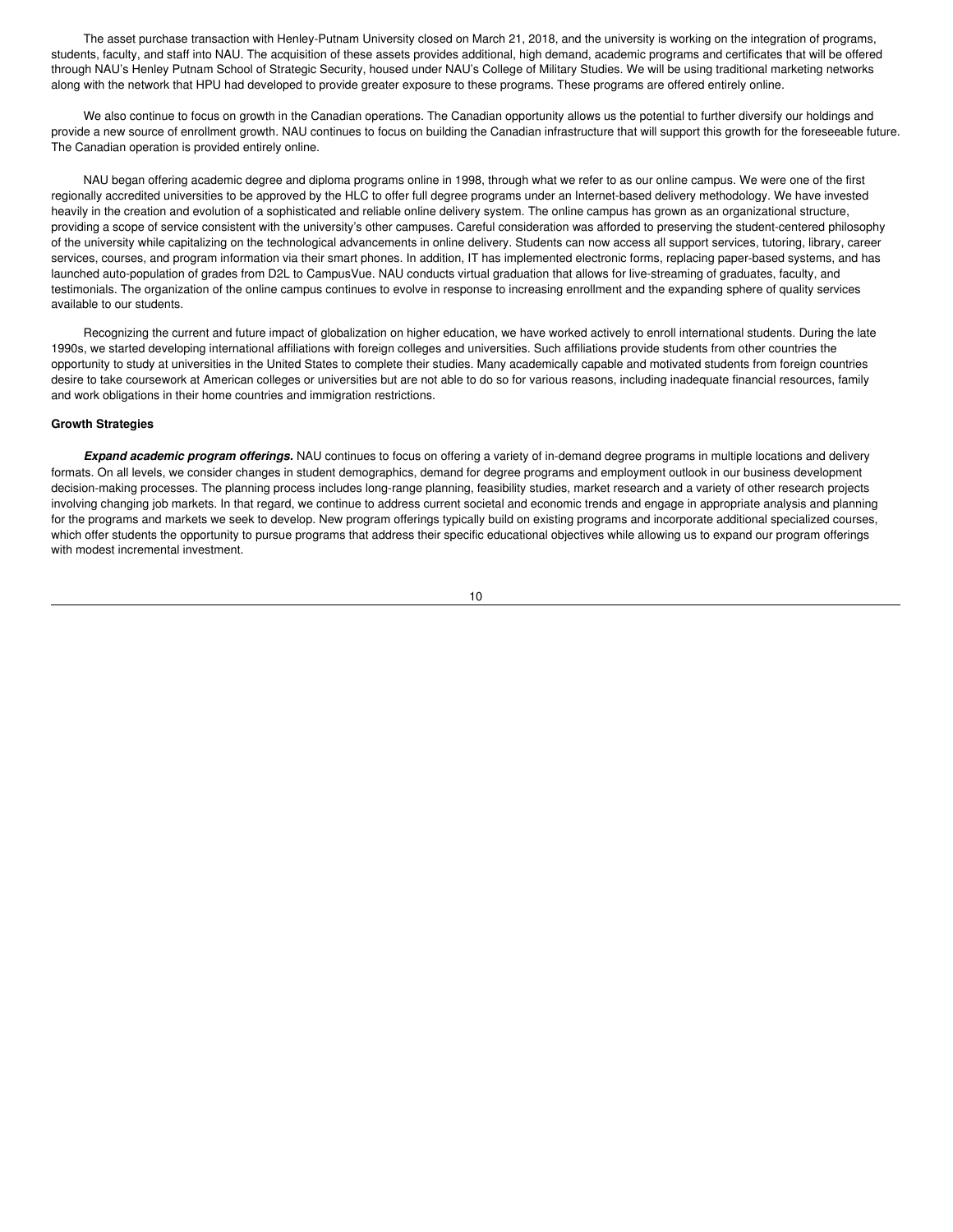The asset purchase transaction with Henley-Putnam University closed on March 21, 2018, and the university is working on the integration of programs, students, faculty, and staff into NAU. The acquisition of these assets provides additional, high demand, academic programs and certificates that will be offered through NAU's Henley Putnam School of Strategic Security, housed under NAU's College of Military Studies. We will be using traditional marketing networks along with the network that HPU had developed to provide greater exposure to these programs. These programs are offered entirely online.

We also continue to focus on growth in the Canadian operations. The Canadian opportunity allows us the potential to further diversify our holdings and provide a new source of enrollment growth. NAU continues to focus on building the Canadian infrastructure that will support this growth for the foreseeable future. The Canadian operation is provided entirely online.

NAU began offering academic degree and diploma programs online in 1998, through what we refer to as our online campus. We were one of the first regionally accredited universities to be approved by the HLC to offer full degree programs under an Internet-based delivery methodology. We have invested heavily in the creation and evolution of a sophisticated and reliable online delivery system. The online campus has grown as an organizational structure, providing a scope of service consistent with the university's other campuses. Careful consideration was afforded to preserving the student-centered philosophy of the university while capitalizing on the technological advancements in online delivery. Students can now access all support services, tutoring, library, career services, courses, and program information via their smart phones. In addition, IT has implemented electronic forms, replacing paper-based systems, and has launched auto-population of grades from D2L to CampusVue. NAU conducts virtual graduation that allows for live-streaming of graduates, faculty, and testimonials. The organization of the online campus continues to evolve in response to increasing enrollment and the expanding sphere of quality services available to our students.

Recognizing the current and future impact of globalization on higher education, we have worked actively to enroll international students. During the late 1990s, we started developing international affiliations with foreign colleges and universities. Such affiliations provide students from other countries the opportunity to study at universities in the United States to complete their studies. Many academically capable and motivated students from foreign countries desire to take coursework at American colleges or universities but are not able to do so for various reasons, including inadequate financial resources, family and work obligations in their home countries and immigration restrictions.

#### **Growth Strategies**

*Expand academic program offerings.* NAU continues to focus on offering a variety of in-demand degree programs in multiple locations and delivery formats. On all levels, we consider changes in student demographics, demand for degree programs and employment outlook in our business development decision-making processes. The planning process includes long-range planning, feasibility studies, market research and a variety of other research projects involving changing job markets. In that regard, we continue to address current societal and economic trends and engage in appropriate analysis and planning for the programs and markets we seek to develop. New program offerings typically build on existing programs and incorporate additional specialized courses, which offer students the opportunity to pursue programs that address their specific educational objectives while allowing us to expand our program offerings with modest incremental investment.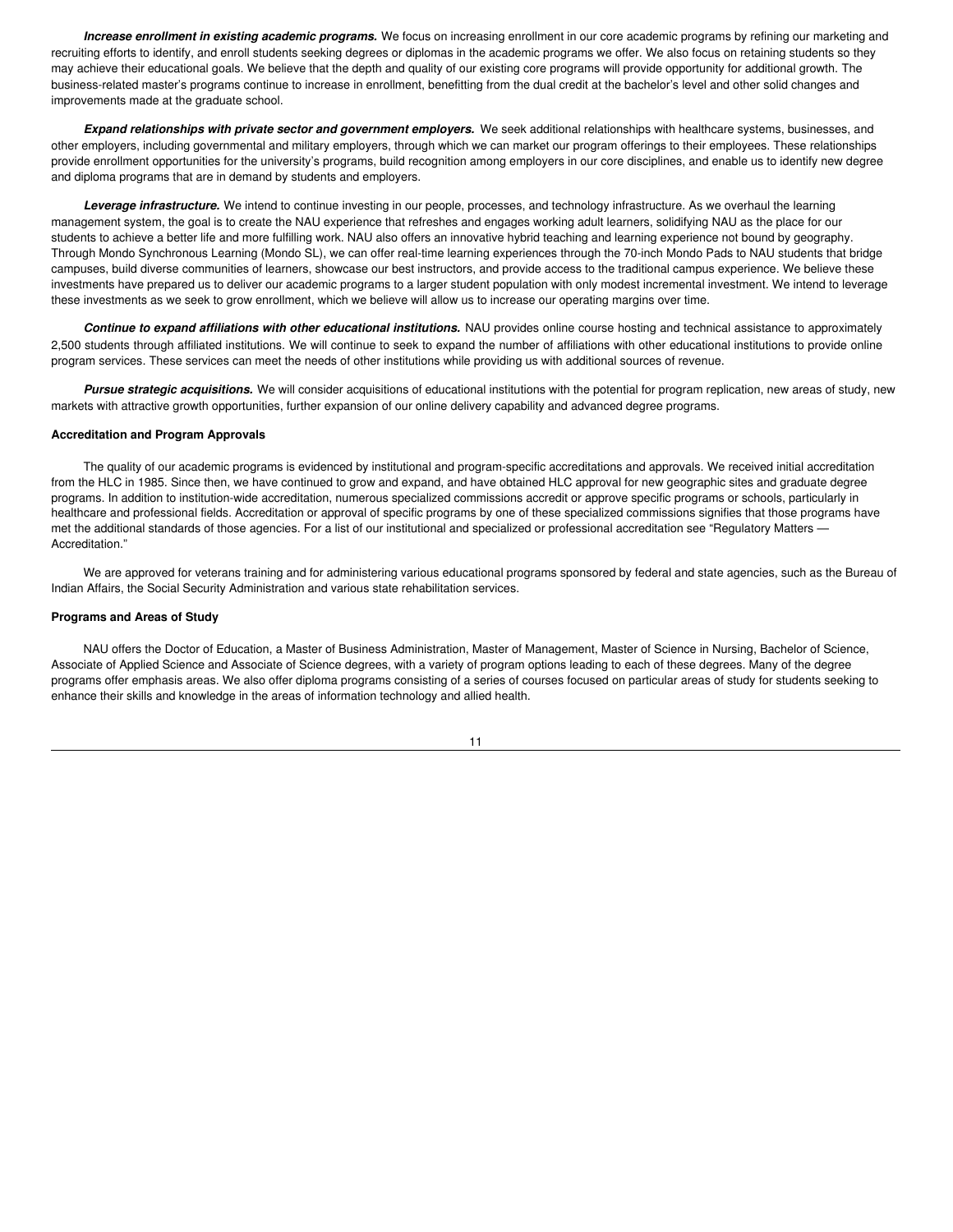*Increase enrollment in existing academic programs.* We focus on increasing enrollment in our core academic programs by refining our marketing and recruiting efforts to identify, and enroll students seeking degrees or diplomas in the academic programs we offer. We also focus on retaining students so they may achieve their educational goals. We believe that the depth and quality of our existing core programs will provide opportunity for additional growth. The business-related master's programs continue to increase in enrollment, benefitting from the dual credit at the bachelor's level and other solid changes and improvements made at the graduate school.

*Expand relationships with private sector and government employers.* We seek additional relationships with healthcare systems, businesses, and other employers, including governmental and military employers, through which we can market our program offerings to their employees. These relationships provide enrollment opportunities for the university's programs, build recognition among employers in our core disciplines, and enable us to identify new degree and diploma programs that are in demand by students and employers.

Leverage *infrastructure*. We intend to continue investing in our people, processes, and technology infrastructure. As we overhaul the learning management system, the goal is to create the NAU experience that refreshes and engages working adult learners, solidifying NAU as the place for our students to achieve a better life and more fulfilling work. NAU also offers an innovative hybrid teaching and learning experience not bound by geography. Through Mondo Synchronous Learning (Mondo SL), we can offer real-time learning experiences through the 70-inch Mondo Pads to NAU students that bridge campuses, build diverse communities of learners, showcase our best instructors, and provide access to the traditional campus experience. We believe these investments have prepared us to deliver our academic programs to a larger student population with only modest incremental investment. We intend to leverage these investments as we seek to grow enrollment, which we believe will allow us to increase our operating margins over time.

*Continue to expand affiliations with other educational institutions.* NAU provides online course hosting and technical assistance to approximately 2,500 students through affiliated institutions. We will continue to seek to expand the number of affiliations with other educational institutions to provide online program services. These services can meet the needs of other institutions while providing us with additional sources of revenue.

*Pursue strategic acquisitions.* We will consider acquisitions of educational institutions with the potential for program replication, new areas of study, new markets with attractive growth opportunities, further expansion of our online delivery capability and advanced degree programs.

#### **Accreditation and Program Approvals**

The quality of our academic programs is evidenced by institutional and program-specific accreditations and approvals. We received initial accreditation from the HLC in 1985. Since then, we have continued to grow and expand, and have obtained HLC approval for new geographic sites and graduate degree programs. In addition to institution-wide accreditation, numerous specialized commissions accredit or approve specific programs or schools, particularly in healthcare and professional fields. Accreditation or approval of specific programs by one of these specialized commissions signifies that those programs have met the additional standards of those agencies. For a list of our institutional and specialized or professional accreditation see "Regulatory Matters -Accreditation."

We are approved for veterans training and for administering various educational programs sponsored by federal and state agencies, such as the Bureau of Indian Affairs, the Social Security Administration and various state rehabilitation services.

#### **Programs and Areas of Study**

NAU offers the Doctor of Education, a Master of Business Administration, Master of Management, Master of Science in Nursing, Bachelor of Science, Associate of Applied Science and Associate of Science degrees, with a variety of program options leading to each of these degrees. Many of the degree programs offer emphasis areas. We also offer diploma programs consisting of a series of courses focused on particular areas of study for students seeking to enhance their skills and knowledge in the areas of information technology and allied health.

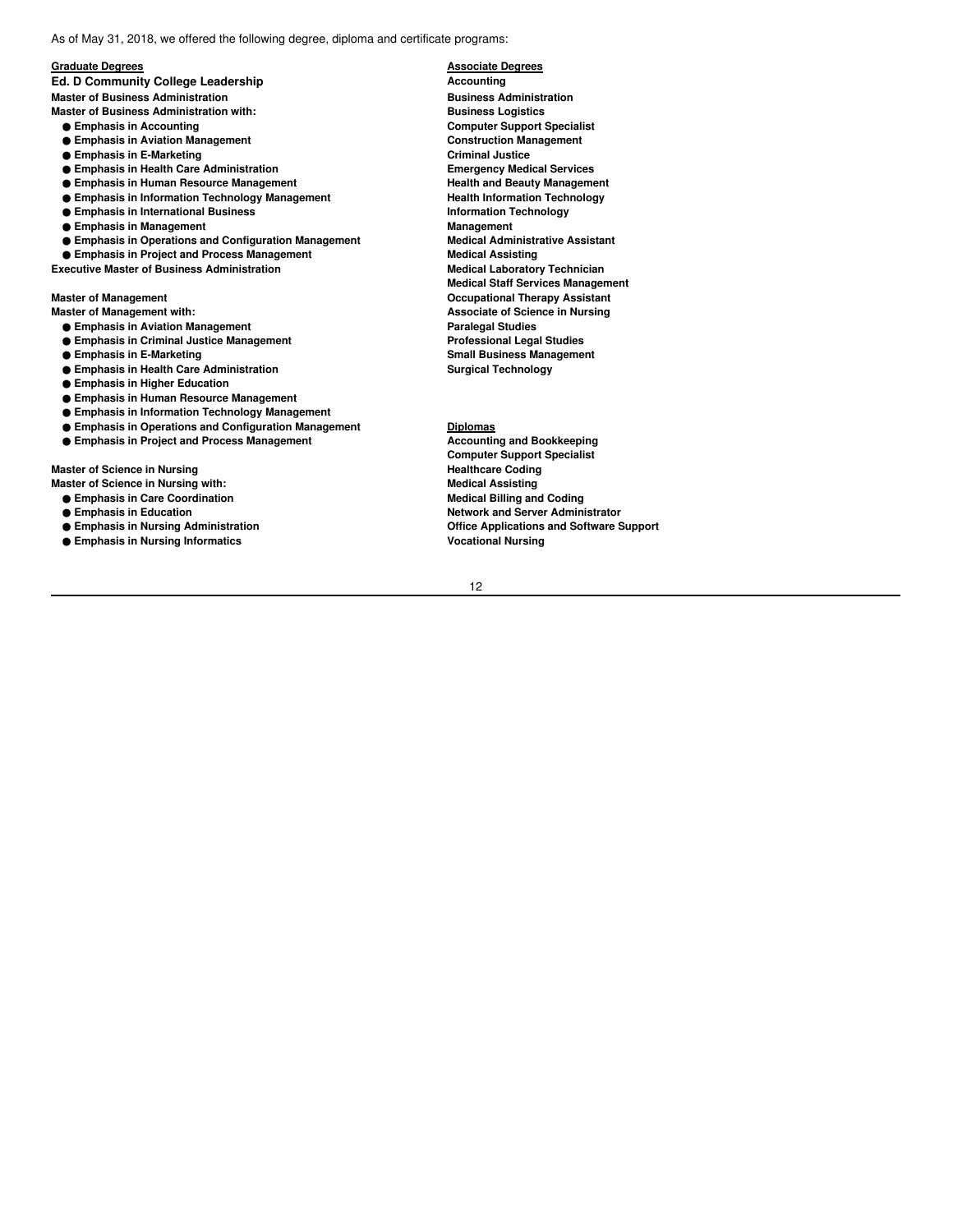#### As of May 31, 2018, we offered the following degree, diploma and certificate programs:

#### **Graduate Degrees Associate Degrees**

**Ed. D Community College Leadership Accounting Master of Business Administration Business Administration**

**Master of Business Administration with:** 

- 
- 
- $\bullet$  **Emphasis** in Health Care Administration
- 
- 
- 
- 
- **Emphasis in Operations and Configuration Management Administration Medical Administrative Configuration**<br>● **Emphasis in Project and Process Management Administrative Medical Assisting**

 $\bullet$  **Emphasis** in Project and Process Management

**Executive Master of Business Administration Medical Laboratory Technician**

- 
- 
- **● Emphasis in Criminal Justice Management Professional Legal Studies**
- 
- **● Emphasis in Health Care Administration Surgical Technology**
- **● Emphasis in Higher Education**
- **● Emphasis in Human Resource Management**
- **● Emphasis in Information Technology Management**
- **Emphasis in Operations and Configuration Management Diplomas Diplomas Accounting and Bookkeeping ●** Emphasis in Project and Process Management
- **● Emphasis in Project and Process Management Accounting and Bookkeeping**

**Master of Science in Nursing** 

- 
- $\bullet$  **Emphasis** in Care Coordination
- 
- 
- **● Emphasis in Nursing Informatics Vocational Nursing**

**● Emphasis in Accounting Computer Support Specialist ● Emphasis in Aviation Management Construction Management** ● **Emphasis in E-Marketing**<br>● **Emphasis in Health Care Administration**<br>● **Emergency Medical Services ● Emphasis in Human Resource Management Health and Beauty Management ● Emphasis in Information Technology Management Health Information Technology** ● **Emphasis in International Business**<br>● **Emphasis** in Management **Informational Information Management** ● **Emphasis in Management**<br>● **Emphasis in Operations and Configuration Management** Medical Administrative Assistant **Medical Staff Services Management Master of Management Occupational Therapy Assistant Master of Management with: Associate of Science in Nursing** ● **Emphasis in Aviation Management**<br>● **Emphasis in Criminal Justice Management** 
■ Professional Legal Studies **● Emphasis in E-Marketing Small Business Management**

**Computer Support Specialist Master of Science in Nursing with:**<br> **•** Emphasis in Care Coordination **Assisting**<br> **•** Emphasis in Care Coordination **Assisting ● Emphasis in Education Network and Server Administrator ● Emphasis in Nursing Administration Office Applications and Software Support**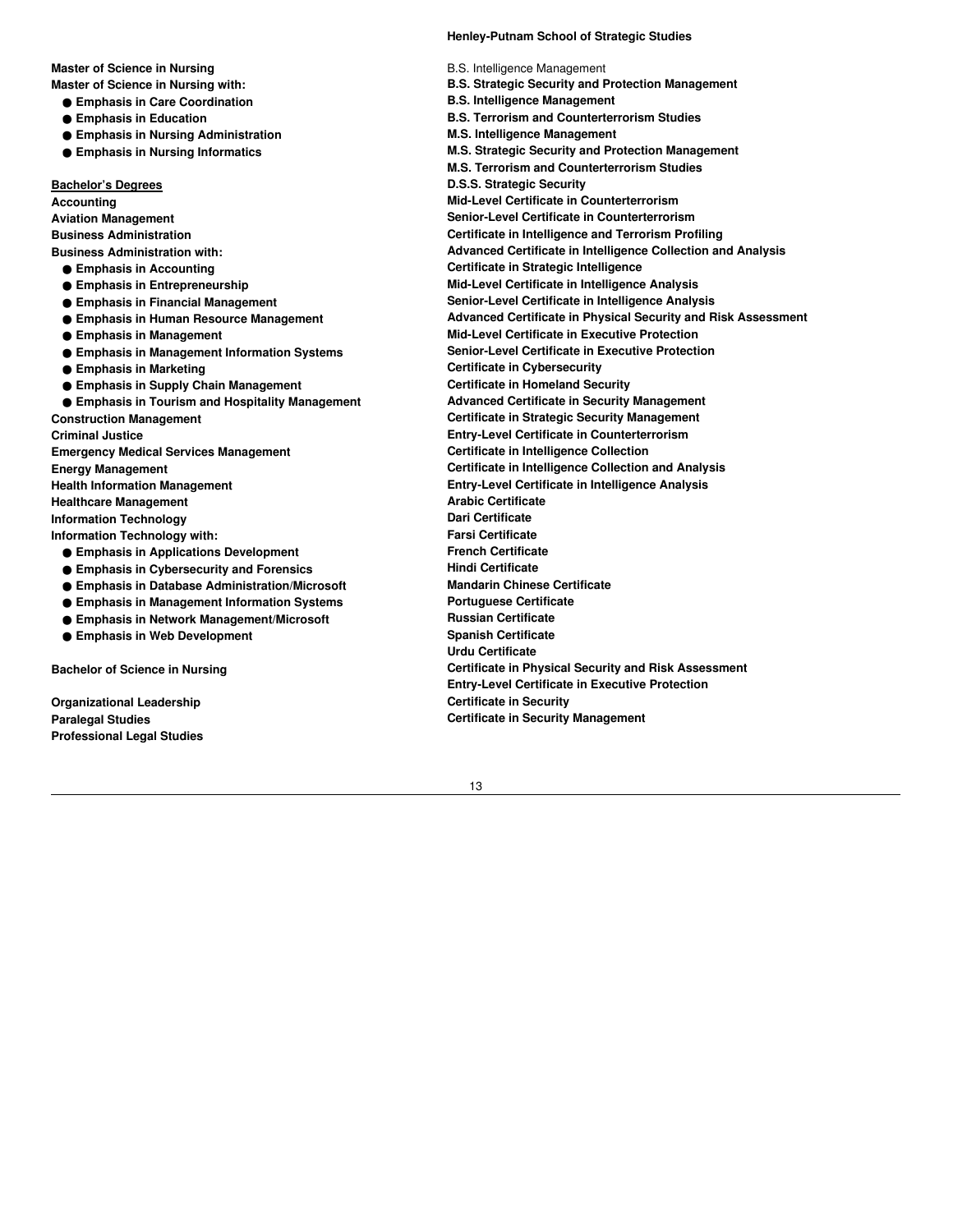#### **Henley-Putnam School of Strategic Studies**

**Master of Science in Nursing Master of Science in Nursing with: ● Emphasis in Care Coordination ● Emphasis in Education ● Emphasis in Nursing Administration ● Emphasis in Nursing Informatics Bachelor's Degrees Accounting Aviation Management Business Administration Business Administration with: ● Emphasis in Accounting ● Emphasis in Entrepreneurship ● Emphasis in Financial Management ● Emphasis in Human Resource Management ● Emphasis in Management ● Emphasis in Management Information Systems ● Emphasis in Marketing ● Emphasis in Supply Chain Management ● Emphasis in Tourism and Hospitality Management Construction Management Criminal Justice Emergency Medical Services Management Energy Management Health Information Management Healthcare Management Information Technology Information Technology with: ● Emphasis in Applications Development ● Emphasis in Cybersecurity and Forensics ● Emphasis in Database Administration/Microsoft ● Emphasis in Management Information Systems ● Emphasis in Network Management/Microsoft ● Emphasis in Web Development Bachelor of Science in Nursing Organizational Leadership Paralegal Studies** B.S. Intelligence Management **B.S. Strategic Security and Protection Management B.S. Intelligence Management B.S. Terrorism and Counterterrorism Studies M.S. Intelligence Management M.S. Strategic Security and Protection Management M.S. Terrorism and Counterterrorism Studies D.S.S. Strategic Security Mid-Level Certificate in Counterterrorism Senior-Level Certificate in Counterterrorism Certificate in Intelligence and Terrorism Profiling Advanced Certificate in Intelligence Collection and Analysis Certificate in Strategic Intelligence Mid-Level Certificate in Intelligence Analysis Senior-Level Certificate in Intelligence Analysis Advanced Certificate in Physical Security and Risk Assessment Mid-Level Certificate in Executive Protection Senior-Level Certificate in Executive Protection Certificate in Cybersecurity Certificate in Homeland Security Advanced Certificate in Security Management Certificate in Strategic Security Management Entry-Level Certificate in Counterterrorism Certificate in Intelligence Collection Certificate in Intelligence Collection and Analysis Entry-Level Certificate in Intelligence Analysis Arabic Certificate Dari Certificate Farsi Certificate French Certificate Hindi Certificate Mandarin Chinese Certificate Portuguese Certificate Russian Certificate Spanish Certificate Urdu Certificate Certificate in Physical Security and Risk Assessment Entry-Level Certificate in Executive Protection Certificate in Security Certificate in Security Management**

**Professional Legal Studies**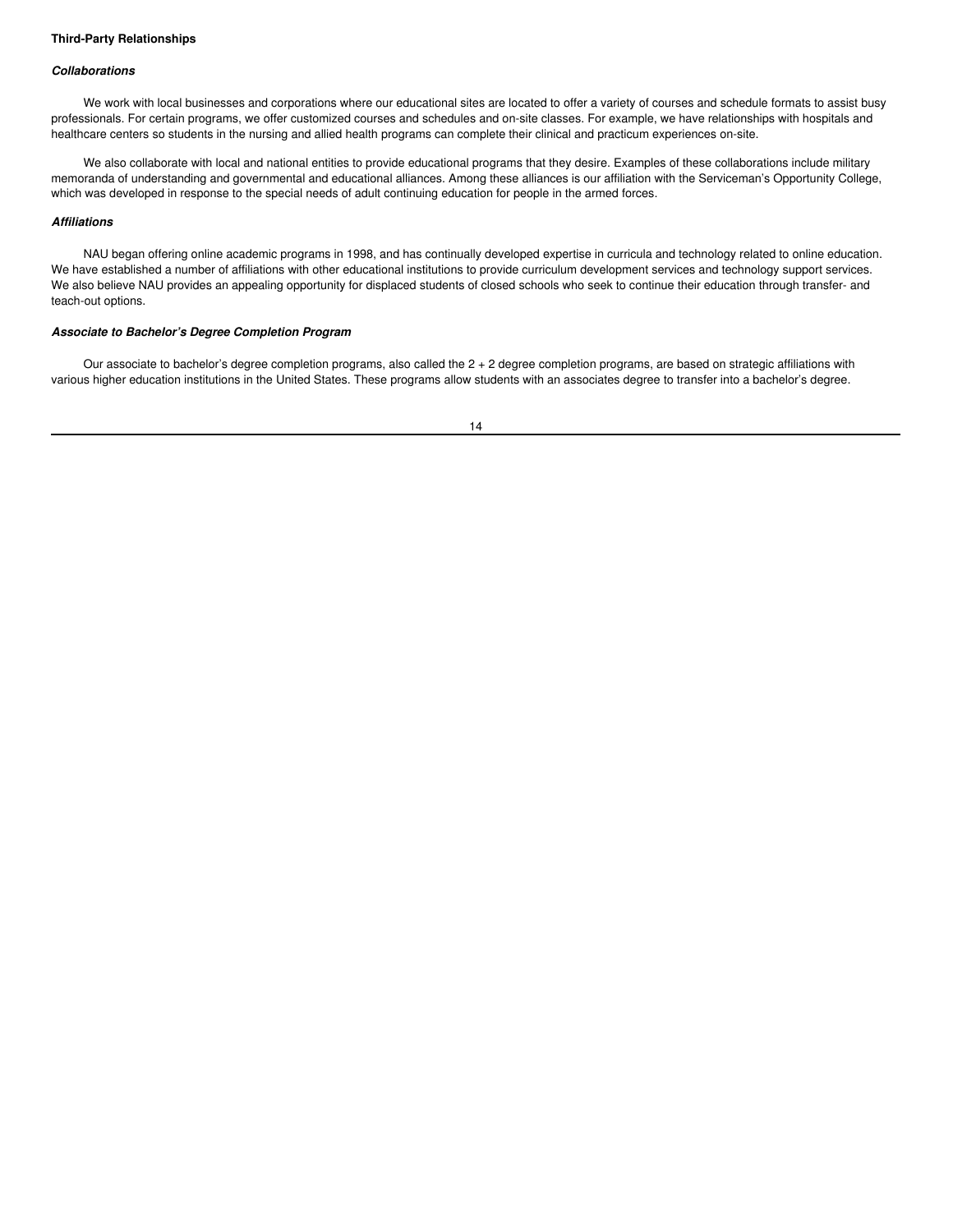#### *Collaborations*

We work with local businesses and corporations where our educational sites are located to offer a variety of courses and schedule formats to assist busy professionals. For certain programs, we offer customized courses and schedules and on-site classes. For example, we have relationships with hospitals and healthcare centers so students in the nursing and allied health programs can complete their clinical and practicum experiences on-site.

We also collaborate with local and national entities to provide educational programs that they desire. Examples of these collaborations include military memoranda of understanding and governmental and educational alliances. Among these alliances is our affiliation with the Serviceman's Opportunity College, which was developed in response to the special needs of adult continuing education for people in the armed forces.

### *Affiliations*

NAU began offering online academic programs in 1998, and has continually developed expertise in curricula and technology related to online education. We have established a number of affiliations with other educational institutions to provide curriculum development services and technology support services. We also believe NAU provides an appealing opportunity for displaced students of closed schools who seek to continue their education through transfer- and teach-out options.

#### *Associate to Bachelor's Degree Completion Program*

Our associate to bachelor's degree completion programs, also called the 2 + 2 degree completion programs, are based on strategic affiliations with various higher education institutions in the United States. These programs allow students with an associates degree to transfer into a bachelor's degree.

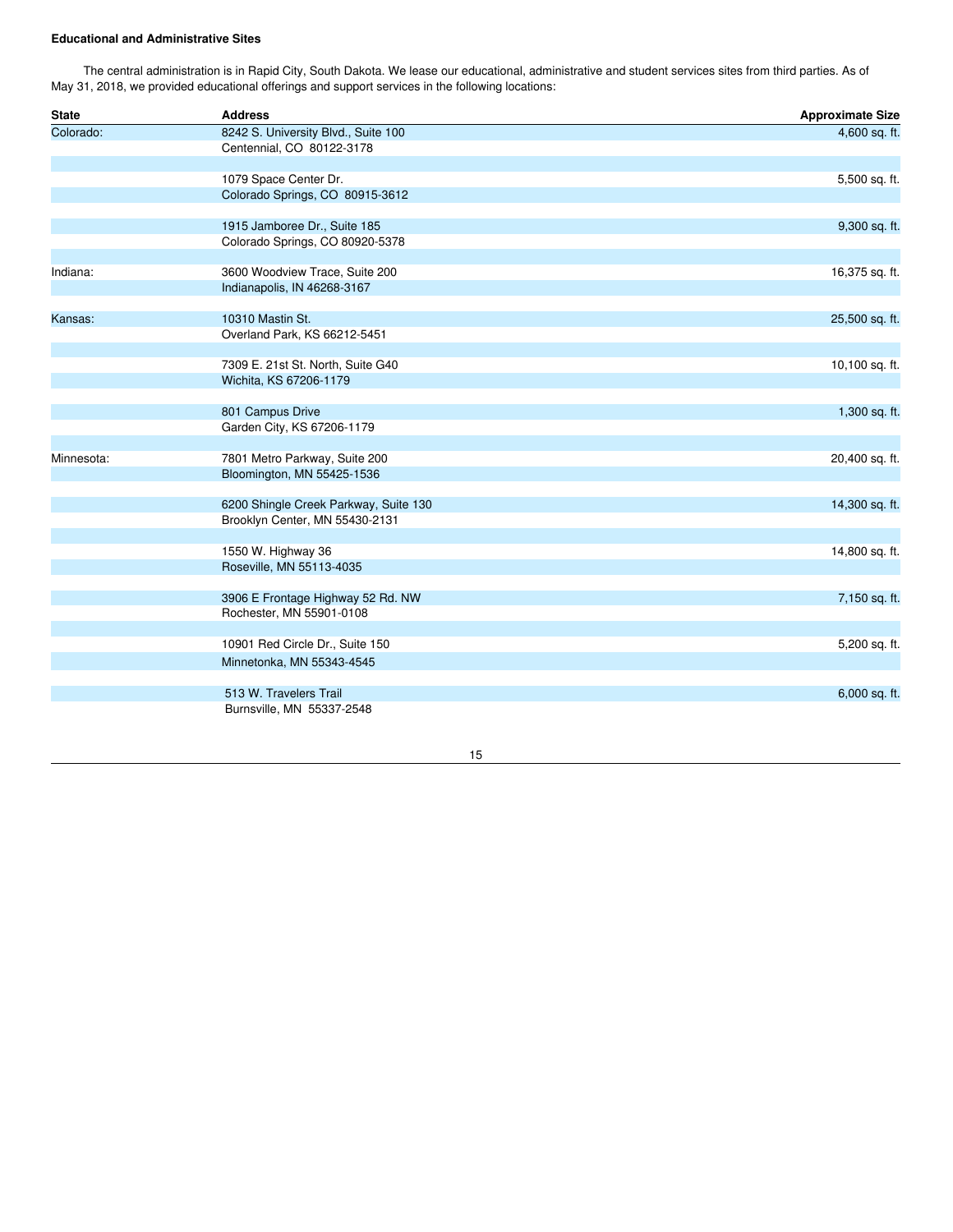## **Educational and Administrative Sites**

The central administration is in Rapid City, South Dakota. We lease our educational, administrative and student services sites from third parties. As of May 31, 2018, we provided educational offerings and support services in the following locations:

| <b>State</b> | <b>Address</b>                                      | <b>Approximate Size</b> |
|--------------|-----------------------------------------------------|-------------------------|
| Colorado:    | 8242 S. University Blvd., Suite 100                 | 4,600 sq. ft.           |
|              | Centennial, CO 80122-3178                           |                         |
|              | 1079 Space Center Dr.                               | 5,500 sq. ft.           |
|              | Colorado Springs, CO 80915-3612                     |                         |
|              | 1915 Jamboree Dr., Suite 185                        | 9,300 sq. ft.           |
|              | Colorado Springs, CO 80920-5378                     |                         |
| Indiana:     | 3600 Woodview Trace, Suite 200                      | 16,375 sq. ft.          |
|              | Indianapolis, IN 46268-3167                         |                         |
| Kansas:      | 10310 Mastin St.                                    | 25,500 sq. ft.          |
|              | Overland Park, KS 66212-5451                        |                         |
|              | 7309 E. 21st St. North, Suite G40                   | 10,100 sq. ft.          |
|              | Wichita, KS 67206-1179                              |                         |
|              | 801 Campus Drive                                    | 1,300 sq. ft.           |
|              | Garden City, KS 67206-1179                          |                         |
| Minnesota:   | 7801 Metro Parkway, Suite 200                       | 20,400 sq. ft.          |
|              | Bloomington, MN 55425-1536                          |                         |
|              | 6200 Shingle Creek Parkway, Suite 130               | 14,300 sq. ft.          |
|              | Brooklyn Center, MN 55430-2131                      |                         |
|              | 1550 W. Highway 36                                  | 14,800 sq. ft.          |
|              | Roseville, MN 55113-4035                            |                         |
|              | 3906 E Frontage Highway 52 Rd. NW                   | 7,150 sq. ft.           |
|              | Rochester, MN 55901-0108                            |                         |
|              | 10901 Red Circle Dr., Suite 150                     | 5,200 sq. ft.           |
|              | Minnetonka, MN 55343-4545                           |                         |
|              |                                                     |                         |
|              | 513 W. Travelers Trail<br>Burnsville, MN 55337-2548 | 6,000 sq. ft.           |
|              |                                                     |                         |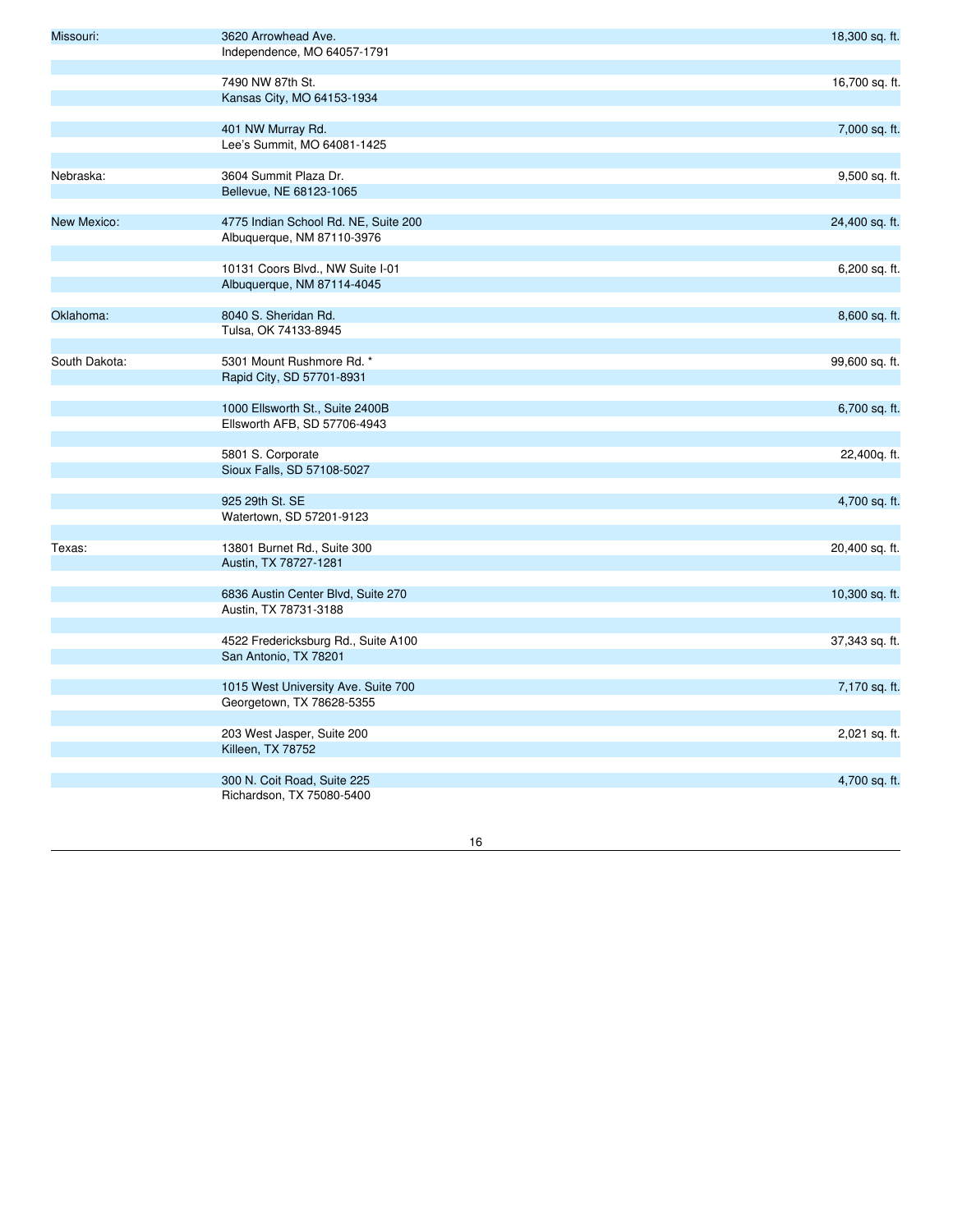| Missouri:     | 3620 Arrowhead Ave.<br>Independence, MO 64057-1791                 | 18,300 sq. ft. |
|---------------|--------------------------------------------------------------------|----------------|
|               | 7490 NW 87th St.<br>Kansas City, MO 64153-1934                     | 16,700 sq. ft. |
|               | 401 NW Murray Rd.<br>Lee's Summit, MO 64081-1425                   | 7,000 sq. ft.  |
| Nebraska:     | 3604 Summit Plaza Dr.<br>Bellevue, NE 68123-1065                   | 9,500 sq. ft.  |
| New Mexico:   | 4775 Indian School Rd. NE, Suite 200<br>Albuquerque, NM 87110-3976 | 24,400 sq. ft. |
|               | 10131 Coors Blvd., NW Suite I-01<br>Albuquerque, NM 87114-4045     | 6,200 sq. ft.  |
| Oklahoma:     | 8040 S. Sheridan Rd.<br>Tulsa, OK 74133-8945                       | 8,600 sq. ft.  |
| South Dakota: | 5301 Mount Rushmore Rd. *<br>Rapid City, SD 57701-8931             | 99,600 sq. ft. |
|               | 1000 Ellsworth St., Suite 2400B<br>Ellsworth AFB, SD 57706-4943    | 6,700 sq. ft.  |
|               | 5801 S. Corporate<br>Sioux Falls, SD 57108-5027                    | 22,400q. ft.   |
|               | 925 29th St. SE<br>Watertown, SD 57201-9123                        | 4,700 sq. ft.  |
| Texas:        | 13801 Burnet Rd., Suite 300<br>Austin, TX 78727-1281               | 20,400 sq. ft. |
|               | 6836 Austin Center Blvd, Suite 270<br>Austin, TX 78731-3188        | 10,300 sq. ft. |
|               | 4522 Fredericksburg Rd., Suite A100<br>San Antonio, TX 78201       | 37,343 sq. ft. |
|               | 1015 West University Ave. Suite 700<br>Georgetown, TX 78628-5355   | 7,170 sq. ft.  |
|               | 203 West Jasper, Suite 200<br>Killeen, TX 78752                    | 2,021 sq. ft.  |
|               | 300 N. Coit Road, Suite 225<br>Richardson, TX 75080-5400           | 4,700 sq. ft.  |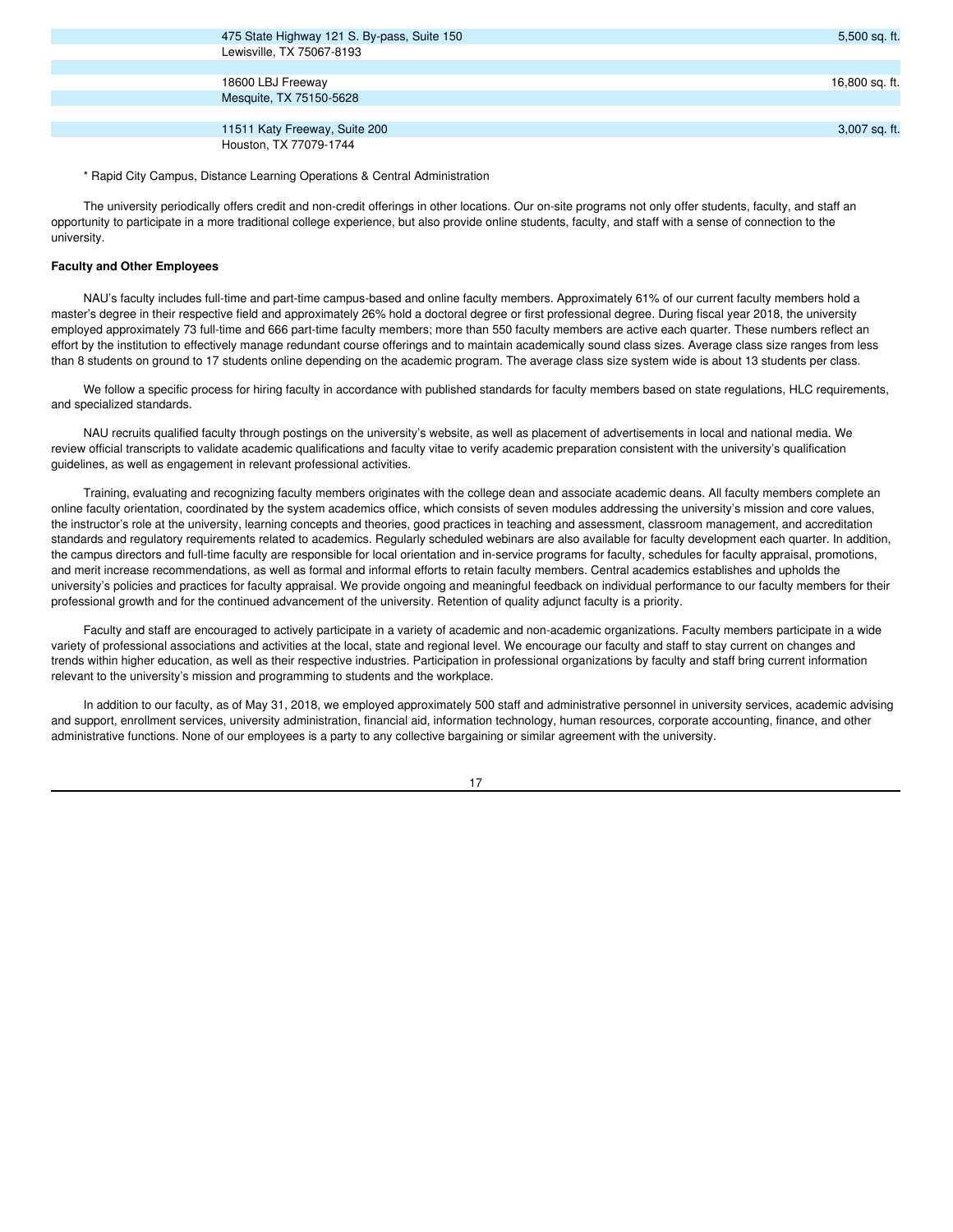| 475 State Highway 121 S. By-pass, Suite 150 | 5,500 sq. ft.  |
|---------------------------------------------|----------------|
| Lewisville, TX 75067-8193                   |                |
|                                             |                |
| 18600 LBJ Freeway                           | 16,800 sq. ft. |
| Mesquite, TX 75150-5628                     |                |
|                                             |                |
| 11511 Katy Freeway, Suite 200               | 3,007 sq. ft.  |
| Houston, TX 77079-1744                      |                |

\* Rapid City Campus, Distance Learning Operations & Central Administration

The university periodically offers credit and non-credit offerings in other locations. Our on-site programs not only offer students, faculty, and staff an opportunity to participate in a more traditional college experience, but also provide online students, faculty, and staff with a sense of connection to the university.

#### **Faculty and Other Employees**

NAU's faculty includes full-time and part-time campus-based and online faculty members. Approximately 61% of our current faculty members hold a master's degree in their respective field and approximately 26% hold a doctoral degree or first professional degree. During fiscal year 2018, the university employed approximately 73 full-time and 666 part-time faculty members; more than 550 faculty members are active each quarter. These numbers reflect an effort by the institution to effectively manage redundant course offerings and to maintain academically sound class sizes. Average class size ranges from less than 8 students on ground to 17 students online depending on the academic program. The average class size system wide is about 13 students per class.

We follow a specific process for hiring faculty in accordance with published standards for faculty members based on state regulations, HLC requirements, and specialized standards.

NAU recruits qualified faculty through postings on the university's website, as well as placement of advertisements in local and national media. We review official transcripts to validate academic qualifications and faculty vitae to verify academic preparation consistent with the university's qualification guidelines, as well as engagement in relevant professional activities.

Training, evaluating and recognizing faculty members originates with the college dean and associate academic deans. All faculty members complete an online faculty orientation, coordinated by the system academics office, which consists of seven modules addressing the university's mission and core values, the instructor's role at the university, learning concepts and theories, good practices in teaching and assessment, classroom management, and accreditation standards and regulatory requirements related to academics. Regularly scheduled webinars are also available for faculty development each quarter. In addition, the campus directors and full-time faculty are responsible for local orientation and in-service programs for faculty, schedules for faculty appraisal, promotions, and merit increase recommendations, as well as formal and informal efforts to retain faculty members. Central academics establishes and upholds the university's policies and practices for faculty appraisal. We provide ongoing and meaningful feedback on individual performance to our faculty members for their professional growth and for the continued advancement of the university. Retention of quality adjunct faculty is a priority.

Faculty and staff are encouraged to actively participate in a variety of academic and non-academic organizations. Faculty members participate in a wide variety of professional associations and activities at the local, state and regional level. We encourage our faculty and staff to stay current on changes and trends within higher education, as well as their respective industries. Participation in professional organizations by faculty and staff bring current information relevant to the university's mission and programming to students and the workplace.

In addition to our faculty, as of May 31, 2018, we employed approximately 500 staff and administrative personnel in university services, academic advising and support, enrollment services, university administration, financial aid, information technology, human resources, corporate accounting, finance, and other administrative functions. None of our employees is a party to any collective bargaining or similar agreement with the university.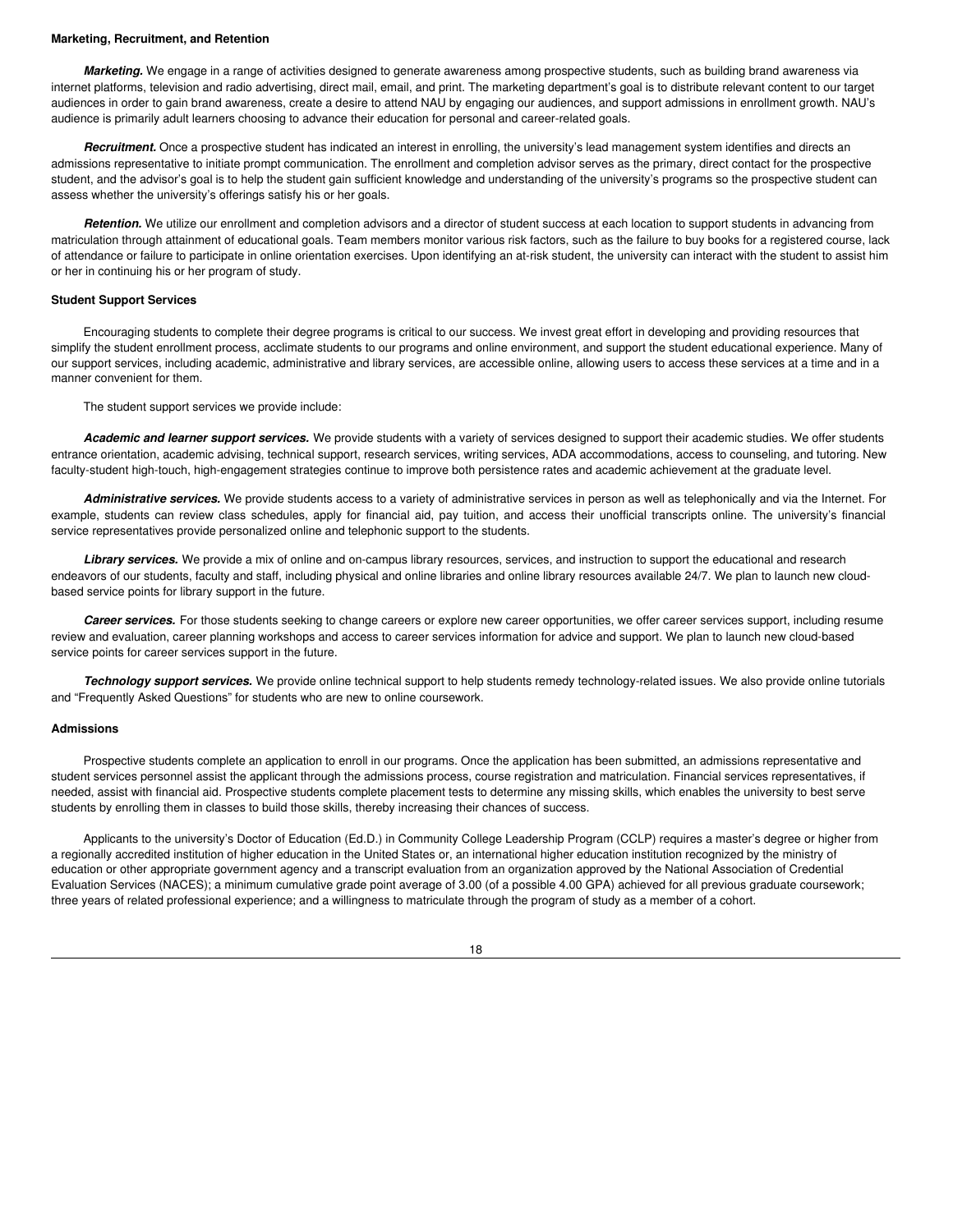#### **Marketing, Recruitment, and Retention**

*Marketing.* We engage in a range of activities designed to generate awareness among prospective students, such as building brand awareness via internet platforms, television and radio advertising, direct mail, email, and print. The marketing department's goal is to distribute relevant content to our target audiences in order to gain brand awareness, create a desire to attend NAU by engaging our audiences, and support admissions in enrollment growth. NAU's audience is primarily adult learners choosing to advance their education for personal and career-related goals.

*Recruitment.* Once a prospective student has indicated an interest in enrolling, the university's lead management system identifies and directs an admissions representative to initiate prompt communication. The enrollment and completion advisor serves as the primary, direct contact for the prospective student, and the advisor's goal is to help the student gain sufficient knowledge and understanding of the university's programs so the prospective student can assess whether the university's offerings satisfy his or her goals.

*Retention.* We utilize our enrollment and completion advisors and a director of student success at each location to support students in advancing from matriculation through attainment of educational goals. Team members monitor various risk factors, such as the failure to buy books for a registered course, lack of attendance or failure to participate in online orientation exercises. Upon identifying an at-risk student, the university can interact with the student to assist him or her in continuing his or her program of study.

#### **Student Support Services**

Encouraging students to complete their degree programs is critical to our success. We invest great effort in developing and providing resources that simplify the student enrollment process, acclimate students to our programs and online environment, and support the student educational experience. Many of our support services, including academic, administrative and library services, are accessible online, allowing users to access these services at a time and in a manner convenient for them.

The student support services we provide include:

*Academic and learner support services.* We provide students with a variety of services designed to support their academic studies. We offer students entrance orientation, academic advising, technical support, research services, writing services, ADA accommodations, access to counseling, and tutoring. New faculty-student high-touch, high-engagement strategies continue to improve both persistence rates and academic achievement at the graduate level.

*Administrative services.* We provide students access to a variety of administrative services in person as well as telephonically and via the Internet. For example, students can review class schedules, apply for financial aid, pay tuition, and access their unofficial transcripts online. The university's financial service representatives provide personalized online and telephonic support to the students.

*Library services.* We provide a mix of online and on-campus library resources, services, and instruction to support the educational and research endeavors of our students, faculty and staff, including physical and online libraries and online library resources available 24/7. We plan to launch new cloudbased service points for library support in the future.

*Career services.* For those students seeking to change careers or explore new career opportunities, we offer career services support, including resume review and evaluation, career planning workshops and access to career services information for advice and support. We plan to launch new cloud-based service points for career services support in the future.

*Technology support services.* We provide online technical support to help students remedy technology-related issues. We also provide online tutorials and "Frequently Asked Questions" for students who are new to online coursework.

#### **Admissions**

Prospective students complete an application to enroll in our programs. Once the application has been submitted, an admissions representative and student services personnel assist the applicant through the admissions process, course registration and matriculation. Financial services representatives, if needed, assist with financial aid. Prospective students complete placement tests to determine any missing skills, which enables the university to best serve students by enrolling them in classes to build those skills, thereby increasing their chances of success.

Applicants to the university's Doctor of Education (Ed.D.) in Community College Leadership Program (CCLP) requires a master's degree or higher from a regionally accredited institution of higher education in the United States or, an international higher education institution recognized by the ministry of education or other appropriate government agency and a transcript evaluation from an organization approved by the National Association of Credential Evaluation Services (NACES); a minimum cumulative grade point average of 3.00 (of a possible 4.00 GPA) achieved for all previous graduate coursework; three years of related professional experience; and a willingness to matriculate through the program of study as a member of a cohort.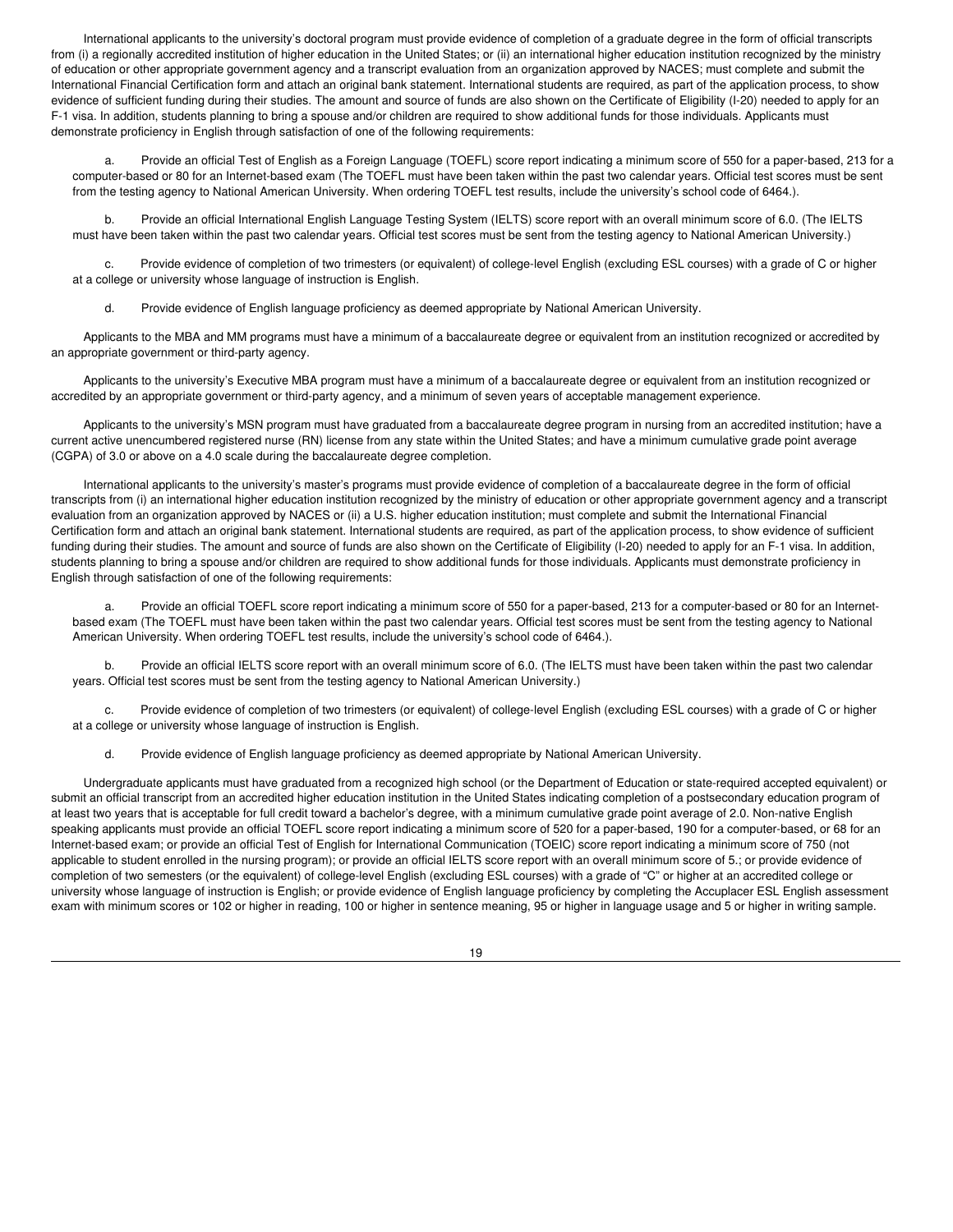International applicants to the university's doctoral program must provide evidence of completion of a graduate degree in the form of official transcripts from (i) a regionally accredited institution of higher education in the United States; or (ii) an international higher education institution recognized by the ministry of education or other appropriate government agency and a transcript evaluation from an organization approved by NACES; must complete and submit the International Financial Certification form and attach an original bank statement. International students are required, as part of the application process, to show evidence of sufficient funding during their studies. The amount and source of funds are also shown on the Certificate of Eligibility (I-20) needed to apply for an F-1 visa. In addition, students planning to bring a spouse and/or children are required to show additional funds for those individuals. Applicants must demonstrate proficiency in English through satisfaction of one of the following requirements:

a. Provide an official Test of English as a Foreign Language (TOEFL) score report indicating a minimum score of 550 for a paper-based, 213 for a computer-based or 80 for an Internet-based exam (The TOEFL must have been taken within the past two calendar years. Official test scores must be sent from the testing agency to National American University. When ordering TOEFL test results, include the university's school code of 6464.).

b. Provide an official International English Language Testing System (IELTS) score report with an overall minimum score of 6.0. (The IELTS must have been taken within the past two calendar years. Official test scores must be sent from the testing agency to National American University.)

c. Provide evidence of completion of two trimesters (or equivalent) of college-level English (excluding ESL courses) with a grade of C or higher at a college or university whose language of instruction is English.

d. Provide evidence of English language proficiency as deemed appropriate by National American University.

Applicants to the MBA and MM programs must have a minimum of a baccalaureate degree or equivalent from an institution recognized or accredited by an appropriate government or third-party agency.

Applicants to the university's Executive MBA program must have a minimum of a baccalaureate degree or equivalent from an institution recognized or accredited by an appropriate government or third-party agency, and a minimum of seven years of acceptable management experience.

Applicants to the university's MSN program must have graduated from a baccalaureate degree program in nursing from an accredited institution; have a current active unencumbered registered nurse (RN) license from any state within the United States; and have a minimum cumulative grade point average (CGPA) of 3.0 or above on a 4.0 scale during the baccalaureate degree completion.

International applicants to the university's master's programs must provide evidence of completion of a baccalaureate degree in the form of official transcripts from (i) an international higher education institution recognized by the ministry of education or other appropriate government agency and a transcript evaluation from an organization approved by NACES or (ii) a U.S. higher education institution; must complete and submit the International Financial Certification form and attach an original bank statement. International students are required, as part of the application process, to show evidence of sufficient funding during their studies. The amount and source of funds are also shown on the Certificate of Eligibility (I-20) needed to apply for an F-1 visa. In addition, students planning to bring a spouse and/or children are required to show additional funds for those individuals. Applicants must demonstrate proficiency in English through satisfaction of one of the following requirements:

a. Provide an official TOEFL score report indicating a minimum score of 550 for a paper-based, 213 for a computer-based or 80 for an Internetbased exam (The TOEFL must have been taken within the past two calendar years. Official test scores must be sent from the testing agency to National American University. When ordering TOEFL test results, include the university's school code of 6464.).

b. Provide an official IELTS score report with an overall minimum score of 6.0. (The IELTS must have been taken within the past two calendar years. Official test scores must be sent from the testing agency to National American University.)

c. Provide evidence of completion of two trimesters (or equivalent) of college-level English (excluding ESL courses) with a grade of C or higher at a college or university whose language of instruction is English.

d. Provide evidence of English language proficiency as deemed appropriate by National American University.

Undergraduate applicants must have graduated from a recognized high school (or the Department of Education or state-required accepted equivalent) or submit an official transcript from an accredited higher education institution in the United States indicating completion of a postsecondary education program of at least two years that is acceptable for full credit toward a bachelor's degree, with a minimum cumulative grade point average of 2.0. Non-native English speaking applicants must provide an official TOEFL score report indicating a minimum score of 520 for a paper-based, 190 for a computer-based, or 68 for an Internet-based exam; or provide an official Test of English for International Communication (TOEIC) score report indicating a minimum score of 750 (not applicable to student enrolled in the nursing program); or provide an official IELTS score report with an overall minimum score of 5.; or provide evidence of completion of two semesters (or the equivalent) of college-level English (excluding ESL courses) with a grade of "C" or higher at an accredited college or university whose language of instruction is English; or provide evidence of English language proficiency by completing the Accuplacer ESL English assessment exam with minimum scores or 102 or higher in reading, 100 or higher in sentence meaning, 95 or higher in language usage and 5 or higher in writing sample.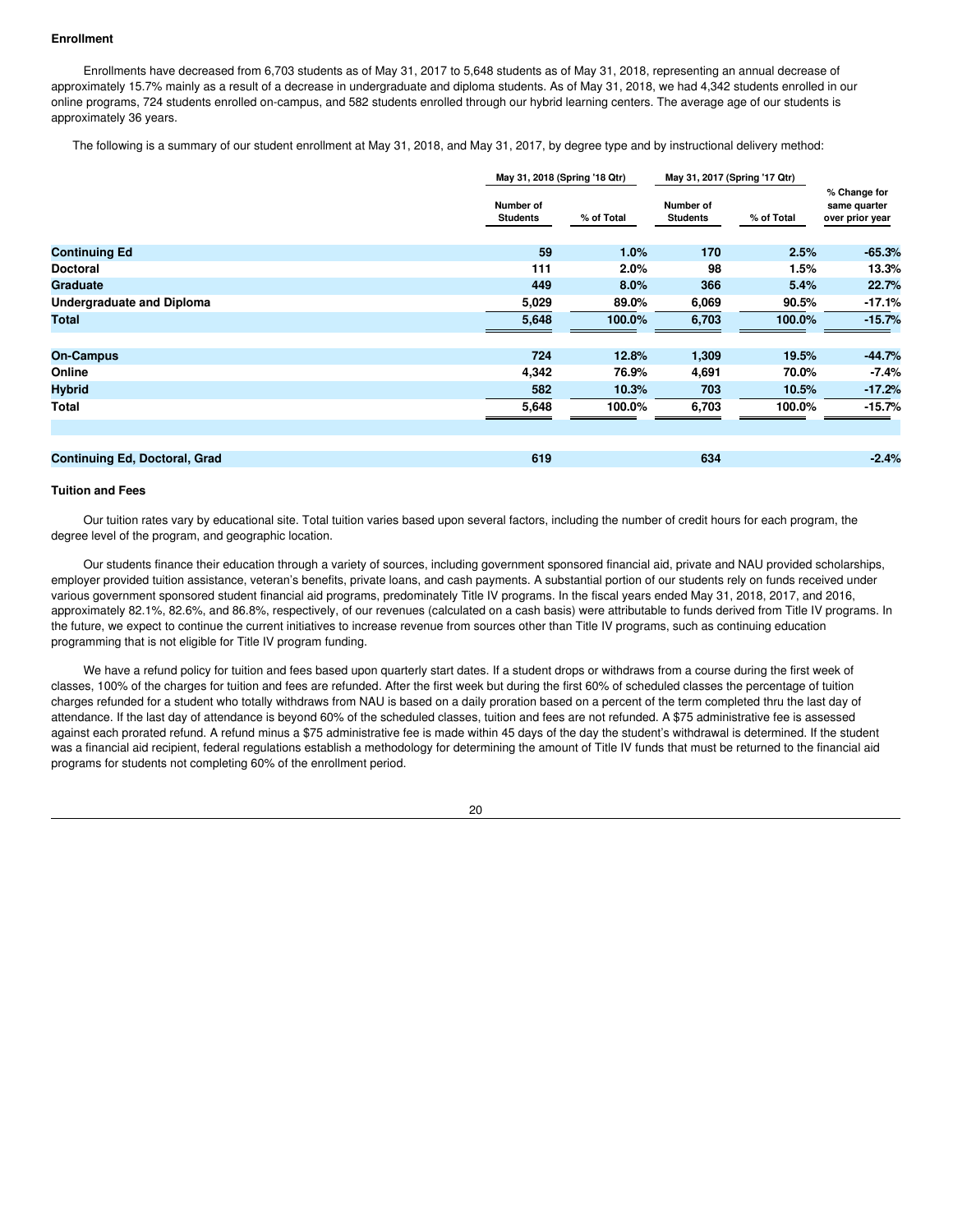#### **Enrollment**

Enrollments have decreased from 6,703 students as of May 31, 2017 to 5,648 students as of May 31, 2018, representing an annual decrease of approximately 15.7% mainly as a result of a decrease in undergraduate and diploma students. As of May 31, 2018, we had 4,342 students enrolled in our online programs, 724 students enrolled on-campus, and 582 students enrolled through our hybrid learning centers. The average age of our students is approximately 36 years.

The following is a summary of our student enrollment at May 31, 2018, and May 31, 2017, by degree type and by instructional delivery method:

|                                      | May 31, 2018 (Spring '18 Qtr) |            | May 31, 2017 (Spring '17 Qtr) |            |                                                 |
|--------------------------------------|-------------------------------|------------|-------------------------------|------------|-------------------------------------------------|
|                                      | Number of<br><b>Students</b>  | % of Total | Number of<br><b>Students</b>  | % of Total | % Change for<br>same quarter<br>over prior year |
| <b>Continuing Ed</b>                 | 59                            | 1.0%       | 170                           | 2.5%       | $-65.3%$                                        |
| <b>Doctoral</b>                      | 111                           | 2.0%       | 98                            | 1.5%       | 13.3%                                           |
| <b>Graduate</b>                      | 449                           | 8.0%       | 366                           | 5.4%       | 22.7%                                           |
| <b>Undergraduate and Diploma</b>     | 5,029                         | 89.0%      | 6,069                         | 90.5%      | $-17.1%$                                        |
| Total                                | 5,648                         | 100.0%     | 6,703                         | 100.0%     | $-15.7%$                                        |
| <b>On-Campus</b>                     | 724                           | 12.8%      | 1,309                         | 19.5%      | $-44.7%$                                        |
| Online                               | 4,342                         | 76.9%      | 4,691                         | 70.0%      | $-7.4%$                                         |
| <b>Hybrid</b>                        | 582                           | 10.3%      | 703                           | 10.5%      | $-17.2%$                                        |
| Total                                | 5,648                         | 100.0%     | 6,703                         | 100.0%     | $-15.7%$                                        |
|                                      |                               |            |                               |            |                                                 |
| <b>Continuing Ed, Doctoral, Grad</b> | 619                           |            | 634                           |            | $-2.4%$                                         |

#### **Tuition and Fees**

Our tuition rates vary by educational site. Total tuition varies based upon several factors, including the number of credit hours for each program, the degree level of the program, and geographic location.

Our students finance their education through a variety of sources, including government sponsored financial aid, private and NAU provided scholarships, employer provided tuition assistance, veteran's benefits, private loans, and cash payments. A substantial portion of our students rely on funds received under various government sponsored student financial aid programs, predominately Title IV programs. In the fiscal years ended May 31, 2018, 2017, and 2016, approximately 82.1%, 82.6%, and 86.8%, respectively, of our revenues (calculated on a cash basis) were attributable to funds derived from Title IV programs. In the future, we expect to continue the current initiatives to increase revenue from sources other than Title IV programs, such as continuing education programming that is not eligible for Title IV program funding.

We have a refund policy for tuition and fees based upon quarterly start dates. If a student drops or withdraws from a course during the first week of classes, 100% of the charges for tuition and fees are refunded. After the first week but during the first 60% of scheduled classes the percentage of tuition charges refunded for a student who totally withdraws from NAU is based on a daily proration based on a percent of the term completed thru the last day of attendance. If the last day of attendance is beyond 60% of the scheduled classes, tuition and fees are not refunded. A \$75 administrative fee is assessed against each prorated refund. A refund minus a \$75 administrative fee is made within 45 days of the day the student's withdrawal is determined. If the student was a financial aid recipient, federal regulations establish a methodology for determining the amount of Title IV funds that must be returned to the financial aid programs for students not completing 60% of the enrollment period.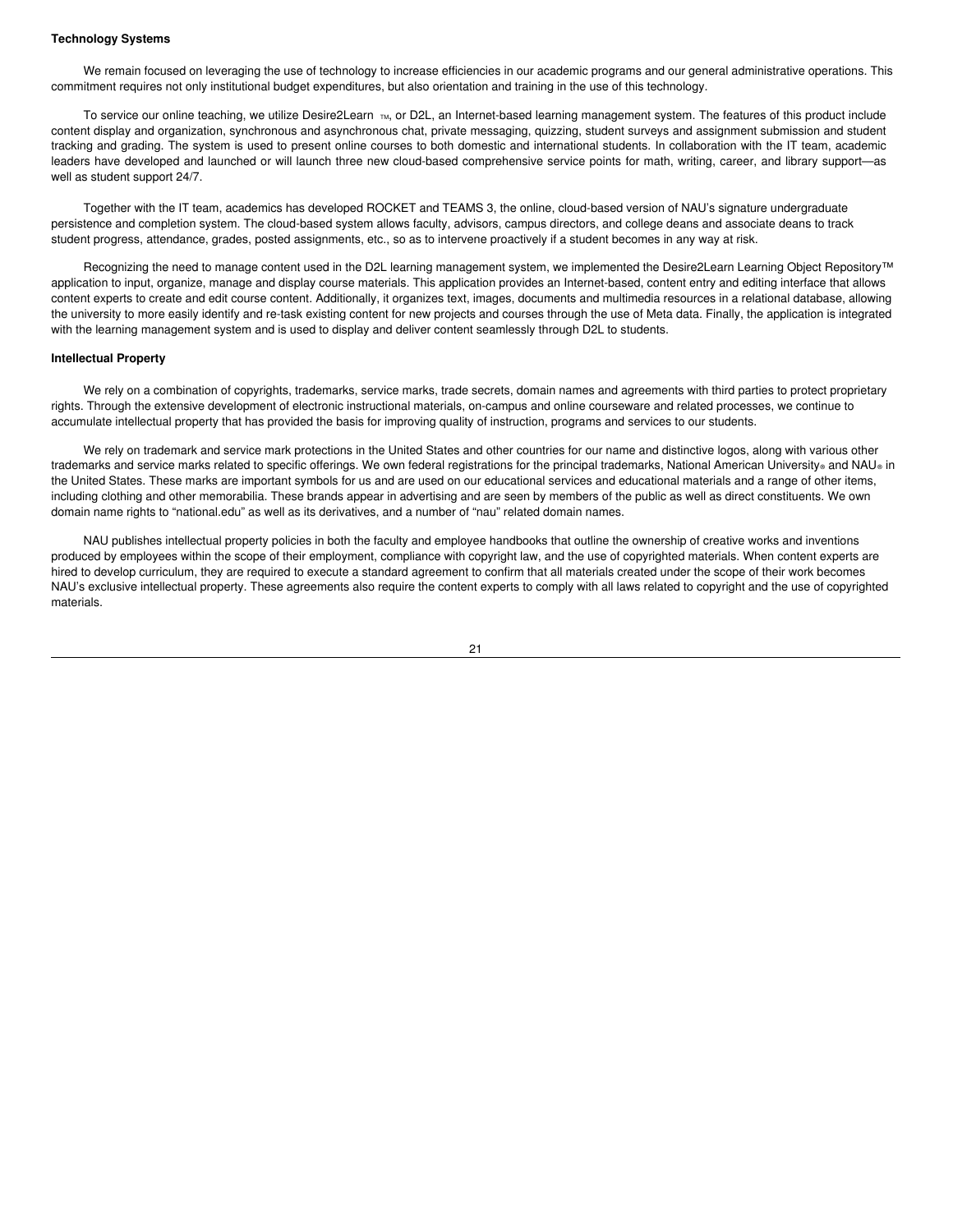#### **Technology Systems**

We remain focused on leveraging the use of technology to increase efficiencies in our academic programs and our general administrative operations. This commitment requires not only institutional budget expenditures, but also orientation and training in the use of this technology.

To service our online teaching, we utilize Desire2Learn  $m$ , or D2L, an Internet-based learning management system. The features of this product include content display and organization, synchronous and asynchronous chat, private messaging, quizzing, student surveys and assignment submission and student tracking and grading. The system is used to present online courses to both domestic and international students. In collaboration with the IT team, academic leaders have developed and launched or will launch three new cloud-based comprehensive service points for math, writing, career, and library support—as well as student support 24/7.

Together with the IT team, academics has developed ROCKET and TEAMS 3, the online, cloud-based version of NAU's signature undergraduate persistence and completion system. The cloud-based system allows faculty, advisors, campus directors, and college deans and associate deans to track student progress, attendance, grades, posted assignments, etc., so as to intervene proactively if a student becomes in any way at risk.

Recognizing the need to manage content used in the D2L learning management system, we implemented the Desire2Learn Learning Object Repository™ application to input, organize, manage and display course materials. This application provides an Internet-based, content entry and editing interface that allows content experts to create and edit course content. Additionally, it organizes text, images, documents and multimedia resources in a relational database, allowing the university to more easily identify and re-task existing content for new projects and courses through the use of Meta data. Finally, the application is integrated with the learning management system and is used to display and deliver content seamlessly through D2L to students.

#### **Intellectual Property**

We rely on a combination of copyrights, trademarks, service marks, trade secrets, domain names and agreements with third parties to protect proprietary rights. Through the extensive development of electronic instructional materials, on-campus and online courseware and related processes, we continue to accumulate intellectual property that has provided the basis for improving quality of instruction, programs and services to our students.

We rely on trademark and service mark protections in the United States and other countries for our name and distinctive logos, along with various other trademarks and service marks related to specific offerings. We own federal registrations for the principal trademarks, National American University® and NAU® in the United States. These marks are important symbols for us and are used on our educational services and educational materials and a range of other items, including clothing and other memorabilia. These brands appear in advertising and are seen by members of the public as well as direct constituents. We own domain name rights to "national.edu" as well as its derivatives, and a number of "nau" related domain names.

NAU publishes intellectual property policies in both the faculty and employee handbooks that outline the ownership of creative works and inventions produced by employees within the scope of their employment, compliance with copyright law, and the use of copyrighted materials. When content experts are hired to develop curriculum, they are required to execute a standard agreement to confirm that all materials created under the scope of their work becomes NAU's exclusive intellectual property. These agreements also require the content experts to comply with all laws related to copyright and the use of copyrighted materials.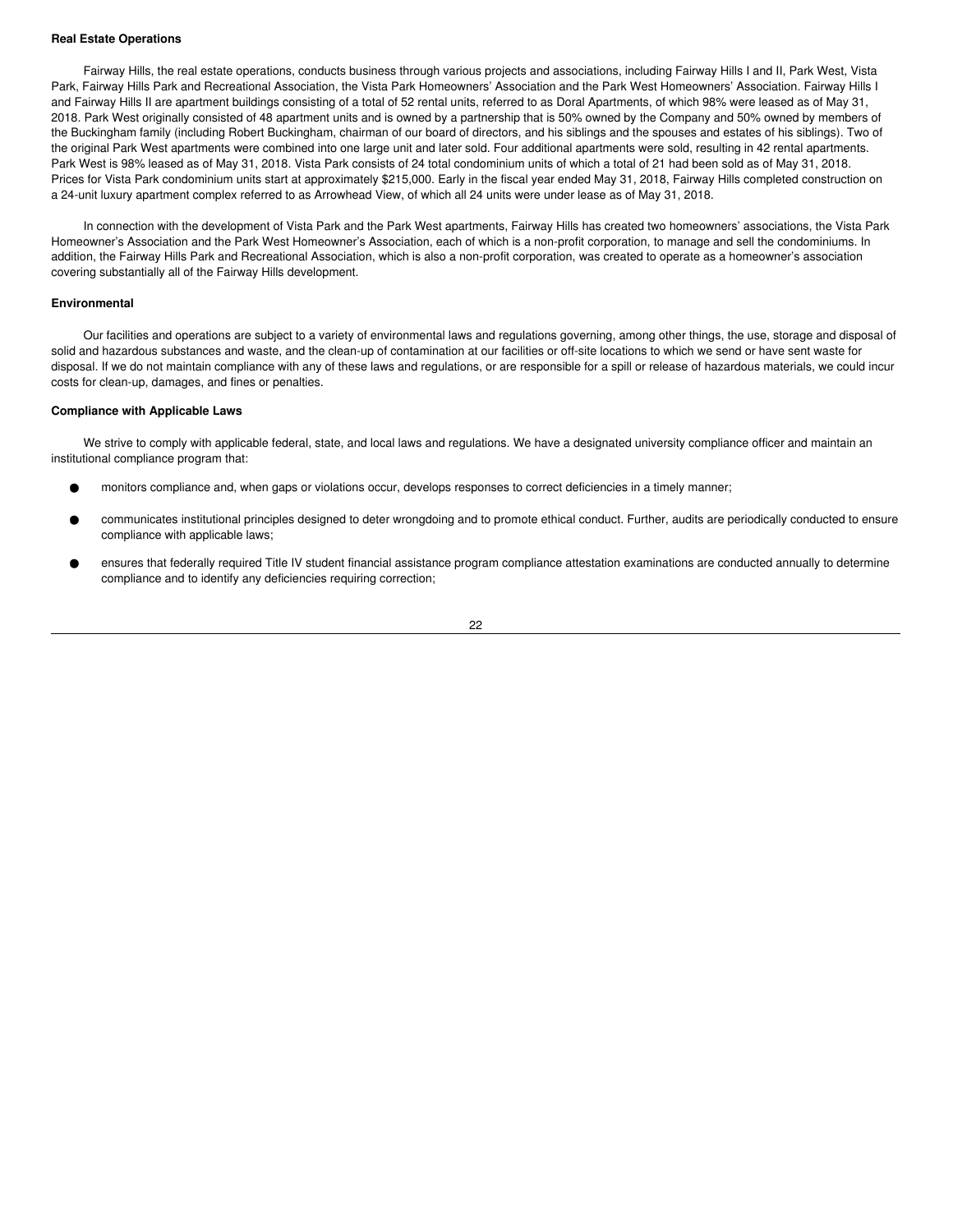#### **Real Estate Operations**

Fairway Hills, the real estate operations, conducts business through various projects and associations, including Fairway Hills I and II, Park West, Vista Park, Fairway Hills Park and Recreational Association, the Vista Park Homeowners' Association and the Park West Homeowners' Association. Fairway Hills I and Fairway Hills II are apartment buildings consisting of a total of 52 rental units, referred to as Doral Apartments, of which 98% were leased as of May 31, 2018. Park West originally consisted of 48 apartment units and is owned by a partnership that is 50% owned by the Company and 50% owned by members of the Buckingham family (including Robert Buckingham, chairman of our board of directors, and his siblings and the spouses and estates of his siblings). Two of the original Park West apartments were combined into one large unit and later sold. Four additional apartments were sold, resulting in 42 rental apartments. Park West is 98% leased as of May 31, 2018. Vista Park consists of 24 total condominium units of which a total of 21 had been sold as of May 31, 2018. Prices for Vista Park condominium units start at approximately \$215,000. Early in the fiscal year ended May 31, 2018, Fairway Hills completed construction on a 24-unit luxury apartment complex referred to as Arrowhead View, of which all 24 units were under lease as of May 31, 2018.

In connection with the development of Vista Park and the Park West apartments, Fairway Hills has created two homeowners' associations, the Vista Park Homeowner's Association and the Park West Homeowner's Association, each of which is a non-profit corporation, to manage and sell the condominiums. In addition, the Fairway Hills Park and Recreational Association, which is also a non-profit corporation, was created to operate as a homeowner's association covering substantially all of the Fairway Hills development.

#### **Environmental**

Our facilities and operations are subject to a variety of environmental laws and regulations governing, among other things, the use, storage and disposal of solid and hazardous substances and waste, and the clean-up of contamination at our facilities or off-site locations to which we send or have sent waste for disposal. If we do not maintain compliance with any of these laws and regulations, or are responsible for a spill or release of hazardous materials, we could incur costs for clean-up, damages, and fines or penalties.

#### **Compliance with Applicable Laws**

We strive to comply with applicable federal, state, and local laws and regulations. We have a designated university compliance officer and maintain an institutional compliance program that:

- **●** monitors compliance and, when gaps or violations occur, develops responses to correct deficiencies in a timely manner;
- **●** communicates institutional principles designed to deter wrongdoing and to promote ethical conduct. Further, audits are periodically conducted to ensure compliance with applicable laws;
- ensures that federally required Title IV student financial assistance program compliance attestation examinations are conducted annually to determine compliance and to identify any deficiencies requiring correction;

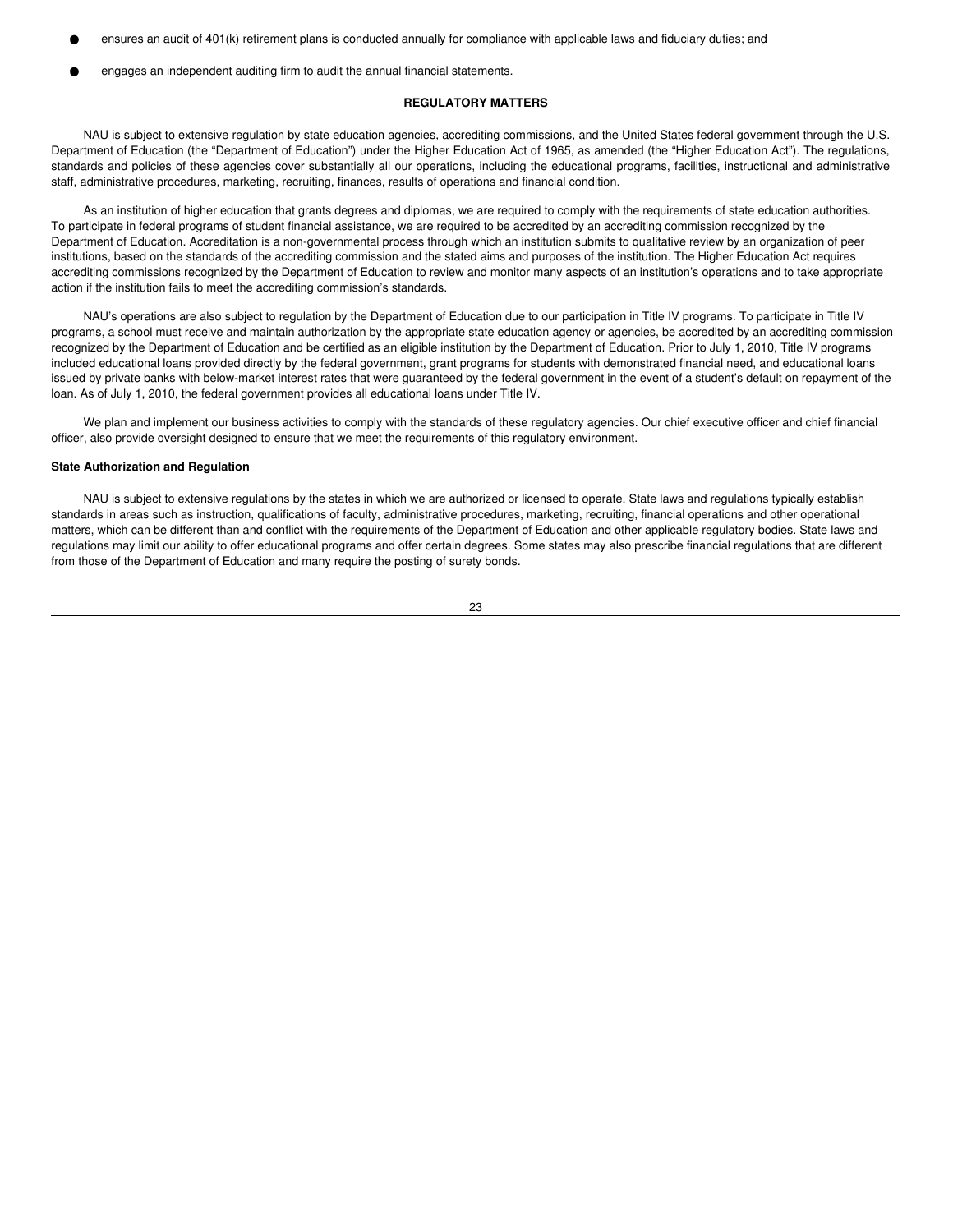- ensures an audit of 401(k) retirement plans is conducted annually for compliance with applicable laws and fiduciary duties; and
- engages an independent auditing firm to audit the annual financial statements.

#### **REGULATORY MATTERS**

NAU is subject to extensive regulation by state education agencies, accrediting commissions, and the United States federal government through the U.S. Department of Education (the "Department of Education") under the Higher Education Act of 1965, as amended (the "Higher Education Act"). The regulations, standards and policies of these agencies cover substantially all our operations, including the educational programs, facilities, instructional and administrative staff, administrative procedures, marketing, recruiting, finances, results of operations and financial condition.

As an institution of higher education that grants degrees and diplomas, we are required to comply with the requirements of state education authorities. To participate in federal programs of student financial assistance, we are required to be accredited by an accrediting commission recognized by the Department of Education. Accreditation is a non-governmental process through which an institution submits to qualitative review by an organization of peer institutions, based on the standards of the accrediting commission and the stated aims and purposes of the institution. The Higher Education Act requires accrediting commissions recognized by the Department of Education to review and monitor many aspects of an institution's operations and to take appropriate action if the institution fails to meet the accrediting commission's standards.

NAU's operations are also subject to regulation by the Department of Education due to our participation in Title IV programs. To participate in Title IV programs, a school must receive and maintain authorization by the appropriate state education agency or agencies, be accredited by an accrediting commission recognized by the Department of Education and be certified as an eligible institution by the Department of Education. Prior to July 1, 2010, Title IV programs included educational loans provided directly by the federal government, grant programs for students with demonstrated financial need, and educational loans issued by private banks with below-market interest rates that were guaranteed by the federal government in the event of a student's default on repayment of the loan. As of July 1, 2010, the federal government provides all educational loans under Title IV.

We plan and implement our business activities to comply with the standards of these regulatory agencies. Our chief executive officer and chief financial officer, also provide oversight designed to ensure that we meet the requirements of this regulatory environment.

#### **State Authorization and Regulation**

NAU is subject to extensive regulations by the states in which we are authorized or licensed to operate. State laws and regulations typically establish standards in areas such as instruction, qualifications of faculty, administrative procedures, marketing, recruiting, financial operations and other operational matters, which can be different than and conflict with the requirements of the Department of Education and other applicable regulatory bodies. State laws and regulations may limit our ability to offer educational programs and offer certain degrees. Some states may also prescribe financial regulations that are different from those of the Department of Education and many require the posting of surety bonds.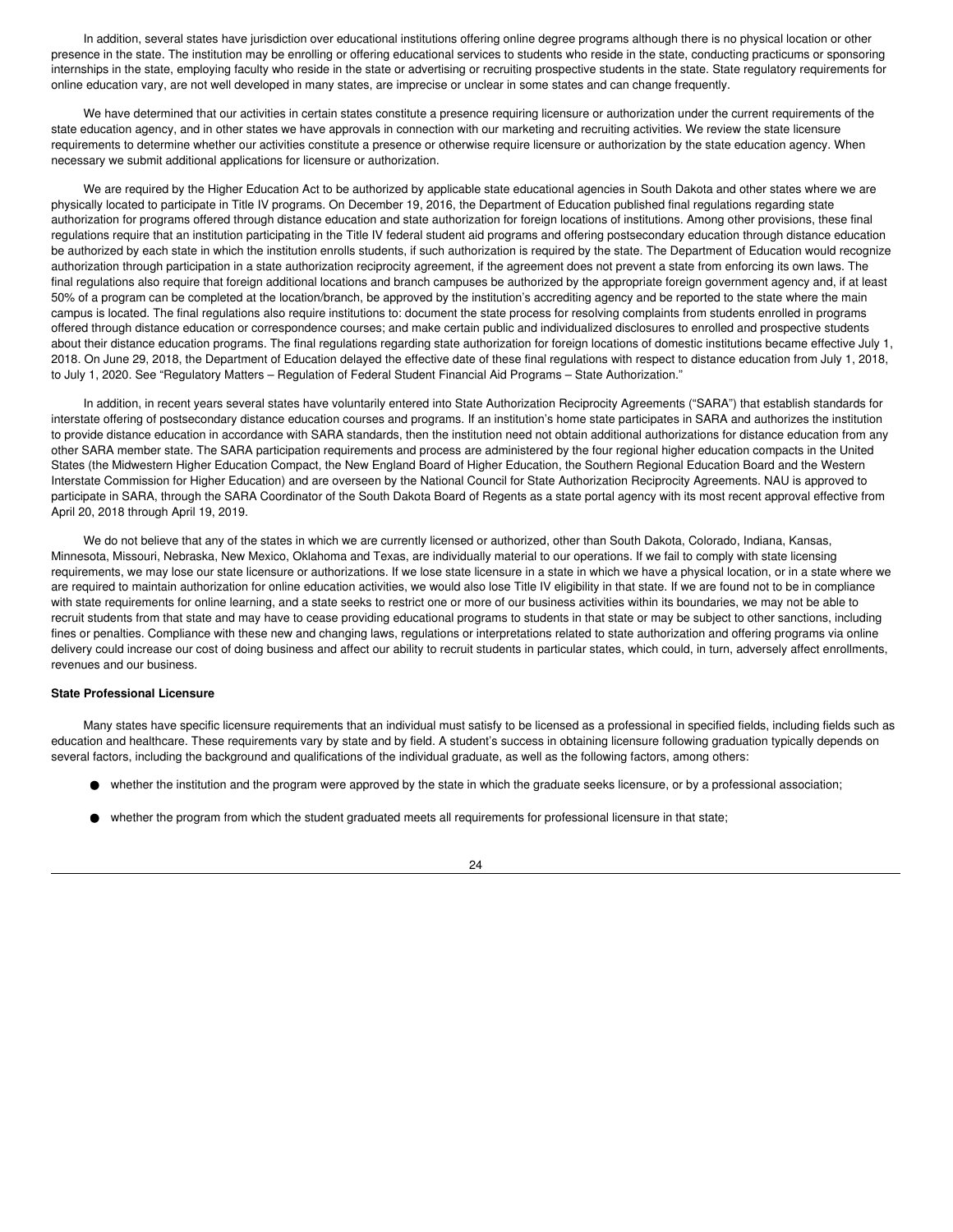In addition, several states have jurisdiction over educational institutions offering online degree programs although there is no physical location or other presence in the state. The institution may be enrolling or offering educational services to students who reside in the state, conducting practicums or sponsoring internships in the state, employing faculty who reside in the state or advertising or recruiting prospective students in the state. State regulatory requirements for online education vary, are not well developed in many states, are imprecise or unclear in some states and can change frequently.

We have determined that our activities in certain states constitute a presence requiring licensure or authorization under the current requirements of the state education agency, and in other states we have approvals in connection with our marketing and recruiting activities. We review the state licensure requirements to determine whether our activities constitute a presence or otherwise require licensure or authorization by the state education agency. When necessary we submit additional applications for licensure or authorization.

We are required by the Higher Education Act to be authorized by applicable state educational agencies in South Dakota and other states where we are physically located to participate in Title IV programs. On December 19, 2016, the Department of Education published final regulations regarding state authorization for programs offered through distance education and state authorization for foreign locations of institutions. Among other provisions, these final regulations require that an institution participating in the Title IV federal student aid programs and offering postsecondary education through distance education be authorized by each state in which the institution enrolls students, if such authorization is required by the state. The Department of Education would recognize authorization through participation in a state authorization reciprocity agreement, if the agreement does not prevent a state from enforcing its own laws. The final regulations also require that foreign additional locations and branch campuses be authorized by the appropriate foreign government agency and, if at least 50% of a program can be completed at the location/branch, be approved by the institution's accrediting agency and be reported to the state where the main campus is located. The final regulations also require institutions to: document the state process for resolving complaints from students enrolled in programs offered through distance education or correspondence courses; and make certain public and individualized disclosures to enrolled and prospective students about their distance education programs. The final regulations regarding state authorization for foreign locations of domestic institutions became effective July 1, 2018. On June 29, 2018, the Department of Education delayed the effective date of these final regulations with respect to distance education from July 1, 2018, to July 1, 2020. See "Regulatory Matters – Regulation of Federal Student Financial Aid Programs – State Authorization."

In addition, in recent years several states have voluntarily entered into State Authorization Reciprocity Agreements ("SARA") that establish standards for interstate offering of postsecondary distance education courses and programs. If an institution's home state participates in SARA and authorizes the institution to provide distance education in accordance with SARA standards, then the institution need not obtain additional authorizations for distance education from any other SARA member state. The SARA participation requirements and process are administered by the four regional higher education compacts in the United States (the Midwestern Higher Education Compact, the New England Board of Higher Education, the Southern Regional Education Board and the Western Interstate Commission for Higher Education) and are overseen by the National Council for State Authorization Reciprocity Agreements. NAU is approved to participate in SARA, through the SARA Coordinator of the South Dakota Board of Regents as a state portal agency with its most recent approval effective from April 20, 2018 through April 19, 2019.

We do not believe that any of the states in which we are currently licensed or authorized, other than South Dakota, Colorado, Indiana, Kansas, Minnesota, Missouri, Nebraska, New Mexico, Oklahoma and Texas, are individually material to our operations. If we fail to comply with state licensing requirements, we may lose our state licensure or authorizations. If we lose state licensure in a state in which we have a physical location, or in a state where we are required to maintain authorization for online education activities, we would also lose Title IV eligibility in that state. If we are found not to be in compliance with state requirements for online learning, and a state seeks to restrict one or more of our business activities within its boundaries, we may not be able to recruit students from that state and may have to cease providing educational programs to students in that state or may be subject to other sanctions, including fines or penalties. Compliance with these new and changing laws, regulations or interpretations related to state authorization and offering programs via online delivery could increase our cost of doing business and affect our ability to recruit students in particular states, which could, in turn, adversely affect enrollments, revenues and our business.

#### **State Professional Licensure**

Many states have specific licensure requirements that an individual must satisfy to be licensed as a professional in specified fields, including fields such as education and healthcare. These requirements vary by state and by field. A student's success in obtaining licensure following graduation typically depends on several factors, including the background and qualifications of the individual graduate, as well as the following factors, among others:

- whether the institution and the program were approved by the state in which the graduate seeks licensure, or by a professional association;
- whether the program from which the student graduated meets all requirements for professional licensure in that state;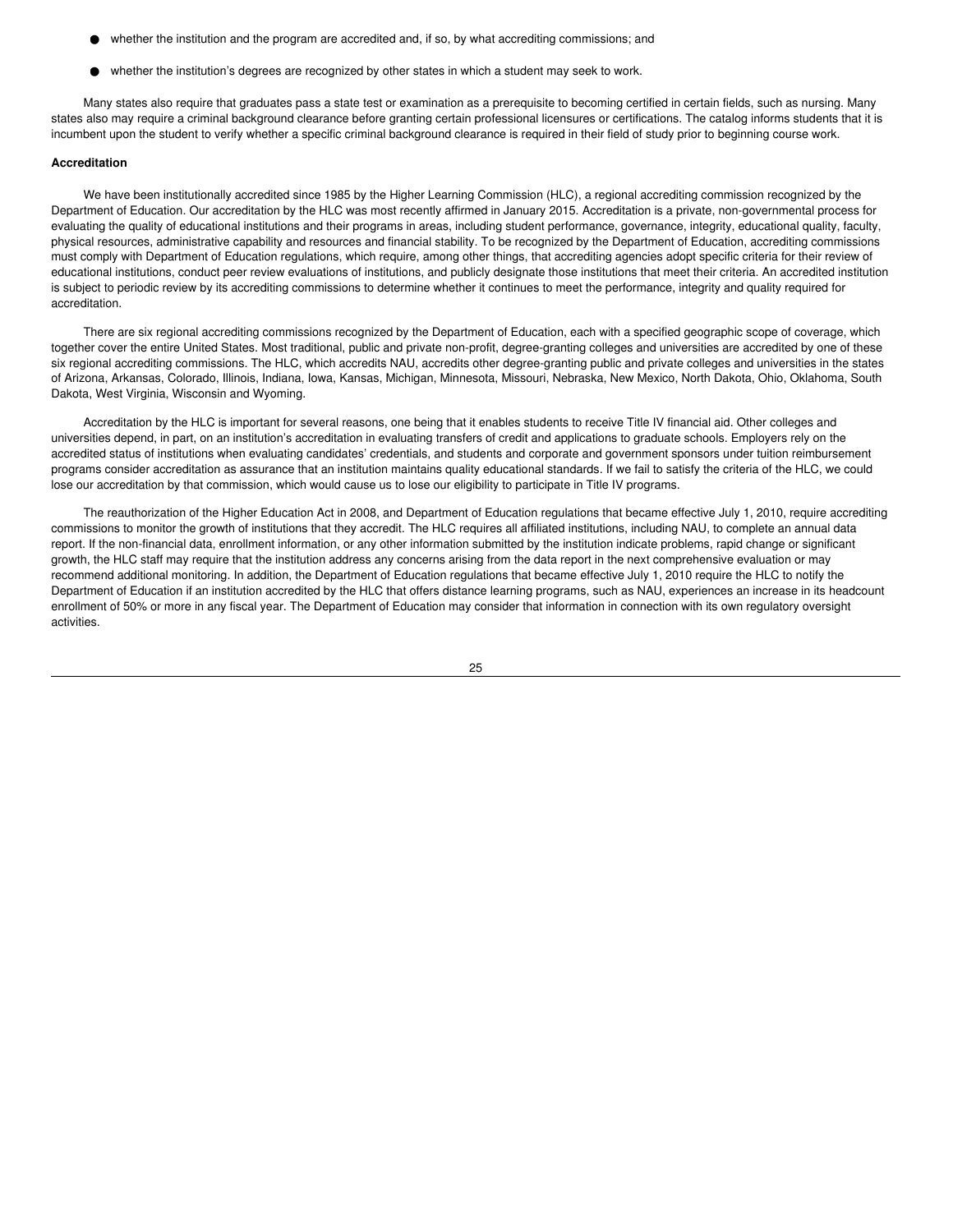- whether the institution and the program are accredited and, if so, by what accrediting commissions; and
- whether the institution's degrees are recognized by other states in which a student may seek to work.

Many states also require that graduates pass a state test or examination as a prerequisite to becoming certified in certain fields, such as nursing. Many states also may require a criminal background clearance before granting certain professional licensures or certifications. The catalog informs students that it is incumbent upon the student to verify whether a specific criminal background clearance is required in their field of study prior to beginning course work.

#### **Accreditation**

We have been institutionally accredited since 1985 by the Higher Learning Commission (HLC), a regional accrediting commission recognized by the Department of Education. Our accreditation by the HLC was most recently affirmed in January 2015. Accreditation is a private, non-governmental process for evaluating the quality of educational institutions and their programs in areas, including student performance, governance, integrity, educational quality, faculty, physical resources, administrative capability and resources and financial stability. To be recognized by the Department of Education, accrediting commissions must comply with Department of Education regulations, which require, among other things, that accrediting agencies adopt specific criteria for their review of educational institutions, conduct peer review evaluations of institutions, and publicly designate those institutions that meet their criteria. An accredited institution is subject to periodic review by its accrediting commissions to determine whether it continues to meet the performance, integrity and quality required for accreditation.

There are six regional accrediting commissions recognized by the Department of Education, each with a specified geographic scope of coverage, which together cover the entire United States. Most traditional, public and private non-profit, degree-granting colleges and universities are accredited by one of these six regional accrediting commissions. The HLC, which accredits NAU, accredits other degree-granting public and private colleges and universities in the states of Arizona, Arkansas, Colorado, Illinois, Indiana, Iowa, Kansas, Michigan, Minnesota, Missouri, Nebraska, New Mexico, North Dakota, Ohio, Oklahoma, South Dakota, West Virginia, Wisconsin and Wyoming.

Accreditation by the HLC is important for several reasons, one being that it enables students to receive Title IV financial aid. Other colleges and universities depend, in part, on an institution's accreditation in evaluating transfers of credit and applications to graduate schools. Employers rely on the accredited status of institutions when evaluating candidates' credentials, and students and corporate and government sponsors under tuition reimbursement programs consider accreditation as assurance that an institution maintains quality educational standards. If we fail to satisfy the criteria of the HLC, we could lose our accreditation by that commission, which would cause us to lose our eligibility to participate in Title IV programs.

The reauthorization of the Higher Education Act in 2008, and Department of Education regulations that became effective July 1, 2010, require accrediting commissions to monitor the growth of institutions that they accredit. The HLC requires all affiliated institutions, including NAU, to complete an annual data report. If the non-financial data, enrollment information, or any other information submitted by the institution indicate problems, rapid change or significant growth, the HLC staff may require that the institution address any concerns arising from the data report in the next comprehensive evaluation or may recommend additional monitoring. In addition, the Department of Education regulations that became effective July 1, 2010 require the HLC to notify the Department of Education if an institution accredited by the HLC that offers distance learning programs, such as NAU, experiences an increase in its headcount enrollment of 50% or more in any fiscal year. The Department of Education may consider that information in connection with its own regulatory oversight activities.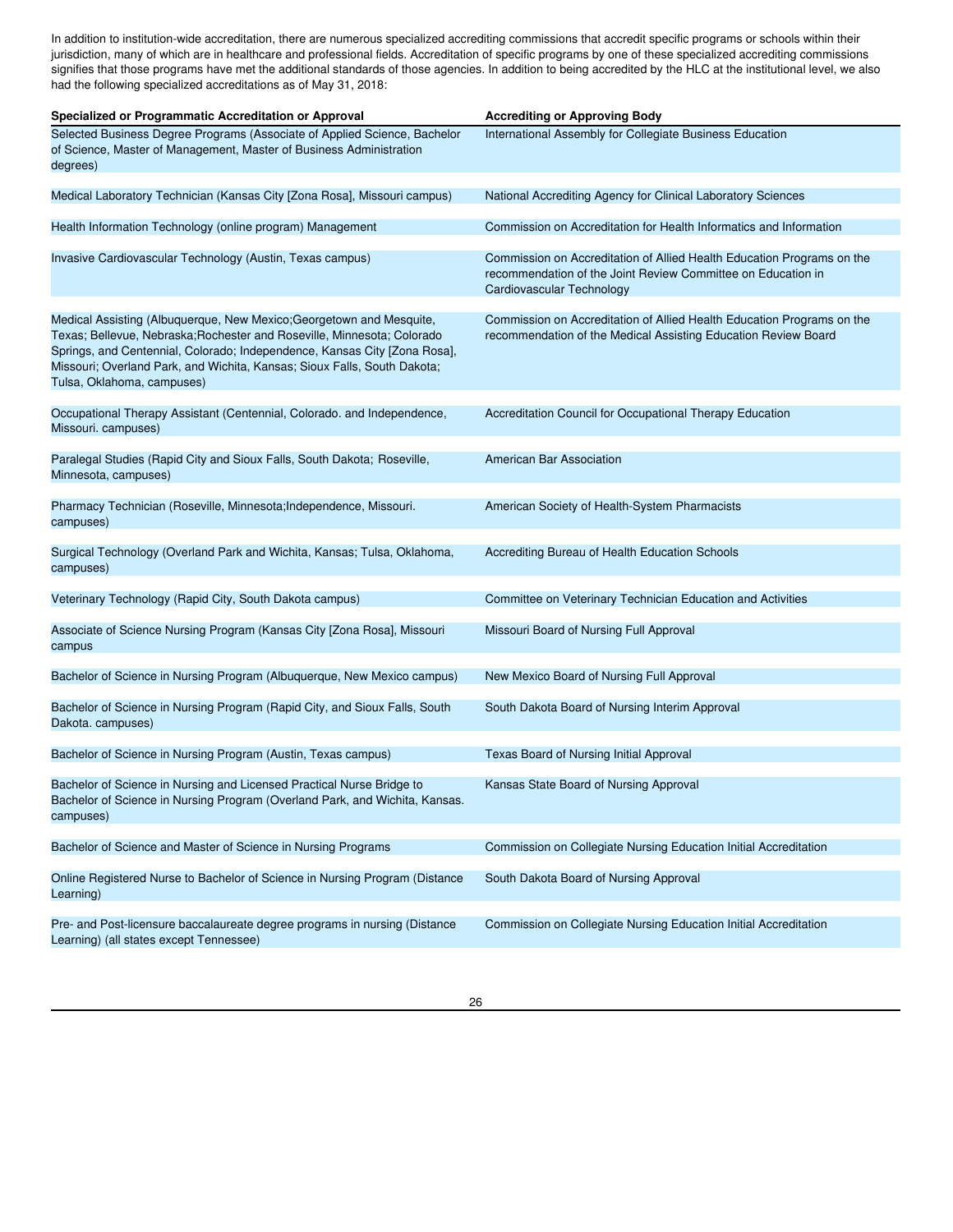In addition to institution-wide accreditation, there are numerous specialized accrediting commissions that accredit specific programs or schools within their jurisdiction, many of which are in healthcare and professional fields. Accreditation of specific programs by one of these specialized accrediting commissions signifies that those programs have met the additional standards of those agencies. In addition to being accredited by the HLC at the institutional level, we also had the following specialized accreditations as of May 31, 2018:

| Specialized or Programmatic Accreditation or Approval                                                                                                                                                                                                                                                                                  | <b>Accrediting or Approving Body</b>                                                                                                                                |
|----------------------------------------------------------------------------------------------------------------------------------------------------------------------------------------------------------------------------------------------------------------------------------------------------------------------------------------|---------------------------------------------------------------------------------------------------------------------------------------------------------------------|
| Selected Business Degree Programs (Associate of Applied Science, Bachelor<br>of Science, Master of Management, Master of Business Administration<br>degrees)                                                                                                                                                                           | International Assembly for Collegiate Business Education                                                                                                            |
|                                                                                                                                                                                                                                                                                                                                        |                                                                                                                                                                     |
| Medical Laboratory Technician (Kansas City [Zona Rosa], Missouri campus)                                                                                                                                                                                                                                                               | National Accrediting Agency for Clinical Laboratory Sciences                                                                                                        |
| Health Information Technology (online program) Management                                                                                                                                                                                                                                                                              | Commission on Accreditation for Health Informatics and Information                                                                                                  |
| Invasive Cardiovascular Technology (Austin, Texas campus)                                                                                                                                                                                                                                                                              | Commission on Accreditation of Allied Health Education Programs on the<br>recommendation of the Joint Review Committee on Education in<br>Cardiovascular Technology |
| Medical Assisting (Albuquerque, New Mexico; Georgetown and Mesquite,<br>Texas; Bellevue, Nebraska; Rochester and Roseville, Minnesota; Colorado<br>Springs, and Centennial, Colorado; Independence, Kansas City [Zona Rosa],<br>Missouri; Overland Park, and Wichita, Kansas; Sioux Falls, South Dakota;<br>Tulsa, Oklahoma, campuses) | Commission on Accreditation of Allied Health Education Programs on the<br>recommendation of the Medical Assisting Education Review Board                            |
| Occupational Therapy Assistant (Centennial, Colorado. and Independence,<br>Missouri. campuses)                                                                                                                                                                                                                                         | Accreditation Council for Occupational Therapy Education                                                                                                            |
| Paralegal Studies (Rapid City and Sioux Falls, South Dakota; Roseville,<br>Minnesota, campuses)                                                                                                                                                                                                                                        | American Bar Association                                                                                                                                            |
| Pharmacy Technician (Roseville, Minnesota; Independence, Missouri.<br>campuses)                                                                                                                                                                                                                                                        | American Society of Health-System Pharmacists                                                                                                                       |
| Surgical Technology (Overland Park and Wichita, Kansas; Tulsa, Oklahoma,<br>campuses)                                                                                                                                                                                                                                                  | Accrediting Bureau of Health Education Schools                                                                                                                      |
| Veterinary Technology (Rapid City, South Dakota campus)                                                                                                                                                                                                                                                                                | Committee on Veterinary Technician Education and Activities                                                                                                         |
| Associate of Science Nursing Program (Kansas City [Zona Rosa], Missouri<br>campus                                                                                                                                                                                                                                                      | Missouri Board of Nursing Full Approval                                                                                                                             |
| Bachelor of Science in Nursing Program (Albuquerque, New Mexico campus)                                                                                                                                                                                                                                                                | New Mexico Board of Nursing Full Approval                                                                                                                           |
| Bachelor of Science in Nursing Program (Rapid City, and Sioux Falls, South<br>Dakota. campuses)                                                                                                                                                                                                                                        | South Dakota Board of Nursing Interim Approval                                                                                                                      |
| Bachelor of Science in Nursing Program (Austin, Texas campus)                                                                                                                                                                                                                                                                          | Texas Board of Nursing Initial Approval                                                                                                                             |
| Bachelor of Science in Nursing and Licensed Practical Nurse Bridge to<br>Bachelor of Science in Nursing Program (Overland Park, and Wichita, Kansas.<br>campuses)                                                                                                                                                                      | Kansas State Board of Nursing Approval                                                                                                                              |
| Bachelor of Science and Master of Science in Nursing Programs                                                                                                                                                                                                                                                                          | Commission on Collegiate Nursing Education Initial Accreditation                                                                                                    |
| Online Registered Nurse to Bachelor of Science in Nursing Program (Distance<br>Learning)                                                                                                                                                                                                                                               | South Dakota Board of Nursing Approval                                                                                                                              |
| Pre- and Post-licensure baccalaureate degree programs in nursing (Distance<br>Learning) (all states except Tennessee)                                                                                                                                                                                                                  | Commission on Collegiate Nursing Education Initial Accreditation                                                                                                    |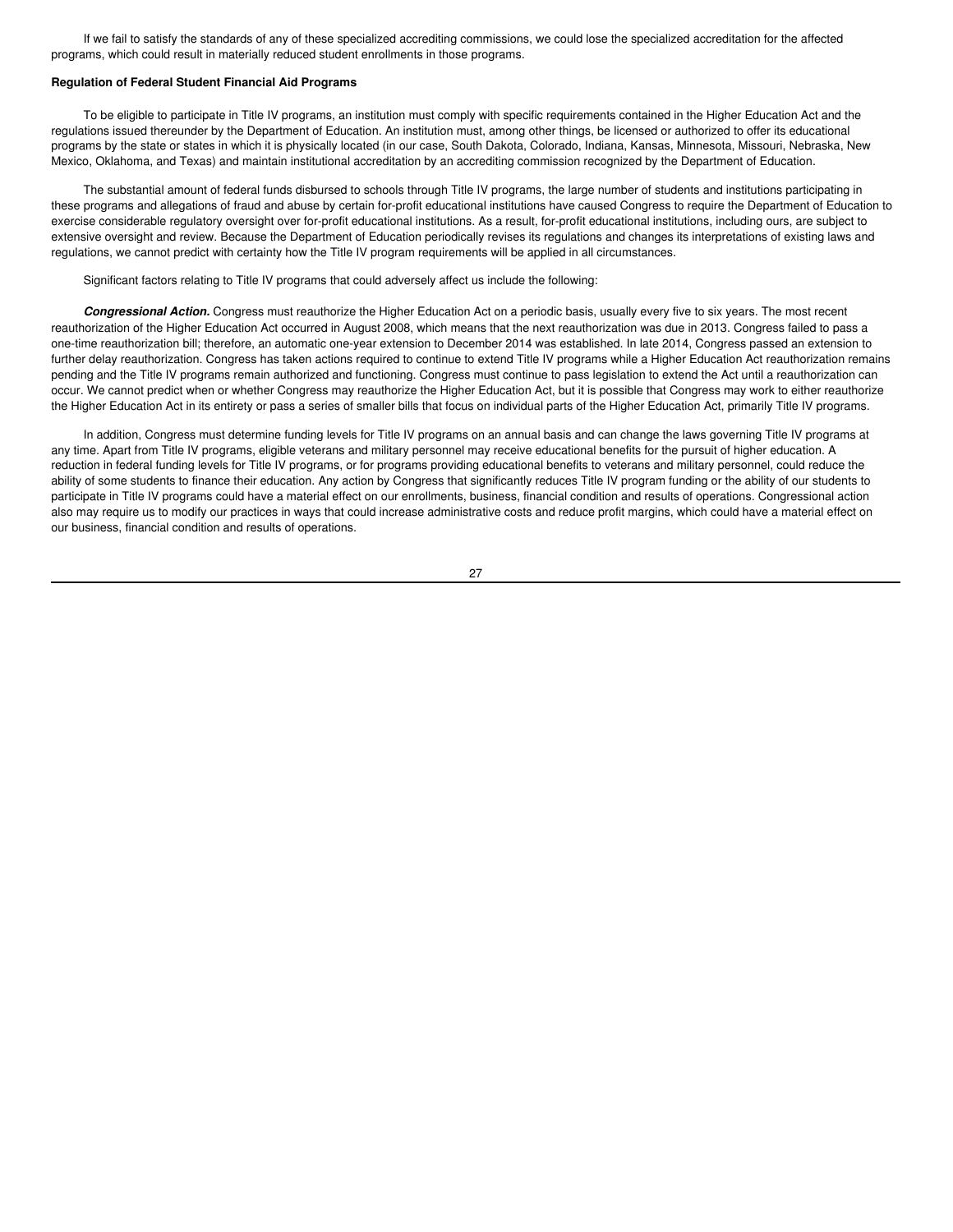If we fail to satisfy the standards of any of these specialized accrediting commissions, we could lose the specialized accreditation for the affected programs, which could result in materially reduced student enrollments in those programs.

#### **Regulation of Federal Student Financial Aid Programs**

To be eligible to participate in Title IV programs, an institution must comply with specific requirements contained in the Higher Education Act and the regulations issued thereunder by the Department of Education. An institution must, among other things, be licensed or authorized to offer its educational programs by the state or states in which it is physically located (in our case, South Dakota, Colorado, Indiana, Kansas, Minnesota, Missouri, Nebraska, New Mexico, Oklahoma, and Texas) and maintain institutional accreditation by an accrediting commission recognized by the Department of Education.

The substantial amount of federal funds disbursed to schools through Title IV programs, the large number of students and institutions participating in these programs and allegations of fraud and abuse by certain for-profit educational institutions have caused Congress to require the Department of Education to exercise considerable regulatory oversight over for-profit educational institutions. As a result, for-profit educational institutions, including ours, are subject to extensive oversight and review. Because the Department of Education periodically revises its regulations and changes its interpretations of existing laws and regulations, we cannot predict with certainty how the Title IV program requirements will be applied in all circumstances.

Significant factors relating to Title IV programs that could adversely affect us include the following:

*Congressional Action.* Congress must reauthorize the Higher Education Act on a periodic basis, usually every five to six years. The most recent reauthorization of the Higher Education Act occurred in August 2008, which means that the next reauthorization was due in 2013. Congress failed to pass a one-time reauthorization bill; therefore, an automatic one-year extension to December 2014 was established. In late 2014, Congress passed an extension to further delay reauthorization. Congress has taken actions required to continue to extend Title IV programs while a Higher Education Act reauthorization remains pending and the Title IV programs remain authorized and functioning. Congress must continue to pass legislation to extend the Act until a reauthorization can occur. We cannot predict when or whether Congress may reauthorize the Higher Education Act, but it is possible that Congress may work to either reauthorize the Higher Education Act in its entirety or pass a series of smaller bills that focus on individual parts of the Higher Education Act, primarily Title IV programs.

In addition, Congress must determine funding levels for Title IV programs on an annual basis and can change the laws governing Title IV programs at any time. Apart from Title IV programs, eligible veterans and military personnel may receive educational benefits for the pursuit of higher education. A reduction in federal funding levels for Title IV programs, or for programs providing educational benefits to veterans and military personnel, could reduce the ability of some students to finance their education. Any action by Congress that significantly reduces Title IV program funding or the ability of our students to participate in Title IV programs could have a material effect on our enrollments, business, financial condition and results of operations. Congressional action also may require us to modify our practices in ways that could increase administrative costs and reduce profit margins, which could have a material effect on our business, financial condition and results of operations.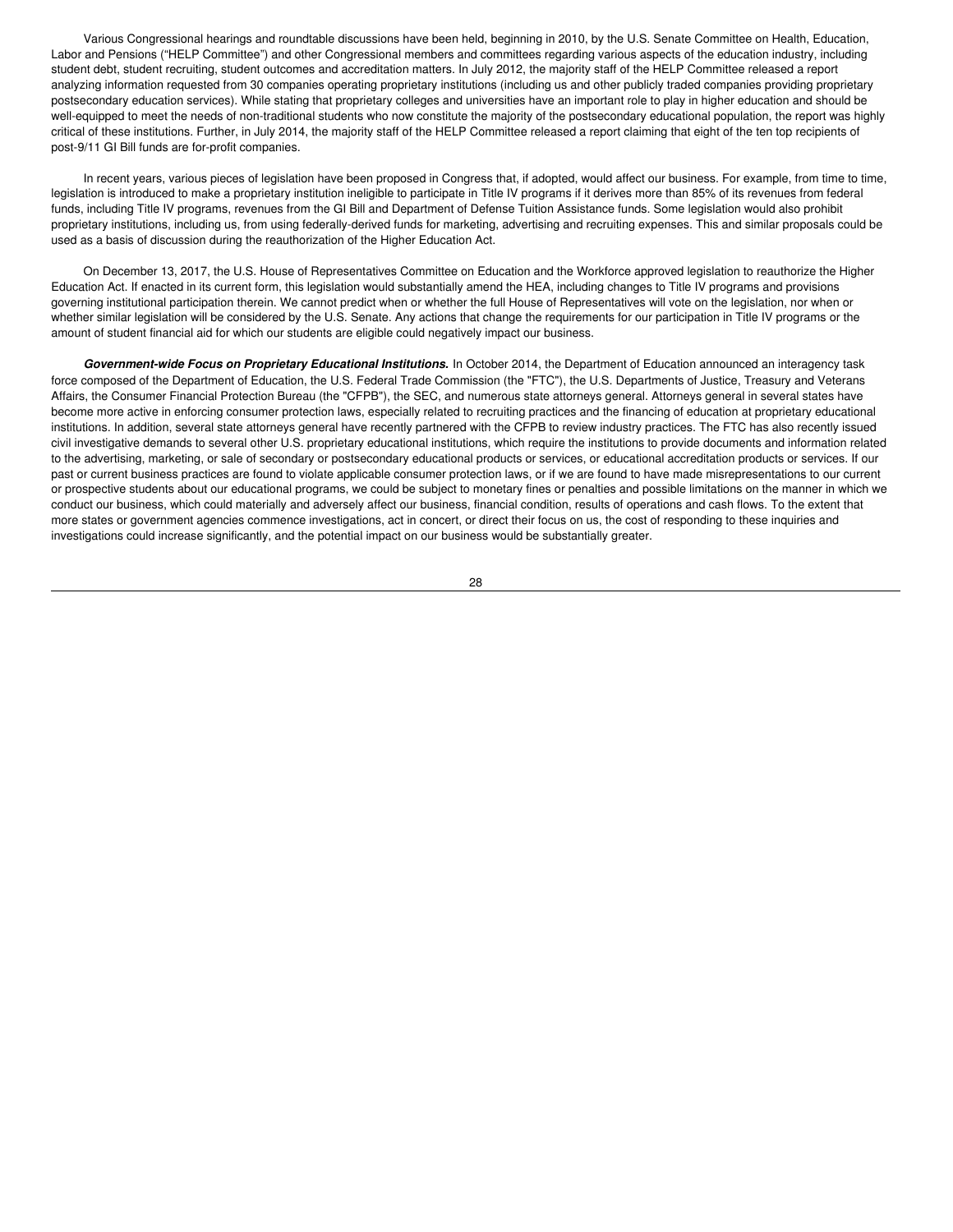Various Congressional hearings and roundtable discussions have been held, beginning in 2010, by the U.S. Senate Committee on Health, Education, Labor and Pensions ("HELP Committee") and other Congressional members and committees regarding various aspects of the education industry, including student debt, student recruiting, student outcomes and accreditation matters. In July 2012, the majority staff of the HELP Committee released a report analyzing information requested from 30 companies operating proprietary institutions (including us and other publicly traded companies providing proprietary postsecondary education services). While stating that proprietary colleges and universities have an important role to play in higher education and should be well-equipped to meet the needs of non-traditional students who now constitute the majority of the postsecondary educational population, the report was highly critical of these institutions. Further, in July 2014, the majority staff of the HELP Committee released a report claiming that eight of the ten top recipients of post-9/11 GI Bill funds are for-profit companies.

In recent years, various pieces of legislation have been proposed in Congress that, if adopted, would affect our business. For example, from time to time, legislation is introduced to make a proprietary institution ineligible to participate in Title IV programs if it derives more than 85% of its revenues from federal funds, including Title IV programs, revenues from the GI Bill and Department of Defense Tuition Assistance funds. Some legislation would also prohibit proprietary institutions, including us, from using federally-derived funds for marketing, advertising and recruiting expenses. This and similar proposals could be used as a basis of discussion during the reauthorization of the Higher Education Act.

On December 13, 2017, the U.S. House of Representatives Committee on Education and the Workforce approved legislation to reauthorize the Higher Education Act. If enacted in its current form, this legislation would substantially amend the HEA, including changes to Title IV programs and provisions governing institutional participation therein. We cannot predict when or whether the full House of Representatives will vote on the legislation, nor when or whether similar legislation will be considered by the U.S. Senate. Any actions that change the requirements for our participation in Title IV programs or the amount of student financial aid for which our students are eligible could negatively impact our business.

*Government-wide Focus on Proprietary Educational Institutions.* In October 2014, the Department of Education announced an interagency task force composed of the Department of Education, the U.S. Federal Trade Commission (the "FTC"), the U.S. Departments of Justice, Treasury and Veterans Affairs, the Consumer Financial Protection Bureau (the "CFPB"), the SEC, and numerous state attorneys general. Attorneys general in several states have become more active in enforcing consumer protection laws, especially related to recruiting practices and the financing of education at proprietary educational institutions. In addition, several state attorneys general have recently partnered with the CFPB to review industry practices. The FTC has also recently issued civil investigative demands to several other U.S. proprietary educational institutions, which require the institutions to provide documents and information related to the advertising, marketing, or sale of secondary or postsecondary educational products or services, or educational accreditation products or services. If our past or current business practices are found to violate applicable consumer protection laws, or if we are found to have made misrepresentations to our current or prospective students about our educational programs, we could be subject to monetary fines or penalties and possible limitations on the manner in which we conduct our business, which could materially and adversely affect our business, financial condition, results of operations and cash flows. To the extent that more states or government agencies commence investigations, act in concert, or direct their focus on us, the cost of responding to these inquiries and investigations could increase significantly, and the potential impact on our business would be substantially greater.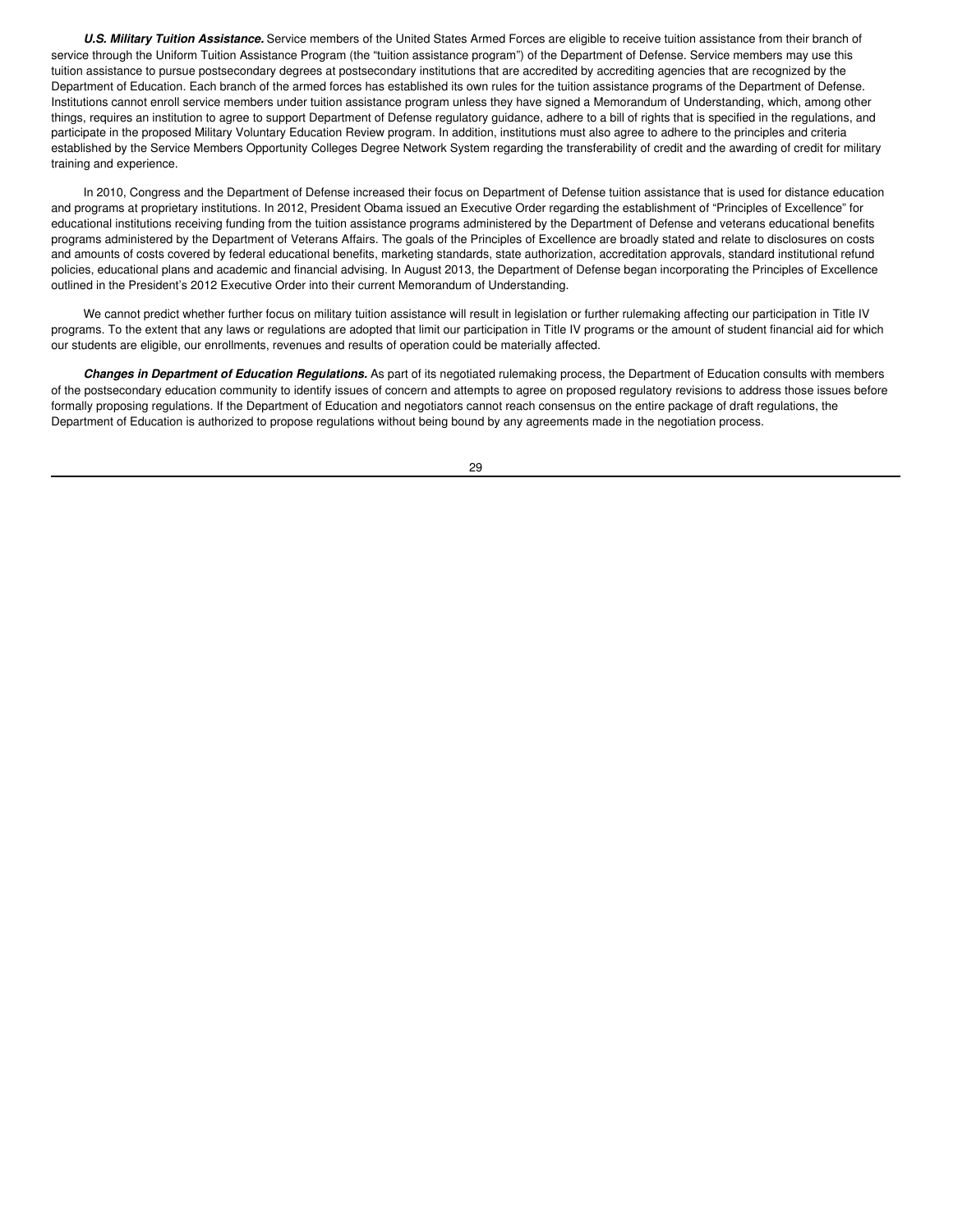*U.S. Military Tuition Assistance.* Service members of the United States Armed Forces are eligible to receive tuition assistance from their branch of service through the Uniform Tuition Assistance Program (the "tuition assistance program") of the Department of Defense. Service members may use this tuition assistance to pursue postsecondary degrees at postsecondary institutions that are accredited by accrediting agencies that are recognized by the Department of Education. Each branch of the armed forces has established its own rules for the tuition assistance programs of the Department of Defense. Institutions cannot enroll service members under tuition assistance program unless they have signed a Memorandum of Understanding, which, among other things, requires an institution to agree to support Department of Defense regulatory guidance, adhere to a bill of rights that is specified in the regulations, and participate in the proposed Military Voluntary Education Review program. In addition, institutions must also agree to adhere to the principles and criteria established by the Service Members Opportunity Colleges Degree Network System regarding the transferability of credit and the awarding of credit for military training and experience.

In 2010, Congress and the Department of Defense increased their focus on Department of Defense tuition assistance that is used for distance education and programs at proprietary institutions. In 2012, President Obama issued an Executive Order regarding the establishment of "Principles of Excellence" for educational institutions receiving funding from the tuition assistance programs administered by the Department of Defense and veterans educational benefits programs administered by the Department of Veterans Affairs. The goals of the Principles of Excellence are broadly stated and relate to disclosures on costs and amounts of costs covered by federal educational benefits, marketing standards, state authorization, accreditation approvals, standard institutional refund policies, educational plans and academic and financial advising. In August 2013, the Department of Defense began incorporating the Principles of Excellence outlined in the President's 2012 Executive Order into their current Memorandum of Understanding.

We cannot predict whether further focus on military tuition assistance will result in legislation or further rulemaking affecting our participation in Title IV programs. To the extent that any laws or regulations are adopted that limit our participation in Title IV programs or the amount of student financial aid for which our students are eligible, our enrollments, revenues and results of operation could be materially affected.

*Changes in Department of Education Regulations.* As part of its negotiated rulemaking process, the Department of Education consults with members of the postsecondary education community to identify issues of concern and attempts to agree on proposed regulatory revisions to address those issues before formally proposing regulations. If the Department of Education and negotiators cannot reach consensus on the entire package of draft regulations, the Department of Education is authorized to propose regulations without being bound by any agreements made in the negotiation process.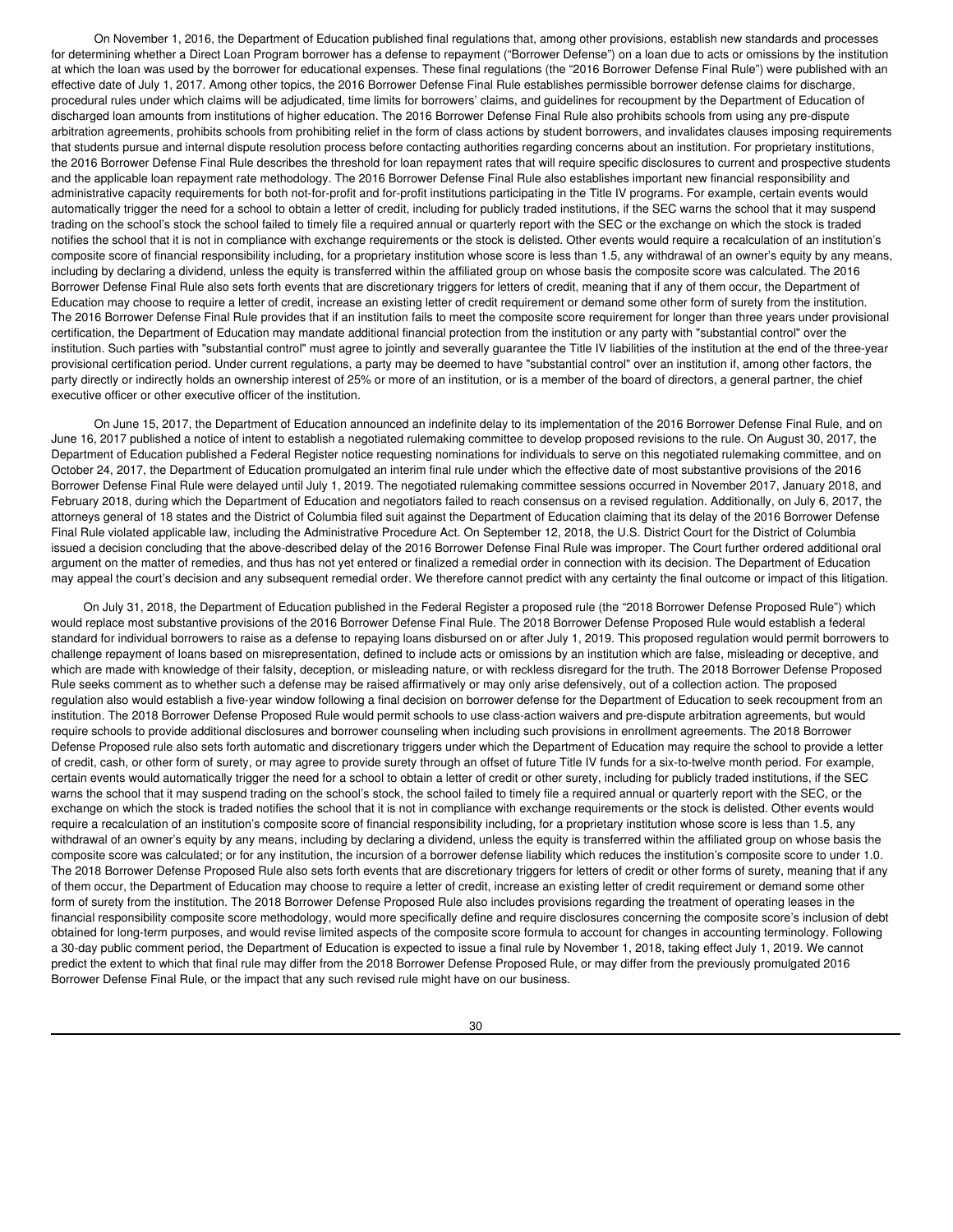On November 1, 2016, the Department of Education published final regulations that, among other provisions, establish new standards and processes for determining whether a Direct Loan Program borrower has a defense to repayment ("Borrower Defense") on a loan due to acts or omissions by the institution at which the loan was used by the borrower for educational expenses. These final regulations (the "2016 Borrower Defense Final Rule") were published with an effective date of July 1, 2017. Among other topics, the 2016 Borrower Defense Final Rule establishes permissible borrower defense claims for discharge, procedural rules under which claims will be adjudicated, time limits for borrowers' claims, and guidelines for recoupment by the Department of Education of discharged loan amounts from institutions of higher education. The 2016 Borrower Defense Final Rule also prohibits schools from using any pre-dispute arbitration agreements, prohibits schools from prohibiting relief in the form of class actions by student borrowers, and invalidates clauses imposing requirements that students pursue and internal dispute resolution process before contacting authorities regarding concerns about an institution. For proprietary institutions, the 2016 Borrower Defense Final Rule describes the threshold for loan repayment rates that will require specific disclosures to current and prospective students and the applicable loan repayment rate methodology. The 2016 Borrower Defense Final Rule also establishes important new financial responsibility and administrative capacity requirements for both not-for-profit and for-profit institutions participating in the Title IV programs. For example, certain events would automatically trigger the need for a school to obtain a letter of credit, including for publicly traded institutions, if the SEC warns the school that it may suspend trading on the school's stock the school failed to timely file a required annual or quarterly report with the SEC or the exchange on which the stock is traded notifies the school that it is not in compliance with exchange requirements or the stock is delisted. Other events would require a recalculation of an institution's composite score of financial responsibility including, for a proprietary institution whose score is less than 1.5, any withdrawal of an owner's equity by any means, including by declaring a dividend, unless the equity is transferred within the affiliated group on whose basis the composite score was calculated. The 2016 Borrower Defense Final Rule also sets forth events that are discretionary triggers for letters of credit, meaning that if any of them occur, the Department of Education may choose to require a letter of credit, increase an existing letter of credit requirement or demand some other form of surety from the institution. The 2016 Borrower Defense Final Rule provides that if an institution fails to meet the composite score requirement for longer than three years under provisional certification, the Department of Education may mandate additional financial protection from the institution or any party with "substantial control" over the institution. Such parties with "substantial control" must agree to jointly and severally guarantee the Title IV liabilities of the institution at the end of the three-year provisional certification period. Under current regulations, a party may be deemed to have "substantial control" over an institution if, among other factors, the party directly or indirectly holds an ownership interest of 25% or more of an institution, or is a member of the board of directors, a general partner, the chief executive officer or other executive officer of the institution.

On June 15, 2017, the Department of Education announced an indefinite delay to its implementation of the 2016 Borrower Defense Final Rule, and on June 16, 2017 published a notice of intent to establish a negotiated rulemaking committee to develop proposed revisions to the rule. On August 30, 2017, the Department of Education published a Federal Register notice requesting nominations for individuals to serve on this negotiated rulemaking committee, and on October 24, 2017, the Department of Education promulgated an interim final rule under which the effective date of most substantive provisions of the 2016 Borrower Defense Final Rule were delayed until July 1, 2019. The negotiated rulemaking committee sessions occurred in November 2017, January 2018, and February 2018, during which the Department of Education and negotiators failed to reach consensus on a revised regulation. Additionally, on July 6, 2017, the attorneys general of 18 states and the District of Columbia filed suit against the Department of Education claiming that its delay of the 2016 Borrower Defense Final Rule violated applicable law, including the Administrative Procedure Act. On September 12, 2018, the U.S. District Court for the District of Columbia issued a decision concluding that the above-described delay of the 2016 Borrower Defense Final Rule was improper. The Court further ordered additional oral argument on the matter of remedies, and thus has not yet entered or finalized a remedial order in connection with its decision. The Department of Education may appeal the court's decision and any subsequent remedial order. We therefore cannot predict with any certainty the final outcome or impact of this litigation.

On July 31, 2018, the Department of Education published in the Federal Register a proposed rule (the "2018 Borrower Defense Proposed Rule") which would replace most substantive provisions of the 2016 Borrower Defense Final Rule. The 2018 Borrower Defense Proposed Rule would establish a federal standard for individual borrowers to raise as a defense to repaying loans disbursed on or after July 1, 2019. This proposed regulation would permit borrowers to challenge repayment of loans based on misrepresentation, defined to include acts or omissions by an institution which are false, misleading or deceptive, and which are made with knowledge of their falsity, deception, or misleading nature, or with reckless disregard for the truth. The 2018 Borrower Defense Proposed Rule seeks comment as to whether such a defense may be raised affirmatively or may only arise defensively, out of a collection action. The proposed regulation also would establish a five-year window following a final decision on borrower defense for the Department of Education to seek recoupment from an institution. The 2018 Borrower Defense Proposed Rule would permit schools to use class-action waivers and pre-dispute arbitration agreements, but would require schools to provide additional disclosures and borrower counseling when including such provisions in enrollment agreements. The 2018 Borrower Defense Proposed rule also sets forth automatic and discretionary triggers under which the Department of Education may require the school to provide a letter of credit, cash, or other form of surety, or may agree to provide surety through an offset of future Title IV funds for a six-to-twelve month period. For example, certain events would automatically trigger the need for a school to obtain a letter of credit or other surety, including for publicly traded institutions, if the SEC warns the school that it may suspend trading on the school's stock, the school failed to timely file a required annual or quarterly report with the SEC, or the exchange on which the stock is traded notifies the school that it is not in compliance with exchange requirements or the stock is delisted. Other events would require a recalculation of an institution's composite score of financial responsibility including, for a proprietary institution whose score is less than 1.5, any withdrawal of an owner's equity by any means, including by declaring a dividend, unless the equity is transferred within the affiliated group on whose basis the composite score was calculated; or for any institution, the incursion of a borrower defense liability which reduces the institution's composite score to under 1.0. The 2018 Borrower Defense Proposed Rule also sets forth events that are discretionary triggers for letters of credit or other forms of surety, meaning that if any of them occur, the Department of Education may choose to require a letter of credit, increase an existing letter of credit requirement or demand some other form of surety from the institution. The 2018 Borrower Defense Proposed Rule also includes provisions regarding the treatment of operating leases in the financial responsibility composite score methodology, would more specifically define and require disclosures concerning the composite score's inclusion of debt obtained for long-term purposes, and would revise limited aspects of the composite score formula to account for changes in accounting terminology. Following a 30-day public comment period, the Department of Education is expected to issue a final rule by November 1, 2018, taking effect July 1, 2019. We cannot predict the extent to which that final rule may differ from the 2018 Borrower Defense Proposed Rule, or may differ from the previously promulgated 2016 Borrower Defense Final Rule, or the impact that any such revised rule might have on our business.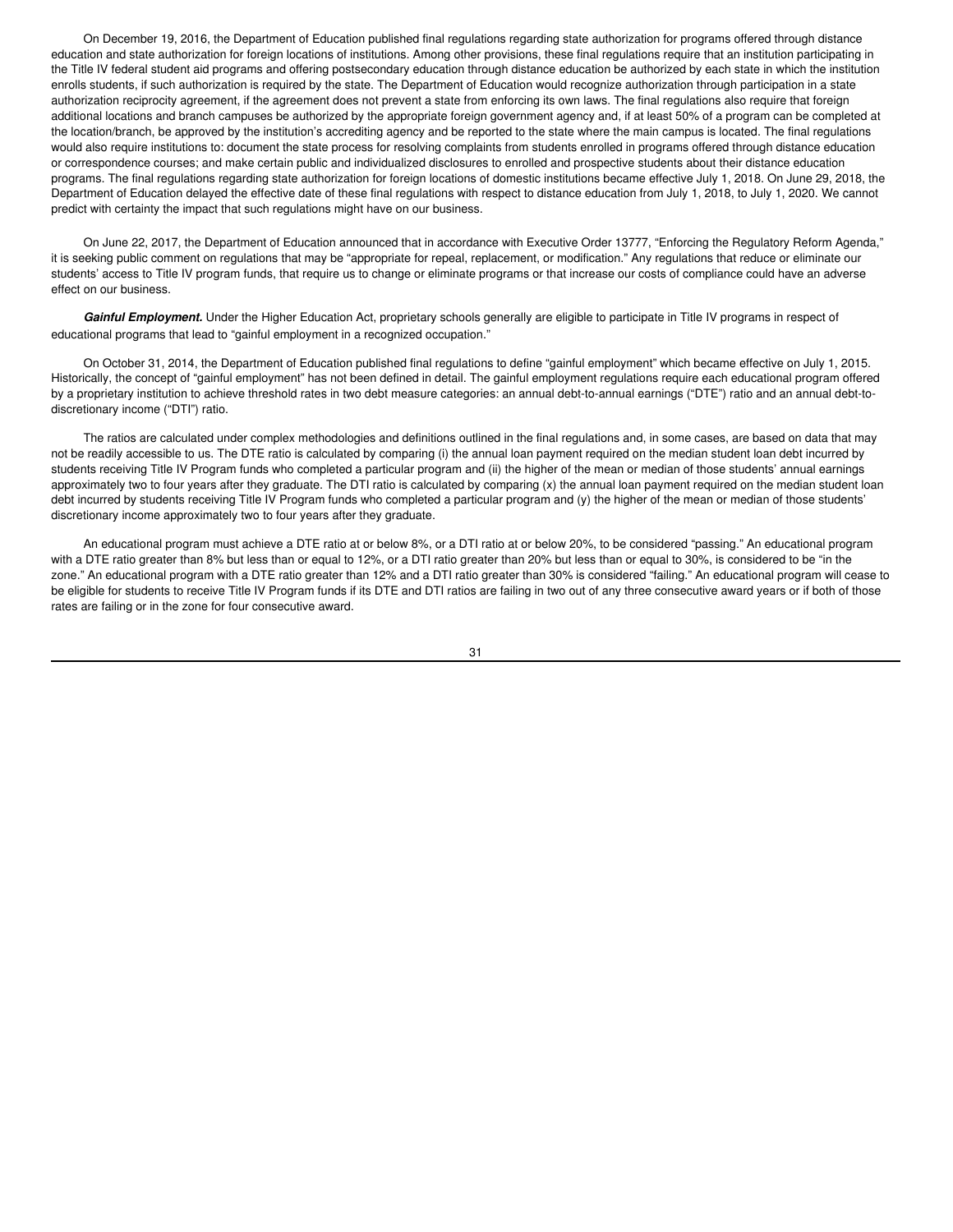On December 19, 2016, the Department of Education published final regulations regarding state authorization for programs offered through distance education and state authorization for foreign locations of institutions. Among other provisions, these final regulations require that an institution participating in the Title IV federal student aid programs and offering postsecondary education through distance education be authorized by each state in which the institution enrolls students, if such authorization is required by the state. The Department of Education would recognize authorization through participation in a state authorization reciprocity agreement, if the agreement does not prevent a state from enforcing its own laws. The final regulations also require that foreign additional locations and branch campuses be authorized by the appropriate foreign government agency and, if at least 50% of a program can be completed at the location/branch, be approved by the institution's accrediting agency and be reported to the state where the main campus is located. The final regulations would also require institutions to: document the state process for resolving complaints from students enrolled in programs offered through distance education or correspondence courses; and make certain public and individualized disclosures to enrolled and prospective students about their distance education programs. The final regulations regarding state authorization for foreign locations of domestic institutions became effective July 1, 2018. On June 29, 2018, the Department of Education delayed the effective date of these final regulations with respect to distance education from July 1, 2018, to July 1, 2020. We cannot predict with certainty the impact that such regulations might have on our business.

On June 22, 2017, the Department of Education announced that in accordance with Executive Order 13777, "Enforcing the Regulatory Reform Agenda," it is seeking public comment on regulations that may be "appropriate for repeal, replacement, or modification." Any regulations that reduce or eliminate our students' access to Title IV program funds, that require us to change or eliminate programs or that increase our costs of compliance could have an adverse effect on our business.

*Gainful Employment.* Under the Higher Education Act, proprietary schools generally are eligible to participate in Title IV programs in respect of educational programs that lead to "gainful employment in a recognized occupation."

On October 31, 2014, the Department of Education published final regulations to define "gainful employment" which became effective on July 1, 2015. Historically, the concept of "gainful employment" has not been defined in detail. The gainful employment regulations require each educational program offered by a proprietary institution to achieve threshold rates in two debt measure categories: an annual debt-to-annual earnings ("DTE") ratio and an annual debt-todiscretionary income ("DTI") ratio.

The ratios are calculated under complex methodologies and definitions outlined in the final regulations and, in some cases, are based on data that may not be readily accessible to us. The DTE ratio is calculated by comparing (i) the annual loan payment required on the median student loan debt incurred by students receiving Title IV Program funds who completed a particular program and (ii) the higher of the mean or median of those students' annual earnings approximately two to four years after they graduate. The DTI ratio is calculated by comparing (x) the annual loan payment required on the median student loan debt incurred by students receiving Title IV Program funds who completed a particular program and (y) the higher of the mean or median of those students' discretionary income approximately two to four years after they graduate.

An educational program must achieve a DTE ratio at or below 8%, or a DTI ratio at or below 20%, to be considered "passing." An educational program with a DTE ratio greater than 8% but less than or equal to 12%, or a DTI ratio greater than 20% but less than or equal to 30%, is considered to be "in the zone." An educational program with a DTE ratio greater than 12% and a DTI ratio greater than 30% is considered "failing." An educational program will cease to be eligible for students to receive Title IV Program funds if its DTE and DTI ratios are failing in two out of any three consecutive award years or if both of those rates are failing or in the zone for four consecutive award.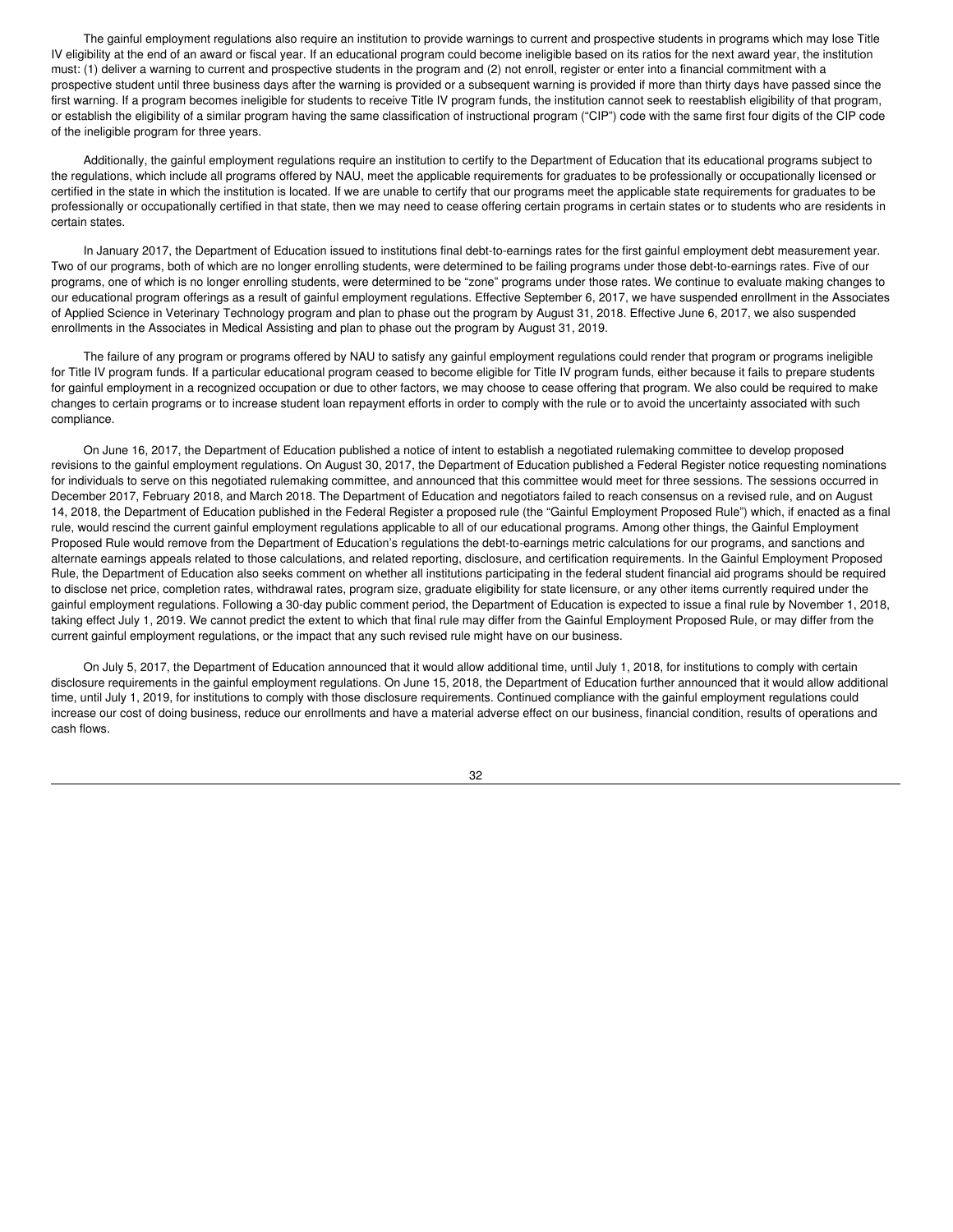The gainful employment regulations also require an institution to provide warnings to current and prospective students in programs which may lose Title IV eligibility at the end of an award or fiscal year. If an educational program could become ineligible based on its ratios for the next award year, the institution must: (1) deliver a warning to current and prospective students in the program and (2) not enroll, register or enter into a financial commitment with a prospective student until three business days after the warning is provided or a subsequent warning is provided if more than thirty days have passed since the first warning. If a program becomes ineligible for students to receive Title IV program funds, the institution cannot seek to reestablish eligibility of that program, or establish the eligibility of a similar program having the same classification of instructional program ("CIP") code with the same first four digits of the CIP code of the ineligible program for three years.

Additionally, the gainful employment regulations require an institution to certify to the Department of Education that its educational programs subject to the regulations, which include all programs offered by NAU, meet the applicable requirements for graduates to be professionally or occupationally licensed or certified in the state in which the institution is located. If we are unable to certify that our programs meet the applicable state requirements for graduates to be professionally or occupationally certified in that state, then we may need to cease offering certain programs in certain states or to students who are residents in certain states.

In January 2017, the Department of Education issued to institutions final debt-to-earnings rates for the first gainful employment debt measurement year. Two of our programs, both of which are no longer enrolling students, were determined to be failing programs under those debt-to-earnings rates. Five of our programs, one of which is no longer enrolling students, were determined to be "zone" programs under those rates. We continue to evaluate making changes to our educational program offerings as a result of gainful employment regulations. Effective September 6, 2017, we have suspended enrollment in the Associates of Applied Science in Veterinary Technology program and plan to phase out the program by August 31, 2018. Effective June 6, 2017, we also suspended enrollments in the Associates in Medical Assisting and plan to phase out the program by August 31, 2019.

The failure of any program or programs offered by NAU to satisfy any gainful employment regulations could render that program or programs ineligible for Title IV program funds. If a particular educational program ceased to become eligible for Title IV program funds, either because it fails to prepare students for gainful employment in a recognized occupation or due to other factors, we may choose to cease offering that program. We also could be required to make changes to certain programs or to increase student loan repayment efforts in order to comply with the rule or to avoid the uncertainty associated with such compliance.

On June 16, 2017, the Department of Education published a notice of intent to establish a negotiated rulemaking committee to develop proposed revisions to the gainful employment regulations. On August 30, 2017, the Department of Education published a Federal Register notice requesting nominations for individuals to serve on this negotiated rulemaking committee, and announced that this committee would meet for three sessions. The sessions occurred in December 2017, February 2018, and March 2018. The Department of Education and negotiators failed to reach consensus on a revised rule, and on August 14, 2018, the Department of Education published in the Federal Register a proposed rule (the "Gainful Employment Proposed Rule") which, if enacted as a final rule, would rescind the current gainful employment regulations applicable to all of our educational programs. Among other things, the Gainful Employment Proposed Rule would remove from the Department of Education's regulations the debt-to-earnings metric calculations for our programs, and sanctions and alternate earnings appeals related to those calculations, and related reporting, disclosure, and certification requirements. In the Gainful Employment Proposed Rule, the Department of Education also seeks comment on whether all institutions participating in the federal student financial aid programs should be required to disclose net price, completion rates, withdrawal rates, program size, graduate eligibility for state licensure, or any other items currently required under the gainful employment regulations. Following a 30-day public comment period, the Department of Education is expected to issue a final rule by November 1, 2018, taking effect July 1, 2019. We cannot predict the extent to which that final rule may differ from the Gainful Employment Proposed Rule, or may differ from the current gainful employment regulations, or the impact that any such revised rule might have on our business.

On July 5, 2017, the Department of Education announced that it would allow additional time, until July 1, 2018, for institutions to comply with certain disclosure requirements in the gainful employment regulations. On June 15, 2018, the Department of Education further announced that it would allow additional time, until July 1, 2019, for institutions to comply with those disclosure requirements. Continued compliance with the gainful employment regulations could increase our cost of doing business, reduce our enrollments and have a material adverse effect on our business, financial condition, results of operations and cash flows.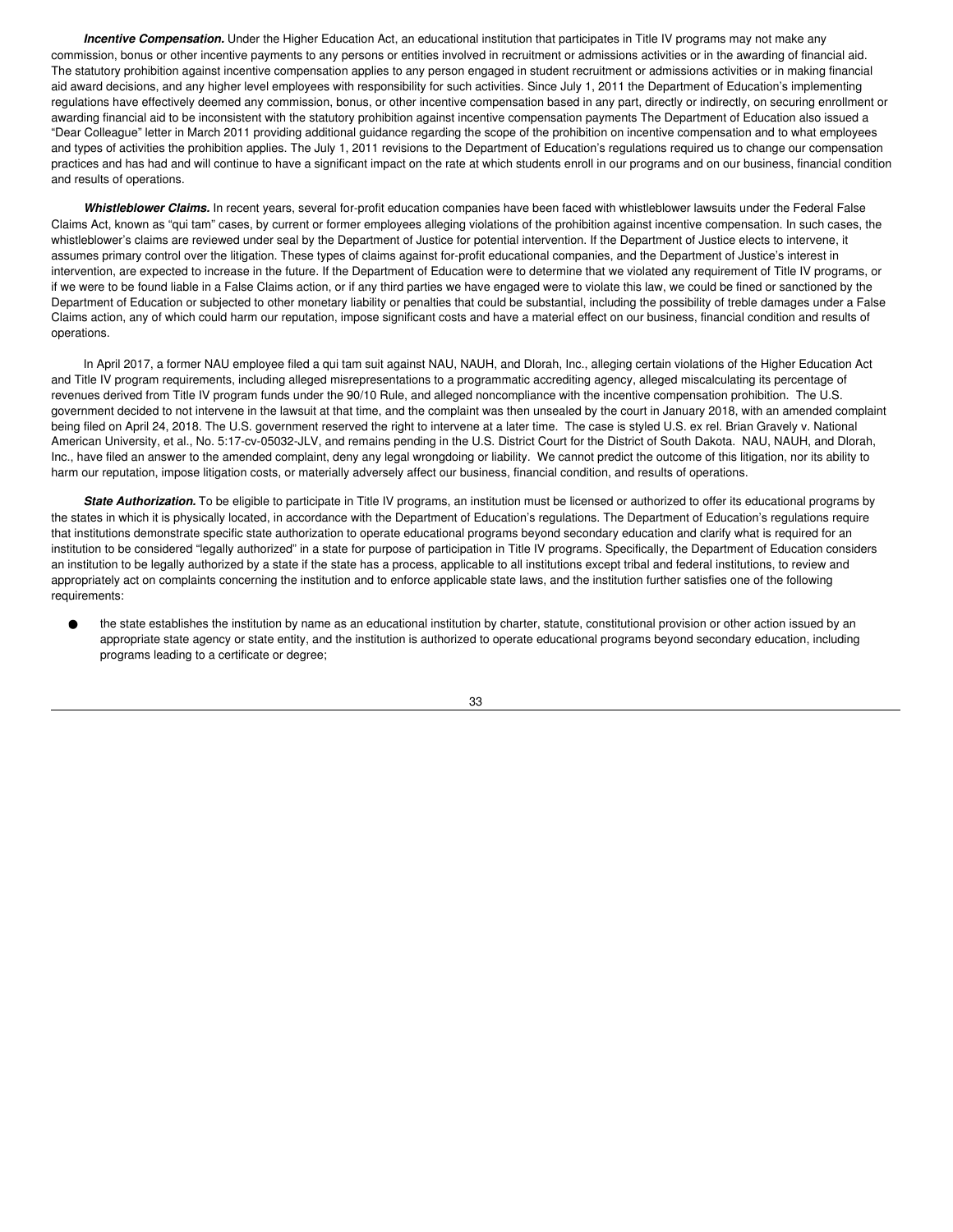*Incentive Compensation.* Under the Higher Education Act, an educational institution that participates in Title IV programs may not make any commission, bonus or other incentive payments to any persons or entities involved in recruitment or admissions activities or in the awarding of financial aid. The statutory prohibition against incentive compensation applies to any person engaged in student recruitment or admissions activities or in making financial aid award decisions, and any higher level employees with responsibility for such activities. Since July 1, 2011 the Department of Education's implementing regulations have effectively deemed any commission, bonus, or other incentive compensation based in any part, directly or indirectly, on securing enrollment or awarding financial aid to be inconsistent with the statutory prohibition against incentive compensation payments The Department of Education also issued a "Dear Colleague" letter in March 2011 providing additional guidance regarding the scope of the prohibition on incentive compensation and to what employees and types of activities the prohibition applies. The July 1, 2011 revisions to the Department of Education's regulations required us to change our compensation practices and has had and will continue to have a significant impact on the rate at which students enroll in our programs and on our business, financial condition and results of operations.

*Whistleblower Claims.* In recent years, several for-profit education companies have been faced with whistleblower lawsuits under the Federal False Claims Act, known as "qui tam" cases, by current or former employees alleging violations of the prohibition against incentive compensation. In such cases, the whistleblower's claims are reviewed under seal by the Department of Justice for potential intervention. If the Department of Justice elects to intervene, it assumes primary control over the litigation. These types of claims against for-profit educational companies, and the Department of Justice's interest in intervention, are expected to increase in the future. If the Department of Education were to determine that we violated any requirement of Title IV programs, or if we were to be found liable in a False Claims action, or if any third parties we have engaged were to violate this law, we could be fined or sanctioned by the Department of Education or subjected to other monetary liability or penalties that could be substantial, including the possibility of treble damages under a False Claims action, any of which could harm our reputation, impose significant costs and have a material effect on our business, financial condition and results of operations.

In April 2017, a former NAU employee filed a qui tam suit against NAU, NAUH, and Dlorah, Inc., alleging certain violations of the Higher Education Act and Title IV program requirements, including alleged misrepresentations to a programmatic accrediting agency, alleged miscalculating its percentage of revenues derived from Title IV program funds under the 90/10 Rule, and alleged noncompliance with the incentive compensation prohibition. The U.S. government decided to not intervene in the lawsuit at that time, and the complaint was then unsealed by the court in January 2018, with an amended complaint being filed on April 24, 2018. The U.S. government reserved the right to intervene at a later time. The case is styled U.S. ex rel. Brian Gravely v. National American University, et al., No. 5:17-cv-05032-JLV, and remains pending in the U.S. District Court for the District of South Dakota. NAU, NAUH, and Dlorah, Inc., have filed an answer to the amended complaint, deny any legal wrongdoing or liability. We cannot predict the outcome of this litigation, nor its ability to harm our reputation, impose litigation costs, or materially adversely affect our business, financial condition, and results of operations.

*State Authorization.* To be eligible to participate in Title IV programs, an institution must be licensed or authorized to offer its educational programs by the states in which it is physically located, in accordance with the Department of Education's regulations. The Department of Education's regulations require that institutions demonstrate specific state authorization to operate educational programs beyond secondary education and clarify what is required for an institution to be considered "legally authorized" in a state for purpose of participation in Title IV programs. Specifically, the Department of Education considers an institution to be legally authorized by a state if the state has a process, applicable to all institutions except tribal and federal institutions, to review and appropriately act on complaints concerning the institution and to enforce applicable state laws, and the institution further satisfies one of the following requirements:

**●** the state establishes the institution by name as an educational institution by charter, statute, constitutional provision or other action issued by an appropriate state agency or state entity, and the institution is authorized to operate educational programs beyond secondary education, including programs leading to a certificate or degree;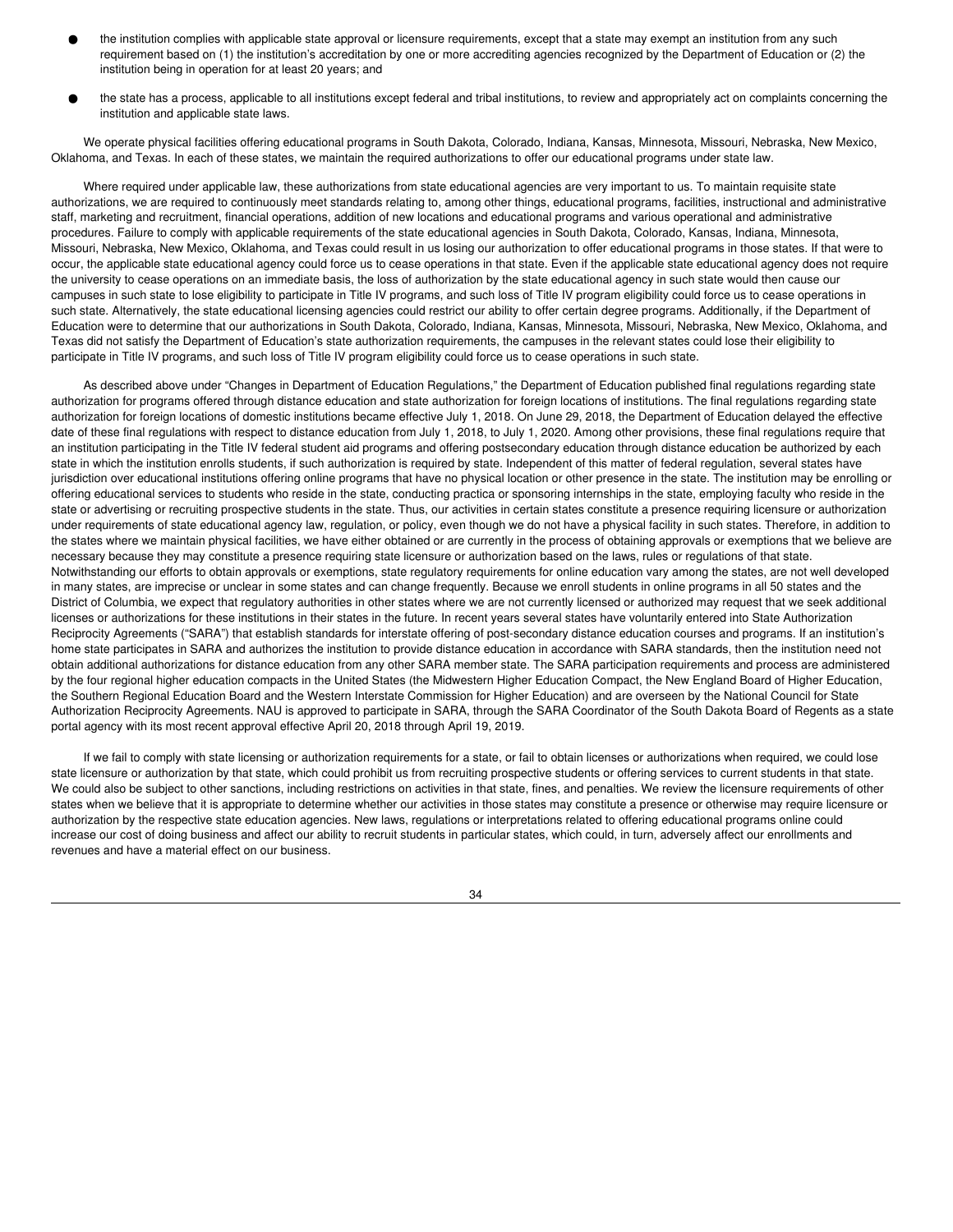- **●** the institution complies with applicable state approval or licensure requirements, except that a state may exempt an institution from any such requirement based on (1) the institution's accreditation by one or more accrediting agencies recognized by the Department of Education or (2) the institution being in operation for at least 20 years; and
- **●** the state has a process, applicable to all institutions except federal and tribal institutions, to review and appropriately act on complaints concerning the institution and applicable state laws.

We operate physical facilities offering educational programs in South Dakota, Colorado, Indiana, Kansas, Minnesota, Missouri, Nebraska, New Mexico, Oklahoma, and Texas. In each of these states, we maintain the required authorizations to offer our educational programs under state law.

Where required under applicable law, these authorizations from state educational agencies are very important to us. To maintain requisite state authorizations, we are required to continuously meet standards relating to, among other things, educational programs, facilities, instructional and administrative staff, marketing and recruitment, financial operations, addition of new locations and educational programs and various operational and administrative procedures. Failure to comply with applicable requirements of the state educational agencies in South Dakota, Colorado, Kansas, Indiana, Minnesota, Missouri, Nebraska, New Mexico, Oklahoma, and Texas could result in us losing our authorization to offer educational programs in those states. If that were to occur, the applicable state educational agency could force us to cease operations in that state. Even if the applicable state educational agency does not require the university to cease operations on an immediate basis, the loss of authorization by the state educational agency in such state would then cause our campuses in such state to lose eligibility to participate in Title IV programs, and such loss of Title IV program eligibility could force us to cease operations in such state. Alternatively, the state educational licensing agencies could restrict our ability to offer certain degree programs. Additionally, if the Department of Education were to determine that our authorizations in South Dakota, Colorado, Indiana, Kansas, Minnesota, Missouri, Nebraska, New Mexico, Oklahoma, and Texas did not satisfy the Department of Education's state authorization requirements, the campuses in the relevant states could lose their eligibility to participate in Title IV programs, and such loss of Title IV program eligibility could force us to cease operations in such state.

As described above under "Changes in Department of Education Regulations," the Department of Education published final regulations regarding state authorization for programs offered through distance education and state authorization for foreign locations of institutions. The final regulations regarding state authorization for foreign locations of domestic institutions became effective July 1, 2018. On June 29, 2018, the Department of Education delayed the effective date of these final regulations with respect to distance education from July 1, 2018, to July 1, 2020. Among other provisions, these final regulations require that an institution participating in the Title IV federal student aid programs and offering postsecondary education through distance education be authorized by each state in which the institution enrolls students, if such authorization is required by state. Independent of this matter of federal regulation, several states have jurisdiction over educational institutions offering online programs that have no physical location or other presence in the state. The institution may be enrolling or offering educational services to students who reside in the state, conducting practica or sponsoring internships in the state, employing faculty who reside in the state or advertising or recruiting prospective students in the state. Thus, our activities in certain states constitute a presence requiring licensure or authorization under requirements of state educational agency law, regulation, or policy, even though we do not have a physical facility in such states. Therefore, in addition to the states where we maintain physical facilities, we have either obtained or are currently in the process of obtaining approvals or exemptions that we believe are necessary because they may constitute a presence requiring state licensure or authorization based on the laws, rules or regulations of that state. Notwithstanding our efforts to obtain approvals or exemptions, state regulatory requirements for online education vary among the states, are not well developed in many states, are imprecise or unclear in some states and can change frequently. Because we enroll students in online programs in all 50 states and the District of Columbia, we expect that regulatory authorities in other states where we are not currently licensed or authorized may request that we seek additional licenses or authorizations for these institutions in their states in the future. In recent years several states have voluntarily entered into State Authorization Reciprocity Agreements ("SARA") that establish standards for interstate offering of post-secondary distance education courses and programs. If an institution's home state participates in SARA and authorizes the institution to provide distance education in accordance with SARA standards, then the institution need not obtain additional authorizations for distance education from any other SARA member state. The SARA participation requirements and process are administered by the four regional higher education compacts in the United States (the Midwestern Higher Education Compact, the New England Board of Higher Education, the Southern Regional Education Board and the Western Interstate Commission for Higher Education) and are overseen by the National Council for State Authorization Reciprocity Agreements. NAU is approved to participate in SARA, through the SARA Coordinator of the South Dakota Board of Regents as a state portal agency with its most recent approval effective April 20, 2018 through April 19, 2019.

If we fail to comply with state licensing or authorization requirements for a state, or fail to obtain licenses or authorizations when required, we could lose state licensure or authorization by that state, which could prohibit us from recruiting prospective students or offering services to current students in that state. We could also be subject to other sanctions, including restrictions on activities in that state, fines, and penalties. We review the licensure requirements of other states when we believe that it is appropriate to determine whether our activities in those states may constitute a presence or otherwise may require licensure or authorization by the respective state education agencies. New laws, regulations or interpretations related to offering educational programs online could increase our cost of doing business and affect our ability to recruit students in particular states, which could, in turn, adversely affect our enrollments and revenues and have a material effect on our business.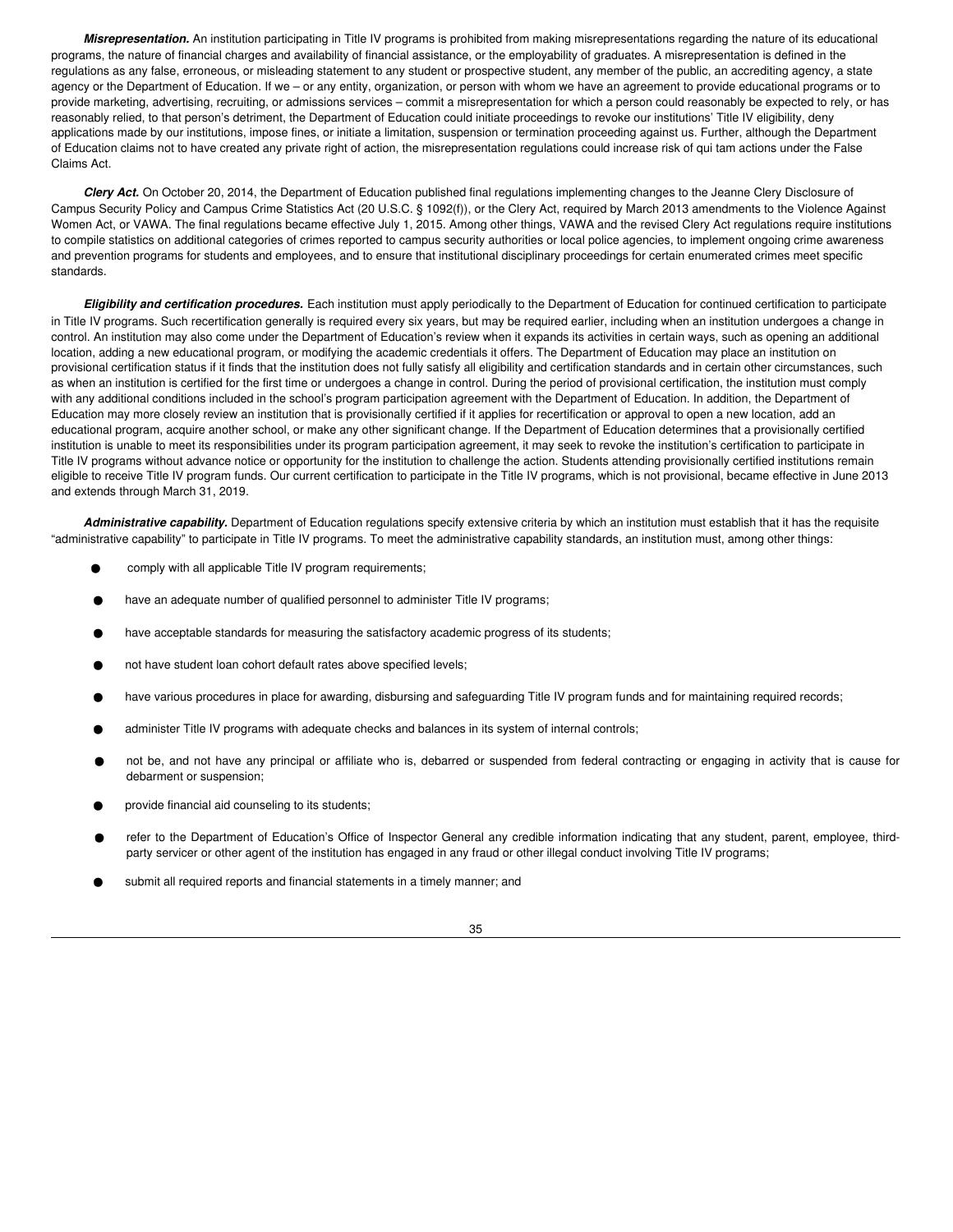*Misrepresentation.* An institution participating in Title IV programs is prohibited from making misrepresentations regarding the nature of its educational programs, the nature of financial charges and availability of financial assistance, or the employability of graduates. A misrepresentation is defined in the regulations as any false, erroneous, or misleading statement to any student or prospective student, any member of the public, an accrediting agency, a state agency or the Department of Education. If we – or any entity, organization, or person with whom we have an agreement to provide educational programs or to provide marketing, advertising, recruiting, or admissions services – commit a misrepresentation for which a person could reasonably be expected to rely, or has reasonably relied, to that person's detriment, the Department of Education could initiate proceedings to revoke our institutions' Title IV eligibility, deny applications made by our institutions, impose fines, or initiate a limitation, suspension or termination proceeding against us. Further, although the Department of Education claims not to have created any private right of action, the misrepresentation regulations could increase risk of qui tam actions under the False Claims Act.

*Clery Act.* On October 20, 2014, the Department of Education published final regulations implementing changes to the Jeanne Clery Disclosure of Campus Security Policy and Campus Crime Statistics Act (20 U.S.C. § 1092(f)), or the Clery Act, required by March 2013 amendments to the Violence Against Women Act, or VAWA. The final regulations became effective July 1, 2015. Among other things, VAWA and the revised Clery Act regulations require institutions to compile statistics on additional categories of crimes reported to campus security authorities or local police agencies, to implement ongoing crime awareness and prevention programs for students and employees, and to ensure that institutional disciplinary proceedings for certain enumerated crimes meet specific standards.

*Eligibility and certification procedures.* Each institution must apply periodically to the Department of Education for continued certification to participate in Title IV programs. Such recertification generally is required every six years, but may be required earlier, including when an institution undergoes a change in control. An institution may also come under the Department of Education's review when it expands its activities in certain ways, such as opening an additional location, adding a new educational program, or modifying the academic credentials it offers. The Department of Education may place an institution on provisional certification status if it finds that the institution does not fully satisfy all eligibility and certification standards and in certain other circumstances, such as when an institution is certified for the first time or undergoes a change in control. During the period of provisional certification, the institution must comply with any additional conditions included in the school's program participation agreement with the Department of Education. In addition, the Department of Education may more closely review an institution that is provisionally certified if it applies for recertification or approval to open a new location, add an educational program, acquire another school, or make any other significant change. If the Department of Education determines that a provisionally certified institution is unable to meet its responsibilities under its program participation agreement, it may seek to revoke the institution's certification to participate in Title IV programs without advance notice or opportunity for the institution to challenge the action. Students attending provisionally certified institutions remain eligible to receive Title IV program funds. Our current certification to participate in the Title IV programs, which is not provisional, became effective in June 2013 and extends through March 31, 2019.

*Administrative capability.* Department of Education regulations specify extensive criteria by which an institution must establish that it has the requisite "administrative capability" to participate in Title IV programs. To meet the administrative capability standards, an institution must, among other things:

- comply with all applicable Title IV program requirements;
- have an adequate number of qualified personnel to administer Title IV programs;
- have acceptable standards for measuring the satisfactory academic progress of its students;
- not have student loan cohort default rates above specified levels;
- have various procedures in place for awarding, disbursing and safeguarding Title IV program funds and for maintaining required records;
- administer Title IV programs with adequate checks and balances in its system of internal controls;
- **●** not be, and not have any principal or affiliate who is, debarred or suspended from federal contracting or engaging in activity that is cause for debarment or suspension;
- provide financial aid counseling to its students;
- refer to the Department of Education's Office of Inspector General any credible information indicating that any student, parent, employee, thirdparty servicer or other agent of the institution has engaged in any fraud or other illegal conduct involving Title IV programs;
- submit all required reports and financial statements in a timely manner; and

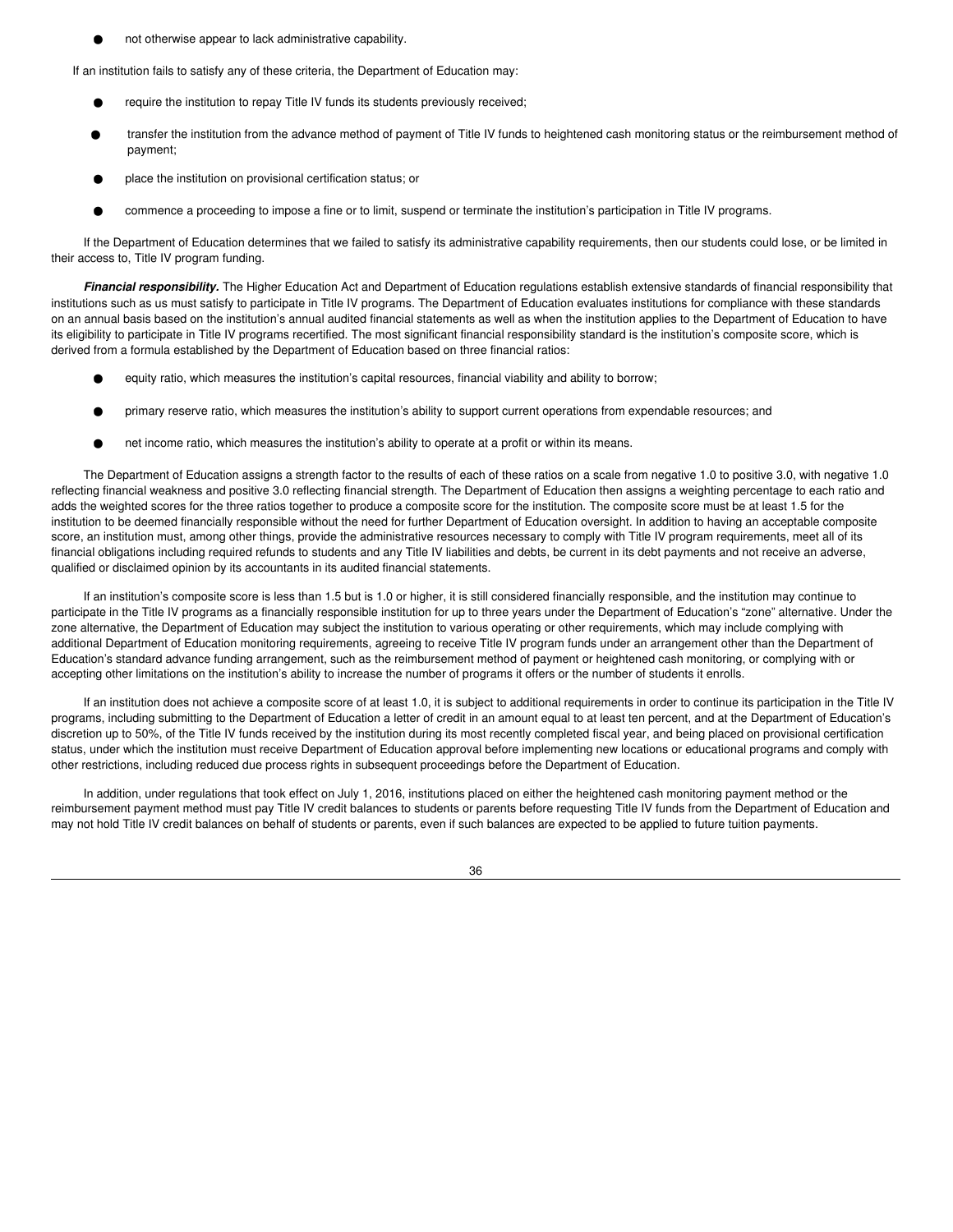**●** not otherwise appear to lack administrative capability.

If an institution fails to satisfy any of these criteria, the Department of Education may:

- require the institution to repay Title IV funds its students previously received;
- **●** transfer the institution from the advance method of payment of Title IV funds to heightened cash monitoring status or the reimbursement method of payment;
- **●** place the institution on provisional certification status; or
- **●** commence a proceeding to impose a fine or to limit, suspend or terminate the institution's participation in Title IV programs.

If the Department of Education determines that we failed to satisfy its administrative capability requirements, then our students could lose, or be limited in their access to, Title IV program funding.

*Financial responsibility.* The Higher Education Act and Department of Education regulations establish extensive standards of financial responsibility that institutions such as us must satisfy to participate in Title IV programs. The Department of Education evaluates institutions for compliance with these standards on an annual basis based on the institution's annual audited financial statements as well as when the institution applies to the Department of Education to have its eligibility to participate in Title IV programs recertified. The most significant financial responsibility standard is the institution's composite score, which is derived from a formula established by the Department of Education based on three financial ratios:

- equity ratio, which measures the institution's capital resources, financial viability and ability to borrow;
- **●** primary reserve ratio, which measures the institution's ability to support current operations from expendable resources; and
- **●** net income ratio, which measures the institution's ability to operate at a profit or within its means.

The Department of Education assigns a strength factor to the results of each of these ratios on a scale from negative 1.0 to positive 3.0, with negative 1.0 reflecting financial weakness and positive 3.0 reflecting financial strength. The Department of Education then assigns a weighting percentage to each ratio and adds the weighted scores for the three ratios together to produce a composite score for the institution. The composite score must be at least 1.5 for the institution to be deemed financially responsible without the need for further Department of Education oversight. In addition to having an acceptable composite score, an institution must, among other things, provide the administrative resources necessary to comply with Title IV program requirements, meet all of its financial obligations including required refunds to students and any Title IV liabilities and debts, be current in its debt payments and not receive an adverse, qualified or disclaimed opinion by its accountants in its audited financial statements.

If an institution's composite score is less than 1.5 but is 1.0 or higher, it is still considered financially responsible, and the institution may continue to participate in the Title IV programs as a financially responsible institution for up to three years under the Department of Education's "zone" alternative. Under the zone alternative, the Department of Education may subject the institution to various operating or other requirements, which may include complying with additional Department of Education monitoring requirements, agreeing to receive Title IV program funds under an arrangement other than the Department of Education's standard advance funding arrangement, such as the reimbursement method of payment or heightened cash monitoring, or complying with or accepting other limitations on the institution's ability to increase the number of programs it offers or the number of students it enrolls.

If an institution does not achieve a composite score of at least 1.0, it is subject to additional requirements in order to continue its participation in the Title IV programs, including submitting to the Department of Education a letter of credit in an amount equal to at least ten percent, and at the Department of Education's discretion up to 50%, of the Title IV funds received by the institution during its most recently completed fiscal year, and being placed on provisional certification status, under which the institution must receive Department of Education approval before implementing new locations or educational programs and comply with other restrictions, including reduced due process rights in subsequent proceedings before the Department of Education.

In addition, under regulations that took effect on July 1, 2016, institutions placed on either the heightened cash monitoring payment method or the reimbursement payment method must pay Title IV credit balances to students or parents before requesting Title IV funds from the Department of Education and may not hold Title IV credit balances on behalf of students or parents, even if such balances are expected to be applied to future tuition payments.

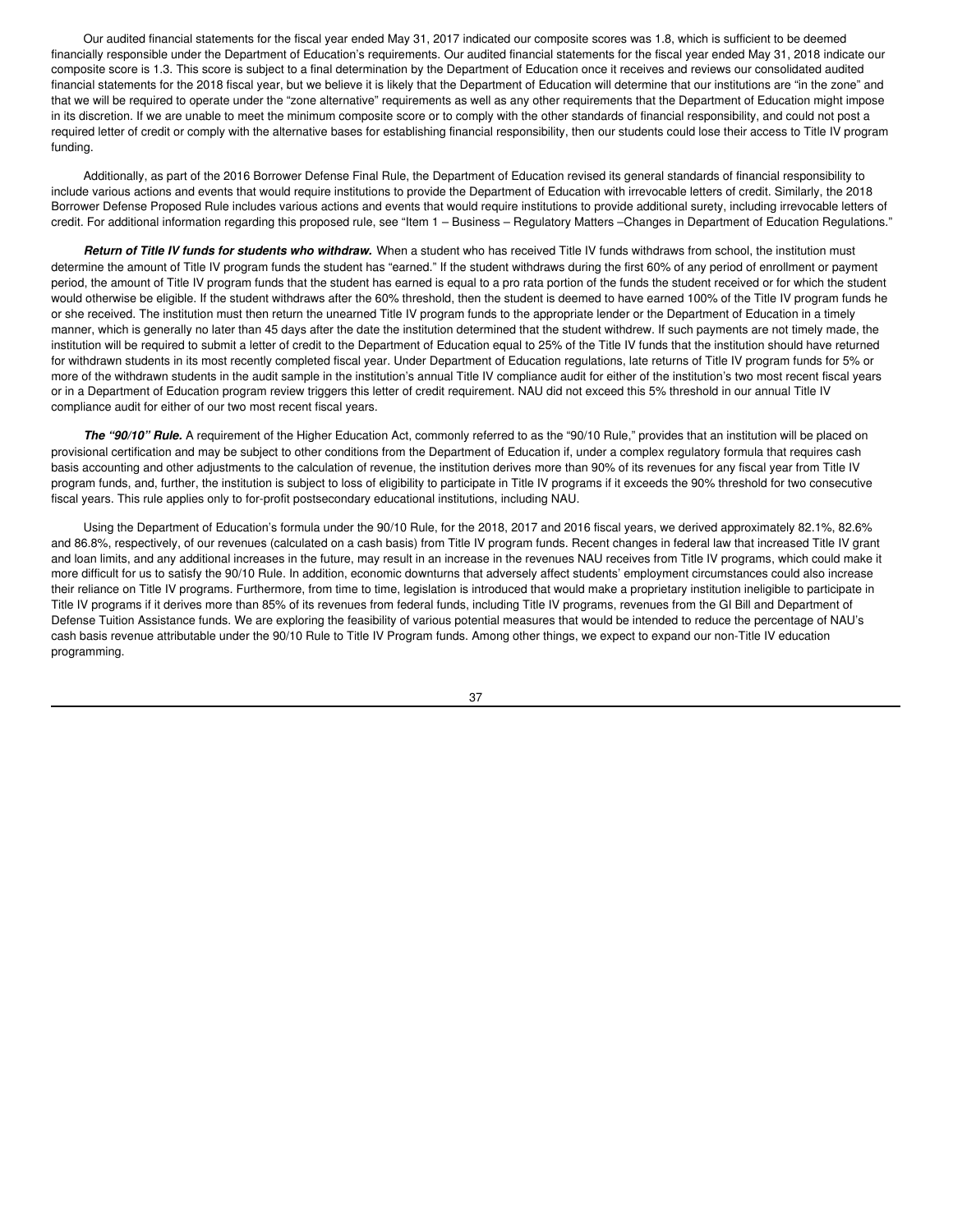Our audited financial statements for the fiscal year ended May 31, 2017 indicated our composite scores was 1.8, which is sufficient to be deemed financially responsible under the Department of Education's requirements. Our audited financial statements for the fiscal year ended May 31, 2018 indicate our composite score is 1.3. This score is subject to a final determination by the Department of Education once it receives and reviews our consolidated audited financial statements for the 2018 fiscal year, but we believe it is likely that the Department of Education will determine that our institutions are "in the zone" and that we will be required to operate under the "zone alternative" requirements as well as any other requirements that the Department of Education might impose in its discretion. If we are unable to meet the minimum composite score or to comply with the other standards of financial responsibility, and could not post a required letter of credit or comply with the alternative bases for establishing financial responsibility, then our students could lose their access to Title IV program funding.

Additionally, as part of the 2016 Borrower Defense Final Rule, the Department of Education revised its general standards of financial responsibility to include various actions and events that would require institutions to provide the Department of Education with irrevocable letters of credit. Similarly, the 2018 Borrower Defense Proposed Rule includes various actions and events that would require institutions to provide additional surety, including irrevocable letters of credit. For additional information regarding this proposed rule, see "Item 1 – Business – Regulatory Matters –Changes in Department of Education Regulations."

*Return of Title IV funds for students who withdraw.* When a student who has received Title IV funds withdraws from school, the institution must determine the amount of Title IV program funds the student has "earned." If the student withdraws during the first 60% of any period of enrollment or payment period, the amount of Title IV program funds that the student has earned is equal to a pro rata portion of the funds the student received or for which the student would otherwise be eligible. If the student withdraws after the 60% threshold, then the student is deemed to have earned 100% of the Title IV program funds he or she received. The institution must then return the unearned Title IV program funds to the appropriate lender or the Department of Education in a timely manner, which is generally no later than 45 days after the date the institution determined that the student withdrew. If such payments are not timely made, the institution will be required to submit a letter of credit to the Department of Education equal to 25% of the Title IV funds that the institution should have returned for withdrawn students in its most recently completed fiscal year. Under Department of Education regulations, late returns of Title IV program funds for 5% or more of the withdrawn students in the audit sample in the institution's annual Title IV compliance audit for either of the institution's two most recent fiscal years or in a Department of Education program review triggers this letter of credit requirement. NAU did not exceed this 5% threshold in our annual Title IV compliance audit for either of our two most recent fiscal years.

*The "90/10" Rule.* A requirement of the Higher Education Act, commonly referred to as the "90/10 Rule," provides that an institution will be placed on provisional certification and may be subject to other conditions from the Department of Education if, under a complex regulatory formula that requires cash basis accounting and other adjustments to the calculation of revenue, the institution derives more than 90% of its revenues for any fiscal year from Title IV program funds, and, further, the institution is subject to loss of eligibility to participate in Title IV programs if it exceeds the 90% threshold for two consecutive fiscal years. This rule applies only to for-profit postsecondary educational institutions, including NAU.

Using the Department of Education's formula under the 90/10 Rule, for the 2018, 2017 and 2016 fiscal years, we derived approximately 82.1%, 82.6% and 86.8%, respectively, of our revenues (calculated on a cash basis) from Title IV program funds. Recent changes in federal law that increased Title IV grant and loan limits, and any additional increases in the future, may result in an increase in the revenues NAU receives from Title IV programs, which could make it more difficult for us to satisfy the 90/10 Rule. In addition, economic downturns that adversely affect students' employment circumstances could also increase their reliance on Title IV programs. Furthermore, from time to time, legislation is introduced that would make a proprietary institution ineligible to participate in Title IV programs if it derives more than 85% of its revenues from federal funds, including Title IV programs, revenues from the GI Bill and Department of Defense Tuition Assistance funds. We are exploring the feasibility of various potential measures that would be intended to reduce the percentage of NAU's cash basis revenue attributable under the 90/10 Rule to Title IV Program funds. Among other things, we expect to expand our non-Title IV education programming.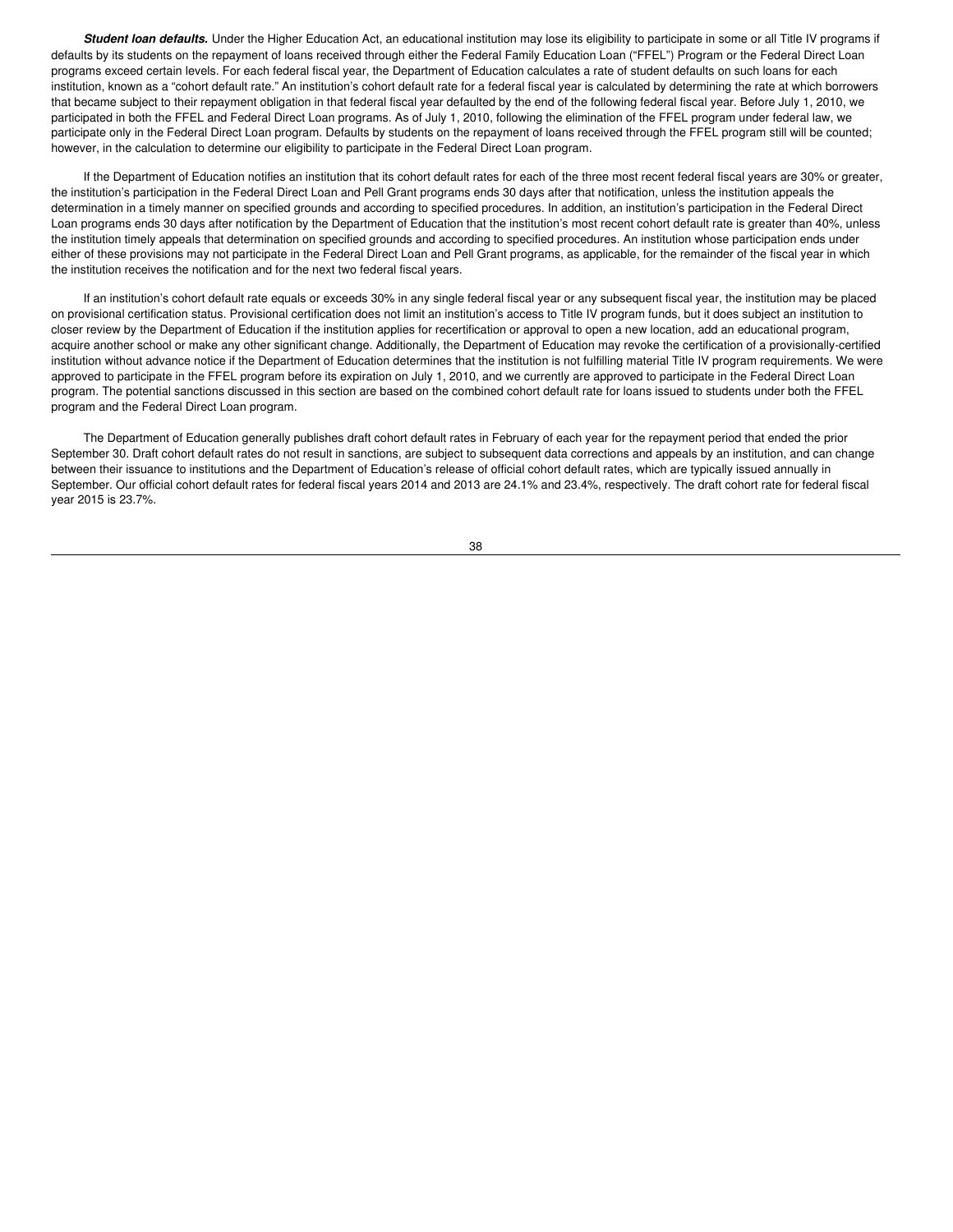*Student loan defaults.* Under the Higher Education Act, an educational institution may lose its eligibility to participate in some or all Title IV programs if defaults by its students on the repayment of loans received through either the Federal Family Education Loan ("FFEL") Program or the Federal Direct Loan programs exceed certain levels. For each federal fiscal year, the Department of Education calculates a rate of student defaults on such loans for each institution, known as a "cohort default rate." An institution's cohort default rate for a federal fiscal year is calculated by determining the rate at which borrowers that became subject to their repayment obligation in that federal fiscal year defaulted by the end of the following federal fiscal year. Before July 1, 2010, we participated in both the FFEL and Federal Direct Loan programs. As of July 1, 2010, following the elimination of the FFEL program under federal law, we participate only in the Federal Direct Loan program. Defaults by students on the repayment of loans received through the FFEL program still will be counted; however, in the calculation to determine our eligibility to participate in the Federal Direct Loan program.

If the Department of Education notifies an institution that its cohort default rates for each of the three most recent federal fiscal years are 30% or greater, the institution's participation in the Federal Direct Loan and Pell Grant programs ends 30 days after that notification, unless the institution appeals the determination in a timely manner on specified grounds and according to specified procedures. In addition, an institution's participation in the Federal Direct Loan programs ends 30 days after notification by the Department of Education that the institution's most recent cohort default rate is greater than 40%, unless the institution timely appeals that determination on specified grounds and according to specified procedures. An institution whose participation ends under either of these provisions may not participate in the Federal Direct Loan and Pell Grant programs, as applicable, for the remainder of the fiscal year in which the institution receives the notification and for the next two federal fiscal years.

If an institution's cohort default rate equals or exceeds 30% in any single federal fiscal year or any subsequent fiscal year, the institution may be placed on provisional certification status. Provisional certification does not limit an institution's access to Title IV program funds, but it does subject an institution to closer review by the Department of Education if the institution applies for recertification or approval to open a new location, add an educational program, acquire another school or make any other significant change. Additionally, the Department of Education may revoke the certification of a provisionally-certified institution without advance notice if the Department of Education determines that the institution is not fulfilling material Title IV program requirements. We were approved to participate in the FFEL program before its expiration on July 1, 2010, and we currently are approved to participate in the Federal Direct Loan program. The potential sanctions discussed in this section are based on the combined cohort default rate for loans issued to students under both the FFEL program and the Federal Direct Loan program.

The Department of Education generally publishes draft cohort default rates in February of each year for the repayment period that ended the prior September 30. Draft cohort default rates do not result in sanctions, are subject to subsequent data corrections and appeals by an institution, and can change between their issuance to institutions and the Department of Education's release of official cohort default rates, which are typically issued annually in September. Our official cohort default rates for federal fiscal years 2014 and 2013 are 24.1% and 23.4%, respectively. The draft cohort rate for federal fiscal year 2015 is 23.7%.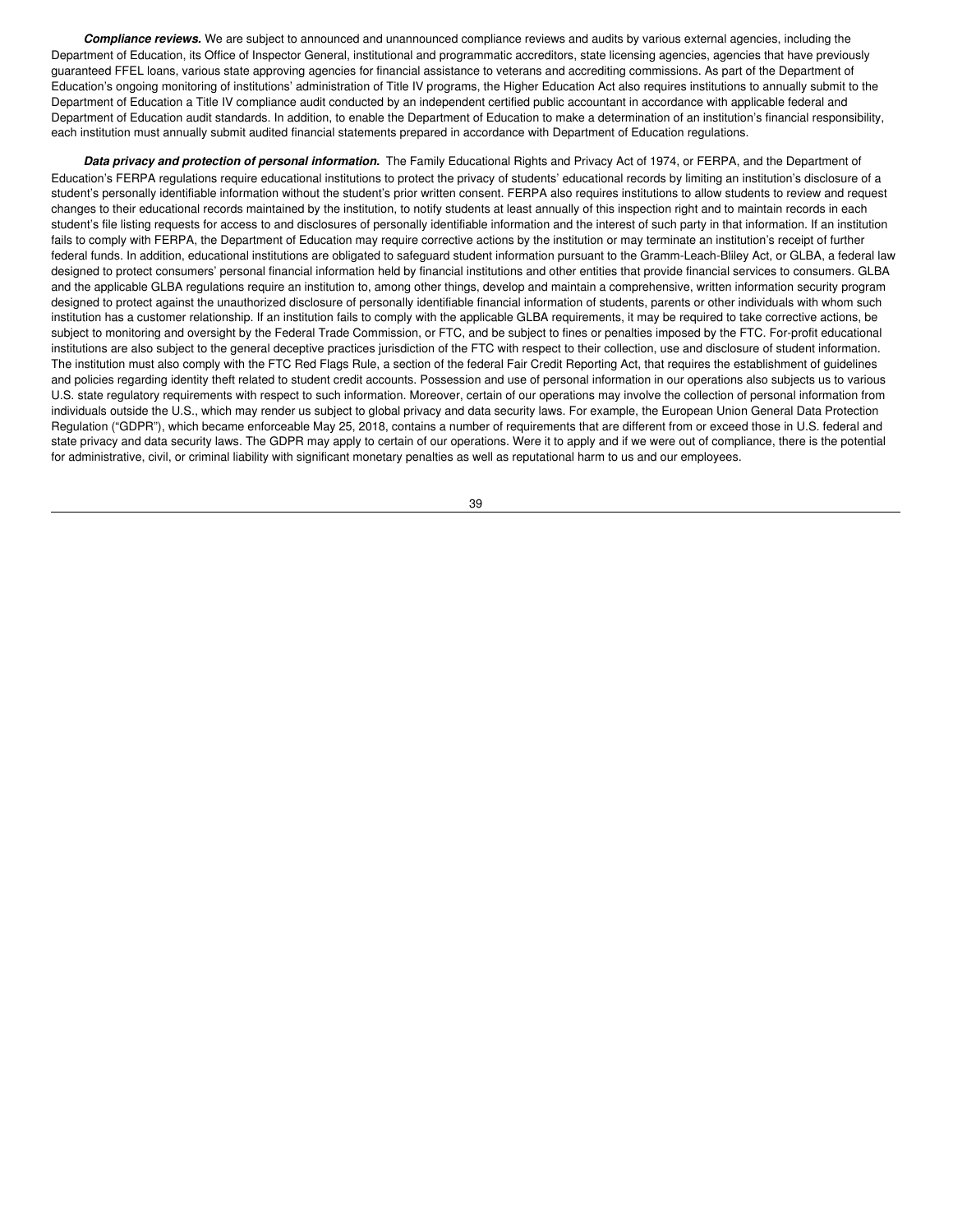*Compliance reviews.* We are subject to announced and unannounced compliance reviews and audits by various external agencies, including the Department of Education, its Office of Inspector General, institutional and programmatic accreditors, state licensing agencies, agencies that have previously guaranteed FFEL loans, various state approving agencies for financial assistance to veterans and accrediting commissions. As part of the Department of Education's ongoing monitoring of institutions' administration of Title IV programs, the Higher Education Act also requires institutions to annually submit to the Department of Education a Title IV compliance audit conducted by an independent certified public accountant in accordance with applicable federal and Department of Education audit standards. In addition, to enable the Department of Education to make a determination of an institution's financial responsibility, each institution must annually submit audited financial statements prepared in accordance with Department of Education regulations.

*Data privacy and protection of personal information.* The Family Educational Rights and Privacy Act of 1974, or FERPA, and the Department of Education's FERPA regulations require educational institutions to protect the privacy of students' educational records by limiting an institution's disclosure of a student's personally identifiable information without the student's prior written consent. FERPA also requires institutions to allow students to review and request changes to their educational records maintained by the institution, to notify students at least annually of this inspection right and to maintain records in each student's file listing requests for access to and disclosures of personally identifiable information and the interest of such party in that information. If an institution fails to comply with FERPA, the Department of Education may require corrective actions by the institution or may terminate an institution's receipt of further federal funds. In addition, educational institutions are obligated to safeguard student information pursuant to the Gramm-Leach-Bliley Act, or GLBA, a federal law designed to protect consumers' personal financial information held by financial institutions and other entities that provide financial services to consumers. GLBA and the applicable GLBA regulations require an institution to, among other things, develop and maintain a comprehensive, written information security program designed to protect against the unauthorized disclosure of personally identifiable financial information of students, parents or other individuals with whom such institution has a customer relationship. If an institution fails to comply with the applicable GLBA requirements, it may be required to take corrective actions, be subject to monitoring and oversight by the Federal Trade Commission, or FTC, and be subject to fines or penalties imposed by the FTC. For-profit educational institutions are also subject to the general deceptive practices jurisdiction of the FTC with respect to their collection, use and disclosure of student information. The institution must also comply with the FTC Red Flags Rule, a section of the federal Fair Credit Reporting Act, that requires the establishment of guidelines and policies regarding identity theft related to student credit accounts. Possession and use of personal information in our operations also subjects us to various U.S. state regulatory requirements with respect to such information. Moreover, certain of our operations may involve the collection of personal information from individuals outside the U.S., which may render us subject to global privacy and data security laws. For example, the European Union General Data Protection Regulation ("GDPR"), which became enforceable May 25, 2018, contains a number of requirements that are different from or exceed those in U.S. federal and state privacy and data security laws. The GDPR may apply to certain of our operations. Were it to apply and if we were out of compliance, there is the potential for administrative, civil, or criminal liability with significant monetary penalties as well as reputational harm to us and our employees.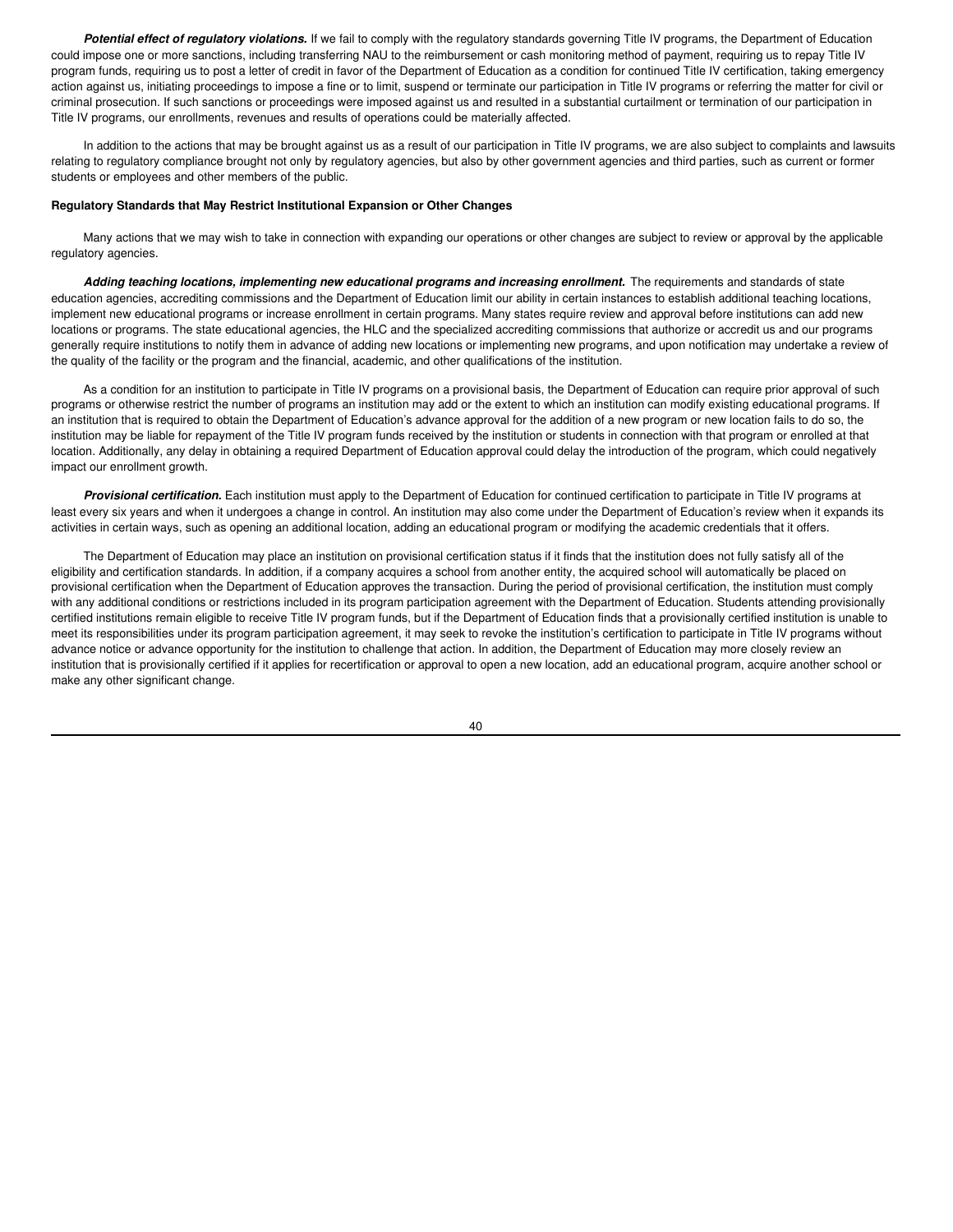*Potential effect of regulatory violations.* If we fail to comply with the regulatory standards governing Title IV programs, the Department of Education could impose one or more sanctions, including transferring NAU to the reimbursement or cash monitoring method of payment, requiring us to repay Title IV program funds, requiring us to post a letter of credit in favor of the Department of Education as a condition for continued Title IV certification, taking emergency action against us, initiating proceedings to impose a fine or to limit, suspend or terminate our participation in Title IV programs or referring the matter for civil or criminal prosecution. If such sanctions or proceedings were imposed against us and resulted in a substantial curtailment or termination of our participation in Title IV programs, our enrollments, revenues and results of operations could be materially affected.

In addition to the actions that may be brought against us as a result of our participation in Title IV programs, we are also subject to complaints and lawsuits relating to regulatory compliance brought not only by regulatory agencies, but also by other government agencies and third parties, such as current or former students or employees and other members of the public.

## **Regulatory Standards that May Restrict Institutional Expansion or Other Changes**

Many actions that we may wish to take in connection with expanding our operations or other changes are subject to review or approval by the applicable regulatory agencies.

*Adding teaching locations, implementing new educational programs and increasing enrollment.* The requirements and standards of state education agencies, accrediting commissions and the Department of Education limit our ability in certain instances to establish additional teaching locations, implement new educational programs or increase enrollment in certain programs. Many states require review and approval before institutions can add new locations or programs. The state educational agencies, the HLC and the specialized accrediting commissions that authorize or accredit us and our programs generally require institutions to notify them in advance of adding new locations or implementing new programs, and upon notification may undertake a review of the quality of the facility or the program and the financial, academic, and other qualifications of the institution.

As a condition for an institution to participate in Title IV programs on a provisional basis, the Department of Education can require prior approval of such programs or otherwise restrict the number of programs an institution may add or the extent to which an institution can modify existing educational programs. If an institution that is required to obtain the Department of Education's advance approval for the addition of a new program or new location fails to do so, the institution may be liable for repayment of the Title IV program funds received by the institution or students in connection with that program or enrolled at that location. Additionally, any delay in obtaining a required Department of Education approval could delay the introduction of the program, which could negatively impact our enrollment growth.

*Provisional certification.* Each institution must apply to the Department of Education for continued certification to participate in Title IV programs at least every six years and when it undergoes a change in control. An institution may also come under the Department of Education's review when it expands its activities in certain ways, such as opening an additional location, adding an educational program or modifying the academic credentials that it offers.

The Department of Education may place an institution on provisional certification status if it finds that the institution does not fully satisfy all of the eligibility and certification standards. In addition, if a company acquires a school from another entity, the acquired school will automatically be placed on provisional certification when the Department of Education approves the transaction. During the period of provisional certification, the institution must comply with any additional conditions or restrictions included in its program participation agreement with the Department of Education. Students attending provisionally certified institutions remain eligible to receive Title IV program funds, but if the Department of Education finds that a provisionally certified institution is unable to meet its responsibilities under its program participation agreement, it may seek to revoke the institution's certification to participate in Title IV programs without advance notice or advance opportunity for the institution to challenge that action. In addition, the Department of Education may more closely review an institution that is provisionally certified if it applies for recertification or approval to open a new location, add an educational program, acquire another school or make any other significant change.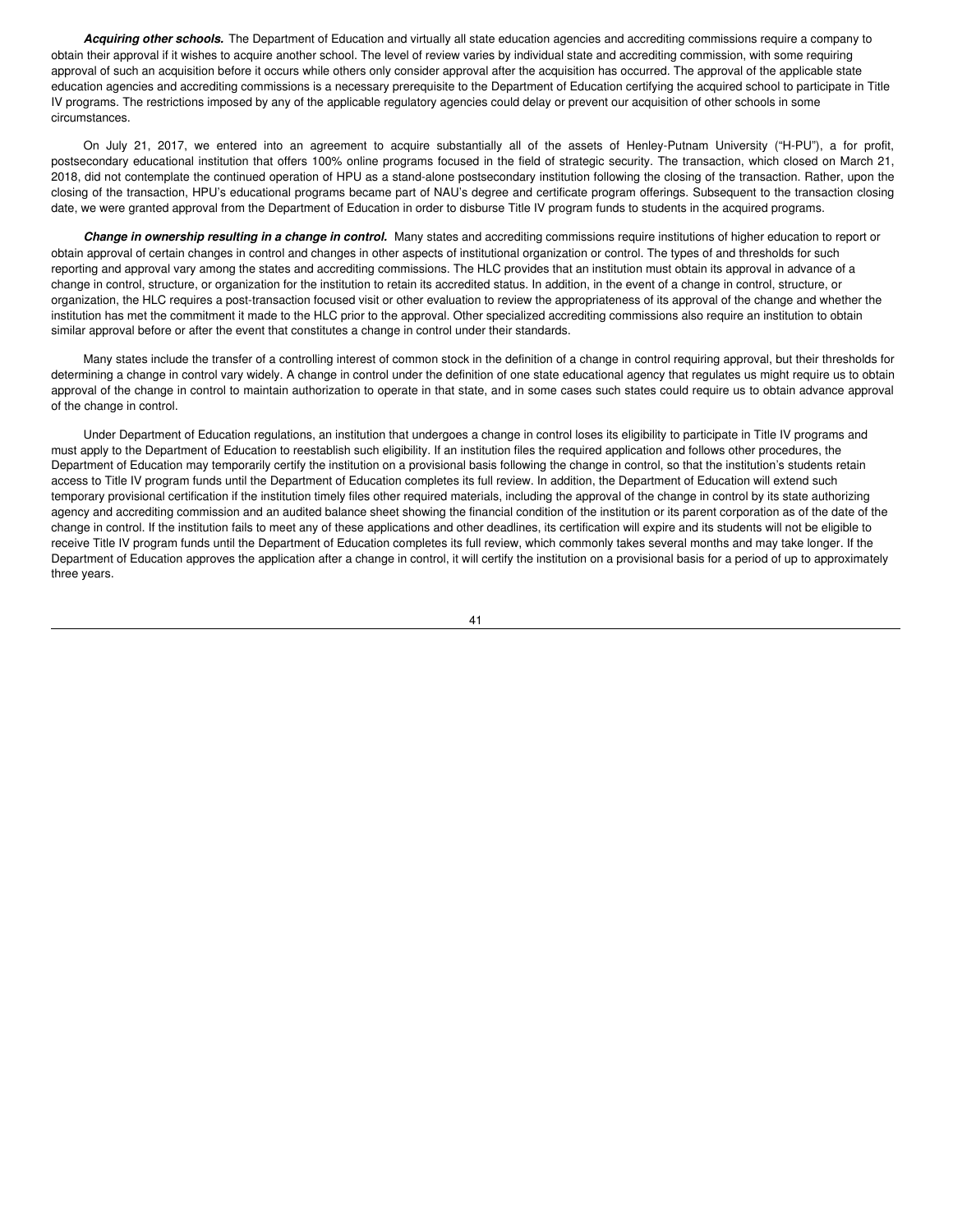*Acquiring other schools.* The Department of Education and virtually all state education agencies and accrediting commissions require a company to obtain their approval if it wishes to acquire another school. The level of review varies by individual state and accrediting commission, with some requiring approval of such an acquisition before it occurs while others only consider approval after the acquisition has occurred. The approval of the applicable state education agencies and accrediting commissions is a necessary prerequisite to the Department of Education certifying the acquired school to participate in Title IV programs. The restrictions imposed by any of the applicable regulatory agencies could delay or prevent our acquisition of other schools in some circumstances.

On July 21, 2017, we entered into an agreement to acquire substantially all of the assets of Henley-Putnam University ("H-PU"), a for profit, postsecondary educational institution that offers 100% online programs focused in the field of strategic security. The transaction, which closed on March 21, 2018, did not contemplate the continued operation of HPU as a stand-alone postsecondary institution following the closing of the transaction. Rather, upon the closing of the transaction, HPU's educational programs became part of NAU's degree and certificate program offerings. Subsequent to the transaction closing date, we were granted approval from the Department of Education in order to disburse Title IV program funds to students in the acquired programs.

*Change in ownership resulting in a change in control.* Many states and accrediting commissions require institutions of higher education to report or obtain approval of certain changes in control and changes in other aspects of institutional organization or control. The types of and thresholds for such reporting and approval vary among the states and accrediting commissions. The HLC provides that an institution must obtain its approval in advance of a change in control, structure, or organization for the institution to retain its accredited status. In addition, in the event of a change in control, structure, or organization, the HLC requires a post-transaction focused visit or other evaluation to review the appropriateness of its approval of the change and whether the institution has met the commitment it made to the HLC prior to the approval. Other specialized accrediting commissions also require an institution to obtain similar approval before or after the event that constitutes a change in control under their standards.

Many states include the transfer of a controlling interest of common stock in the definition of a change in control requiring approval, but their thresholds for determining a change in control vary widely. A change in control under the definition of one state educational agency that regulates us might require us to obtain approval of the change in control to maintain authorization to operate in that state, and in some cases such states could require us to obtain advance approval of the change in control.

Under Department of Education regulations, an institution that undergoes a change in control loses its eligibility to participate in Title IV programs and must apply to the Department of Education to reestablish such eligibility. If an institution files the required application and follows other procedures, the Department of Education may temporarily certify the institution on a provisional basis following the change in control, so that the institution's students retain access to Title IV program funds until the Department of Education completes its full review. In addition, the Department of Education will extend such temporary provisional certification if the institution timely files other required materials, including the approval of the change in control by its state authorizing agency and accrediting commission and an audited balance sheet showing the financial condition of the institution or its parent corporation as of the date of the change in control. If the institution fails to meet any of these applications and other deadlines, its certification will expire and its students will not be eligible to receive Title IV program funds until the Department of Education completes its full review, which commonly takes several months and may take longer. If the Department of Education approves the application after a change in control, it will certify the institution on a provisional basis for a period of up to approximately three years.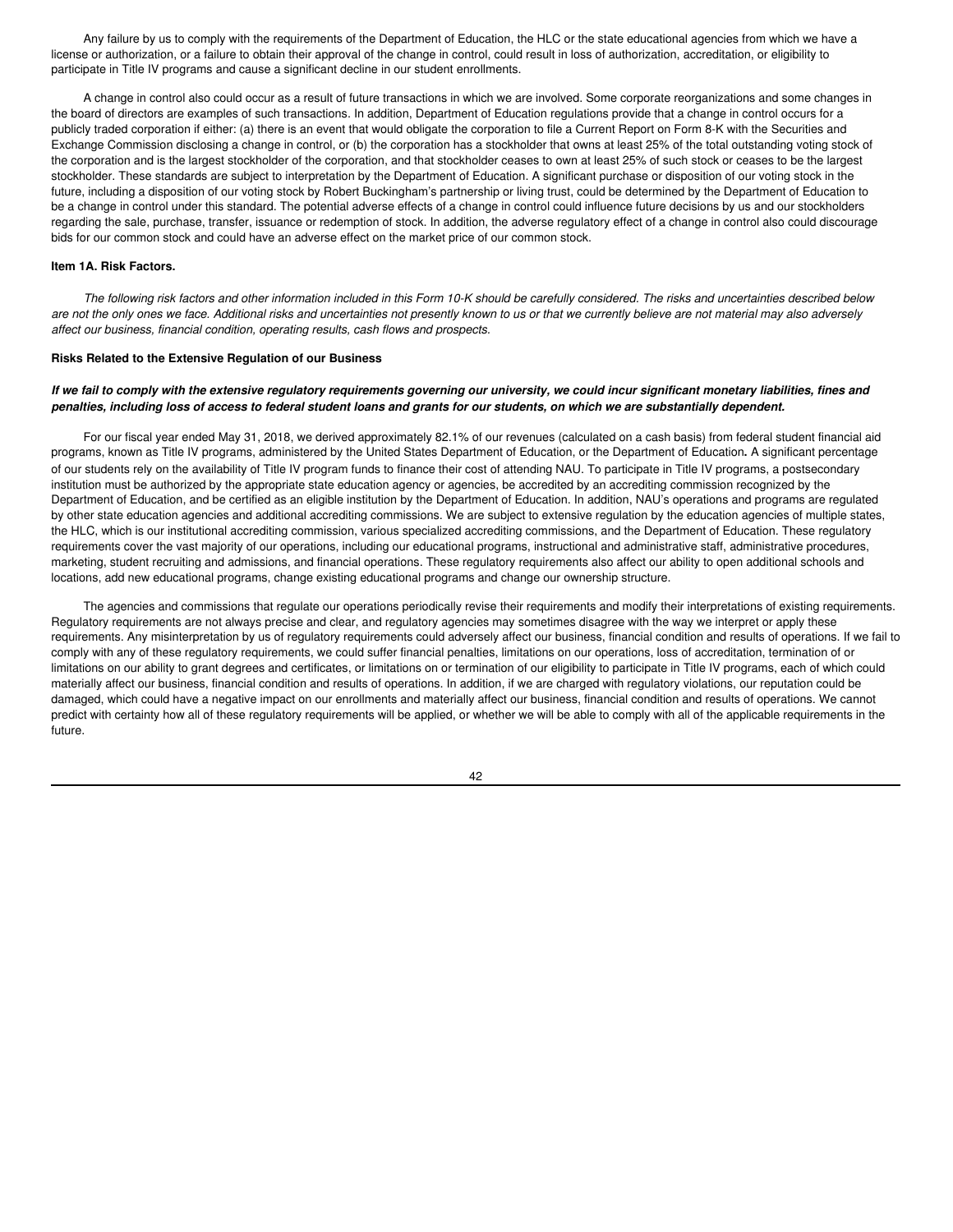Any failure by us to comply with the requirements of the Department of Education, the HLC or the state educational agencies from which we have a license or authorization, or a failure to obtain their approval of the change in control, could result in loss of authorization, accreditation, or eligibility to participate in Title IV programs and cause a significant decline in our student enrollments.

A change in control also could occur as a result of future transactions in which we are involved. Some corporate reorganizations and some changes in the board of directors are examples of such transactions. In addition, Department of Education regulations provide that a change in control occurs for a publicly traded corporation if either: (a) there is an event that would obligate the corporation to file a Current Report on Form 8-K with the Securities and Exchange Commission disclosing a change in control, or (b) the corporation has a stockholder that owns at least 25% of the total outstanding voting stock of the corporation and is the largest stockholder of the corporation, and that stockholder ceases to own at least 25% of such stock or ceases to be the largest stockholder. These standards are subject to interpretation by the Department of Education. A significant purchase or disposition of our voting stock in the future, including a disposition of our voting stock by Robert Buckingham's partnership or living trust, could be determined by the Department of Education to be a change in control under this standard. The potential adverse effects of a change in control could influence future decisions by us and our stockholders regarding the sale, purchase, transfer, issuance or redemption of stock. In addition, the adverse regulatory effect of a change in control also could discourage bids for our common stock and could have an adverse effect on the market price of our common stock.

### **Item 1A. Risk Factors.**

The following risk factors and other information included in this Form 10-K should be carefully considered. The risks and uncertainties described below are not the only ones we face. Additional risks and uncertainties not presently known to us or that we currently believe are not material may also adversely *affect our business, financial condition, operating results, cash flows and prospects.*

### **Risks Related to the Extensive Regulation of our Business**

# If we fail to comply with the extensive regulatory requirements governing our university, we could incur significant monetary liabilities, fines and penalties, including loss of access to federal student loans and grants for our students, on which we are substantially dependent.

For our fiscal year ended May 31, 2018, we derived approximately 82.1% of our revenues (calculated on a cash basis) from federal student financial aid programs, known as Title IV programs, administered by the United States Department of Education, or the Department of Education**.** A significant percentage of our students rely on the availability of Title IV program funds to finance their cost of attending NAU. To participate in Title IV programs, a postsecondary institution must be authorized by the appropriate state education agency or agencies, be accredited by an accrediting commission recognized by the Department of Education, and be certified as an eligible institution by the Department of Education. In addition, NAU's operations and programs are regulated by other state education agencies and additional accrediting commissions. We are subject to extensive regulation by the education agencies of multiple states, the HLC, which is our institutional accrediting commission, various specialized accrediting commissions, and the Department of Education. These regulatory requirements cover the vast majority of our operations, including our educational programs, instructional and administrative staff, administrative procedures, marketing, student recruiting and admissions, and financial operations. These regulatory requirements also affect our ability to open additional schools and locations, add new educational programs, change existing educational programs and change our ownership structure.

The agencies and commissions that regulate our operations periodically revise their requirements and modify their interpretations of existing requirements. Regulatory requirements are not always precise and clear, and regulatory agencies may sometimes disagree with the way we interpret or apply these requirements. Any misinterpretation by us of requiatory requirements could adversely affect our business, financial condition and results of operations. If we fail to comply with any of these regulatory requirements, we could suffer financial penalties, limitations on our operations, loss of accreditation, termination of or limitations on our ability to grant degrees and certificates, or limitations on or termination of our eligibility to participate in Title IV programs, each of which could materially affect our business, financial condition and results of operations. In addition, if we are charged with regulatory violations, our reputation could be damaged, which could have a negative impact on our enrollments and materially affect our business, financial condition and results of operations. We cannot predict with certainty how all of these regulatory requirements will be applied, or whether we will be able to comply with all of the applicable requirements in the future.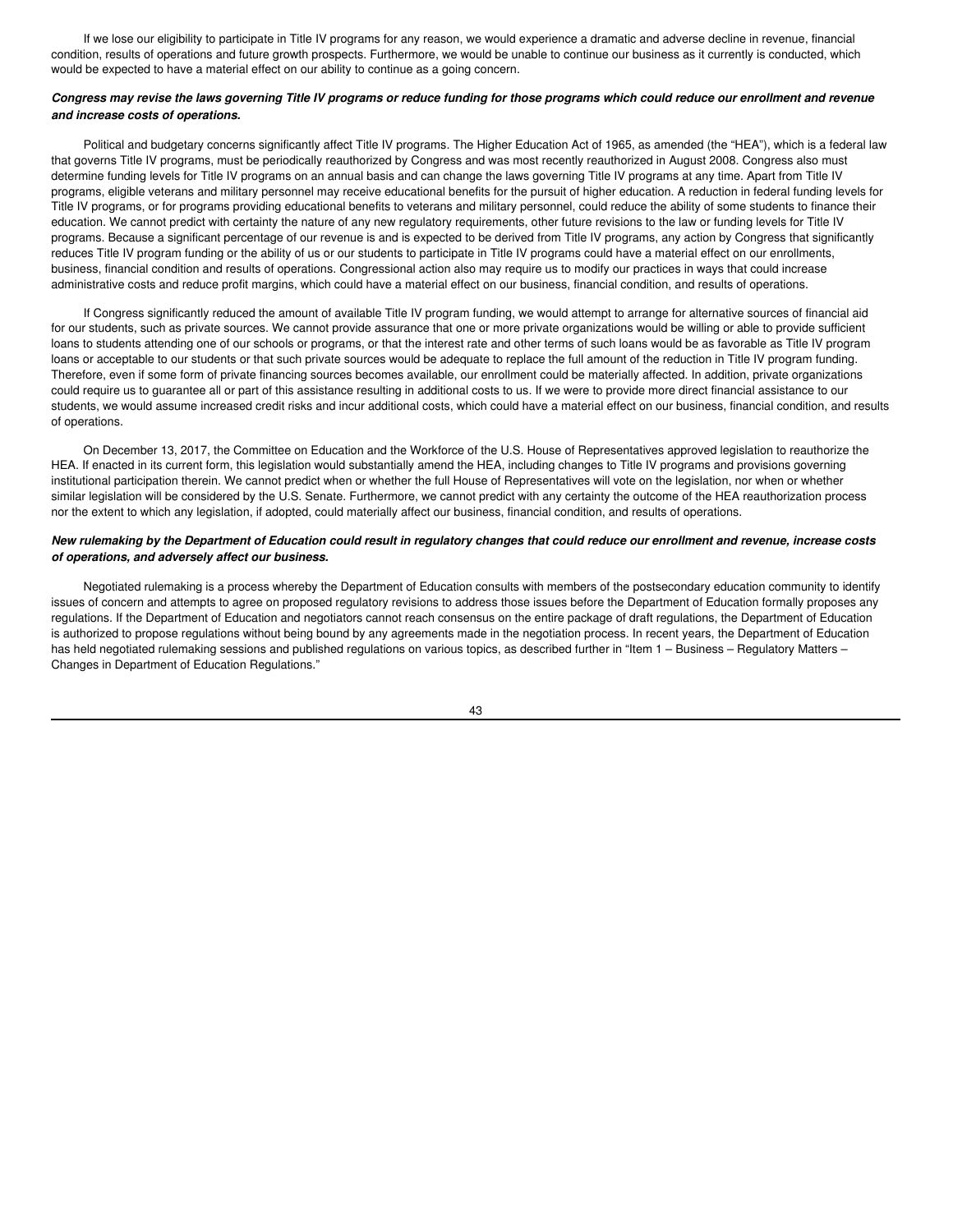If we lose our eligibility to participate in Title IV programs for any reason, we would experience a dramatic and adverse decline in revenue, financial condition, results of operations and future growth prospects. Furthermore, we would be unable to continue our business as it currently is conducted, which would be expected to have a material effect on our ability to continue as a going concern.

# Congress may revise the laws governing Title IV programs or reduce funding for those programs which could reduce our enrollment and revenue *and increase costs of operations.*

Political and budgetary concerns significantly affect Title IV programs. The Higher Education Act of 1965, as amended (the "HEA"), which is a federal law that governs Title IV programs, must be periodically reauthorized by Congress and was most recently reauthorized in August 2008. Congress also must determine funding levels for Title IV programs on an annual basis and can change the laws governing Title IV programs at any time. Apart from Title IV programs, eligible veterans and military personnel may receive educational benefits for the pursuit of higher education. A reduction in federal funding levels for Title IV programs, or for programs providing educational benefits to veterans and military personnel, could reduce the ability of some students to finance their education. We cannot predict with certainty the nature of any new regulatory requirements, other future revisions to the law or funding levels for Title IV programs. Because a significant percentage of our revenue is and is expected to be derived from Title IV programs, any action by Congress that significantly reduces Title IV program funding or the ability of us or our students to participate in Title IV programs could have a material effect on our enrollments, business, financial condition and results of operations. Congressional action also may require us to modify our practices in ways that could increase administrative costs and reduce profit margins, which could have a material effect on our business, financial condition, and results of operations.

If Congress significantly reduced the amount of available Title IV program funding, we would attempt to arrange for alternative sources of financial aid for our students, such as private sources. We cannot provide assurance that one or more private organizations would be willing or able to provide sufficient loans to students attending one of our schools or programs, or that the interest rate and other terms of such loans would be as favorable as Title IV program loans or acceptable to our students or that such private sources would be adequate to replace the full amount of the reduction in Title IV program funding. Therefore, even if some form of private financing sources becomes available, our enrollment could be materially affected. In addition, private organizations could require us to guarantee all or part of this assistance resulting in additional costs to us. If we were to provide more direct financial assistance to our students, we would assume increased credit risks and incur additional costs, which could have a material effect on our business, financial condition, and results of operations.

On December 13, 2017, the Committee on Education and the Workforce of the U.S. House of Representatives approved legislation to reauthorize the HEA. If enacted in its current form, this legislation would substantially amend the HEA, including changes to Title IV programs and provisions governing institutional participation therein. We cannot predict when or whether the full House of Representatives will vote on the legislation, nor when or whether similar legislation will be considered by the U.S. Senate. Furthermore, we cannot predict with any certainty the outcome of the HEA reauthorization process nor the extent to which any legislation, if adopted, could materially affect our business, financial condition, and results of operations.

## New rulemaking by the Department of Education could result in regulatory changes that could reduce our enrollment and revenue, increase costs *of operations, and adversely affect our business.*

Negotiated rulemaking is a process whereby the Department of Education consults with members of the postsecondary education community to identify issues of concern and attempts to agree on proposed regulatory revisions to address those issues before the Department of Education formally proposes any regulations. If the Department of Education and negotiators cannot reach consensus on the entire package of draft regulations, the Department of Education is authorized to propose regulations without being bound by any agreements made in the negotiation process. In recent years, the Department of Education has held negotiated rulemaking sessions and published regulations on various topics, as described further in "Item 1 – Business – Regulatory Matters – Changes in Department of Education Regulations."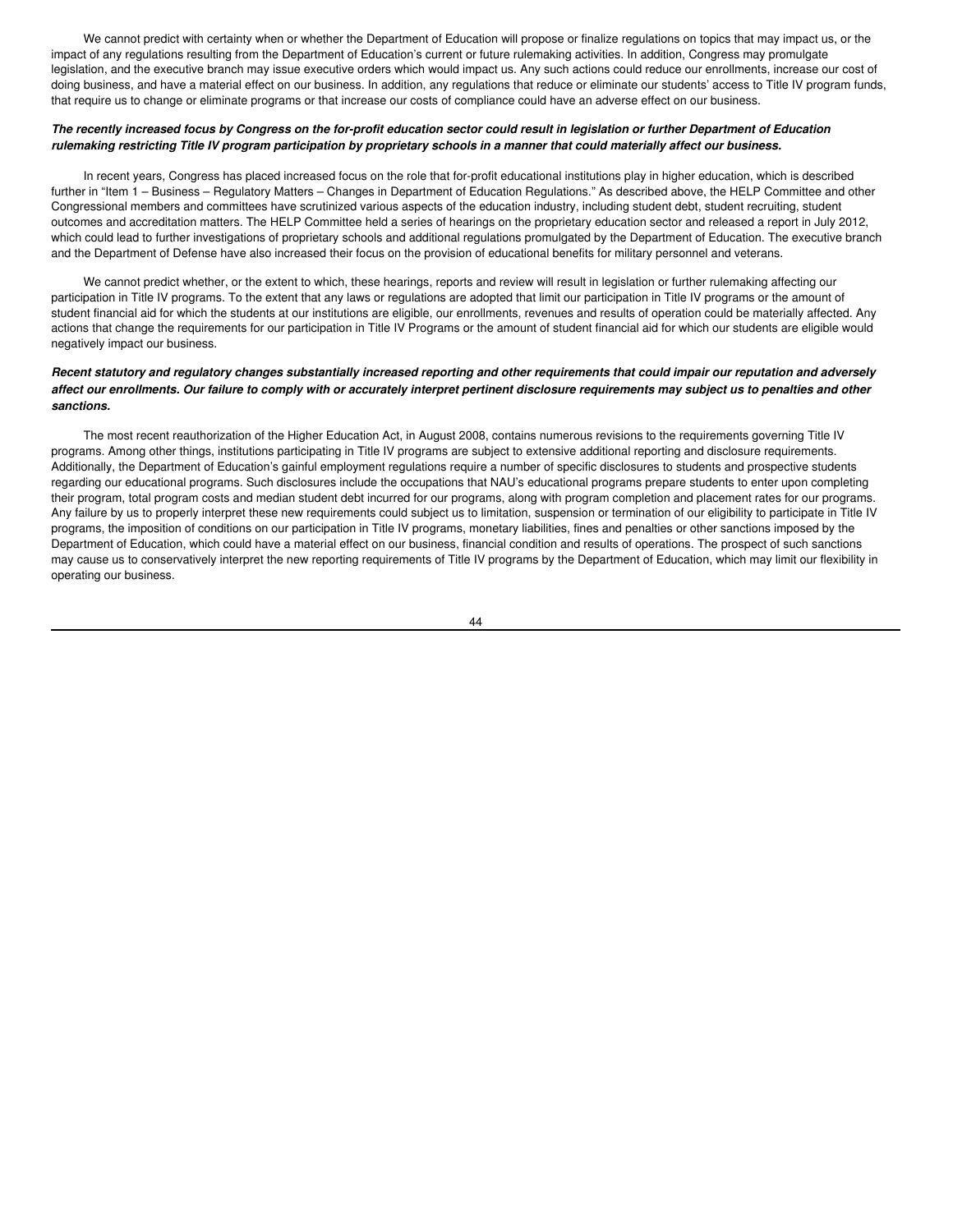We cannot predict with certainty when or whether the Department of Education will propose or finalize regulations on topics that may impact us, or the impact of any regulations resulting from the Department of Education's current or future rulemaking activities. In addition, Congress may promulgate legislation, and the executive branch may issue executive orders which would impact us. Any such actions could reduce our enrollments, increase our cost of doing business, and have a material effect on our business. In addition, any regulations that reduce or eliminate our students' access to Title IV program funds, that require us to change or eliminate programs or that increase our costs of compliance could have an adverse effect on our business.

# The recently increased focus by Congress on the for-profit education sector could result in legislation or further Department of Education rulemaking restricting Title IV program participation by proprietary schools in a manner that could materially affect our business.

In recent years, Congress has placed increased focus on the role that for-profit educational institutions play in higher education, which is described further in "Item 1 – Business – Regulatory Matters – Changes in Department of Education Regulations." As described above, the HELP Committee and other Congressional members and committees have scrutinized various aspects of the education industry, including student debt, student recruiting, student outcomes and accreditation matters. The HELP Committee held a series of hearings on the proprietary education sector and released a report in July 2012, which could lead to further investigations of proprietary schools and additional regulations promulgated by the Department of Education. The executive branch and the Department of Defense have also increased their focus on the provision of educational benefits for military personnel and veterans.

We cannot predict whether, or the extent to which, these hearings, reports and review will result in legislation or further rulemaking affecting our participation in Title IV programs. To the extent that any laws or regulations are adopted that limit our participation in Title IV programs or the amount of student financial aid for which the students at our institutions are eligible, our enrollments, revenues and results of operation could be materially affected. Any actions that change the requirements for our participation in Title IV Programs or the amount of student financial aid for which our students are eligible would negatively impact our business.

# Recent statutory and regulatory changes substantially increased reporting and other requirements that could impair our reputation and adversely affect our enrollments. Our failure to comply with or accurately interpret pertinent disclosure requirements may subject us to penalties and other *sanctions.*

The most recent reauthorization of the Higher Education Act, in August 2008, contains numerous revisions to the requirements governing Title IV programs. Among other things, institutions participating in Title IV programs are subject to extensive additional reporting and disclosure requirements. Additionally, the Department of Education's gainful employment regulations require a number of specific disclosures to students and prospective students regarding our educational programs. Such disclosures include the occupations that NAU's educational programs prepare students to enter upon completing their program, total program costs and median student debt incurred for our programs, along with program completion and placement rates for our programs. Any failure by us to properly interpret these new requirements could subject us to limitation, suspension or termination of our eligibility to participate in Title IV programs, the imposition of conditions on our participation in Title IV programs, monetary liabilities, fines and penalties or other sanctions imposed by the Department of Education, which could have a material effect on our business, financial condition and results of operations. The prospect of such sanctions may cause us to conservatively interpret the new reporting requirements of Title IV programs by the Department of Education, which may limit our flexibility in operating our business.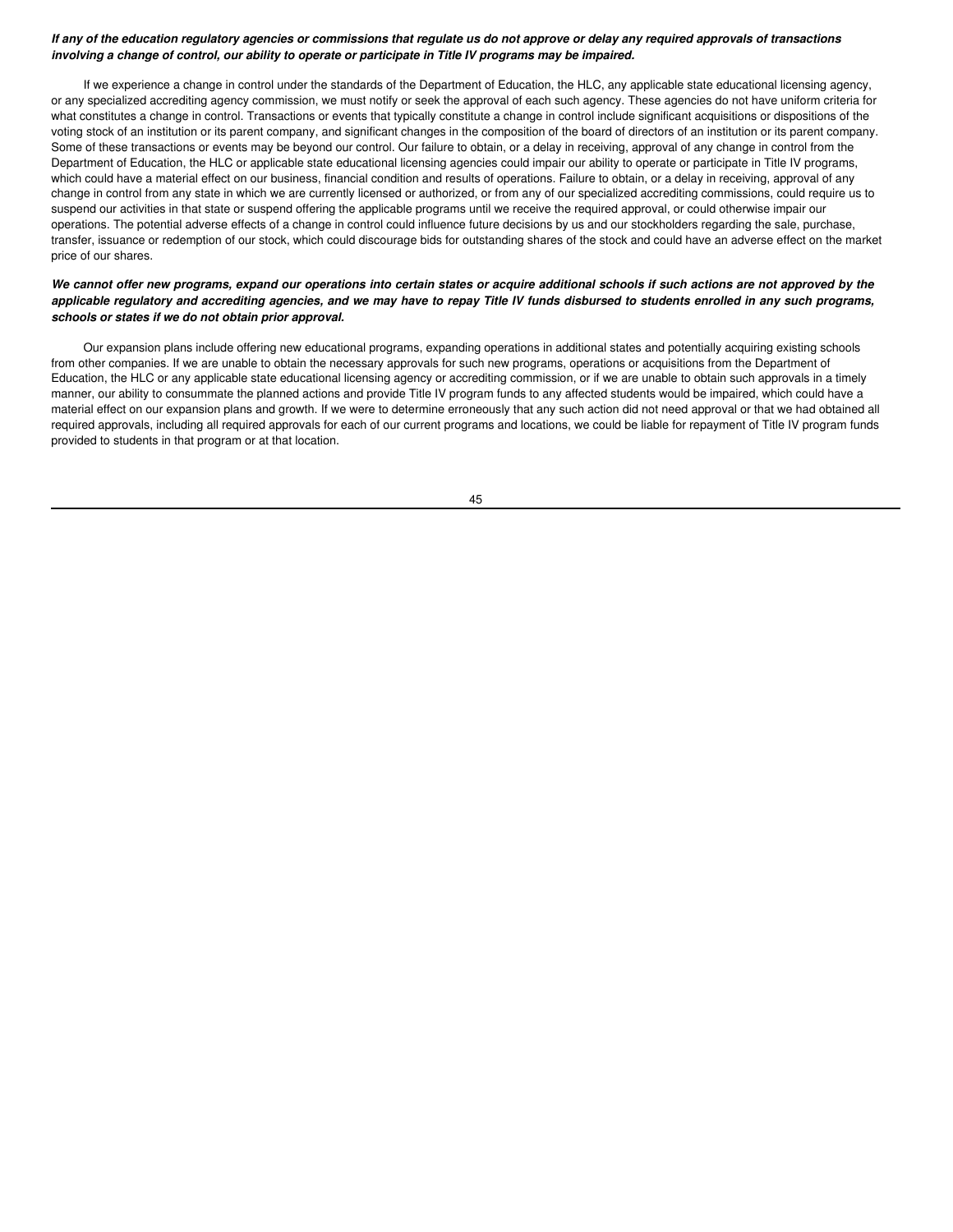## If any of the education regulatory agencies or commissions that regulate us do not approve or delay any required approvals of transactions involving a change of control, our ability to operate or participate in Title IV programs may be impaired.

If we experience a change in control under the standards of the Department of Education, the HLC, any applicable state educational licensing agency, or any specialized accrediting agency commission, we must notify or seek the approval of each such agency. These agencies do not have uniform criteria for what constitutes a change in control. Transactions or events that typically constitute a change in control include significant acquisitions or dispositions of the voting stock of an institution or its parent company, and significant changes in the composition of the board of directors of an institution or its parent company. Some of these transactions or events may be beyond our control. Our failure to obtain, or a delay in receiving, approval of any change in control from the Department of Education, the HLC or applicable state educational licensing agencies could impair our ability to operate or participate in Title IV programs, which could have a material effect on our business, financial condition and results of operations. Failure to obtain, or a delay in receiving, approval of any change in control from any state in which we are currently licensed or authorized, or from any of our specialized accrediting commissions, could require us to suspend our activities in that state or suspend offering the applicable programs until we receive the required approval, or could otherwise impair our operations. The potential adverse effects of a change in control could influence future decisions by us and our stockholders regarding the sale, purchase, transfer, issuance or redemption of our stock, which could discourage bids for outstanding shares of the stock and could have an adverse effect on the market price of our shares.

# We cannot offer new programs, expand our operations into certain states or acquire additional schools if such actions are not approved by the applicable regulatory and accrediting agencies, and we may have to repay Title IV funds disbursed to students enrolled in any such programs, *schools or states if we do not obtain prior approval.*

Our expansion plans include offering new educational programs, expanding operations in additional states and potentially acquiring existing schools from other companies. If we are unable to obtain the necessary approvals for such new programs, operations or acquisitions from the Department of Education, the HLC or any applicable state educational licensing agency or accrediting commission, or if we are unable to obtain such approvals in a timely manner, our ability to consummate the planned actions and provide Title IV program funds to any affected students would be impaired, which could have a material effect on our expansion plans and growth. If we were to determine erroneously that any such action did not need approval or that we had obtained all required approvals, including all required approvals for each of our current programs and locations, we could be liable for repayment of Title IV program funds provided to students in that program or at that location.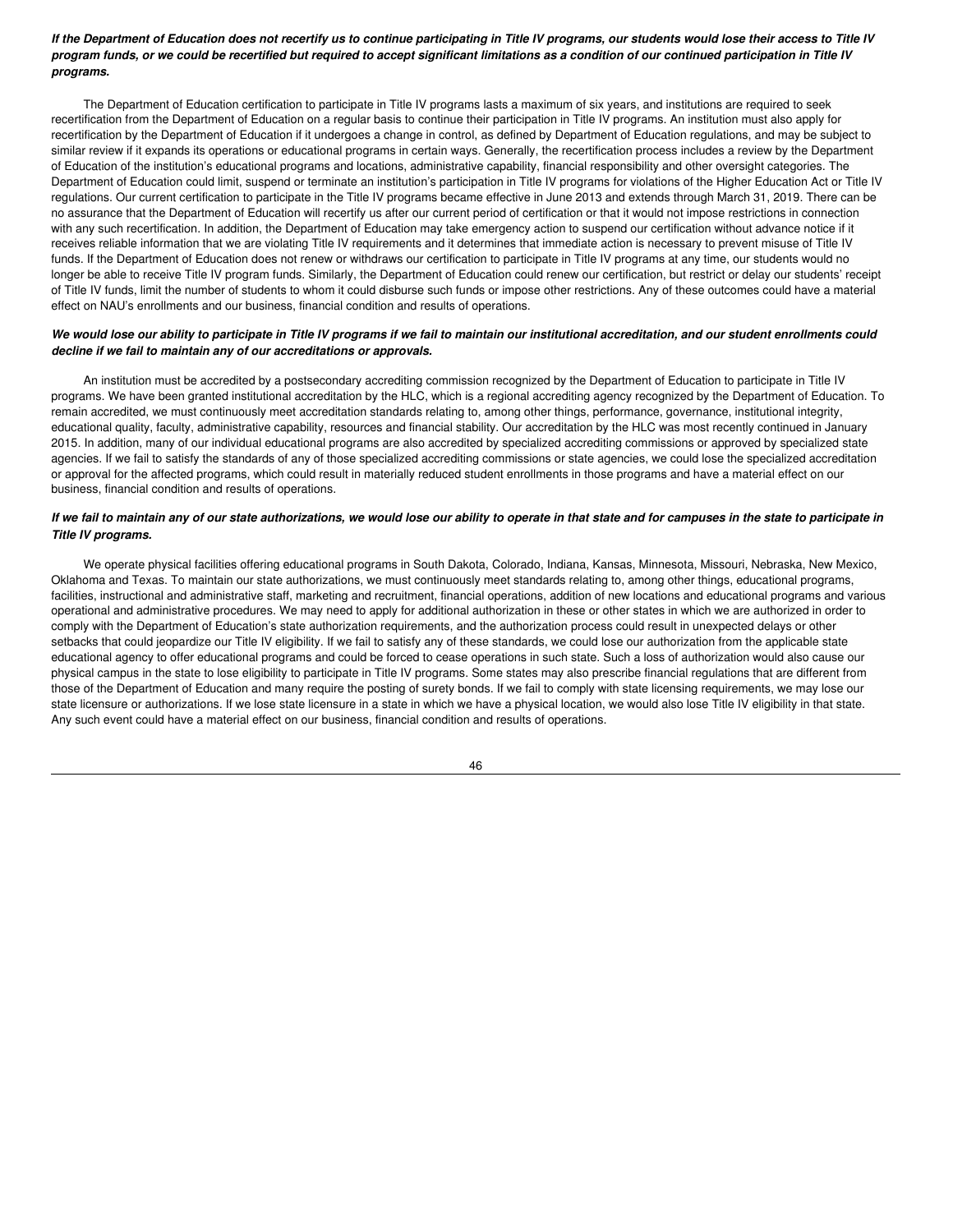# If the Department of Education does not recertify us to continue participating in Title IV programs, our students would lose their access to Title IV program funds, or we could be recertified but required to accept significant limitations as a condition of our continued participation in Title IV *programs.*

The Department of Education certification to participate in Title IV programs lasts a maximum of six years, and institutions are required to seek recertification from the Department of Education on a regular basis to continue their participation in Title IV programs. An institution must also apply for recertification by the Department of Education if it undergoes a change in control, as defined by Department of Education regulations, and may be subject to similar review if it expands its operations or educational programs in certain ways. Generally, the recertification process includes a review by the Department of Education of the institution's educational programs and locations, administrative capability, financial responsibility and other oversight categories. The Department of Education could limit, suspend or terminate an institution's participation in Title IV programs for violations of the Higher Education Act or Title IV regulations. Our current certification to participate in the Title IV programs became effective in June 2013 and extends through March 31, 2019. There can be no assurance that the Department of Education will recertify us after our current period of certification or that it would not impose restrictions in connection with any such recertification. In addition, the Department of Education may take emergency action to suspend our certification without advance notice if it receives reliable information that we are violating Title IV requirements and it determines that immediate action is necessary to prevent misuse of Title IV funds. If the Department of Education does not renew or withdraws our certification to participate in Title IV programs at any time, our students would no longer be able to receive Title IV program funds. Similarly, the Department of Education could renew our certification, but restrict or delay our students' receipt of Title IV funds, limit the number of students to whom it could disburse such funds or impose other restrictions. Any of these outcomes could have a material effect on NAU's enrollments and our business, financial condition and results of operations.

# We would lose our ability to participate in Title IV programs if we fail to maintain our institutional accreditation, and our student enrollments could *decline if we fail to maintain any of our accreditations or approvals.*

An institution must be accredited by a postsecondary accrediting commission recognized by the Department of Education to participate in Title IV programs. We have been granted institutional accreditation by the HLC, which is a regional accrediting agency recognized by the Department of Education. To remain accredited, we must continuously meet accreditation standards relating to, among other things, performance, governance, institutional integrity, educational quality, faculty, administrative capability, resources and financial stability. Our accreditation by the HLC was most recently continued in January 2015. In addition, many of our individual educational programs are also accredited by specialized accrediting commissions or approved by specialized state agencies. If we fail to satisfy the standards of any of those specialized accrediting commissions or state agencies, we could lose the specialized accreditation or approval for the affected programs, which could result in materially reduced student enrollments in those programs and have a material effect on our business, financial condition and results of operations.

# If we fail to maintain any of our state authorizations, we would lose our ability to operate in that state and for campuses in the state to participate in *Title IV programs.*

We operate physical facilities offering educational programs in South Dakota, Colorado, Indiana, Kansas, Minnesota, Missouri, Nebraska, New Mexico, Oklahoma and Texas. To maintain our state authorizations, we must continuously meet standards relating to, among other things, educational programs, facilities, instructional and administrative staff, marketing and recruitment, financial operations, addition of new locations and educational programs and various operational and administrative procedures. We may need to apply for additional authorization in these or other states in which we are authorized in order to comply with the Department of Education's state authorization requirements, and the authorization process could result in unexpected delays or other setbacks that could jeopardize our Title IV eligibility. If we fail to satisfy any of these standards, we could lose our authorization from the applicable state educational agency to offer educational programs and could be forced to cease operations in such state. Such a loss of authorization would also cause our physical campus in the state to lose eligibility to participate in Title IV programs. Some states may also prescribe financial regulations that are different from those of the Department of Education and many require the posting of surety bonds. If we fail to comply with state licensing requirements, we may lose our state licensure or authorizations. If we lose state licensure in a state in which we have a physical location, we would also lose Title IV eligibility in that state. Any such event could have a material effect on our business, financial condition and results of operations.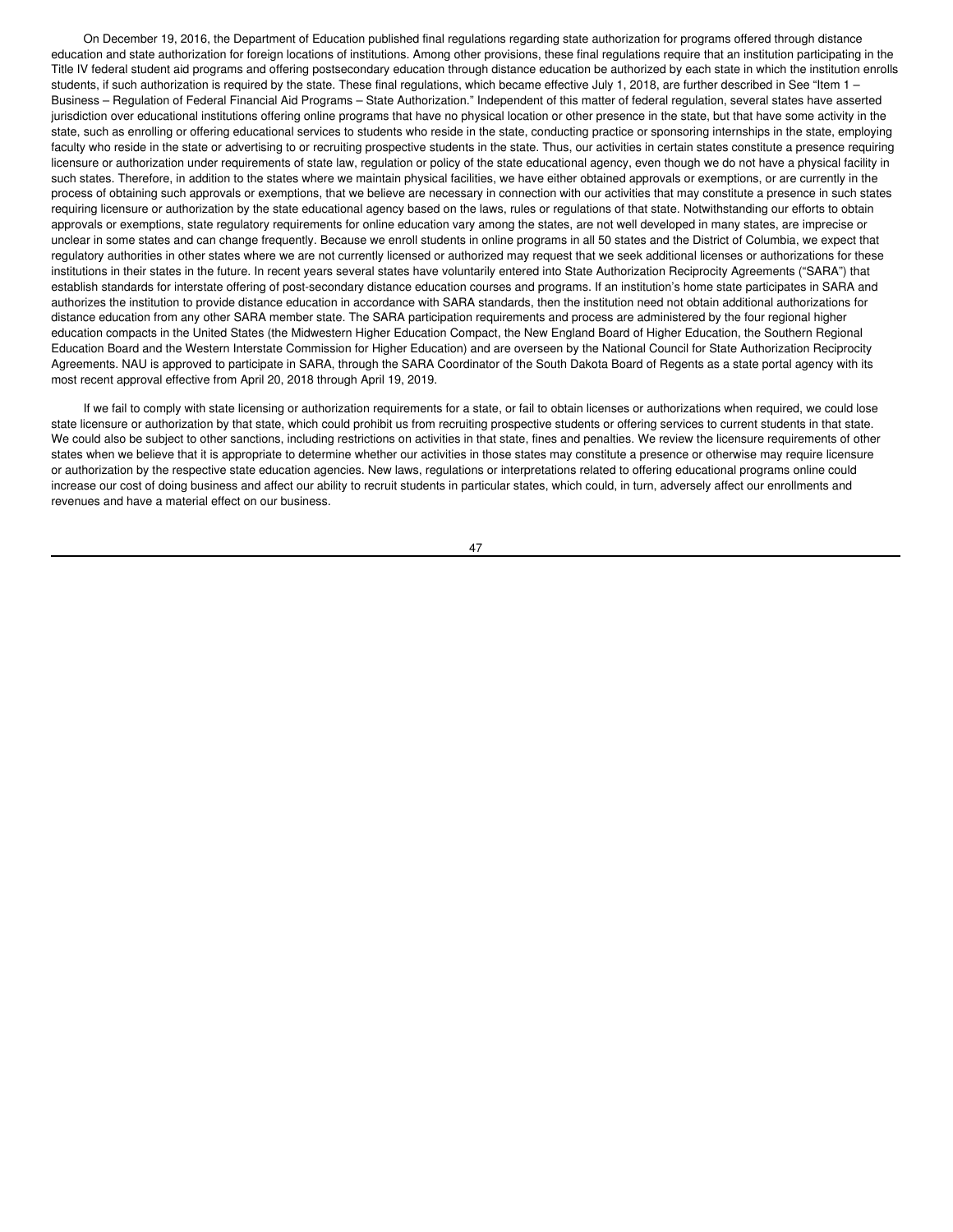On December 19, 2016, the Department of Education published final regulations regarding state authorization for programs offered through distance education and state authorization for foreign locations of institutions. Among other provisions, these final regulations require that an institution participating in the Title IV federal student aid programs and offering postsecondary education through distance education be authorized by each state in which the institution enrolls students, if such authorization is required by the state. These final regulations, which became effective July 1, 2018, are further described in See "Item 1 -Business – Regulation of Federal Financial Aid Programs – State Authorization." Independent of this matter of federal regulation, several states have asserted jurisdiction over educational institutions offering online programs that have no physical location or other presence in the state, but that have some activity in the state, such as enrolling or offering educational services to students who reside in the state, conducting practice or sponsoring internships in the state, employing faculty who reside in the state or advertising to or recruiting prospective students in the state. Thus, our activities in certain states constitute a presence requiring licensure or authorization under requirements of state law, regulation or policy of the state educational agency, even though we do not have a physical facility in such states. Therefore, in addition to the states where we maintain physical facilities, we have either obtained approvals or exemptions, or are currently in the process of obtaining such approvals or exemptions, that we believe are necessary in connection with our activities that may constitute a presence in such states requiring licensure or authorization by the state educational agency based on the laws, rules or regulations of that state. Notwithstanding our efforts to obtain approvals or exemptions, state regulatory requirements for online education vary among the states, are not well developed in many states, are imprecise or unclear in some states and can change frequently. Because we enroll students in online programs in all 50 states and the District of Columbia, we expect that regulatory authorities in other states where we are not currently licensed or authorized may request that we seek additional licenses or authorizations for these institutions in their states in the future. In recent years several states have voluntarily entered into State Authorization Reciprocity Agreements ("SARA") that establish standards for interstate offering of post-secondary distance education courses and programs. If an institution's home state participates in SARA and authorizes the institution to provide distance education in accordance with SARA standards, then the institution need not obtain additional authorizations for distance education from any other SARA member state. The SARA participation requirements and process are administered by the four regional higher education compacts in the United States (the Midwestern Higher Education Compact, the New England Board of Higher Education, the Southern Regional Education Board and the Western Interstate Commission for Higher Education) and are overseen by the National Council for State Authorization Reciprocity Agreements. NAU is approved to participate in SARA, through the SARA Coordinator of the South Dakota Board of Regents as a state portal agency with its most recent approval effective from April 20, 2018 through April 19, 2019.

If we fail to comply with state licensing or authorization requirements for a state, or fail to obtain licenses or authorizations when required, we could lose state licensure or authorization by that state, which could prohibit us from recruiting prospective students or offering services to current students in that state. We could also be subject to other sanctions, including restrictions on activities in that state, fines and penalties. We review the licensure requirements of other states when we believe that it is appropriate to determine whether our activities in those states may constitute a presence or otherwise may require licensure or authorization by the respective state education agencies. New laws, regulations or interpretations related to offering educational programs online could increase our cost of doing business and affect our ability to recruit students in particular states, which could, in turn, adversely affect our enrollments and revenues and have a material effect on our business.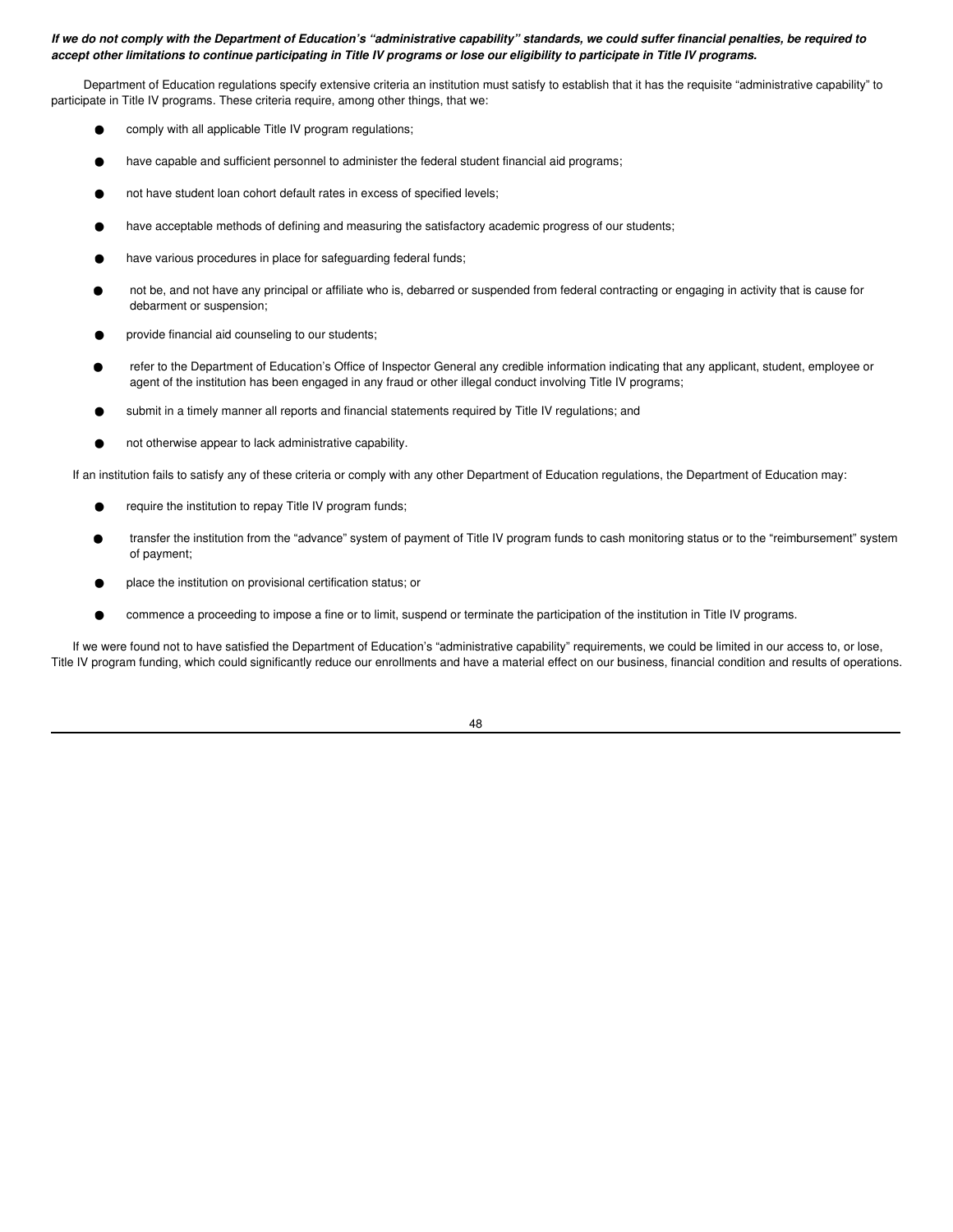# If we do not comply with the Department of Education's "administrative capability" standards, we could suffer financial penalties, be required to accept other limitations to continue participating in Title IV programs or lose our eligibility to participate in Title IV programs.

Department of Education regulations specify extensive criteria an institution must satisfy to establish that it has the requisite "administrative capability" to participate in Title IV programs. These criteria require, among other things, that we:

- comply with all applicable Title IV program regulations;
- **●** have capable and sufficient personnel to administer the federal student financial aid programs;
- not have student loan cohort default rates in excess of specified levels;
- have acceptable methods of defining and measuring the satisfactory academic progress of our students;
- have various procedures in place for safeguarding federal funds;
- **●** not be, and not have any principal or affiliate who is, debarred or suspended from federal contracting or engaging in activity that is cause for debarment or suspension;
- provide financial aid counseling to our students;
- refer to the Department of Education's Office of Inspector General any credible information indicating that any applicant, student, employee or agent of the institution has been engaged in any fraud or other illegal conduct involving Title IV programs;
- submit in a timely manner all reports and financial statements required by Title IV regulations; and
- **●** not otherwise appear to lack administrative capability.

If an institution fails to satisfy any of these criteria or comply with any other Department of Education regulations, the Department of Education may:

- **●** require the institution to repay Title IV program funds;
- **●** transfer the institution from the "advance" system of payment of Title IV program funds to cash monitoring status or to the "reimbursement" system of payment;
- **●** place the institution on provisional certification status; or
- **●** commence a proceeding to impose a fine or to limit, suspend or terminate the participation of the institution in Title IV programs.

If we were found not to have satisfied the Department of Education's "administrative capability" requirements, we could be limited in our access to, or lose, Title IV program funding, which could significantly reduce our enrollments and have a material effect on our business, financial condition and results of operations.

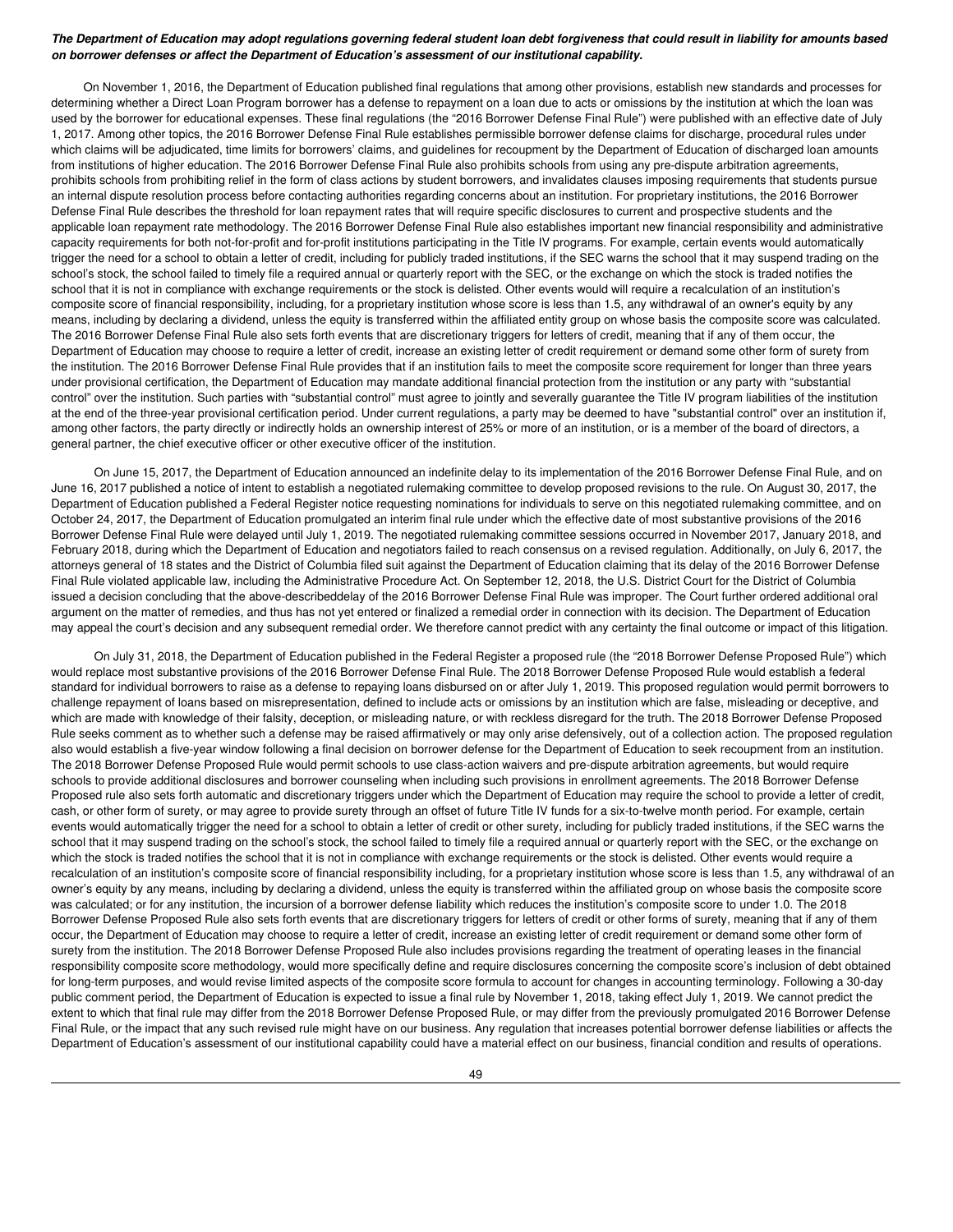## The Department of Education may adopt regulations governing federal student loan debt forgiveness that could result in liability for amounts based *on borrower defenses or affect the Department of Education's assessment of our institutional capability.*

On November 1, 2016, the Department of Education published final regulations that among other provisions, establish new standards and processes for determining whether a Direct Loan Program borrower has a defense to repayment on a loan due to acts or omissions by the institution at which the loan was used by the borrower for educational expenses. These final regulations (the "2016 Borrower Defense Final Rule") were published with an effective date of July 1, 2017. Among other topics, the 2016 Borrower Defense Final Rule establishes permissible borrower defense claims for discharge, procedural rules under which claims will be adjudicated, time limits for borrowers' claims, and guidelines for recoupment by the Department of Education of discharged loan amounts from institutions of higher education. The 2016 Borrower Defense Final Rule also prohibits schools from using any pre-dispute arbitration agreements, prohibits schools from prohibiting relief in the form of class actions by student borrowers, and invalidates clauses imposing requirements that students pursue an internal dispute resolution process before contacting authorities regarding concerns about an institution. For proprietary institutions, the 2016 Borrower Defense Final Rule describes the threshold for loan repayment rates that will require specific disclosures to current and prospective students and the applicable loan repayment rate methodology. The 2016 Borrower Defense Final Rule also establishes important new financial responsibility and administrative capacity requirements for both not-for-profit and for-profit institutions participating in the Title IV programs. For example, certain events would automatically trigger the need for a school to obtain a letter of credit, including for publicly traded institutions, if the SEC warns the school that it may suspend trading on the school's stock, the school failed to timely file a required annual or quarterly report with the SEC, or the exchange on which the stock is traded notifies the school that it is not in compliance with exchange requirements or the stock is delisted. Other events would will require a recalculation of an institution's composite score of financial responsibility, including, for a proprietary institution whose score is less than 1.5, any withdrawal of an owner's equity by any means, including by declaring a dividend, unless the equity is transferred within the affiliated entity group on whose basis the composite score was calculated. The 2016 Borrower Defense Final Rule also sets forth events that are discretionary triggers for letters of credit, meaning that if any of them occur, the Department of Education may choose to require a letter of credit, increase an existing letter of credit requirement or demand some other form of surety from the institution. The 2016 Borrower Defense Final Rule provides that if an institution fails to meet the composite score requirement for longer than three years under provisional certification, the Department of Education may mandate additional financial protection from the institution or any party with "substantial control" over the institution. Such parties with "substantial control" must agree to jointly and severally guarantee the Title IV program liabilities of the institution at the end of the three-year provisional certification period. Under current regulations, a party may be deemed to have "substantial control" over an institution if, among other factors, the party directly or indirectly holds an ownership interest of 25% or more of an institution, or is a member of the board of directors, a general partner, the chief executive officer or other executive officer of the institution.

On June 15, 2017, the Department of Education announced an indefinite delay to its implementation of the 2016 Borrower Defense Final Rule, and on June 16, 2017 published a notice of intent to establish a negotiated rulemaking committee to develop proposed revisions to the rule. On August 30, 2017, the Department of Education published a Federal Register notice requesting nominations for individuals to serve on this negotiated rulemaking committee, and on October 24, 2017, the Department of Education promulgated an interim final rule under which the effective date of most substantive provisions of the 2016 Borrower Defense Final Rule were delayed until July 1, 2019. The negotiated rulemaking committee sessions occurred in November 2017, January 2018, and February 2018, during which the Department of Education and negotiators failed to reach consensus on a revised regulation. Additionally, on July 6, 2017, the attorneys general of 18 states and the District of Columbia filed suit against the Department of Education claiming that its delay of the 2016 Borrower Defense Final Rule violated applicable law, including the Administrative Procedure Act. On September 12, 2018, the U.S. District Court for the District of Columbia issued a decision concluding that the above-describeddelay of the 2016 Borrower Defense Final Rule was improper. The Court further ordered additional oral argument on the matter of remedies, and thus has not yet entered or finalized a remedial order in connection with its decision. The Department of Education may appeal the court's decision and any subsequent remedial order. We therefore cannot predict with any certainty the final outcome or impact of this litigation.

On July 31, 2018, the Department of Education published in the Federal Register a proposed rule (the "2018 Borrower Defense Proposed Rule") which would replace most substantive provisions of the 2016 Borrower Defense Final Rule. The 2018 Borrower Defense Proposed Rule would establish a federal standard for individual borrowers to raise as a defense to repaying loans disbursed on or after July 1, 2019. This proposed regulation would permit borrowers to challenge repayment of loans based on misrepresentation, defined to include acts or omissions by an institution which are false, misleading or deceptive, and which are made with knowledge of their falsity, deception, or misleading nature, or with reckless disregard for the truth. The 2018 Borrower Defense Proposed Rule seeks comment as to whether such a defense may be raised affirmatively or may only arise defensively, out of a collection action. The proposed regulation also would establish a five-year window following a final decision on borrower defense for the Department of Education to seek recoupment from an institution. The 2018 Borrower Defense Proposed Rule would permit schools to use class-action waivers and pre-dispute arbitration agreements, but would require schools to provide additional disclosures and borrower counseling when including such provisions in enrollment agreements. The 2018 Borrower Defense Proposed rule also sets forth automatic and discretionary triggers under which the Department of Education may require the school to provide a letter of credit, cash, or other form of surety, or may agree to provide surety through an offset of future Title IV funds for a six-to-twelve month period. For example, certain events would automatically trigger the need for a school to obtain a letter of credit or other surety, including for publicly traded institutions, if the SEC warns the school that it may suspend trading on the school's stock, the school failed to timely file a required annual or quarterly report with the SEC, or the exchange on which the stock is traded notifies the school that it is not in compliance with exchange requirements or the stock is delisted. Other events would require a recalculation of an institution's composite score of financial responsibility including, for a proprietary institution whose score is less than 1.5, any withdrawal of an owner's equity by any means, including by declaring a dividend, unless the equity is transferred within the affiliated group on whose basis the composite score was calculated; or for any institution, the incursion of a borrower defense liability which reduces the institution's composite score to under 1.0. The 2018 Borrower Defense Proposed Rule also sets forth events that are discretionary triggers for letters of credit or other forms of surety, meaning that if any of them occur, the Department of Education may choose to require a letter of credit, increase an existing letter of credit requirement or demand some other form of surety from the institution. The 2018 Borrower Defense Proposed Rule also includes provisions regarding the treatment of operating leases in the financial responsibility composite score methodology, would more specifically define and require disclosures concerning the composite score's inclusion of debt obtained for long-term purposes, and would revise limited aspects of the composite score formula to account for changes in accounting terminology. Following a 30-day public comment period, the Department of Education is expected to issue a final rule by November 1, 2018, taking effect July 1, 2019. We cannot predict the extent to which that final rule may differ from the 2018 Borrower Defense Proposed Rule, or may differ from the previously promulgated 2016 Borrower Defense Final Rule, or the impact that any such revised rule might have on our business. Any regulation that increases potential borrower defense liabilities or affects the Department of Education's assessment of our institutional capability could have a material effect on our business, financial condition and results of operations.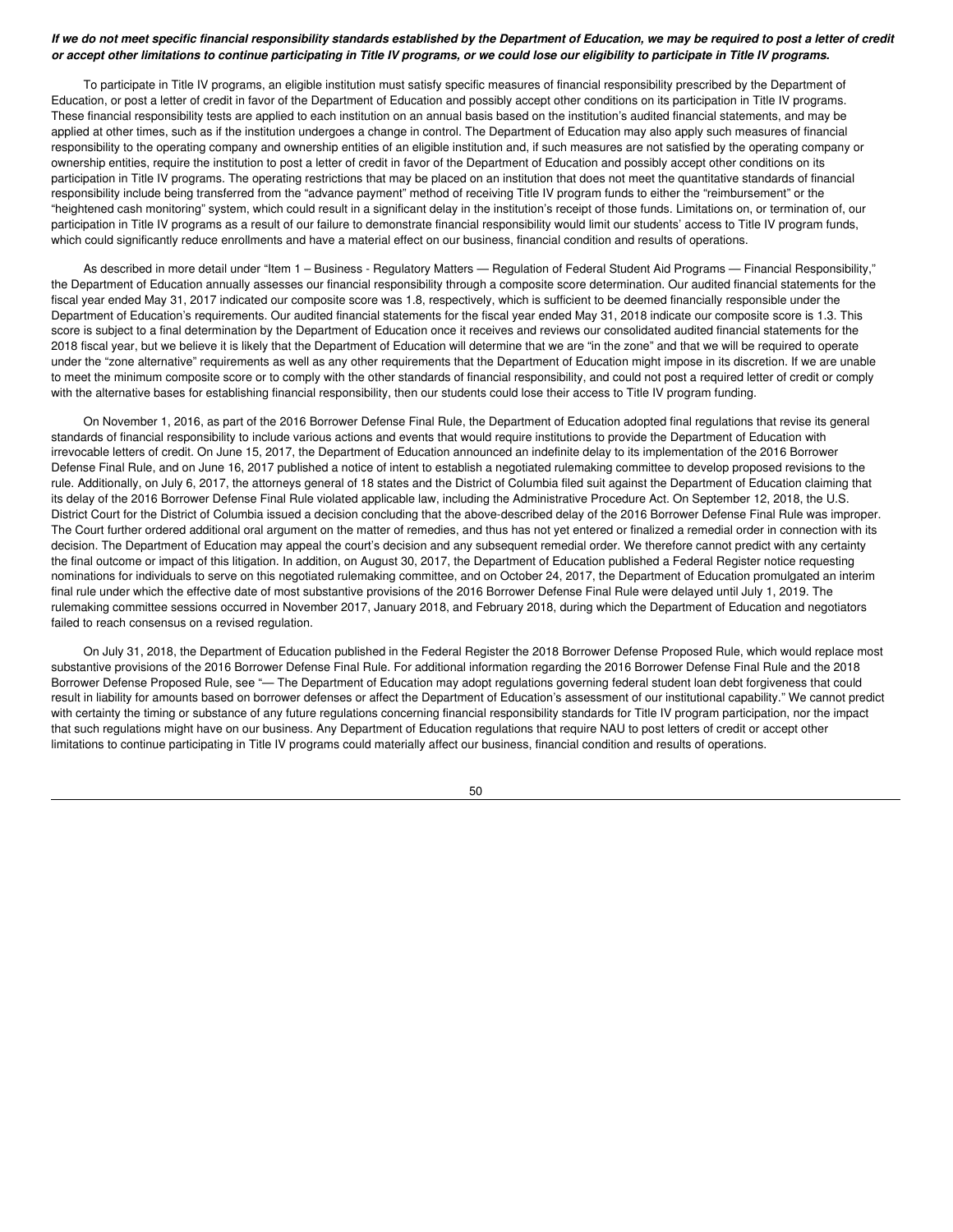## If we do not meet specific financial responsibility standards established by the Department of Education, we may be required to post a letter of credit or accept other limitations to continue participating in Title IV programs, or we could lose our eligibility to participate in Title IV programs.

To participate in Title IV programs, an eligible institution must satisfy specific measures of financial responsibility prescribed by the Department of Education, or post a letter of credit in favor of the Department of Education and possibly accept other conditions on its participation in Title IV programs. These financial responsibility tests are applied to each institution on an annual basis based on the institution's audited financial statements, and may be applied at other times, such as if the institution undergoes a change in control. The Department of Education may also apply such measures of financial responsibility to the operating company and ownership entities of an eligible institution and, if such measures are not satisfied by the operating company or ownership entities, require the institution to post a letter of credit in favor of the Department of Education and possibly accept other conditions on its participation in Title IV programs. The operating restrictions that may be placed on an institution that does not meet the quantitative standards of financial responsibility include being transferred from the "advance payment" method of receiving Title IV program funds to either the "reimbursement" or the "heightened cash monitoring" system, which could result in a significant delay in the institution's receipt of those funds. Limitations on, or termination of, our participation in Title IV programs as a result of our failure to demonstrate financial responsibility would limit our students' access to Title IV program funds, which could significantly reduce enrollments and have a material effect on our business, financial condition and results of operations.

As described in more detail under "Item 1 – Business - Regulatory Matters — Regulation of Federal Student Aid Programs — Financial Responsibility," the Department of Education annually assesses our financial responsibility through a composite score determination. Our audited financial statements for the fiscal year ended May 31, 2017 indicated our composite score was 1.8, respectively, which is sufficient to be deemed financially responsible under the Department of Education's requirements. Our audited financial statements for the fiscal year ended May 31, 2018 indicate our composite score is 1.3. This score is subject to a final determination by the Department of Education once it receives and reviews our consolidated audited financial statements for the 2018 fiscal year, but we believe it is likely that the Department of Education will determine that we are "in the zone" and that we will be required to operate under the "zone alternative" requirements as well as any other requirements that the Department of Education might impose in its discretion. If we are unable to meet the minimum composite score or to comply with the other standards of financial responsibility, and could not post a required letter of credit or comply with the alternative bases for establishing financial responsibility, then our students could lose their access to Title IV program funding.

On November 1, 2016, as part of the 2016 Borrower Defense Final Rule, the Department of Education adopted final regulations that revise its general standards of financial responsibility to include various actions and events that would require institutions to provide the Department of Education with irrevocable letters of credit. On June 15, 2017, the Department of Education announced an indefinite delay to its implementation of the 2016 Borrower Defense Final Rule, and on June 16, 2017 published a notice of intent to establish a negotiated rulemaking committee to develop proposed revisions to the rule. Additionally, on July 6, 2017, the attorneys general of 18 states and the District of Columbia filed suit against the Department of Education claiming that its delay of the 2016 Borrower Defense Final Rule violated applicable law, including the Administrative Procedure Act. On September 12, 2018, the U.S. District Court for the District of Columbia issued a decision concluding that the above-described delay of the 2016 Borrower Defense Final Rule was improper. The Court further ordered additional oral argument on the matter of remedies, and thus has not yet entered or finalized a remedial order in connection with its decision. The Department of Education may appeal the court's decision and any subsequent remedial order. We therefore cannot predict with any certainty the final outcome or impact of this litigation. In addition, on August 30, 2017, the Department of Education published a Federal Register notice requesting nominations for individuals to serve on this negotiated rulemaking committee, and on October 24, 2017, the Department of Education promulgated an interim final rule under which the effective date of most substantive provisions of the 2016 Borrower Defense Final Rule were delayed until July 1, 2019. The rulemaking committee sessions occurred in November 2017, January 2018, and February 2018, during which the Department of Education and negotiators failed to reach consensus on a revised regulation.

On July 31, 2018, the Department of Education published in the Federal Register the 2018 Borrower Defense Proposed Rule, which would replace most substantive provisions of the 2016 Borrower Defense Final Rule. For additional information regarding the 2016 Borrower Defense Final Rule and the 2018 Borrower Defense Proposed Rule, see "— The Department of Education may adopt regulations governing federal student loan debt forgiveness that could result in liability for amounts based on borrower defenses or affect the Department of Education's assessment of our institutional capability." We cannot predict with certainty the timing or substance of any future regulations concerning financial responsibility standards for Title IV program participation, nor the impact that such regulations might have on our business. Any Department of Education regulations that require NAU to post letters of credit or accept other limitations to continue participating in Title IV programs could materially affect our business, financial condition and results of operations.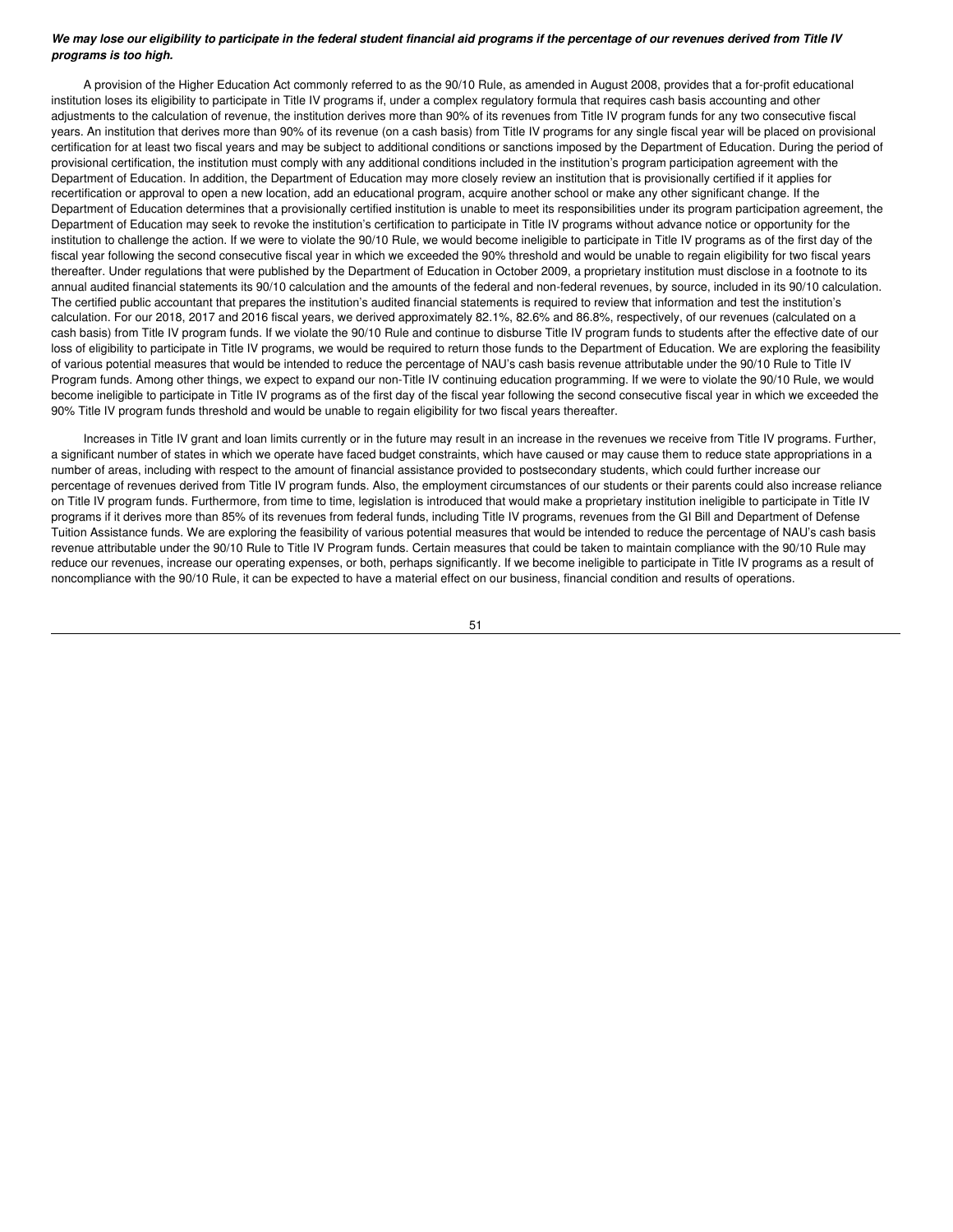## We may lose our eligibility to participate in the federal student financial aid programs if the percentage of our revenues derived from Title IV *programs is too high.*

A provision of the Higher Education Act commonly referred to as the 90/10 Rule, as amended in August 2008, provides that a for-profit educational institution loses its eligibility to participate in Title IV programs if, under a complex regulatory formula that requires cash basis accounting and other adjustments to the calculation of revenue, the institution derives more than 90% of its revenues from Title IV program funds for any two consecutive fiscal years. An institution that derives more than 90% of its revenue (on a cash basis) from Title IV programs for any single fiscal year will be placed on provisional certification for at least two fiscal years and may be subject to additional conditions or sanctions imposed by the Department of Education. During the period of provisional certification, the institution must comply with any additional conditions included in the institution's program participation agreement with the Department of Education. In addition, the Department of Education may more closely review an institution that is provisionally certified if it applies for recertification or approval to open a new location, add an educational program, acquire another school or make any other significant change. If the Department of Education determines that a provisionally certified institution is unable to meet its responsibilities under its program participation agreement, the Department of Education may seek to revoke the institution's certification to participate in Title IV programs without advance notice or opportunity for the institution to challenge the action. If we were to violate the 90/10 Rule, we would become ineligible to participate in Title IV programs as of the first day of the fiscal year following the second consecutive fiscal year in which we exceeded the 90% threshold and would be unable to regain eligibility for two fiscal years thereafter. Under regulations that were published by the Department of Education in October 2009, a proprietary institution must disclose in a footnote to its annual audited financial statements its 90/10 calculation and the amounts of the federal and non-federal revenues, by source, included in its 90/10 calculation. The certified public accountant that prepares the institution's audited financial statements is required to review that information and test the institution's calculation. For our 2018, 2017 and 2016 fiscal years, we derived approximately 82.1%, 82.6% and 86.8%, respectively, of our revenues (calculated on a cash basis) from Title IV program funds. If we violate the 90/10 Rule and continue to disburse Title IV program funds to students after the effective date of our loss of eligibility to participate in Title IV programs, we would be required to return those funds to the Department of Education. We are exploring the feasibility of various potential measures that would be intended to reduce the percentage of NAU's cash basis revenue attributable under the 90/10 Rule to Title IV Program funds. Among other things, we expect to expand our non-Title IV continuing education programming. If we were to violate the 90/10 Rule, we would become ineligible to participate in Title IV programs as of the first day of the fiscal year following the second consecutive fiscal year in which we exceeded the 90% Title IV program funds threshold and would be unable to regain eligibility for two fiscal years thereafter.

Increases in Title IV grant and loan limits currently or in the future may result in an increase in the revenues we receive from Title IV programs. Further, a significant number of states in which we operate have faced budget constraints, which have caused or may cause them to reduce state appropriations in a number of areas, including with respect to the amount of financial assistance provided to postsecondary students, which could further increase our percentage of revenues derived from Title IV program funds. Also, the employment circumstances of our students or their parents could also increase reliance on Title IV program funds. Furthermore, from time to time, legislation is introduced that would make a proprietary institution ineligible to participate in Title IV programs if it derives more than 85% of its revenues from federal funds, including Title IV programs, revenues from the GI Bill and Department of Defense Tuition Assistance funds. We are exploring the feasibility of various potential measures that would be intended to reduce the percentage of NAU's cash basis revenue attributable under the 90/10 Rule to Title IV Program funds. Certain measures that could be taken to maintain compliance with the 90/10 Rule may reduce our revenues, increase our operating expenses, or both, perhaps significantly. If we become ineligible to participate in Title IV programs as a result of noncompliance with the 90/10 Rule, it can be expected to have a material effect on our business, financial condition and results of operations.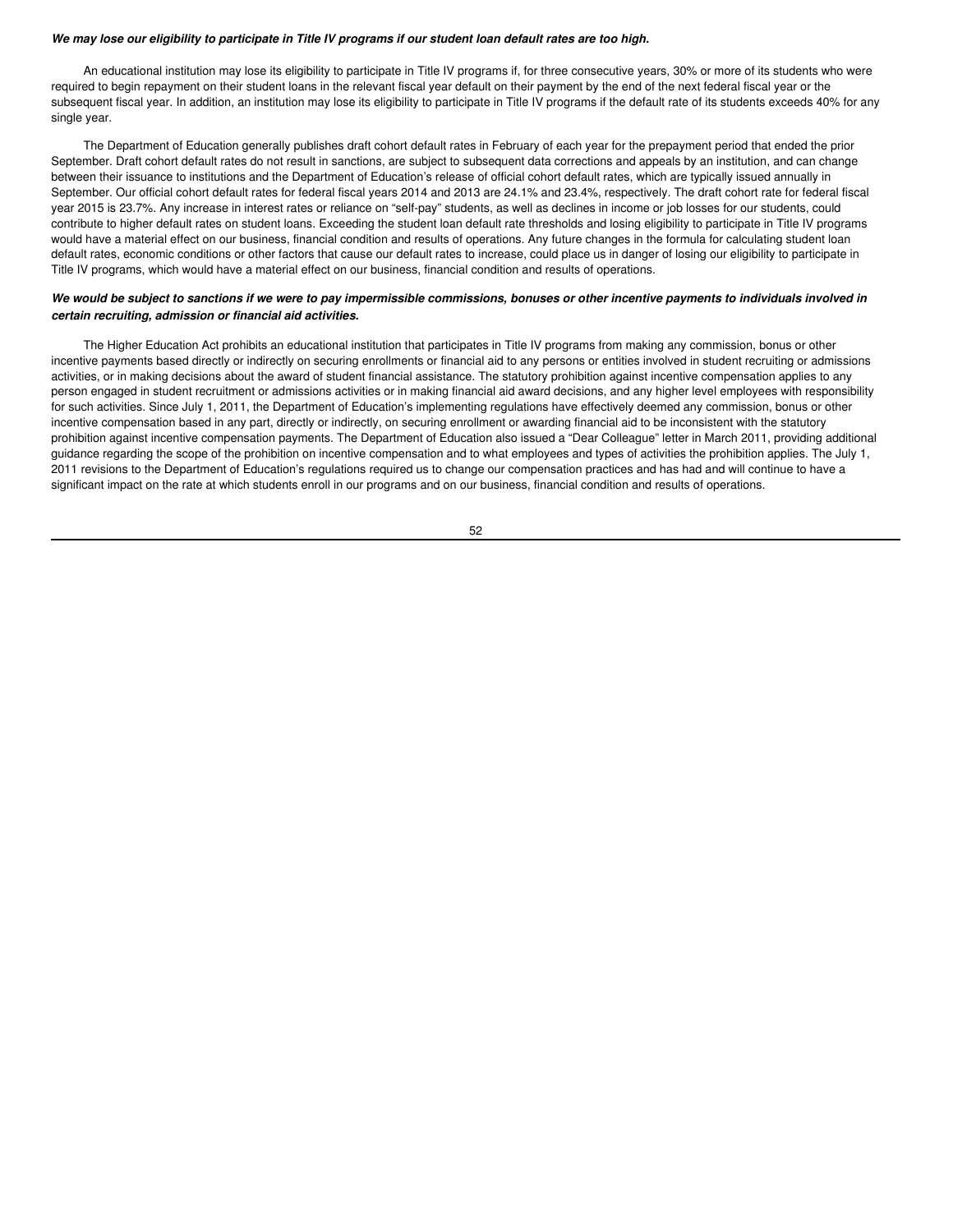#### We may lose our eligibility to participate in Title IV programs if our student loan default rates are too high.

An educational institution may lose its eligibility to participate in Title IV programs if, for three consecutive years, 30% or more of its students who were required to begin repayment on their student loans in the relevant fiscal year default on their payment by the end of the next federal fiscal year or the subsequent fiscal year. In addition, an institution may lose its eligibility to participate in Title IV programs if the default rate of its students exceeds 40% for any single year.

The Department of Education generally publishes draft cohort default rates in February of each year for the prepayment period that ended the prior September. Draft cohort default rates do not result in sanctions, are subject to subsequent data corrections and appeals by an institution, and can change between their issuance to institutions and the Department of Education's release of official cohort default rates, which are typically issued annually in September. Our official cohort default rates for federal fiscal years 2014 and 2013 are 24.1% and 23.4%, respectively. The draft cohort rate for federal fiscal year 2015 is 23.7%. Any increase in interest rates or reliance on "self-pay" students, as well as declines in income or job losses for our students, could contribute to higher default rates on student loans. Exceeding the student loan default rate thresholds and losing eligibility to participate in Title IV programs would have a material effect on our business, financial condition and results of operations. Any future changes in the formula for calculating student loan default rates, economic conditions or other factors that cause our default rates to increase, could place us in danger of losing our eligibility to participate in Title IV programs, which would have a material effect on our business, financial condition and results of operations.

## We would be subject to sanctions if we were to pay impermissible commissions, bonuses or other incentive payments to individuals involved in *certain recruiting, admission or financial aid activities.*

The Higher Education Act prohibits an educational institution that participates in Title IV programs from making any commission, bonus or other incentive payments based directly or indirectly on securing enrollments or financial aid to any persons or entities involved in student recruiting or admissions activities, or in making decisions about the award of student financial assistance. The statutory prohibition against incentive compensation applies to any person engaged in student recruitment or admissions activities or in making financial aid award decisions, and any higher level employees with responsibility for such activities. Since July 1, 2011, the Department of Education's implementing regulations have effectively deemed any commission, bonus or other incentive compensation based in any part, directly or indirectly, on securing enrollment or awarding financial aid to be inconsistent with the statutory prohibition against incentive compensation payments. The Department of Education also issued a "Dear Colleague" letter in March 2011, providing additional guidance regarding the scope of the prohibition on incentive compensation and to what employees and types of activities the prohibition applies. The July 1, 2011 revisions to the Department of Education's regulations required us to change our compensation practices and has had and will continue to have a significant impact on the rate at which students enroll in our programs and on our business, financial condition and results of operations.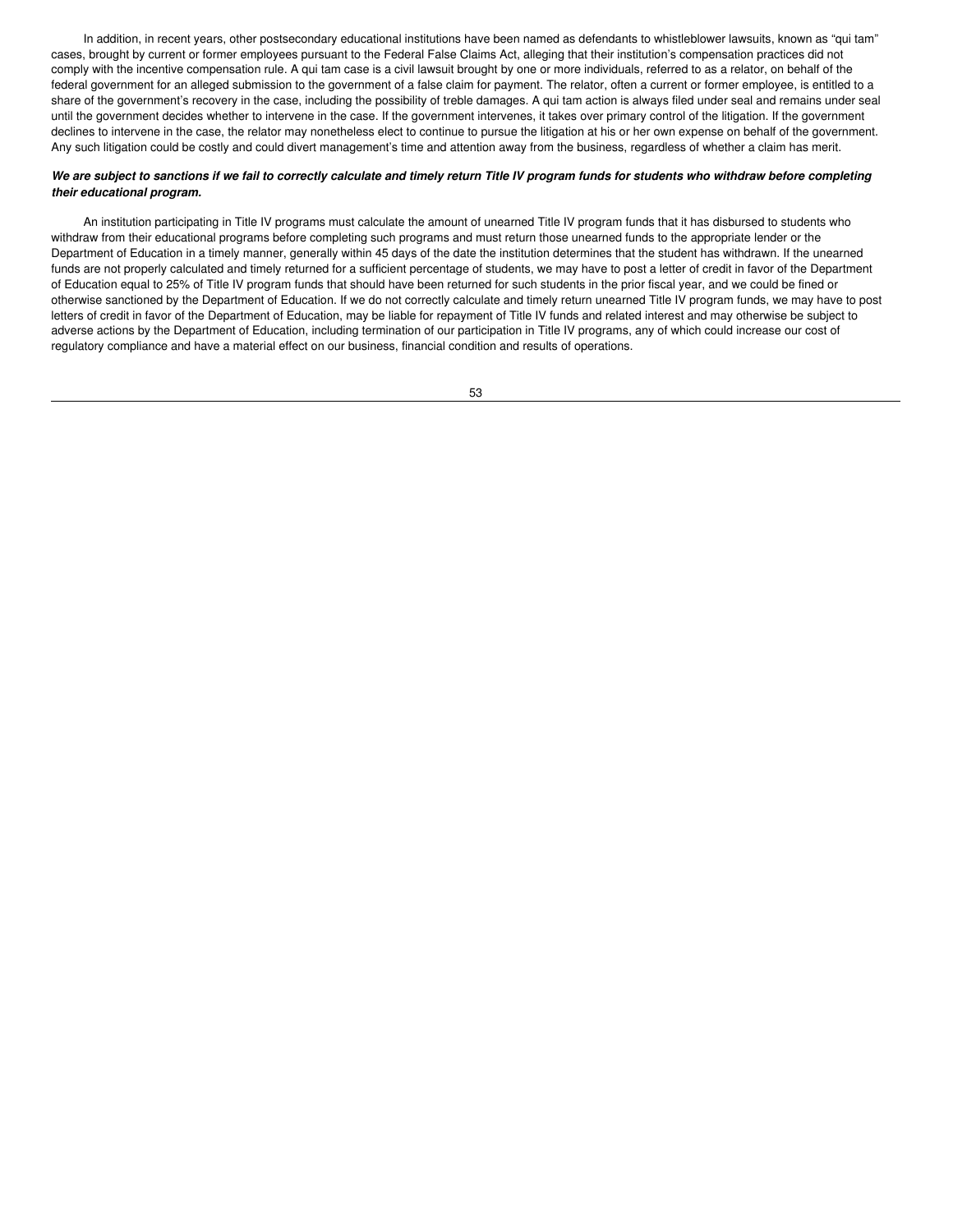In addition, in recent years, other postsecondary educational institutions have been named as defendants to whistleblower lawsuits, known as "qui tam" cases, brought by current or former employees pursuant to the Federal False Claims Act, alleging that their institution's compensation practices did not comply with the incentive compensation rule. A qui tam case is a civil lawsuit brought by one or more individuals, referred to as a relator, on behalf of the federal government for an alleged submission to the government of a false claim for payment. The relator, often a current or former employee, is entitled to a share of the government's recovery in the case, including the possibility of treble damages. A qui tam action is always filed under seal and remains under seal until the government decides whether to intervene in the case. If the government intervenes, it takes over primary control of the litigation. If the government declines to intervene in the case, the relator may nonetheless elect to continue to pursue the litigation at his or her own expense on behalf of the government. Any such litigation could be costly and could divert management's time and attention away from the business, regardless of whether a claim has merit.

# We are subject to sanctions if we fail to correctly calculate and timely return Title IV program funds for students who withdraw before completing *their educational program.*

An institution participating in Title IV programs must calculate the amount of unearned Title IV program funds that it has disbursed to students who withdraw from their educational programs before completing such programs and must return those unearned funds to the appropriate lender or the Department of Education in a timely manner, generally within 45 days of the date the institution determines that the student has withdrawn. If the unearned funds are not properly calculated and timely returned for a sufficient percentage of students, we may have to post a letter of credit in favor of the Department of Education equal to 25% of Title IV program funds that should have been returned for such students in the prior fiscal year, and we could be fined or otherwise sanctioned by the Department of Education. If we do not correctly calculate and timely return unearned Title IV program funds, we may have to post letters of credit in favor of the Department of Education, may be liable for repayment of Title IV funds and related interest and may otherwise be subject to adverse actions by the Department of Education, including termination of our participation in Title IV programs, any of which could increase our cost of regulatory compliance and have a material effect on our business, financial condition and results of operations.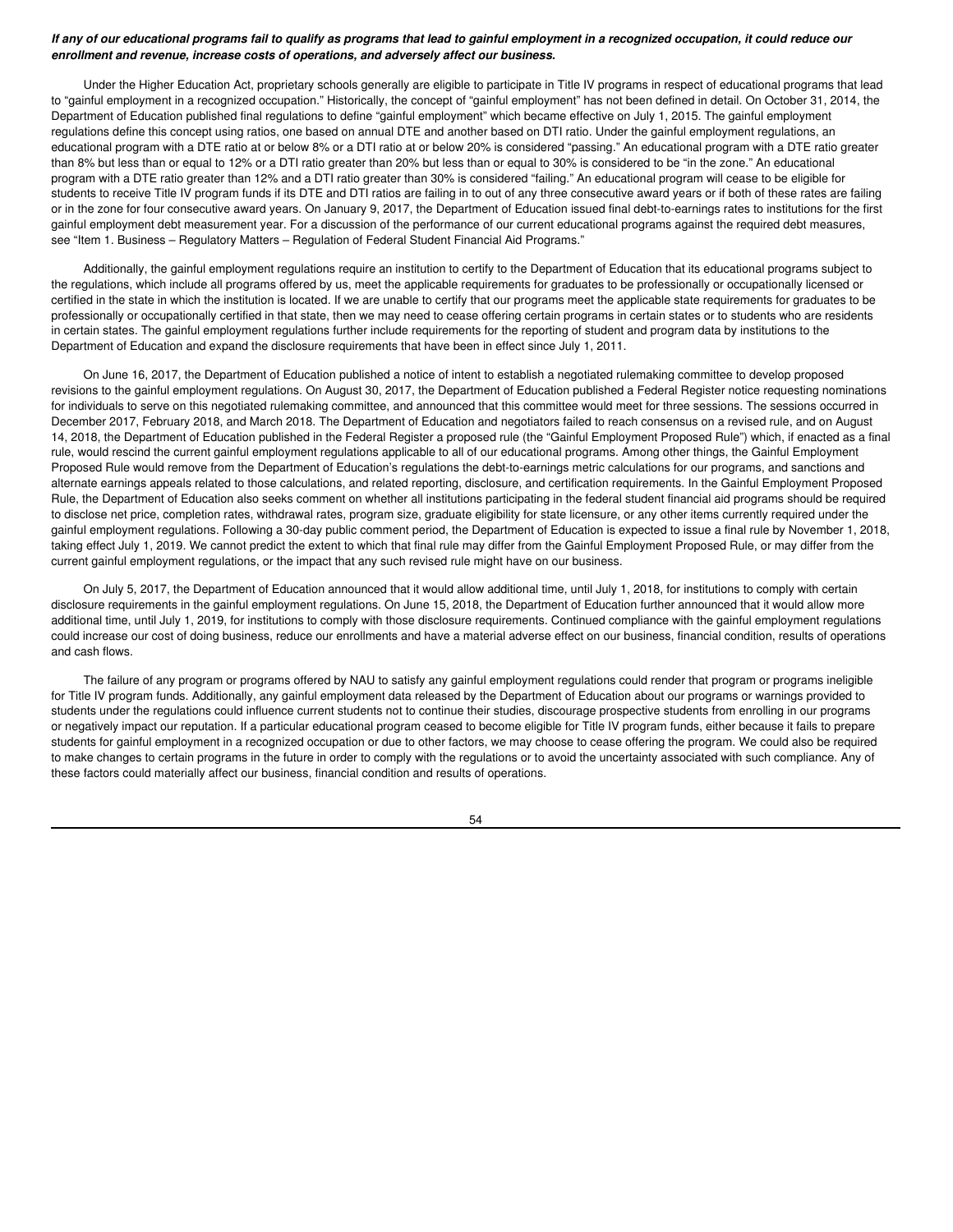## If any of our educational programs fail to qualify as programs that lead to gainful employment in a recognized occupation, it could reduce our *enrollment and revenue, increase costs of operations, and adversely affect our business.*

Under the Higher Education Act, proprietary schools generally are eligible to participate in Title IV programs in respect of educational programs that lead to "gainful employment in a recognized occupation." Historically, the concept of "gainful employment" has not been defined in detail. On October 31, 2014, the Department of Education published final regulations to define "gainful employment" which became effective on July 1, 2015. The gainful employment regulations define this concept using ratios, one based on annual DTE and another based on DTI ratio. Under the gainful employment regulations, an educational program with a DTE ratio at or below 8% or a DTI ratio at or below 20% is considered "passing." An educational program with a DTE ratio greater than 8% but less than or equal to 12% or a DTI ratio greater than 20% but less than or equal to 30% is considered to be "in the zone." An educational program with a DTE ratio greater than 12% and a DTI ratio greater than 30% is considered "failing." An educational program will cease to be eligible for students to receive Title IV program funds if its DTE and DTI ratios are failing in to out of any three consecutive award years or if both of these rates are failing or in the zone for four consecutive award years. On January 9, 2017, the Department of Education issued final debt-to-earnings rates to institutions for the first gainful employment debt measurement year. For a discussion of the performance of our current educational programs against the required debt measures, see "Item 1. Business – Regulatory Matters – Regulation of Federal Student Financial Aid Programs."

Additionally, the gainful employment regulations require an institution to certify to the Department of Education that its educational programs subject to the regulations, which include all programs offered by us, meet the applicable requirements for graduates to be professionally or occupationally licensed or certified in the state in which the institution is located. If we are unable to certify that our programs meet the applicable state requirements for graduates to be professionally or occupationally certified in that state, then we may need to cease offering certain programs in certain states or to students who are residents in certain states. The gainful employment regulations further include requirements for the reporting of student and program data by institutions to the Department of Education and expand the disclosure requirements that have been in effect since July 1, 2011.

On June 16, 2017, the Department of Education published a notice of intent to establish a negotiated rulemaking committee to develop proposed revisions to the gainful employment regulations. On August 30, 2017, the Department of Education published a Federal Register notice requesting nominations for individuals to serve on this negotiated rulemaking committee, and announced that this committee would meet for three sessions. The sessions occurred in December 2017, February 2018, and March 2018. The Department of Education and negotiators failed to reach consensus on a revised rule, and on August 14, 2018, the Department of Education published in the Federal Register a proposed rule (the "Gainful Employment Proposed Rule") which, if enacted as a final rule, would rescind the current gainful employment regulations applicable to all of our educational programs. Among other things, the Gainful Employment Proposed Rule would remove from the Department of Education's regulations the debt-to-earnings metric calculations for our programs, and sanctions and alternate earnings appeals related to those calculations, and related reporting, disclosure, and certification requirements. In the Gainful Employment Proposed Rule, the Department of Education also seeks comment on whether all institutions participating in the federal student financial aid programs should be required to disclose net price, completion rates, withdrawal rates, program size, graduate eligibility for state licensure, or any other items currently required under the gainful employment regulations. Following a 30-day public comment period, the Department of Education is expected to issue a final rule by November 1, 2018, taking effect July 1, 2019. We cannot predict the extent to which that final rule may differ from the Gainful Employment Proposed Rule, or may differ from the current gainful employment regulations, or the impact that any such revised rule might have on our business.

On July 5, 2017, the Department of Education announced that it would allow additional time, until July 1, 2018, for institutions to comply with certain disclosure requirements in the gainful employment regulations. On June 15, 2018, the Department of Education further announced that it would allow more additional time, until July 1, 2019, for institutions to comply with those disclosure requirements. Continued compliance with the gainful employment regulations could increase our cost of doing business, reduce our enrollments and have a material adverse effect on our business, financial condition, results of operations and cash flows.

The failure of any program or programs offered by NAU to satisfy any gainful employment regulations could render that program or programs ineligible for Title IV program funds. Additionally, any gainful employment data released by the Department of Education about our programs or warnings provided to students under the regulations could influence current students not to continue their studies, discourage prospective students from enrolling in our programs or negatively impact our reputation. If a particular educational program ceased to become eligible for Title IV program funds, either because it fails to prepare students for gainful employment in a recognized occupation or due to other factors, we may choose to cease offering the program. We could also be required to make changes to certain programs in the future in order to comply with the regulations or to avoid the uncertainty associated with such compliance. Any of these factors could materially affect our business, financial condition and results of operations.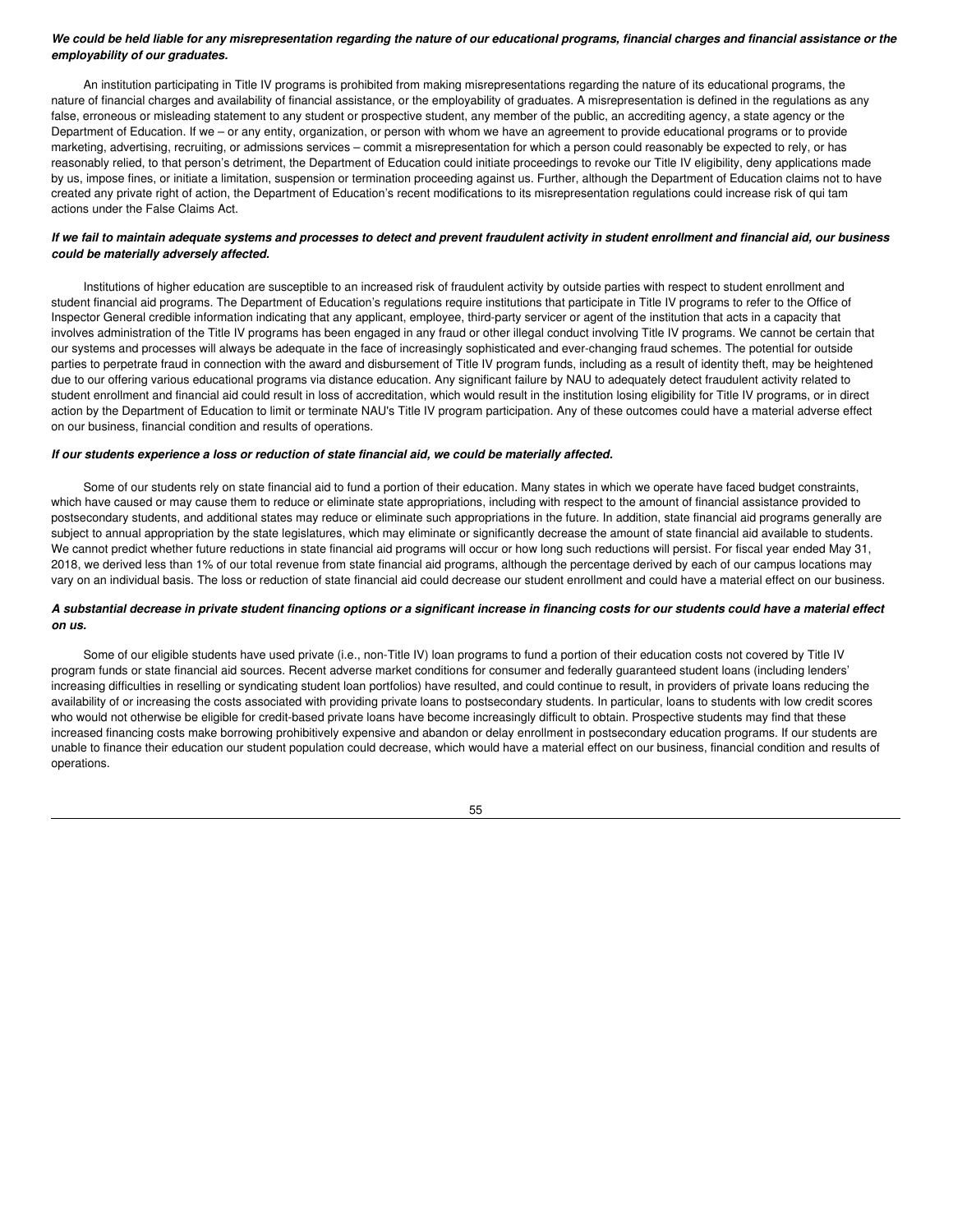# We could be held liable for any misrepresentation regarding the nature of our educational programs, financial charges and financial assistance or the *employability of our graduates.*

An institution participating in Title IV programs is prohibited from making misrepresentations regarding the nature of its educational programs, the nature of financial charges and availability of financial assistance, or the employability of graduates. A misrepresentation is defined in the regulations as any false, erroneous or misleading statement to any student or prospective student, any member of the public, an accrediting agency, a state agency or the Department of Education. If we – or any entity, organization, or person with whom we have an agreement to provide educational programs or to provide marketing, advertising, recruiting, or admissions services – commit a misrepresentation for which a person could reasonably be expected to rely, or has reasonably relied, to that person's detriment, the Department of Education could initiate proceedings to revoke our Title IV eligibility, deny applications made by us, impose fines, or initiate a limitation, suspension or termination proceeding against us. Further, although the Department of Education claims not to have created any private right of action, the Department of Education's recent modifications to its misrepresentation regulations could increase risk of qui tam actions under the False Claims Act.

# If we fail to maintain adequate systems and processes to detect and prevent fraudulent activity in student enrollment and financial aid, our business *could be materially adversely affected.*

Institutions of higher education are susceptible to an increased risk of fraudulent activity by outside parties with respect to student enrollment and student financial aid programs. The Department of Education's regulations require institutions that participate in Title IV programs to refer to the Office of Inspector General credible information indicating that any applicant, employee, third-party servicer or agent of the institution that acts in a capacity that involves administration of the Title IV programs has been engaged in any fraud or other illegal conduct involving Title IV programs. We cannot be certain that our systems and processes will always be adequate in the face of increasingly sophisticated and ever-changing fraud schemes. The potential for outside parties to perpetrate fraud in connection with the award and disbursement of Title IV program funds, including as a result of identity theft, may be heightened due to our offering various educational programs via distance education. Any significant failure by NAU to adequately detect fraudulent activity related to student enrollment and financial aid could result in loss of accreditation, which would result in the institution losing eligibility for Title IV programs, or in direct action by the Department of Education to limit or terminate NAU's Title IV program participation. Any of these outcomes could have a material adverse effect on our business, financial condition and results of operations.

## *If our students experience a loss or reduction of state financial aid, we could be materially affected.*

Some of our students rely on state financial aid to fund a portion of their education. Many states in which we operate have faced budget constraints, which have caused or may cause them to reduce or eliminate state appropriations, including with respect to the amount of financial assistance provided to postsecondary students, and additional states may reduce or eliminate such appropriations in the future. In addition, state financial aid programs generally are subject to annual appropriation by the state legislatures, which may eliminate or significantly decrease the amount of state financial aid available to students. We cannot predict whether future reductions in state financial aid programs will occur or how long such reductions will persist. For fiscal year ended May 31, 2018, we derived less than 1% of our total revenue from state financial aid programs, although the percentage derived by each of our campus locations may vary on an individual basis. The loss or reduction of state financial aid could decrease our student enrollment and could have a material effect on our business.

# A substantial decrease in private student financing options or a significant increase in financing costs for our students could have a material effect *on us.*

Some of our eligible students have used private (i.e., non-Title IV) loan programs to fund a portion of their education costs not covered by Title IV program funds or state financial aid sources. Recent adverse market conditions for consumer and federally guaranteed student loans (including lenders' increasing difficulties in reselling or syndicating student loan portfolios) have resulted, and could continue to result, in providers of private loans reducing the availability of or increasing the costs associated with providing private loans to postsecondary students. In particular, loans to students with low credit scores who would not otherwise be eligible for credit-based private loans have become increasingly difficult to obtain. Prospective students may find that these increased financing costs make borrowing prohibitively expensive and abandon or delay enrollment in postsecondary education programs. If our students are unable to finance their education our student population could decrease, which would have a material effect on our business, financial condition and results of operations.

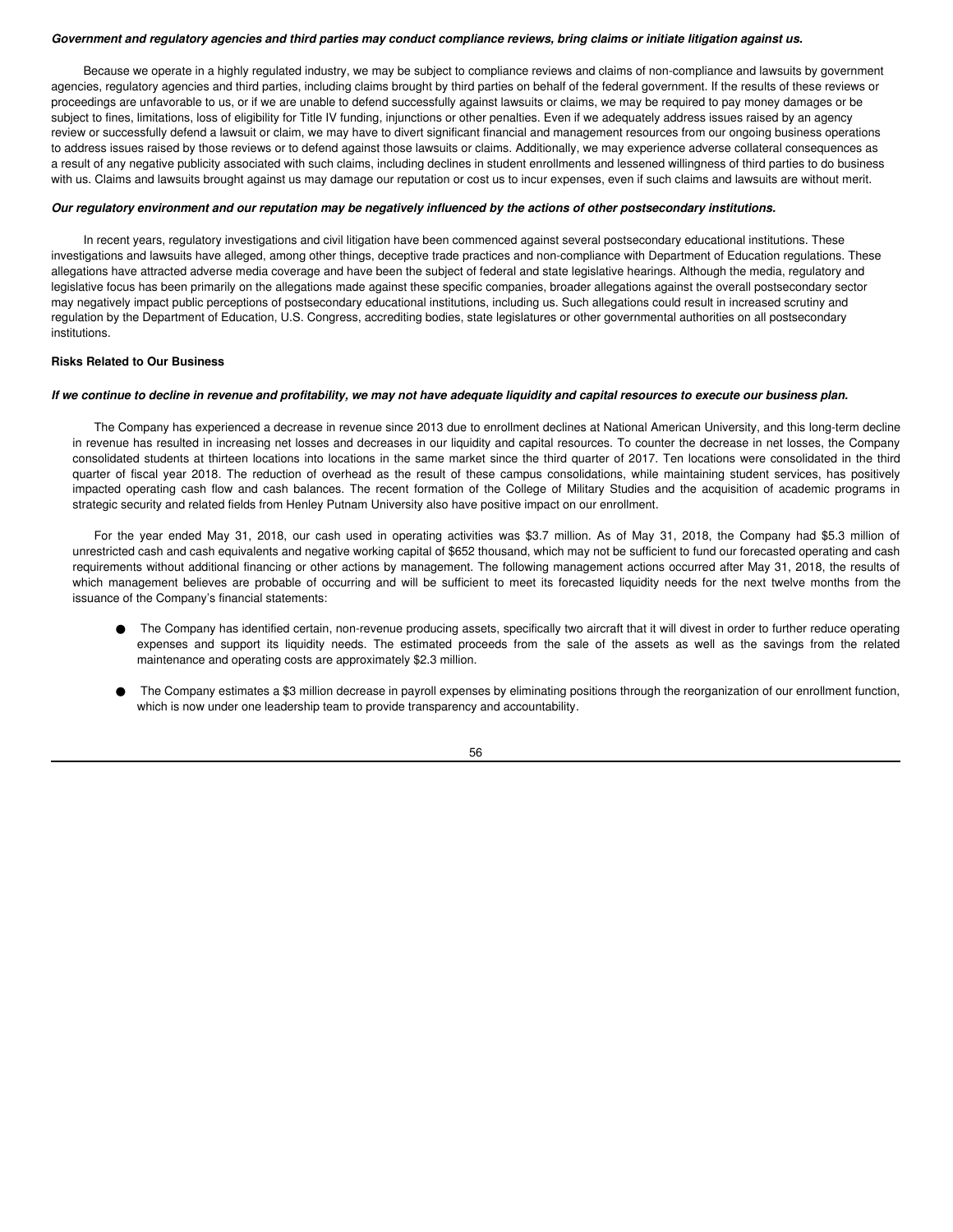#### Government and regulatory agencies and third parties may conduct compliance reviews, bring claims or initiate litigation against us.

Because we operate in a highly regulated industry, we may be subject to compliance reviews and claims of non-compliance and lawsuits by government agencies, regulatory agencies and third parties, including claims brought by third parties on behalf of the federal government. If the results of these reviews or proceedings are unfavorable to us, or if we are unable to defend successfully against lawsuits or claims, we may be required to pay money damages or be subject to fines, limitations, loss of eligibility for Title IV funding, injunctions or other penalties. Even if we adequately address issues raised by an agency review or successfully defend a lawsuit or claim, we may have to divert significant financial and management resources from our ongoing business operations to address issues raised by those reviews or to defend against those lawsuits or claims. Additionally, we may experience adverse collateral consequences as a result of any negative publicity associated with such claims, including declines in student enrollments and lessened willingness of third parties to do business with us. Claims and lawsuits brought against us may damage our reputation or cost us to incur expenses, even if such claims and lawsuits are without merit.

#### Our regulatory environment and our reputation may be negatively influenced by the actions of other postsecondary institutions.

In recent years, regulatory investigations and civil litigation have been commenced against several postsecondary educational institutions. These investigations and lawsuits have alleged, among other things, deceptive trade practices and non-compliance with Department of Education regulations. These allegations have attracted adverse media coverage and have been the subject of federal and state legislative hearings. Although the media, regulatory and legislative focus has been primarily on the allegations made against these specific companies, broader allegations against the overall postsecondary sector may negatively impact public perceptions of postsecondary educational institutions, including us. Such allegations could result in increased scrutiny and regulation by the Department of Education, U.S. Congress, accrediting bodies, state legislatures or other governmental authorities on all postsecondary institutions.

## **Risks Related to Our Business**

## If we continue to decline in revenue and profitability, we may not have adequate liquidity and capital resources to execute our business plan.

The Company has experienced a decrease in revenue since 2013 due to enrollment declines at National American University, and this long-term decline in revenue has resulted in increasing net losses and decreases in our liquidity and capital resources. To counter the decrease in net losses, the Company consolidated students at thirteen locations into locations in the same market since the third quarter of 2017. Ten locations were consolidated in the third quarter of fiscal year 2018. The reduction of overhead as the result of these campus consolidations, while maintaining student services, has positively impacted operating cash flow and cash balances. The recent formation of the College of Military Studies and the acquisition of academic programs in strategic security and related fields from Henley Putnam University also have positive impact on our enrollment.

For the year ended May 31, 2018, our cash used in operating activities was \$3.7 million. As of May 31, 2018, the Company had \$5.3 million of unrestricted cash and cash equivalents and negative working capital of \$652 thousand, which may not be sufficient to fund our forecasted operating and cash requirements without additional financing or other actions by management. The following management actions occurred after May 31, 2018, the results of which management believes are probable of occurring and will be sufficient to meet its forecasted liquidity needs for the next twelve months from the issuance of the Company's financial statements:

- The Company has identified certain, non-revenue producing assets, specifically two aircraft that it will divest in order to further reduce operating expenses and support its liquidity needs. The estimated proceeds from the sale of the assets as well as the savings from the related maintenance and operating costs are approximately \$2.3 million.
- The Company estimates a \$3 million decrease in payroll expenses by eliminating positions through the reorganization of our enrollment function, which is now under one leadership team to provide transparency and accountability.

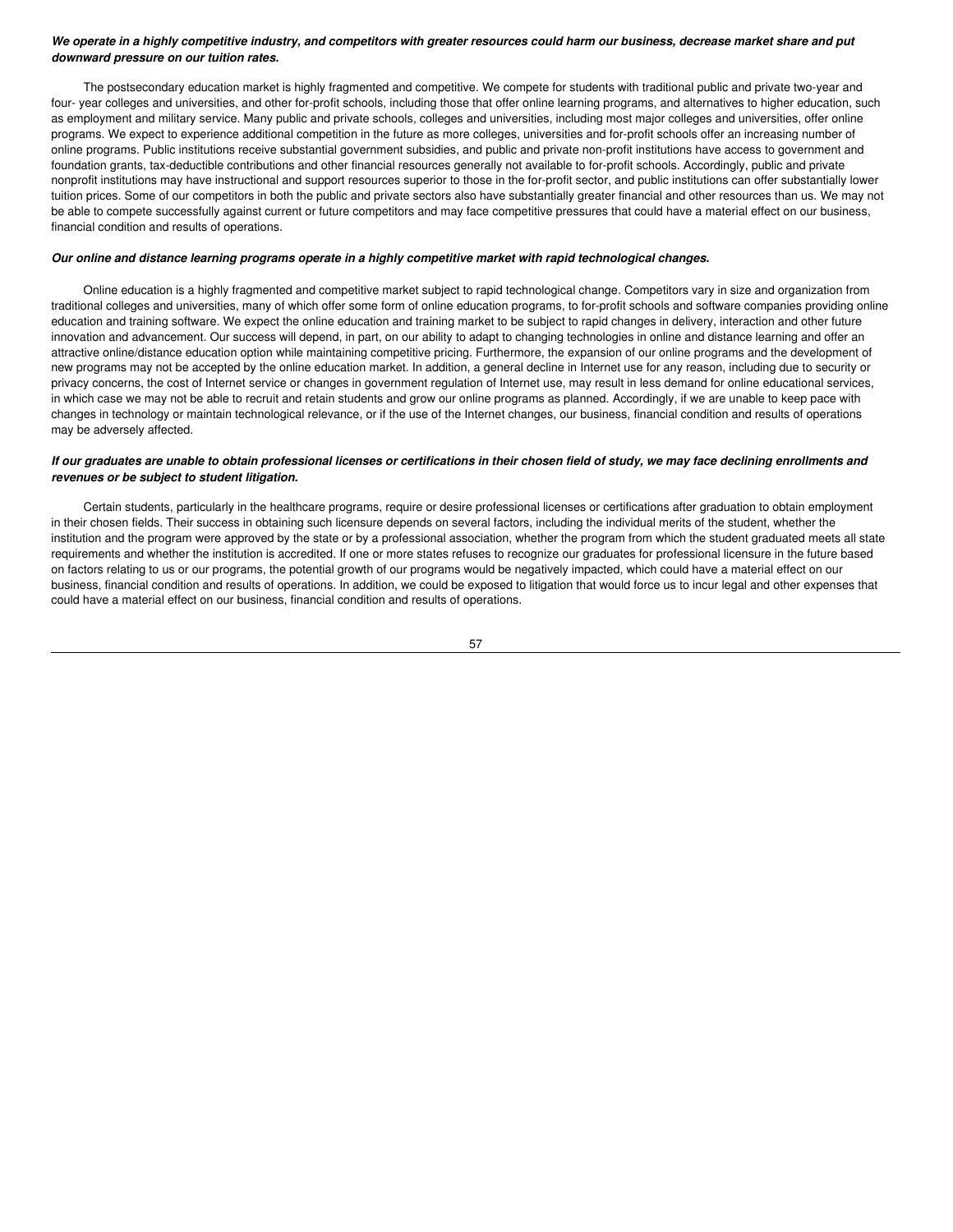# We operate in a highly competitive industry, and competitors with greater resources could harm our business, decrease market share and put *downward pressure on our tuition rates.*

The postsecondary education market is highly fragmented and competitive. We compete for students with traditional public and private two-year and four- year colleges and universities, and other for-profit schools, including those that offer online learning programs, and alternatives to higher education, such as employment and military service. Many public and private schools, colleges and universities, including most major colleges and universities, offer online programs. We expect to experience additional competition in the future as more colleges, universities and for-profit schools offer an increasing number of online programs. Public institutions receive substantial government subsidies, and public and private non-profit institutions have access to government and foundation grants, tax-deductible contributions and other financial resources generally not available to for-profit schools. Accordingly, public and private nonprofit institutions may have instructional and support resources superior to those in the for-profit sector, and public institutions can offer substantially lower tuition prices. Some of our competitors in both the public and private sectors also have substantially greater financial and other resources than us. We may not be able to compete successfully against current or future competitors and may face competitive pressures that could have a material effect on our business, financial condition and results of operations.

### Our online and distance learning programs operate in a highly competitive market with rapid technological changes.

Online education is a highly fragmented and competitive market subject to rapid technological change. Competitors vary in size and organization from traditional colleges and universities, many of which offer some form of online education programs, to for-profit schools and software companies providing online education and training software. We expect the online education and training market to be subject to rapid changes in delivery, interaction and other future innovation and advancement. Our success will depend, in part, on our ability to adapt to changing technologies in online and distance learning and offer an attractive online/distance education option while maintaining competitive pricing. Furthermore, the expansion of our online programs and the development of new programs may not be accepted by the online education market. In addition, a general decline in Internet use for any reason, including due to security or privacy concerns, the cost of Internet service or changes in government regulation of Internet use, may result in less demand for online educational services, in which case we may not be able to recruit and retain students and grow our online programs as planned. Accordingly, if we are unable to keep pace with changes in technology or maintain technological relevance, or if the use of the Internet changes, our business, financial condition and results of operations may be adversely affected.

# If our graduates are unable to obtain professional licenses or certifications in their chosen field of study, we may face declining enrollments and *revenues or be subject to student litigation.*

Certain students, particularly in the healthcare programs, require or desire professional licenses or certifications after graduation to obtain employment in their chosen fields. Their success in obtaining such licensure depends on several factors, including the individual merits of the student, whether the institution and the program were approved by the state or by a professional association, whether the program from which the student graduated meets all state requirements and whether the institution is accredited. If one or more states refuses to recognize our graduates for professional licensure in the future based on factors relating to us or our programs, the potential growth of our programs would be negatively impacted, which could have a material effect on our business, financial condition and results of operations. In addition, we could be exposed to litigation that would force us to incur legal and other expenses that could have a material effect on our business, financial condition and results of operations.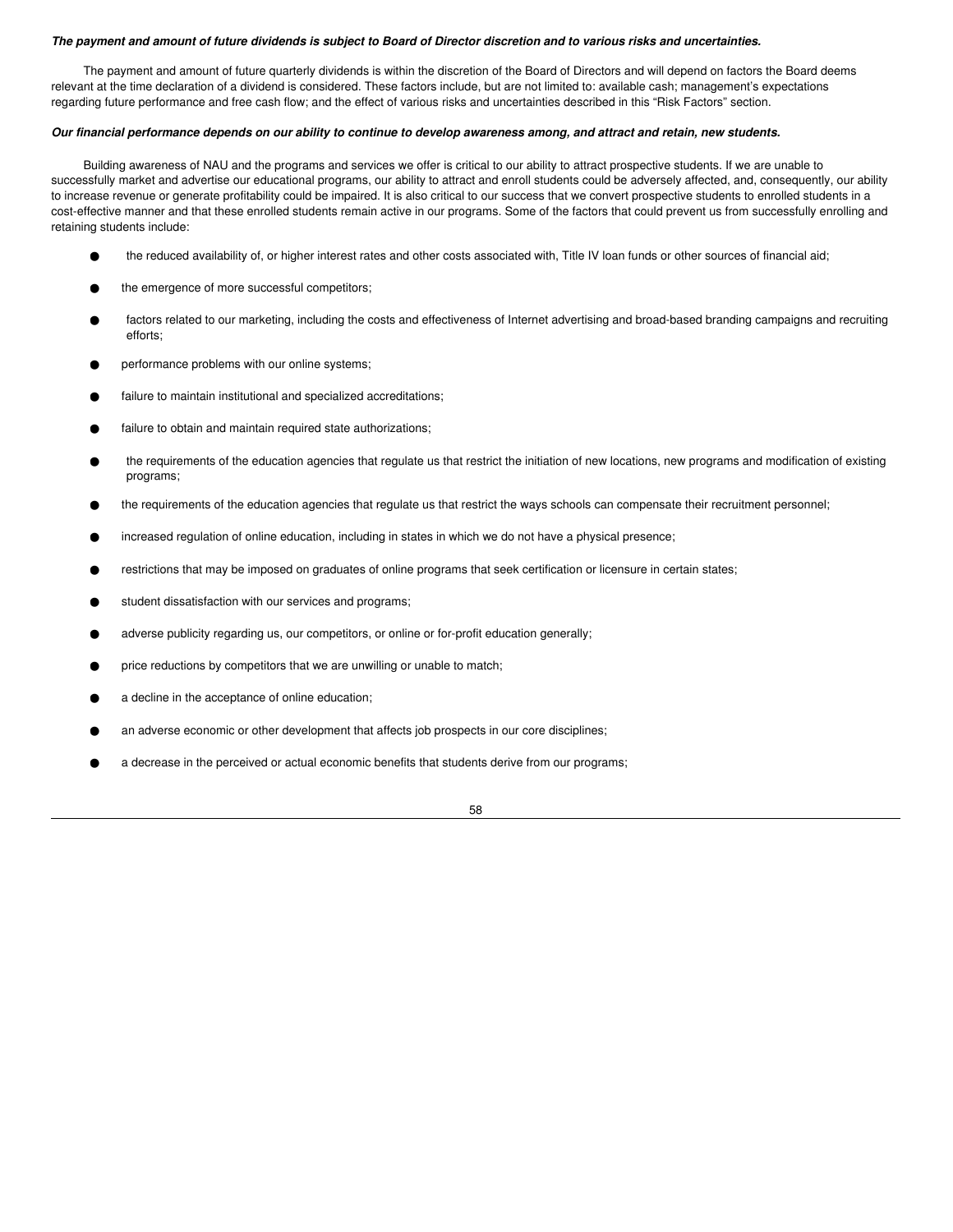# The payment and amount of future dividends is subject to Board of Director discretion and to various risks and uncertainties.

The payment and amount of future quarterly dividends is within the discretion of the Board of Directors and will depend on factors the Board deems relevant at the time declaration of a dividend is considered. These factors include, but are not limited to: available cash; management's expectations regarding future performance and free cash flow; and the effect of various risks and uncertainties described in this "Risk Factors" section.

#### Our financial performance depends on our ability to continue to develop awareness among, and attract and retain, new students.

Building awareness of NAU and the programs and services we offer is critical to our ability to attract prospective students. If we are unable to successfully market and advertise our educational programs, our ability to attract and enroll students could be adversely affected, and, consequently, our ability to increase revenue or generate profitability could be impaired. It is also critical to our success that we convert prospective students to enrolled students in a cost-effective manner and that these enrolled students remain active in our programs. Some of the factors that could prevent us from successfully enrolling and retaining students include:

- **●** the reduced availability of, or higher interest rates and other costs associated with, Title IV loan funds or other sources of financial aid;
- the emergence of more successful competitors;
- factors related to our marketing, including the costs and effectiveness of Internet advertising and broad-based branding campaigns and recruiting efforts;
- performance problems with our online systems;
- failure to maintain institutional and specialized accreditations;
- failure to obtain and maintain required state authorizations;
- **●** the requirements of the education agencies that regulate us that restrict the initiation of new locations, new programs and modification of existing programs;
- **●** the requirements of the education agencies that regulate us that restrict the ways schools can compensate their recruitment personnel;
- **●** increased regulation of online education, including in states in which we do not have a physical presence;
- restrictions that may be imposed on graduates of online programs that seek certification or licensure in certain states;
- student dissatisfaction with our services and programs;
- adverse publicity regarding us, our competitors, or online or for-profit education generally;
- price reductions by competitors that we are unwilling or unable to match;
- **●** a decline in the acceptance of online education;
- an adverse economic or other development that affects job prospects in our core disciplines;
- a decrease in the perceived or actual economic benefits that students derive from our programs;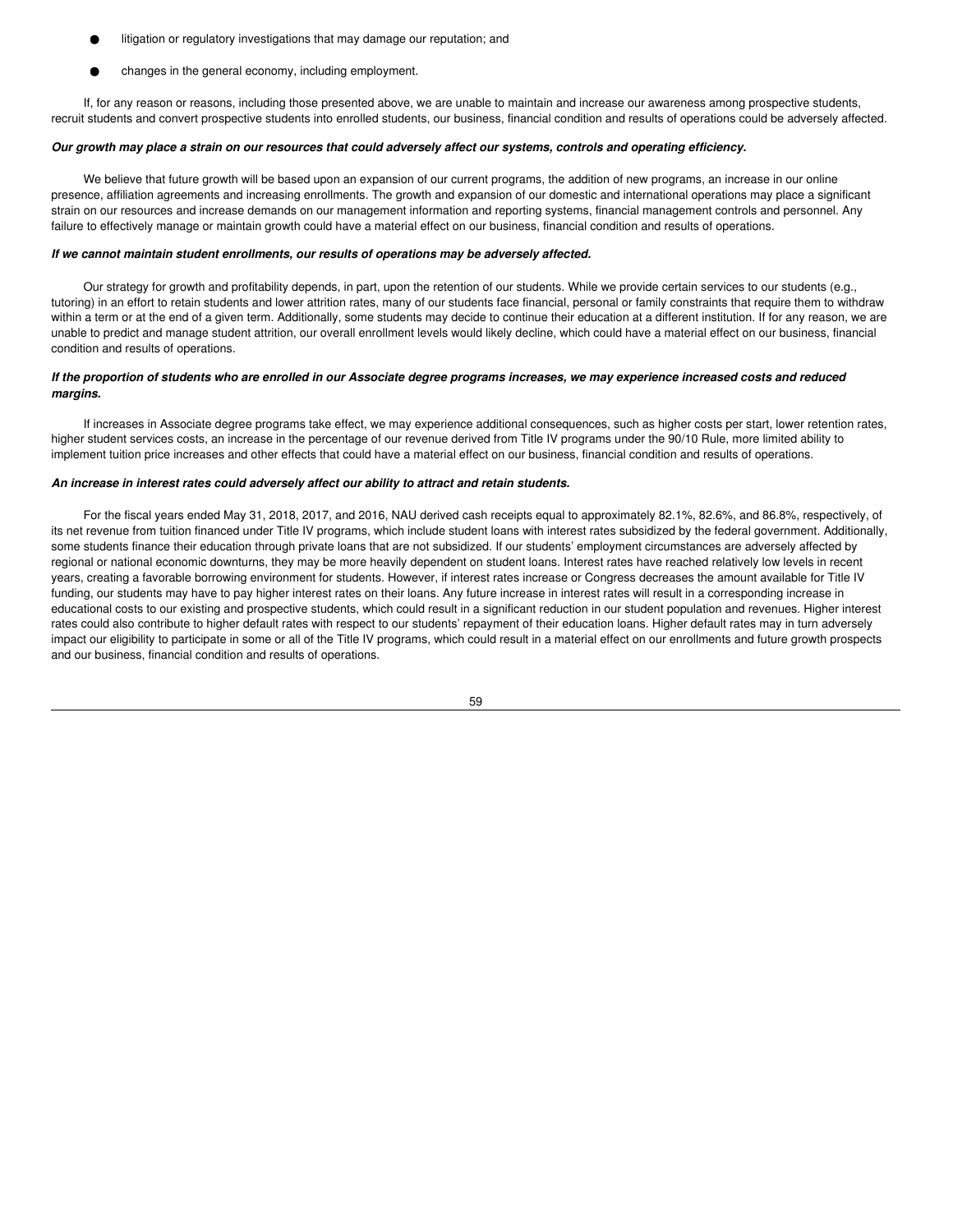- litigation or regulatory investigations that may damage our reputation; and
- **●** changes in the general economy, including employment.

If, for any reason or reasons, including those presented above, we are unable to maintain and increase our awareness among prospective students, recruit students and convert prospective students into enrolled students, our business, financial condition and results of operations could be adversely affected.

## Our growth may place a strain on our resources that could adversely affect our systems, controls and operating efficiency.

We believe that future growth will be based upon an expansion of our current programs, the addition of new programs, an increase in our online presence, affiliation agreements and increasing enrollments. The growth and expansion of our domestic and international operations may place a significant strain on our resources and increase demands on our management information and reporting systems, financial management controls and personnel. Any failure to effectively manage or maintain growth could have a material effect on our business, financial condition and results of operations.

### *If we cannot maintain student enrollments, our results of operations may be adversely affected.*

Our strategy for growth and profitability depends, in part, upon the retention of our students. While we provide certain services to our students (e.g., tutoring) in an effort to retain students and lower attrition rates, many of our students face financial, personal or family constraints that require them to withdraw within a term or at the end of a given term. Additionally, some students may decide to continue their education at a different institution. If for any reason, we are unable to predict and manage student attrition, our overall enrollment levels would likely decline, which could have a material effect on our business, financial condition and results of operations.

## If the proportion of students who are enrolled in our Associate degree programs increases, we may experience increased costs and reduced *margins.*

If increases in Associate degree programs take effect, we may experience additional consequences, such as higher costs per start, lower retention rates, higher student services costs, an increase in the percentage of our revenue derived from Title IV programs under the 90/10 Rule, more limited ability to implement tuition price increases and other effects that could have a material effect on our business, financial condition and results of operations.

#### *An increase in interest rates could adversely affect our ability to attract and retain students.*

For the fiscal years ended May 31, 2018, 2017, and 2016, NAU derived cash receipts equal to approximately 82.1%, 82.6%, and 86.8%, respectively, of its net revenue from tuition financed under Title IV programs, which include student loans with interest rates subsidized by the federal government. Additionally, some students finance their education through private loans that are not subsidized. If our students' employment circumstances are adversely affected by regional or national economic downturns, they may be more heavily dependent on student loans. Interest rates have reached relatively low levels in recent years, creating a favorable borrowing environment for students. However, if interest rates increase or Congress decreases the amount available for Title IV funding, our students may have to pay higher interest rates on their loans. Any future increase in interest rates will result in a corresponding increase in educational costs to our existing and prospective students, which could result in a significant reduction in our student population and revenues. Higher interest rates could also contribute to higher default rates with respect to our students' repayment of their education loans. Higher default rates may in turn adversely impact our eligibility to participate in some or all of the Title IV programs, which could result in a material effect on our enrollments and future growth prospects and our business, financial condition and results of operations.

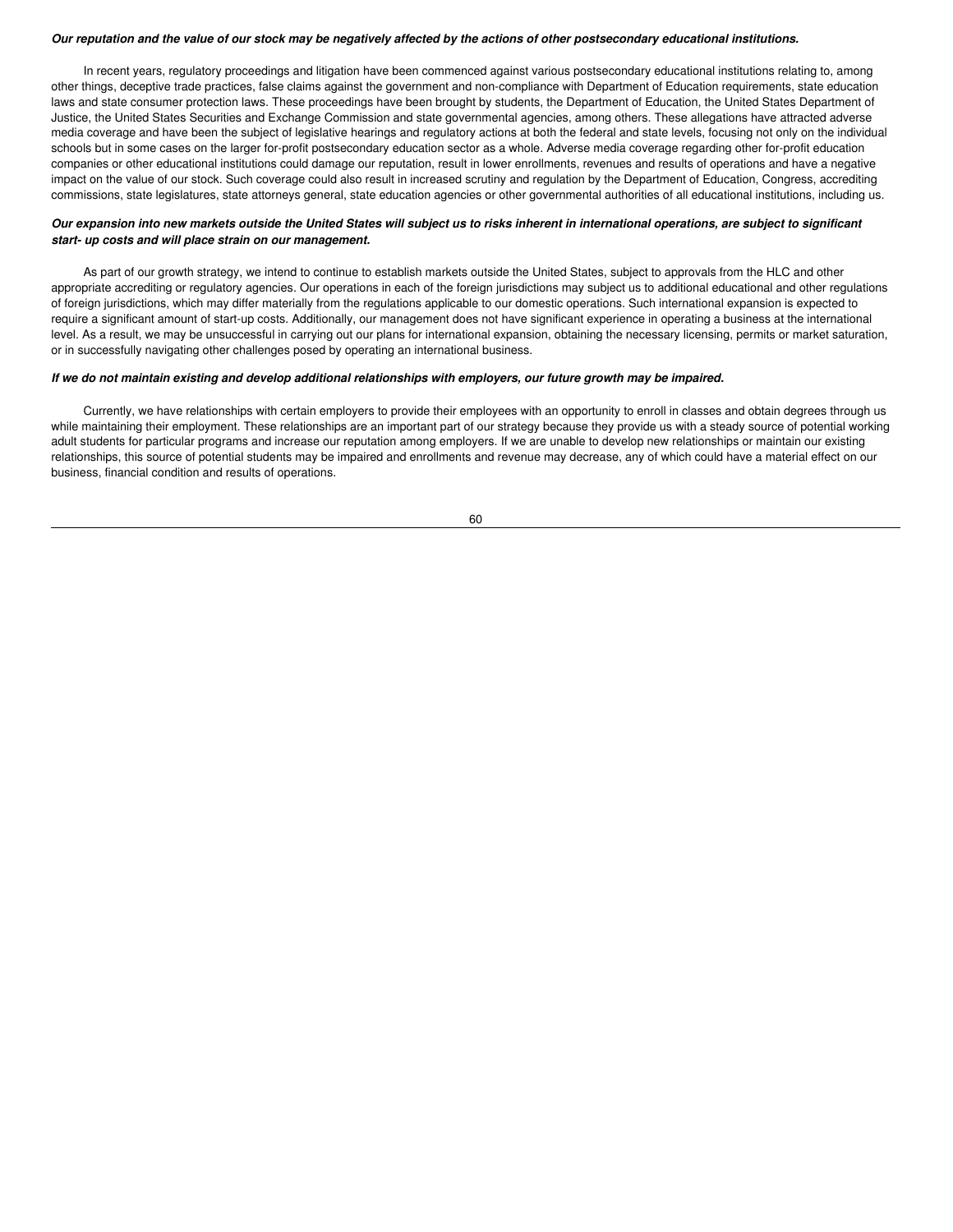#### Our reputation and the value of our stock may be negatively affected by the actions of other postsecondary educational institutions.

In recent years, regulatory proceedings and litigation have been commenced against various postsecondary educational institutions relating to, among other things, deceptive trade practices, false claims against the government and non-compliance with Department of Education requirements, state education laws and state consumer protection laws. These proceedings have been brought by students, the Department of Education, the United States Department of Justice, the United States Securities and Exchange Commission and state governmental agencies, among others. These allegations have attracted adverse media coverage and have been the subject of legislative hearings and regulatory actions at both the federal and state levels, focusing not only on the individual schools but in some cases on the larger for-profit postsecondary education sector as a whole. Adverse media coverage regarding other for-profit education companies or other educational institutions could damage our reputation, result in lower enrollments, revenues and results of operations and have a negative impact on the value of our stock. Such coverage could also result in increased scrutiny and regulation by the Department of Education, Congress, accrediting commissions, state legislatures, state attorneys general, state education agencies or other governmental authorities of all educational institutions, including us.

# Our expansion into new markets outside the United States will subject us to risks inherent in international operations, are subject to significant *start- up costs and will place strain on our management.*

As part of our growth strategy, we intend to continue to establish markets outside the United States, subject to approvals from the HLC and other appropriate accrediting or regulatory agencies. Our operations in each of the foreign jurisdictions may subject us to additional educational and other regulations of foreign jurisdictions, which may differ materially from the regulations applicable to our domestic operations. Such international expansion is expected to require a significant amount of start-up costs. Additionally, our management does not have significant experience in operating a business at the international level. As a result, we may be unsuccessful in carrying out our plans for international expansion, obtaining the necessary licensing, permits or market saturation, or in successfully navigating other challenges posed by operating an international business.

#### If we do not maintain existing and develop additional relationships with employers, our future growth may be impaired.

Currently, we have relationships with certain employers to provide their employees with an opportunity to enroll in classes and obtain degrees through us while maintaining their employment. These relationships are an important part of our strategy because they provide us with a steady source of potential working adult students for particular programs and increase our reputation among employers. If we are unable to develop new relationships or maintain our existing relationships, this source of potential students may be impaired and enrollments and revenue may decrease, any of which could have a material effect on our business, financial condition and results of operations.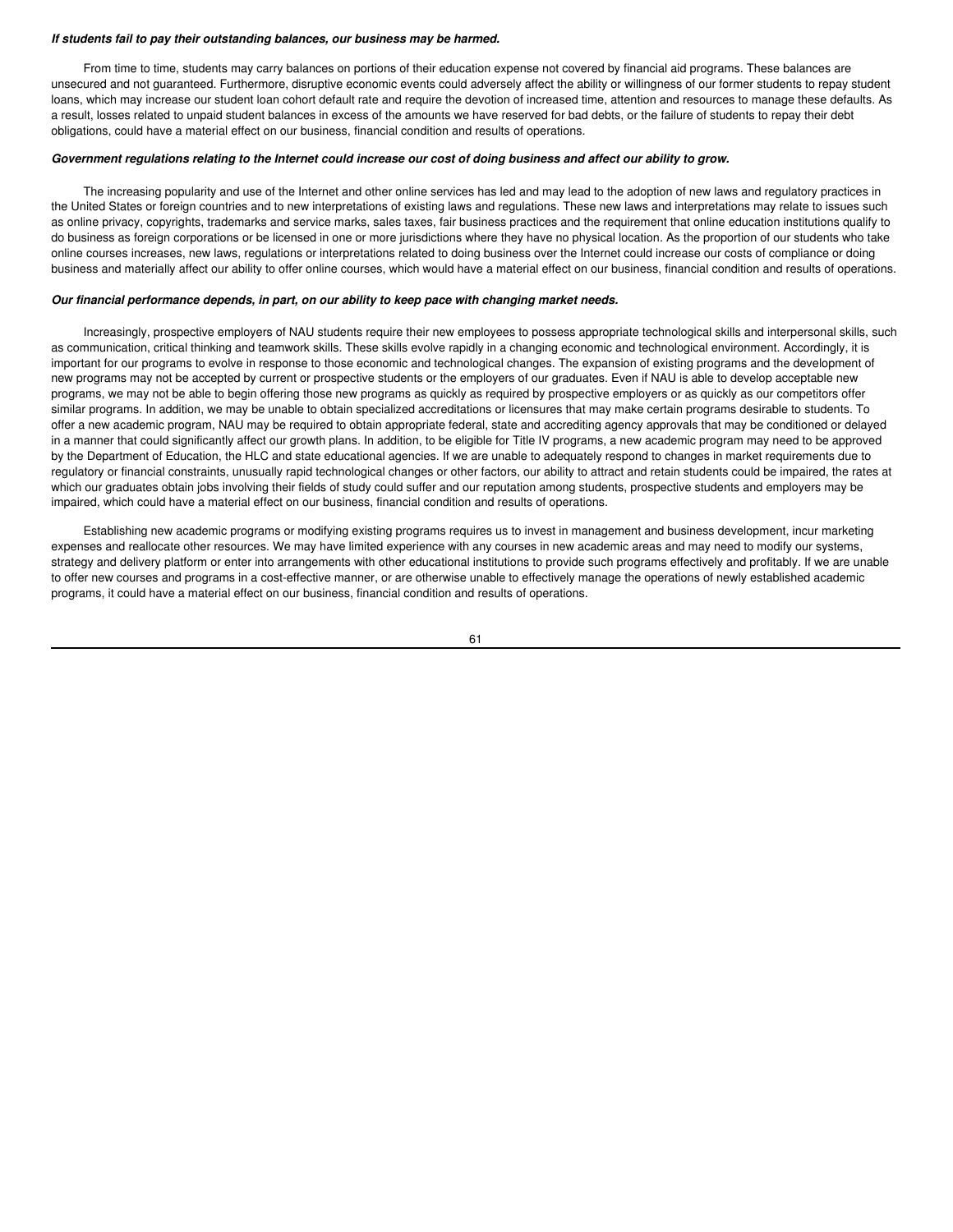#### *If students fail to pay their outstanding balances, our business may be harmed.*

From time to time, students may carry balances on portions of their education expense not covered by financial aid programs. These balances are unsecured and not guaranteed. Furthermore, disruptive economic events could adversely affect the ability or willingness of our former students to repay student loans, which may increase our student loan cohort default rate and require the devotion of increased time, attention and resources to manage these defaults. As a result, losses related to unpaid student balances in excess of the amounts we have reserved for bad debts, or the failure of students to repay their debt obligations, could have a material effect on our business, financial condition and results of operations.

#### Government regulations relating to the Internet could increase our cost of doing business and affect our ability to grow.

The increasing popularity and use of the Internet and other online services has led and may lead to the adoption of new laws and regulatory practices in the United States or foreign countries and to new interpretations of existing laws and regulations. These new laws and interpretations may relate to issues such as online privacy, copyrights, trademarks and service marks, sales taxes, fair business practices and the requirement that online education institutions qualify to do business as foreign corporations or be licensed in one or more jurisdictions where they have no physical location. As the proportion of our students who take online courses increases, new laws, regulations or interpretations related to doing business over the Internet could increase our costs of compliance or doing business and materially affect our ability to offer online courses, which would have a material effect on our business, financial condition and results of operations.

### *Our financial performance depends, in part, on our ability to keep pace with changing market needs.*

Increasingly, prospective employers of NAU students require their new employees to possess appropriate technological skills and interpersonal skills, such as communication, critical thinking and teamwork skills. These skills evolve rapidly in a changing economic and technological environment. Accordingly, it is important for our programs to evolve in response to those economic and technological changes. The expansion of existing programs and the development of new programs may not be accepted by current or prospective students or the employers of our graduates. Even if NAU is able to develop acceptable new programs, we may not be able to begin offering those new programs as quickly as required by prospective employers or as quickly as our competitors offer similar programs. In addition, we may be unable to obtain specialized accreditations or licensures that may make certain programs desirable to students. To offer a new academic program, NAU may be required to obtain appropriate federal, state and accrediting agency approvals that may be conditioned or delayed in a manner that could significantly affect our growth plans. In addition, to be eligible for Title IV programs, a new academic program may need to be approved by the Department of Education, the HLC and state educational agencies. If we are unable to adequately respond to changes in market requirements due to regulatory or financial constraints, unusually rapid technological changes or other factors, our ability to attract and retain students could be impaired, the rates at which our graduates obtain jobs involving their fields of study could suffer and our reputation among students, prospective students and employers may be impaired, which could have a material effect on our business, financial condition and results of operations.

Establishing new academic programs or modifying existing programs requires us to invest in management and business development, incur marketing expenses and reallocate other resources. We may have limited experience with any courses in new academic areas and may need to modify our systems, strategy and delivery platform or enter into arrangements with other educational institutions to provide such programs effectively and profitably. If we are unable to offer new courses and programs in a cost-effective manner, or are otherwise unable to effectively manage the operations of newly established academic programs, it could have a material effect on our business, financial condition and results of operations.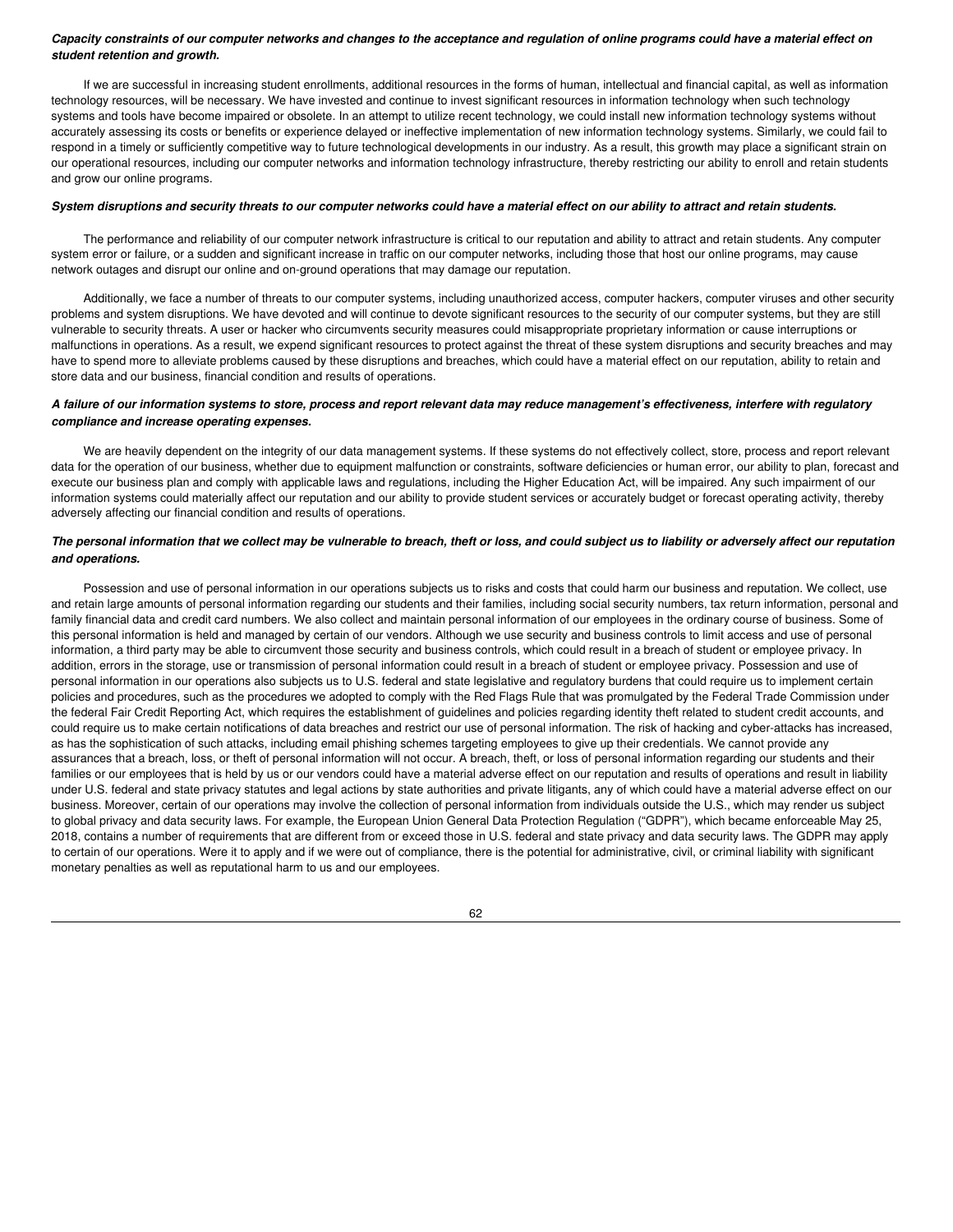# Capacity constraints of our computer networks and changes to the acceptance and regulation of online programs could have a material effect on *student retention and growth.*

If we are successful in increasing student enrollments, additional resources in the forms of human, intellectual and financial capital, as well as information technology resources, will be necessary. We have invested and continue to invest significant resources in information technology when such technology systems and tools have become impaired or obsolete. In an attempt to utilize recent technology, we could install new information technology systems without accurately assessing its costs or benefits or experience delayed or ineffective implementation of new information technology systems. Similarly, we could fail to respond in a timely or sufficiently competitive way to future technological developments in our industry. As a result, this growth may place a significant strain on our operational resources, including our computer networks and information technology infrastructure, thereby restricting our ability to enroll and retain students and grow our online programs.

#### System disruptions and security threats to our computer networks could have a material effect on our ability to attract and retain students.

The performance and reliability of our computer network infrastructure is critical to our reputation and ability to attract and retain students. Any computer system error or failure, or a sudden and significant increase in traffic on our computer networks, including those that host our online programs, may cause network outages and disrupt our online and on-ground operations that may damage our reputation.

Additionally, we face a number of threats to our computer systems, including unauthorized access, computer hackers, computer viruses and other security problems and system disruptions. We have devoted and will continue to devote significant resources to the security of our computer systems, but they are still vulnerable to security threats. A user or hacker who circumvents security measures could misappropriate proprietary information or cause interruptions or malfunctions in operations. As a result, we expend significant resources to protect against the threat of these system disruptions and security breaches and may have to spend more to alleviate problems caused by these disruptions and breaches, which could have a material effect on our reputation, ability to retain and store data and our business, financial condition and results of operations.

# A failure of our information systems to store, process and report relevant data may reduce management's effectiveness, interfere with regulatory *compliance and increase operating expenses.*

We are heavily dependent on the integrity of our data management systems. If these systems do not effectively collect, store, process and report relevant data for the operation of our business, whether due to equipment malfunction or constraints, software deficiencies or human error, our ability to plan, forecast and execute our business plan and comply with applicable laws and regulations, including the Higher Education Act, will be impaired. Any such impairment of our information systems could materially affect our reputation and our ability to provide student services or accurately budget or forecast operating activity, thereby adversely affecting our financial condition and results of operations.

# The personal information that we collect may be vulnerable to breach, theft or loss, and could subject us to liability or adversely affect our reputation *and operations.*

Possession and use of personal information in our operations subjects us to risks and costs that could harm our business and reputation. We collect, use and retain large amounts of personal information regarding our students and their families, including social security numbers, tax return information, personal and family financial data and credit card numbers. We also collect and maintain personal information of our employees in the ordinary course of business. Some of this personal information is held and managed by certain of our vendors. Although we use security and business controls to limit access and use of personal information, a third party may be able to circumvent those security and business controls, which could result in a breach of student or employee privacy. In addition, errors in the storage, use or transmission of personal information could result in a breach of student or employee privacy. Possession and use of personal information in our operations also subjects us to U.S. federal and state legislative and regulatory burdens that could require us to implement certain policies and procedures, such as the procedures we adopted to comply with the Red Flags Rule that was promulgated by the Federal Trade Commission under the federal Fair Credit Reporting Act, which requires the establishment of guidelines and policies regarding identity theft related to student credit accounts, and could require us to make certain notifications of data breaches and restrict our use of personal information. The risk of hacking and cyber-attacks has increased, as has the sophistication of such attacks, including email phishing schemes targeting employees to give up their credentials. We cannot provide any assurances that a breach, loss, or theft of personal information will not occur. A breach, theft, or loss of personal information regarding our students and their families or our employees that is held by us or our vendors could have a material adverse effect on our reputation and results of operations and result in liability under U.S. federal and state privacy statutes and legal actions by state authorities and private litigants, any of which could have a material adverse effect on our business. Moreover, certain of our operations may involve the collection of personal information from individuals outside the U.S., which may render us subject to global privacy and data security laws. For example, the European Union General Data Protection Regulation ("GDPR"), which became enforceable May 25, 2018, contains a number of requirements that are different from or exceed those in U.S. federal and state privacy and data security laws. The GDPR may apply to certain of our operations. Were it to apply and if we were out of compliance, there is the potential for administrative, civil, or criminal liability with significant monetary penalties as well as reputational harm to us and our employees.

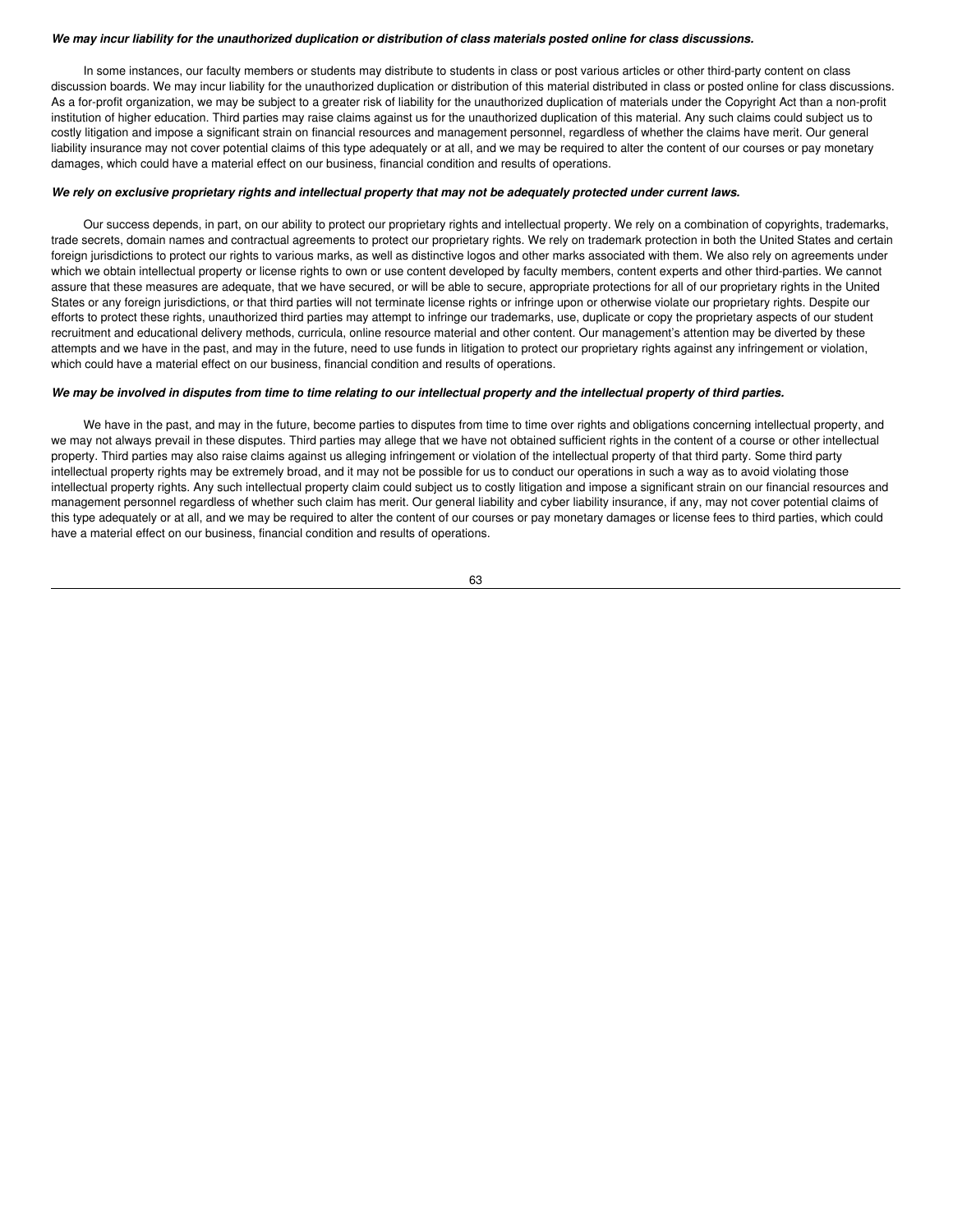#### We may incur liability for the unauthorized duplication or distribution of class materials posted online for class discussions.

In some instances, our faculty members or students may distribute to students in class or post various articles or other third-party content on class discussion boards. We may incur liability for the unauthorized duplication or distribution of this material distributed in class or posted online for class discussions. As a for-profit organization, we may be subject to a greater risk of liability for the unauthorized duplication of materials under the Copyright Act than a non-profit institution of higher education. Third parties may raise claims against us for the unauthorized duplication of this material. Any such claims could subject us to costly litigation and impose a significant strain on financial resources and management personnel, regardless of whether the claims have merit. Our general liability insurance may not cover potential claims of this type adequately or at all, and we may be required to alter the content of our courses or pay monetary damages, which could have a material effect on our business, financial condition and results of operations.

### We rely on exclusive proprietary rights and intellectual property that may not be adequately protected under current laws.

Our success depends, in part, on our ability to protect our proprietary rights and intellectual property. We rely on a combination of copyrights, trademarks, trade secrets, domain names and contractual agreements to protect our proprietary rights. We rely on trademark protection in both the United States and certain foreign jurisdictions to protect our rights to various marks, as well as distinctive logos and other marks associated with them. We also rely on agreements under which we obtain intellectual property or license rights to own or use content developed by faculty members, content experts and other third-parties. We cannot assure that these measures are adequate, that we have secured, or will be able to secure, appropriate protections for all of our proprietary rights in the United States or any foreign jurisdictions, or that third parties will not terminate license rights or infringe upon or otherwise violate our proprietary rights. Despite our efforts to protect these rights, unauthorized third parties may attempt to infringe our trademarks, use, duplicate or copy the proprietary aspects of our student recruitment and educational delivery methods, curricula, online resource material and other content. Our management's attention may be diverted by these attempts and we have in the past, and may in the future, need to use funds in litigation to protect our proprietary rights against any infringement or violation, which could have a material effect on our business, financial condition and results of operations.

#### We may be involved in disputes from time to time relating to our intellectual property and the intellectual property of third parties.

We have in the past, and may in the future, become parties to disputes from time to time over rights and obligations concerning intellectual property, and we may not always prevail in these disputes. Third parties may allege that we have not obtained sufficient rights in the content of a course or other intellectual property. Third parties may also raise claims against us alleging infringement or violation of the intellectual property of that third party. Some third party intellectual property rights may be extremely broad, and it may not be possible for us to conduct our operations in such a way as to avoid violating those intellectual property rights. Any such intellectual property claim could subject us to costly litigation and impose a significant strain on our financial resources and management personnel regardless of whether such claim has merit. Our general liability and cyber liability insurance, if any, may not cover potential claims of this type adequately or at all, and we may be required to alter the content of our courses or pay monetary damages or license fees to third parties, which could have a material effect on our business, financial condition and results of operations.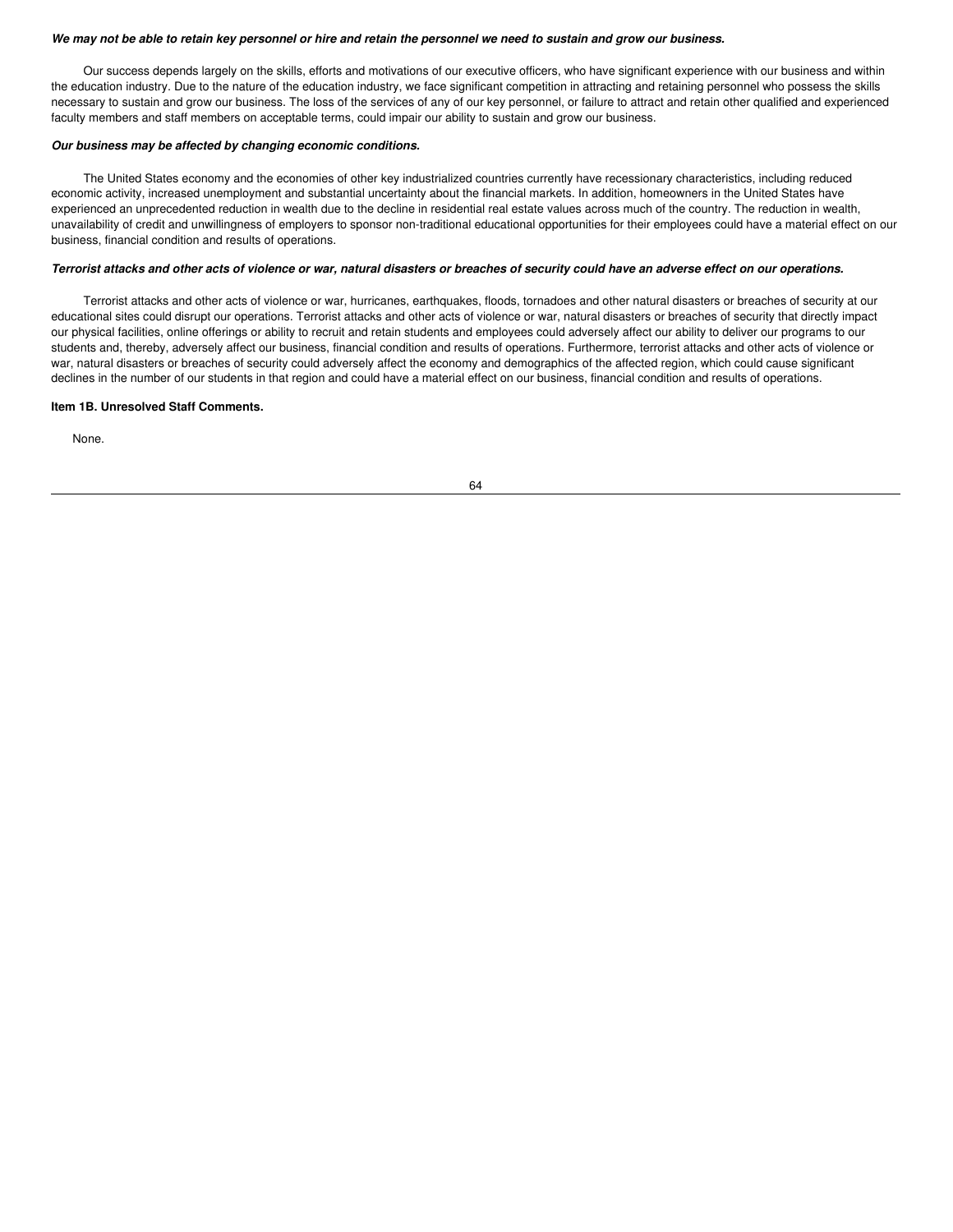#### We may not be able to retain key personnel or hire and retain the personnel we need to sustain and grow our business.

Our success depends largely on the skills, efforts and motivations of our executive officers, who have significant experience with our business and within the education industry. Due to the nature of the education industry, we face significant competition in attracting and retaining personnel who possess the skills necessary to sustain and grow our business. The loss of the services of any of our key personnel, or failure to attract and retain other qualified and experienced faculty members and staff members on acceptable terms, could impair our ability to sustain and grow our business.

### *Our business may be affected by changing economic conditions.*

The United States economy and the economies of other key industrialized countries currently have recessionary characteristics, including reduced economic activity, increased unemployment and substantial uncertainty about the financial markets. In addition, homeowners in the United States have experienced an unprecedented reduction in wealth due to the decline in residential real estate values across much of the country. The reduction in wealth, unavailability of credit and unwillingness of employers to sponsor non-traditional educational opportunities for their employees could have a material effect on our business, financial condition and results of operations.

#### Terrorist attacks and other acts of violence or war, natural disasters or breaches of security could have an adverse effect on our operations.

Terrorist attacks and other acts of violence or war, hurricanes, earthquakes, floods, tornadoes and other natural disasters or breaches of security at our educational sites could disrupt our operations. Terrorist attacks and other acts of violence or war, natural disasters or breaches of security that directly impact our physical facilities, online offerings or ability to recruit and retain students and employees could adversely affect our ability to deliver our programs to our students and, thereby, adversely affect our business, financial condition and results of operations. Furthermore, terrorist attacks and other acts of violence or war, natural disasters or breaches of security could adversely affect the economy and demographics of the affected region, which could cause significant declines in the number of our students in that region and could have a material effect on our business, financial condition and results of operations.

## **Item 1B. Unresolved Staff Comments.**

None.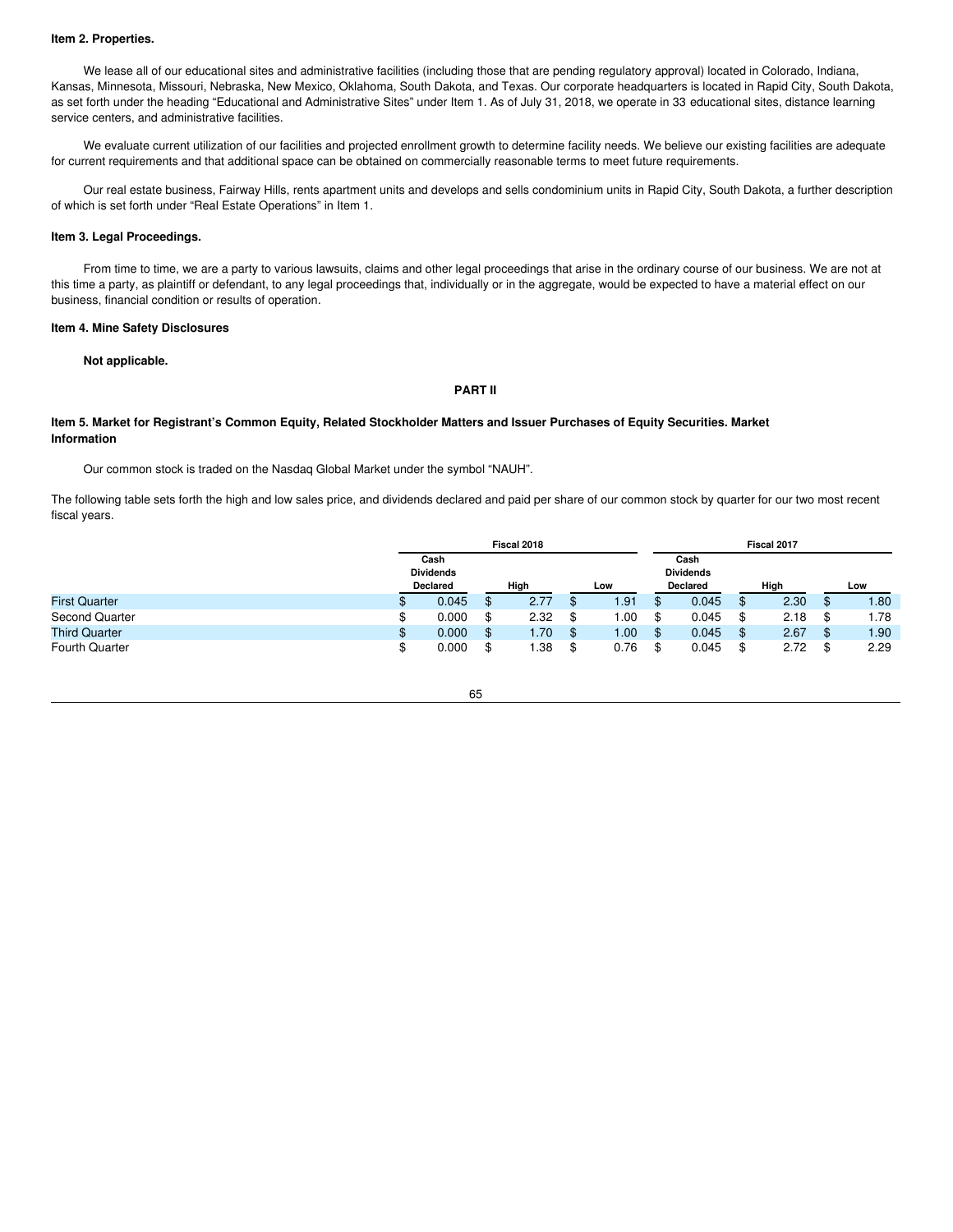# **Item 2. Properties.**

We lease all of our educational sites and administrative facilities (including those that are pending regulatory approval) located in Colorado, Indiana, Kansas, Minnesota, Missouri, Nebraska, New Mexico, Oklahoma, South Dakota, and Texas. Our corporate headquarters is located in Rapid City, South Dakota, as set forth under the heading "Educational and Administrative Sites" under Item 1. As of July 31, 2018, we operate in 33 educational sites, distance learning service centers, and administrative facilities.

We evaluate current utilization of our facilities and projected enrollment growth to determine facility needs. We believe our existing facilities are adequate for current requirements and that additional space can be obtained on commercially reasonable terms to meet future requirements.

Our real estate business, Fairway Hills, rents apartment units and develops and sells condominium units in Rapid City, South Dakota, a further description of which is set forth under "Real Estate Operations" in Item 1.

#### **Item 3. Legal Proceedings.**

From time to time, we are a party to various lawsuits, claims and other legal proceedings that arise in the ordinary course of our business. We are not at this time a party, as plaintiff or defendant, to any legal proceedings that, individually or in the aggregate, would be expected to have a material effect on our business, financial condition or results of operation.

#### **Item 4. Mine Safety Disclosures**

**Not applicable.**

#### **PART II**

## Item 5. Market for Registrant's Common Equity, Related Stockholder Matters and Issuer Purchases of Equity Securities. Market **Information**

Our common stock is traded on the Nasdaq Global Market under the symbol "NAUH".

The following table sets forth the high and low sales price, and dividends declared and paid per share of our common stock by quarter for our two most recent fiscal years.

|                      |                          | Fiscal 2018     |      |      |     |       |          | Fiscal 2017              |      |      |     |                  |  |  |
|----------------------|--------------------------|-----------------|------|------|-----|-------|----------|--------------------------|------|------|-----|------------------|--|--|
|                      | Cash<br><b>Dividends</b> |                 |      |      |     |       |          | Cash<br><b>Dividends</b> |      |      |     |                  |  |  |
|                      |                          | <b>Declared</b> | High |      | Low |       | Declared |                          | High |      | Low |                  |  |  |
| <b>First Quarter</b> |                          | 0.045           |      | 2.77 |     | l .91 |          | 0.045                    |      | 2.30 |     | 1.80             |  |  |
| Second Quarter       |                          | 0.000           |      | 2.32 | \$  | .00   |          | 0.045                    |      | 2.18 |     | l.78             |  |  |
| <b>Third Quarter</b> |                          | 0.000           | \$   | .70  | \$  | .00.  |          | 0.045                    |      | 2.67 |     | .90 <sub>1</sub> |  |  |
| Fourth Quarter       |                          | 0.000           |      | .38  | \$  | 0.76  |          | 0.045                    |      | 2.72 |     | 2.29             |  |  |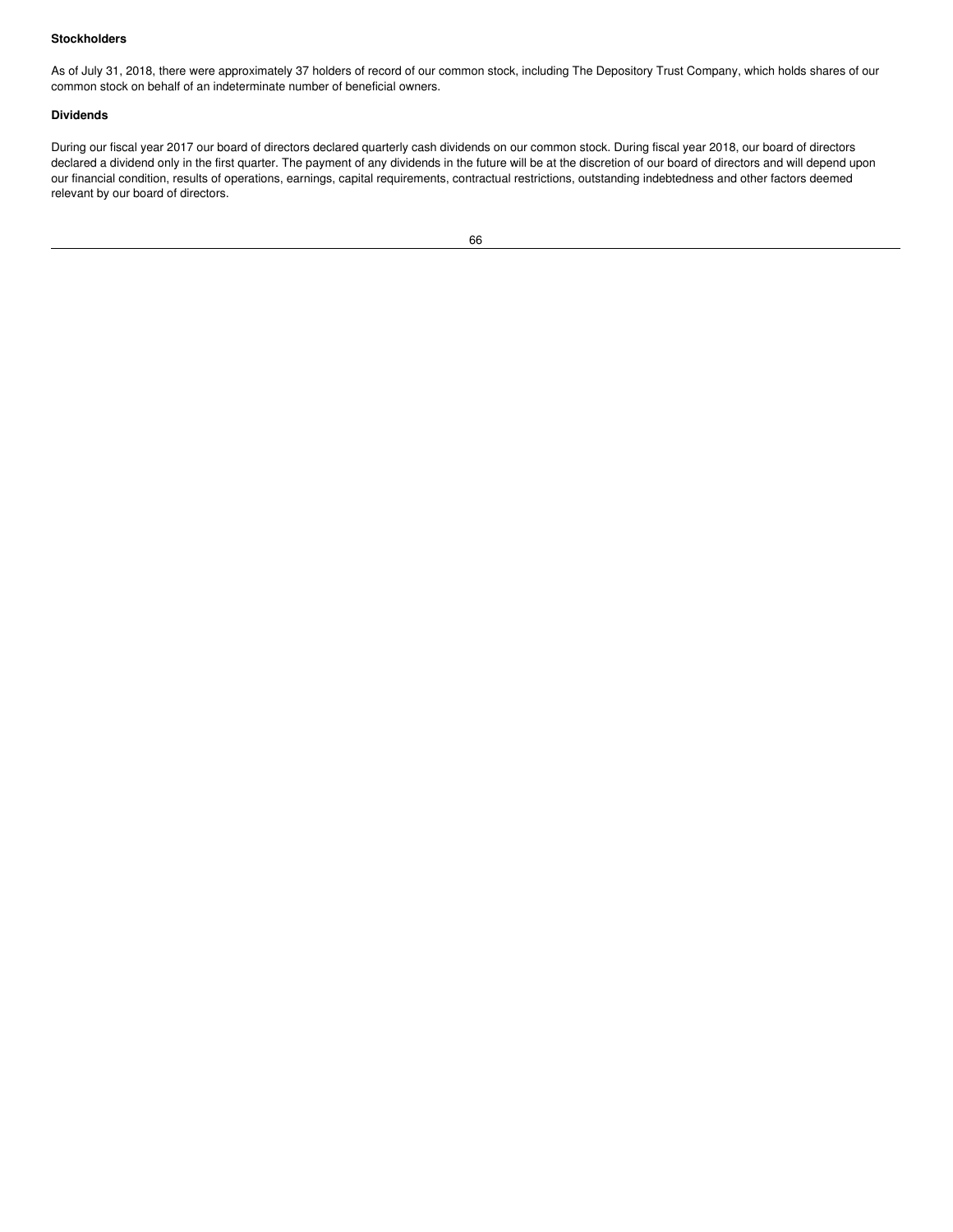# **Stockholders**

As of July 31, 2018, there were approximately 37 holders of record of our common stock, including The Depository Trust Company, which holds shares of our common stock on behalf of an indeterminate number of beneficial owners.

# **Dividends**

During our fiscal year 2017 our board of directors declared quarterly cash dividends on our common stock. During fiscal year 2018, our board of directors declared a dividend only in the first quarter. The payment of any dividends in the future will be at the discretion of our board of directors and will depend upon our financial condition, results of operations, earnings, capital requirements, contractual restrictions, outstanding indebtedness and other factors deemed relevant by our board of directors.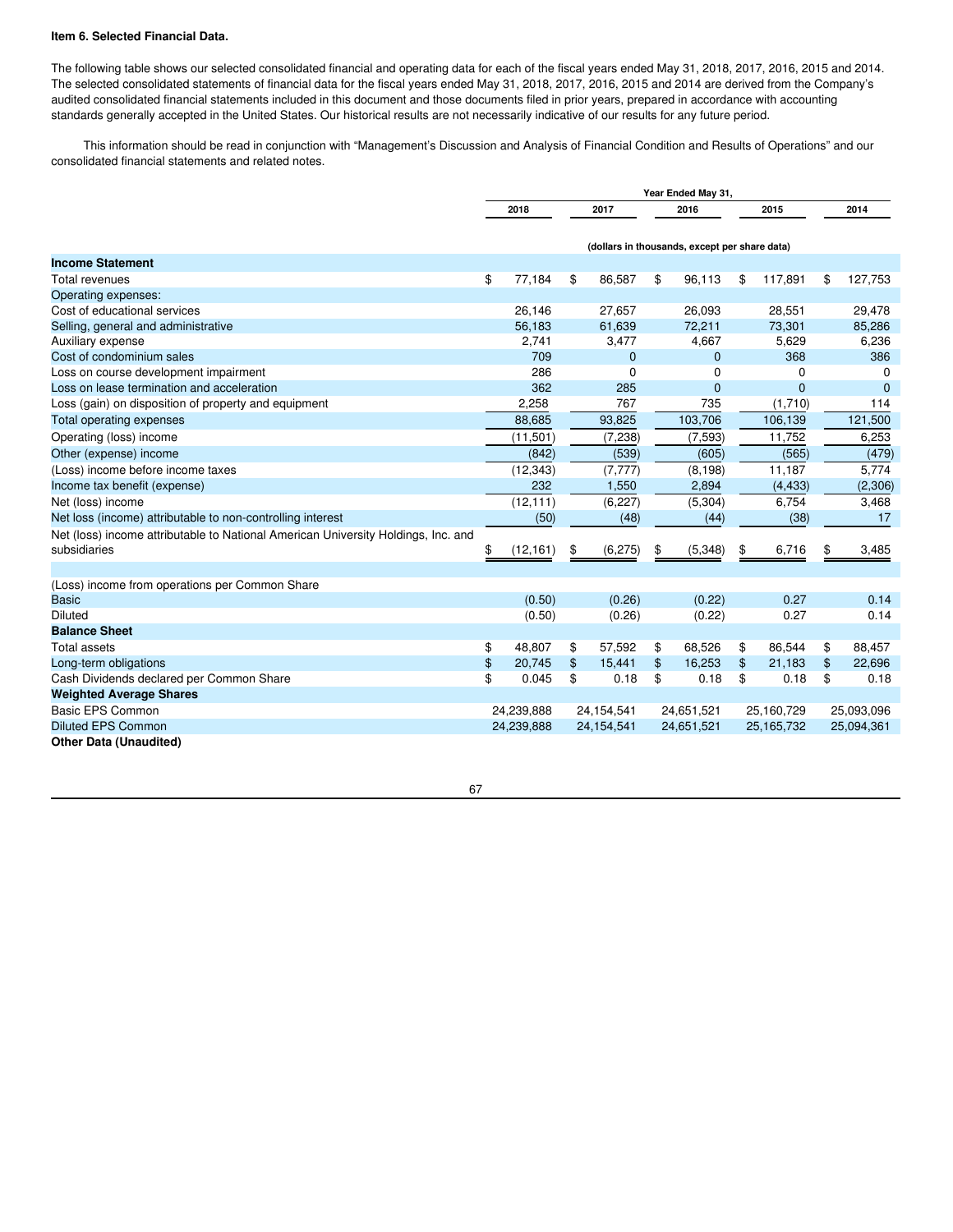# **Item 6. Selected Financial Data.**

The following table shows our selected consolidated financial and operating data for each of the fiscal years ended May 31, 2018, 2017, 2016, 2015 and 2014. The selected consolidated statements of financial data for the fiscal years ended May 31, 2018, 2017, 2016, 2015 and 2014 are derived from the Company's audited consolidated financial statements included in this document and those documents filed in prior years, prepared in accordance with accounting standards generally accepted in the United States. Our historical results are not necessarily indicative of our results for any future period.

This information should be read in conjunction with "Management's Discussion and Analysis of Financial Condition and Results of Operations" and our consolidated financial statements and related notes.

|                                                                                   | Year Ended May 31, |            |            |              |            |              |            |             |            |              |
|-----------------------------------------------------------------------------------|--------------------|------------|------------|--------------|------------|--------------|------------|-------------|------------|--------------|
|                                                                                   | 2018               |            | 2017       |              | 2016       |              | 2015       |             |            | 2014         |
|                                                                                   |                    |            |            |              |            |              |            |             |            |              |
| <b>Income Statement</b>                                                           |                    |            |            |              |            |              |            |             |            |              |
| <b>Total revenues</b>                                                             | \$                 | 77,184     | \$         | 86,587       | \$         | 96,113       | \$         | 117,891     | \$         | 127,753      |
| Operating expenses:                                                               |                    |            |            |              |            |              |            |             |            |              |
| Cost of educational services                                                      |                    | 26,146     |            | 27,657       |            | 26,093       |            | 28,551      |            | 29,478       |
| Selling, general and administrative                                               |                    | 56,183     |            | 61,639       |            | 72,211       |            | 73,301      |            | 85,286       |
| Auxiliary expense                                                                 |                    | 2,741      |            | 3,477        |            | 4,667        |            | 5,629       |            | 6,236        |
| Cost of condominium sales                                                         |                    | 709        |            | $\mathbf{0}$ |            | $\mathbf{0}$ |            | 368         |            | 386          |
| Loss on course development impairment                                             |                    | 286        |            | $\mathbf 0$  |            | $\mathbf 0$  |            | $\mathbf 0$ |            | <sup>0</sup> |
| Loss on lease termination and acceleration                                        |                    | 362        |            | 285          |            | $\mathbf{0}$ |            | $\mathbf 0$ |            | $\mathbf{0}$ |
| Loss (gain) on disposition of property and equipment                              |                    | 2,258      |            | 767          |            | 735          |            | (1,710)     |            | 114          |
| Total operating expenses                                                          |                    | 88.685     |            | 93,825       |            | 103,706      |            | 106,139     |            | 121,500      |
| Operating (loss) income                                                           |                    | (11,501)   |            | (7, 238)     |            | (7, 593)     |            | 11,752      |            | 6,253        |
| Other (expense) income                                                            |                    | (842)      |            | (539)        |            | (605)        |            | (565)       |            | (479)        |
| (Loss) income before income taxes                                                 |                    | (12, 343)  |            | (7, 777)     |            | (8, 198)     |            | 11,187      |            | 5,774        |
| Income tax benefit (expense)                                                      |                    | 232        |            | 1,550        |            | 2,894        |            | (4, 433)    |            | (2,306)      |
| Net (loss) income                                                                 |                    | (12, 111)  |            | (6, 227)     |            | (5, 304)     |            | 6,754       |            | 3,468        |
| Net loss (income) attributable to non-controlling interest                        |                    | (50)       |            | (48)         |            | (44)         |            | (38)        |            | 17           |
| Net (loss) income attributable to National American University Holdings, Inc. and |                    |            |            |              |            |              |            |             |            |              |
| subsidiaries                                                                      | \$                 | (12, 161)  | \$         | (6, 275)     | \$         | (5,348)      | \$         | 6,716       | \$         | 3,485        |
|                                                                                   |                    |            |            |              |            |              |            |             |            |              |
| (Loss) income from operations per Common Share                                    |                    |            |            |              |            |              |            |             |            |              |
| <b>Basic</b>                                                                      |                    | (0.50)     |            | (0.26)       |            | (0.22)       |            | 0.27        |            | 0.14         |
| <b>Diluted</b>                                                                    |                    | (0.50)     |            | (0.26)       |            | (0.22)       |            | 0.27        |            | 0.14         |
| <b>Balance Sheet</b>                                                              |                    |            |            |              |            |              |            |             |            |              |
| Total assets                                                                      | \$                 | 48.807     | \$         | 57,592       | \$         | 68,526       | \$         | 86,544      | \$         | 88,457       |
| Long-term obligations                                                             | \$                 | 20,745     | \$         | 15,441       | \$         | 16,253       | \$         | 21,183      | \$         | 22.696       |
| Cash Dividends declared per Common Share                                          | \$                 | 0.045      | \$         | 0.18         | \$         | 0.18         | \$         | 0.18        | \$         | 0.18         |
| <b>Weighted Average Shares</b>                                                    |                    |            |            |              |            |              |            |             |            |              |
| <b>Basic EPS Common</b>                                                           |                    | 24,239,888 |            | 24,154,541   |            | 24,651,521   |            | 25,160,729  |            | 25,093,096   |
| <b>Diluted EPS Common</b>                                                         |                    | 24,239,888 | 24,154,541 |              | 24,651,521 |              | 25,165,732 |             | 25,094,361 |              |
| <b>Other Data (Unaudited)</b>                                                     |                    |            |            |              |            |              |            |             |            |              |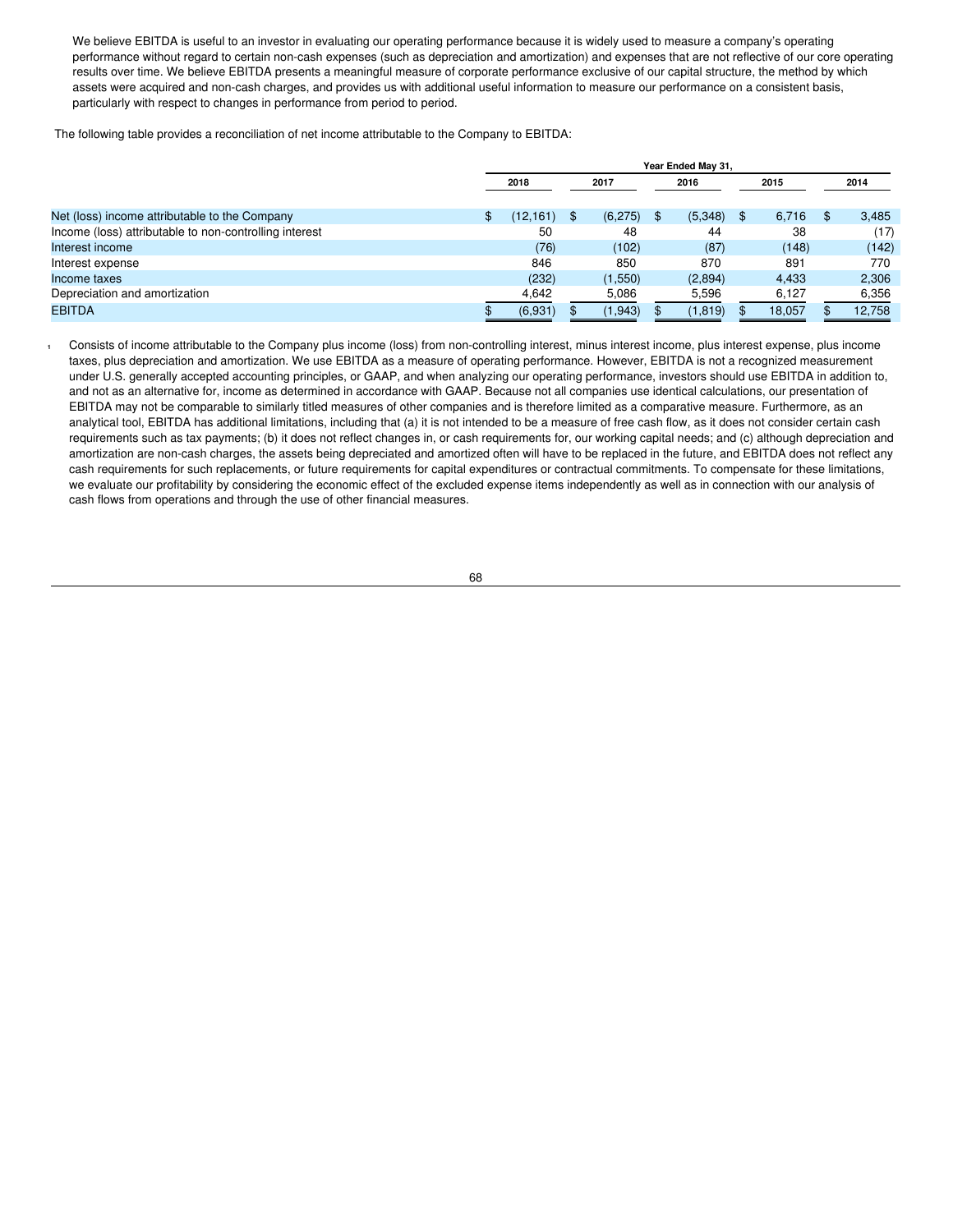We believe EBITDA is useful to an investor in evaluating our operating performance because it is widely used to measure a company's operating performance without regard to certain non-cash expenses (such as depreciation and amortization) and expenses that are not reflective of our core operating results over time. We believe EBITDA presents a meaningful measure of corporate performance exclusive of our capital structure, the method by which assets were acquired and non-cash charges, and provides us with additional useful information to measure our performance on a consistent basis, particularly with respect to changes in performance from period to period.

The following table provides a reconciliation of net income attributable to the Company to EBITDA:

|                                                        | Year Ended May 31, |           |      |          |      |          |      |        |      |        |  |
|--------------------------------------------------------|--------------------|-----------|------|----------|------|----------|------|--------|------|--------|--|
|                                                        | 2018               |           | 2017 |          | 2016 |          | 2015 |        | 2014 |        |  |
| Net (loss) income attributable to the Company          | \$                 | (12, 161) | \$   | (6, 275) | \$   | (5,348)  | \$   | 6,716  | \$   | 3,485  |  |
| Income (loss) attributable to non-controlling interest |                    | 50        |      | 48       |      | 44       |      | 38     |      | (17)   |  |
| Interest income                                        |                    | (76)      |      | (102)    |      | (87)     |      | (148)  |      | (142)  |  |
| Interest expense                                       |                    | 846       |      | 850      |      | 870      |      | 891    |      | 770    |  |
| Income taxes                                           |                    | (232)     |      | (1,550)  |      | (2,894)  |      | 4,433  |      | 2,306  |  |
| Depreciation and amortization                          |                    | 4,642     |      | 5,086    |      | 5,596    |      | 6,127  |      | 6,356  |  |
| <b>EBITDA</b>                                          |                    | (6,931)   |      | (1,943)  |      | (1, 819) |      | 18,057 |      | 12,758 |  |

**<sup>1</sup>** Consists of income attributable to the Company plus income (loss) from non-controlling interest, minus interest income, plus interest expense, plus income taxes, plus depreciation and amortization. We use EBITDA as a measure of operating performance. However, EBITDA is not a recognized measurement under U.S. generally accepted accounting principles, or GAAP, and when analyzing our operating performance, investors should use EBITDA in addition to, and not as an alternative for, income as determined in accordance with GAAP. Because not all companies use identical calculations, our presentation of EBITDA may not be comparable to similarly titled measures of other companies and is therefore limited as a comparative measure. Furthermore, as an analytical tool, EBITDA has additional limitations, including that (a) it is not intended to be a measure of free cash flow, as it does not consider certain cash requirements such as tax payments; (b) it does not reflect changes in, or cash requirements for, our working capital needs; and (c) although depreciation and amortization are non-cash charges, the assets being depreciated and amortized often will have to be replaced in the future, and EBITDA does not reflect any cash requirements for such replacements, or future requirements for capital expenditures or contractual commitments. To compensate for these limitations, we evaluate our profitability by considering the economic effect of the excluded expense items independently as well as in connection with our analysis of cash flows from operations and through the use of other financial measures.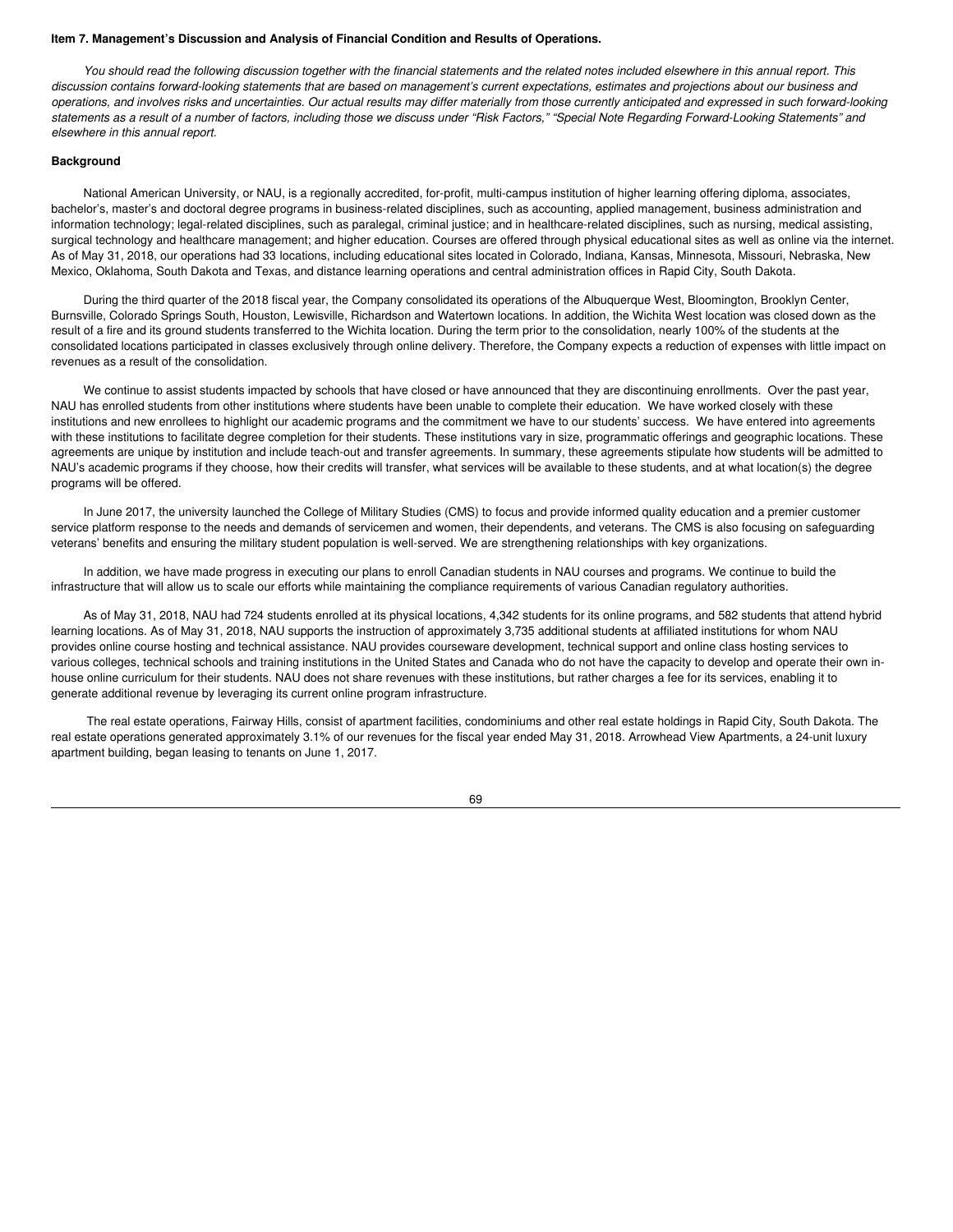# **Item 7. Management's Discussion and Analysis of Financial Condition and Results of Operations.**

You should read the following discussion together with the financial statements and the related notes included elsewhere in this annual report. This discussion contains forward-looking statements that are based on management's current expectations, estimates and projections about our business and operations, and involves risks and uncertainties. Our actual results may differ materially from those currently anticipated and expressed in such forward-looking statements as a result of a number of factors, including those we discuss under "Risk Factors," "Special Note Regarding Forward-Looking Statements" and *elsewhere in this annual report.*

## **Background**

National American University, or NAU, is a regionally accredited, for-profit, multi-campus institution of higher learning offering diploma, associates, bachelor's, master's and doctoral degree programs in business-related disciplines, such as accounting, applied management, business administration and information technology; legal-related disciplines, such as paralegal, criminal justice; and in healthcare-related disciplines, such as nursing, medical assisting, surgical technology and healthcare management; and higher education. Courses are offered through physical educational sites as well as online via the internet. As of May 31, 2018, our operations had 33 locations, including educational sites located in Colorado, Indiana, Kansas, Minnesota, Missouri, Nebraska, New Mexico, Oklahoma, South Dakota and Texas, and distance learning operations and central administration offices in Rapid City, South Dakota.

During the third quarter of the 2018 fiscal year, the Company consolidated its operations of the Albuquerque West, Bloomington, Brooklyn Center, Burnsville, Colorado Springs South, Houston, Lewisville, Richardson and Watertown locations. In addition, the Wichita West location was closed down as the result of a fire and its ground students transferred to the Wichita location. During the term prior to the consolidation, nearly 100% of the students at the consolidated locations participated in classes exclusively through online delivery. Therefore, the Company expects a reduction of expenses with little impact on revenues as a result of the consolidation.

We continue to assist students impacted by schools that have closed or have announced that they are discontinuing enrollments. Over the past year, NAU has enrolled students from other institutions where students have been unable to complete their education. We have worked closely with these institutions and new enrollees to highlight our academic programs and the commitment we have to our students' success. We have entered into agreements with these institutions to facilitate degree completion for their students. These institutions vary in size, programmatic offerings and geographic locations. These agreements are unique by institution and include teach-out and transfer agreements. In summary, these agreements stipulate how students will be admitted to NAU's academic programs if they choose, how their credits will transfer, what services will be available to these students, and at what location(s) the degree programs will be offered.

In June 2017, the university launched the College of Military Studies (CMS) to focus and provide informed quality education and a premier customer service platform response to the needs and demands of servicemen and women, their dependents, and veterans. The CMS is also focusing on safeguarding veterans' benefits and ensuring the military student population is well-served. We are strengthening relationships with key organizations.

In addition, we have made progress in executing our plans to enroll Canadian students in NAU courses and programs. We continue to build the infrastructure that will allow us to scale our efforts while maintaining the compliance requirements of various Canadian regulatory authorities.

As of May 31, 2018, NAU had 724 students enrolled at its physical locations, 4,342 students for its online programs, and 582 students that attend hybrid learning locations. As of May 31, 2018, NAU supports the instruction of approximately 3,735 additional students at affiliated institutions for whom NAU provides online course hosting and technical assistance. NAU provides courseware development, technical support and online class hosting services to various colleges, technical schools and training institutions in the United States and Canada who do not have the capacity to develop and operate their own inhouse online curriculum for their students. NAU does not share revenues with these institutions, but rather charges a fee for its services, enabling it to generate additional revenue by leveraging its current online program infrastructure.

The real estate operations, Fairway Hills, consist of apartment facilities, condominiums and other real estate holdings in Rapid City, South Dakota. The real estate operations generated approximately 3.1% of our revenues for the fiscal year ended May 31, 2018. Arrowhead View Apartments, a 24-unit luxury apartment building, began leasing to tenants on June 1, 2017.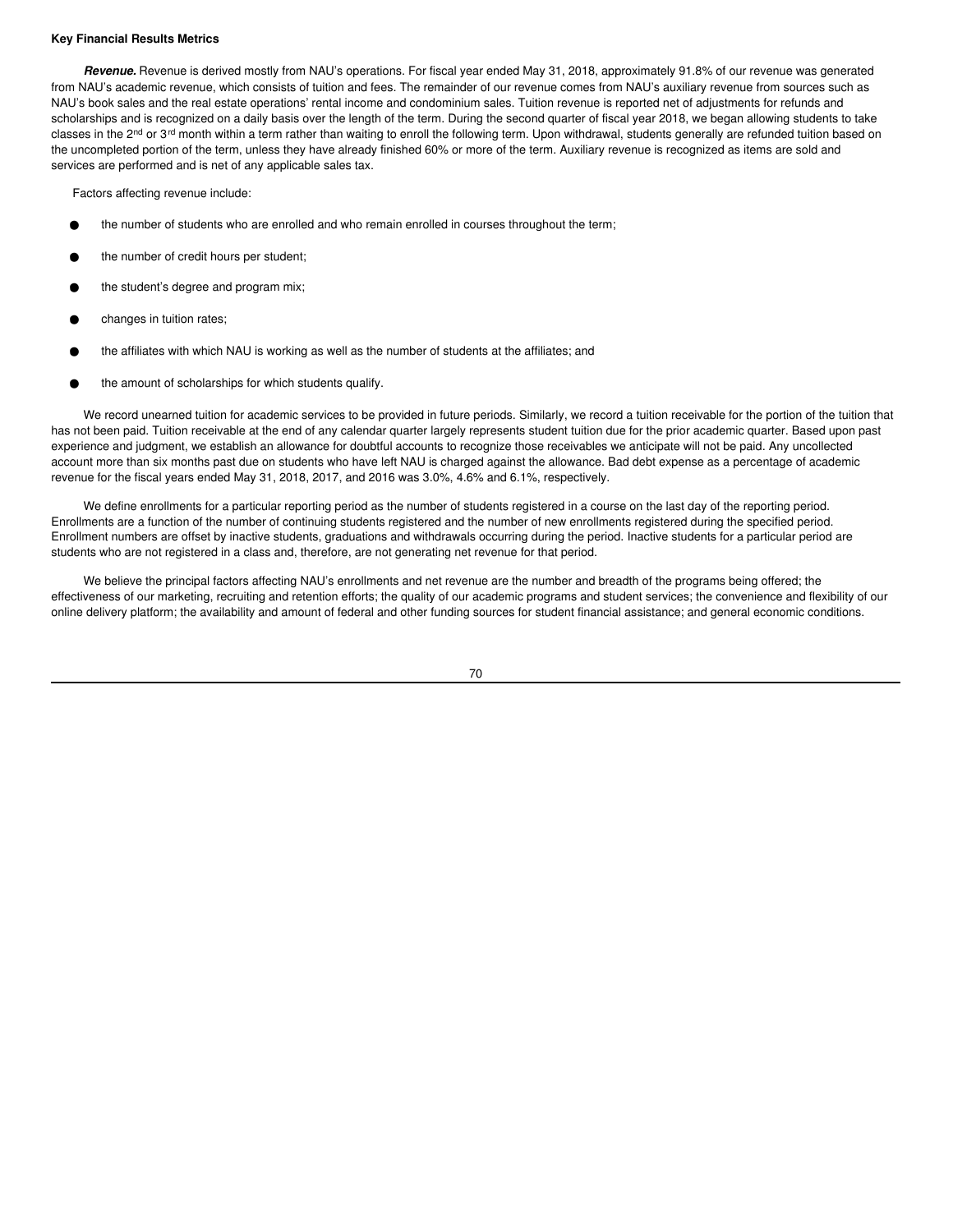#### **Key Financial Results Metrics**

*Revenue.* Revenue is derived mostly from NAU's operations. For fiscal year ended May 31, 2018, approximately 91.8% of our revenue was generated from NAU's academic revenue, which consists of tuition and fees. The remainder of our revenue comes from NAU's auxiliary revenue from sources such as NAU's book sales and the real estate operations' rental income and condominium sales. Tuition revenue is reported net of adjustments for refunds and scholarships and is recognized on a daily basis over the length of the term. During the second quarter of fiscal year 2018, we began allowing students to take classes in the 2<sup>nd</sup> or 3<sup>rd</sup> month within a term rather than waiting to enroll the following term. Upon withdrawal, students generally are refunded tuition based on the uncompleted portion of the term, unless they have already finished 60% or more of the term. Auxiliary revenue is recognized as items are sold and services are performed and is net of any applicable sales tax.

Factors affecting revenue include:

- the number of students who are enrolled and who remain enrolled in courses throughout the term;
- the number of credit hours per student;
- the student's degree and program mix;
- **●** changes in tuition rates;
- **●** the affiliates with which NAU is working as well as the number of students at the affiliates; and
- the amount of scholarships for which students qualify.

We record unearned tuition for academic services to be provided in future periods. Similarly, we record a tuition receivable for the portion of the tuition that has not been paid. Tuition receivable at the end of any calendar quarter largely represents student tuition due for the prior academic quarter. Based upon past experience and judgment, we establish an allowance for doubtful accounts to recognize those receivables we anticipate will not be paid. Any uncollected account more than six months past due on students who have left NAU is charged against the allowance. Bad debt expense as a percentage of academic revenue for the fiscal years ended May 31, 2018, 2017, and 2016 was 3.0%, 4.6% and 6.1%, respectively.

We define enrollments for a particular reporting period as the number of students registered in a course on the last day of the reporting period. Enrollments are a function of the number of continuing students registered and the number of new enrollments registered during the specified period. Enrollment numbers are offset by inactive students, graduations and withdrawals occurring during the period. Inactive students for a particular period are students who are not registered in a class and, therefore, are not generating net revenue for that period.

We believe the principal factors affecting NAU's enrollments and net revenue are the number and breadth of the programs being offered; the effectiveness of our marketing, recruiting and retention efforts; the quality of our academic programs and student services; the convenience and flexibility of our online delivery platform; the availability and amount of federal and other funding sources for student financial assistance; and general economic conditions.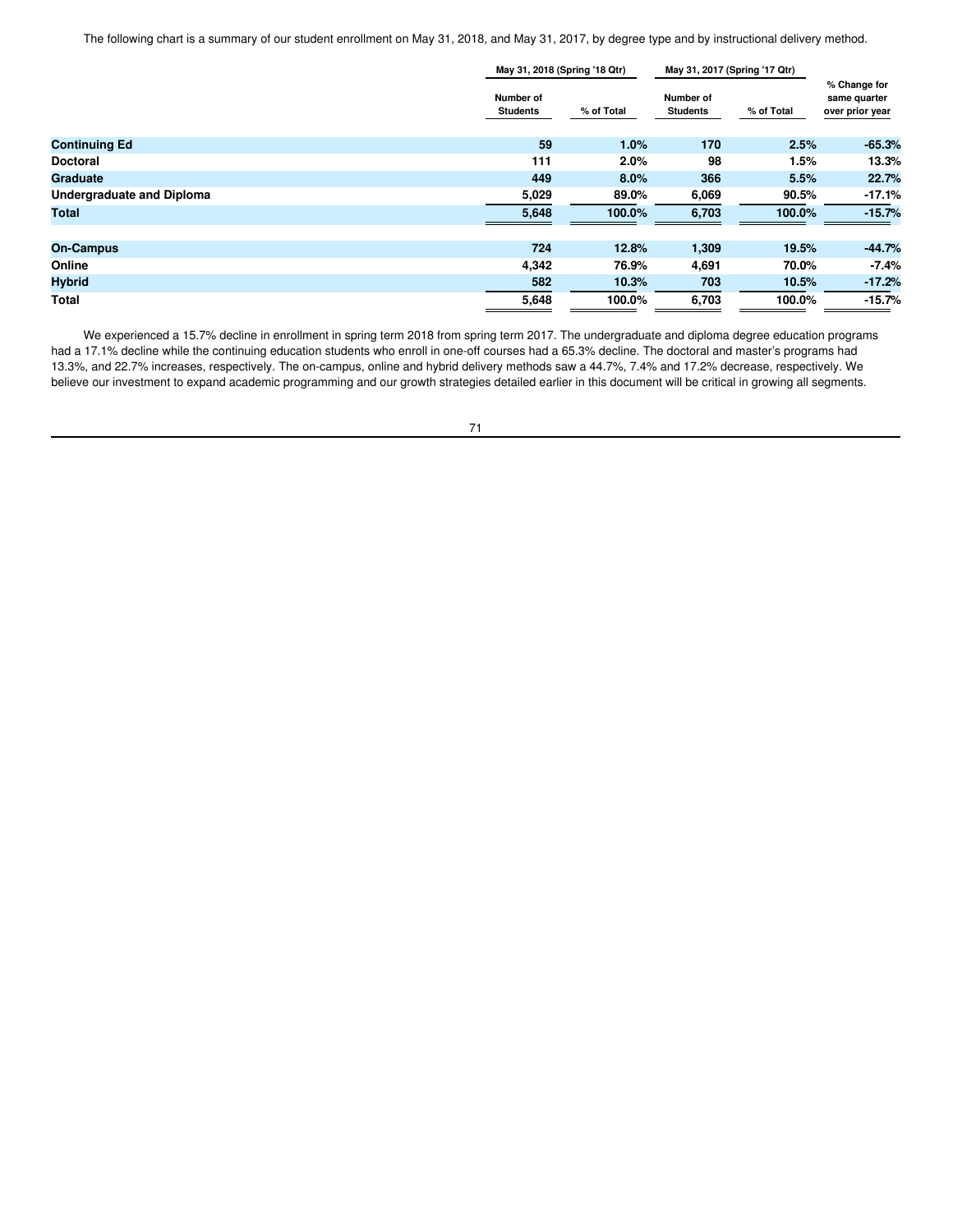The following chart is a summary of our student enrollment on May 31, 2018, and May 31, 2017, by degree type and by instructional delivery method.

|                                  | May 31, 2018 (Spring '18 Qtr)<br>Number of<br><b>Students</b><br>% of Total |        | May 31, 2017 (Spring '17 Qtr) |            |                                                 |
|----------------------------------|-----------------------------------------------------------------------------|--------|-------------------------------|------------|-------------------------------------------------|
|                                  |                                                                             |        | Number of<br><b>Students</b>  | % of Total | % Change for<br>same quarter<br>over prior year |
| <b>Continuing Ed</b>             | 59                                                                          | 1.0%   | 170                           | 2.5%       | $-65.3%$                                        |
| <b>Doctoral</b>                  | 111                                                                         | 2.0%   | 98                            | 1.5%       | 13.3%                                           |
| <b>Graduate</b>                  | 449                                                                         | 8.0%   | 366                           | 5.5%       | 22.7%                                           |
| <b>Undergraduate and Diploma</b> | 5,029                                                                       | 89.0%  | 6,069                         | 90.5%      | $-17.1%$                                        |
| Total                            | 5,648                                                                       | 100.0% | 6,703                         | 100.0%     | $-15.7%$                                        |
| <b>On-Campus</b>                 | 724                                                                         | 12.8%  | 1,309                         | 19.5%      | $-44.7%$                                        |
| Online                           | 4,342                                                                       | 76.9%  | 4,691                         | 70.0%      | $-7.4%$                                         |
| <b>Hybrid</b>                    | 582                                                                         | 10.3%  | 703                           | 10.5%      | $-17.2%$                                        |
| Total                            | 5,648                                                                       | 100.0% | 6,703                         | 100.0%     | $-15.7%$                                        |

We experienced a 15.7% decline in enrollment in spring term 2018 from spring term 2017. The undergraduate and diploma degree education programs had a 17.1% decline while the continuing education students who enroll in one-off courses had a 65.3% decline. The doctoral and master's programs had 13.3%, and 22.7% increases, respectively. The on-campus, online and hybrid delivery methods saw a 44.7%, 7.4% and 17.2% decrease, respectively. We believe our investment to expand academic programming and our growth strategies detailed earlier in this document will be critical in growing all segments.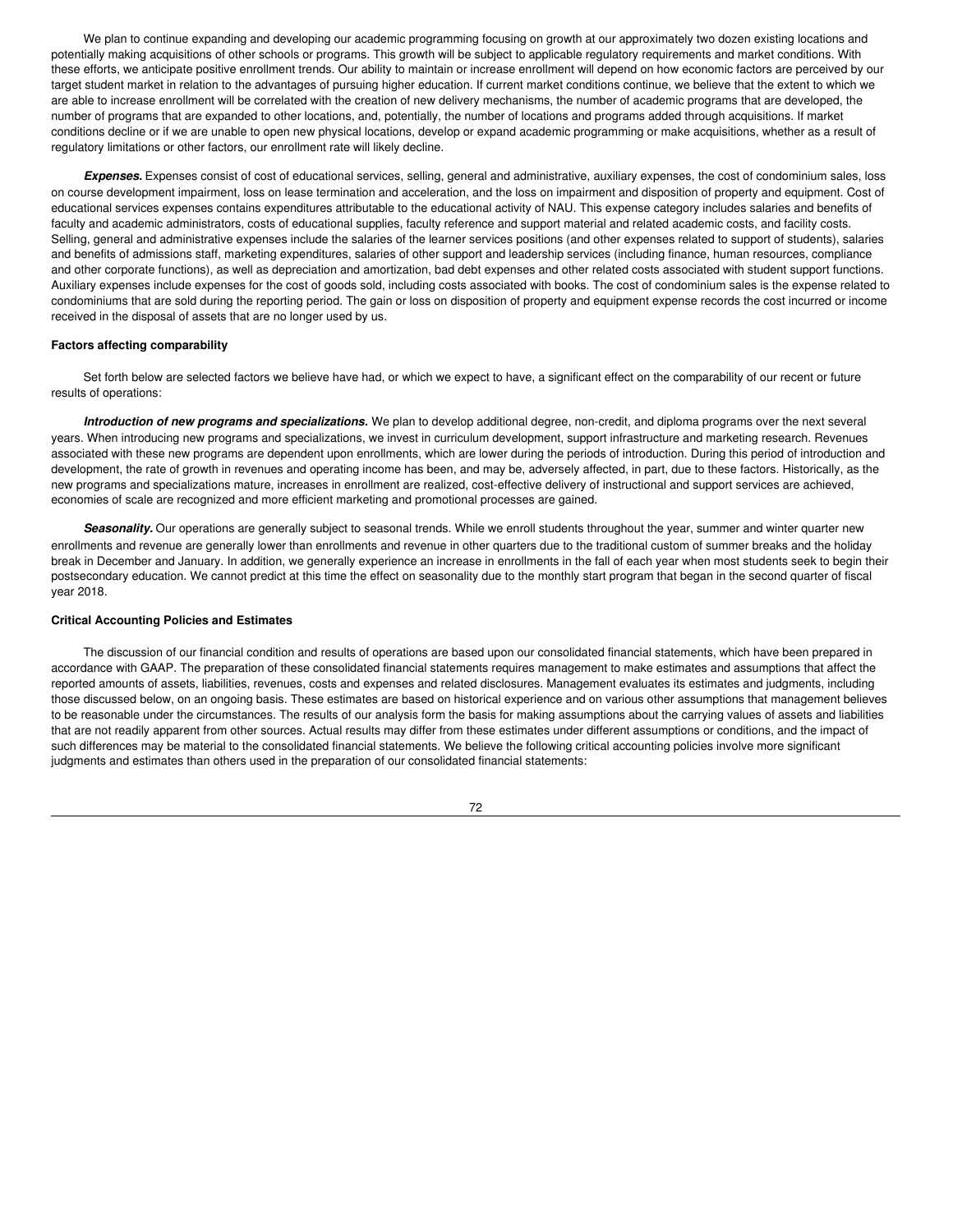We plan to continue expanding and developing our academic programming focusing on growth at our approximately two dozen existing locations and potentially making acquisitions of other schools or programs. This growth will be subject to applicable regulatory requirements and market conditions. With these efforts, we anticipate positive enrollment trends. Our ability to maintain or increase enrollment will depend on how economic factors are perceived by our target student market in relation to the advantages of pursuing higher education. If current market conditions continue, we believe that the extent to which we are able to increase enrollment will be correlated with the creation of new delivery mechanisms, the number of academic programs that are developed, the number of programs that are expanded to other locations, and, potentially, the number of locations and programs added through acquisitions. If market conditions decline or if we are unable to open new physical locations, develop or expand academic programming or make acquisitions, whether as a result of regulatory limitations or other factors, our enrollment rate will likely decline.

*Expenses.* Expenses consist of cost of educational services, selling, general and administrative, auxiliary expenses, the cost of condominium sales, loss on course development impairment, loss on lease termination and acceleration, and the loss on impairment and disposition of property and equipment. Cost of educational services expenses contains expenditures attributable to the educational activity of NAU. This expense category includes salaries and benefits of faculty and academic administrators, costs of educational supplies, faculty reference and support material and related academic costs, and facility costs. Selling, general and administrative expenses include the salaries of the learner services positions (and other expenses related to support of students), salaries and benefits of admissions staff, marketing expenditures, salaries of other support and leadership services (including finance, human resources, compliance and other corporate functions), as well as depreciation and amortization, bad debt expenses and other related costs associated with student support functions. Auxiliary expenses include expenses for the cost of goods sold, including costs associated with books. The cost of condominium sales is the expense related to condominiums that are sold during the reporting period. The gain or loss on disposition of property and equipment expense records the cost incurred or income received in the disposal of assets that are no longer used by us.

#### **Factors affecting comparability**

Set forth below are selected factors we believe have had, or which we expect to have, a significant effect on the comparability of our recent or future results of operations:

*Introduction of new programs and specializations.* We plan to develop additional degree, non-credit, and diploma programs over the next several years. When introducing new programs and specializations, we invest in curriculum development, support infrastructure and marketing research. Revenues associated with these new programs are dependent upon enrollments, which are lower during the periods of introduction. During this period of introduction and development, the rate of growth in revenues and operating income has been, and may be, adversely affected, in part, due to these factors. Historically, as the new programs and specializations mature, increases in enrollment are realized, cost-effective delivery of instructional and support services are achieved, economies of scale are recognized and more efficient marketing and promotional processes are gained.

Seasonality. Our operations are generally subject to seasonal trends. While we enroll students throughout the year, summer and winter quarter new enrollments and revenue are generally lower than enrollments and revenue in other quarters due to the traditional custom of summer breaks and the holiday break in December and January. In addition, we generally experience an increase in enrollments in the fall of each year when most students seek to begin their postsecondary education. We cannot predict at this time the effect on seasonality due to the monthly start program that began in the second quarter of fiscal year 2018.

#### **Critical Accounting Policies and Estimates**

The discussion of our financial condition and results of operations are based upon our consolidated financial statements, which have been prepared in accordance with GAAP. The preparation of these consolidated financial statements requires management to make estimates and assumptions that affect the reported amounts of assets, liabilities, revenues, costs and expenses and related disclosures. Management evaluates its estimates and judgments, including those discussed below, on an ongoing basis. These estimates are based on historical experience and on various other assumptions that management believes to be reasonable under the circumstances. The results of our analysis form the basis for making assumptions about the carrying values of assets and liabilities that are not readily apparent from other sources. Actual results may differ from these estimates under different assumptions or conditions, and the impact of such differences may be material to the consolidated financial statements. We believe the following critical accounting policies involve more significant judgments and estimates than others used in the preparation of our consolidated financial statements: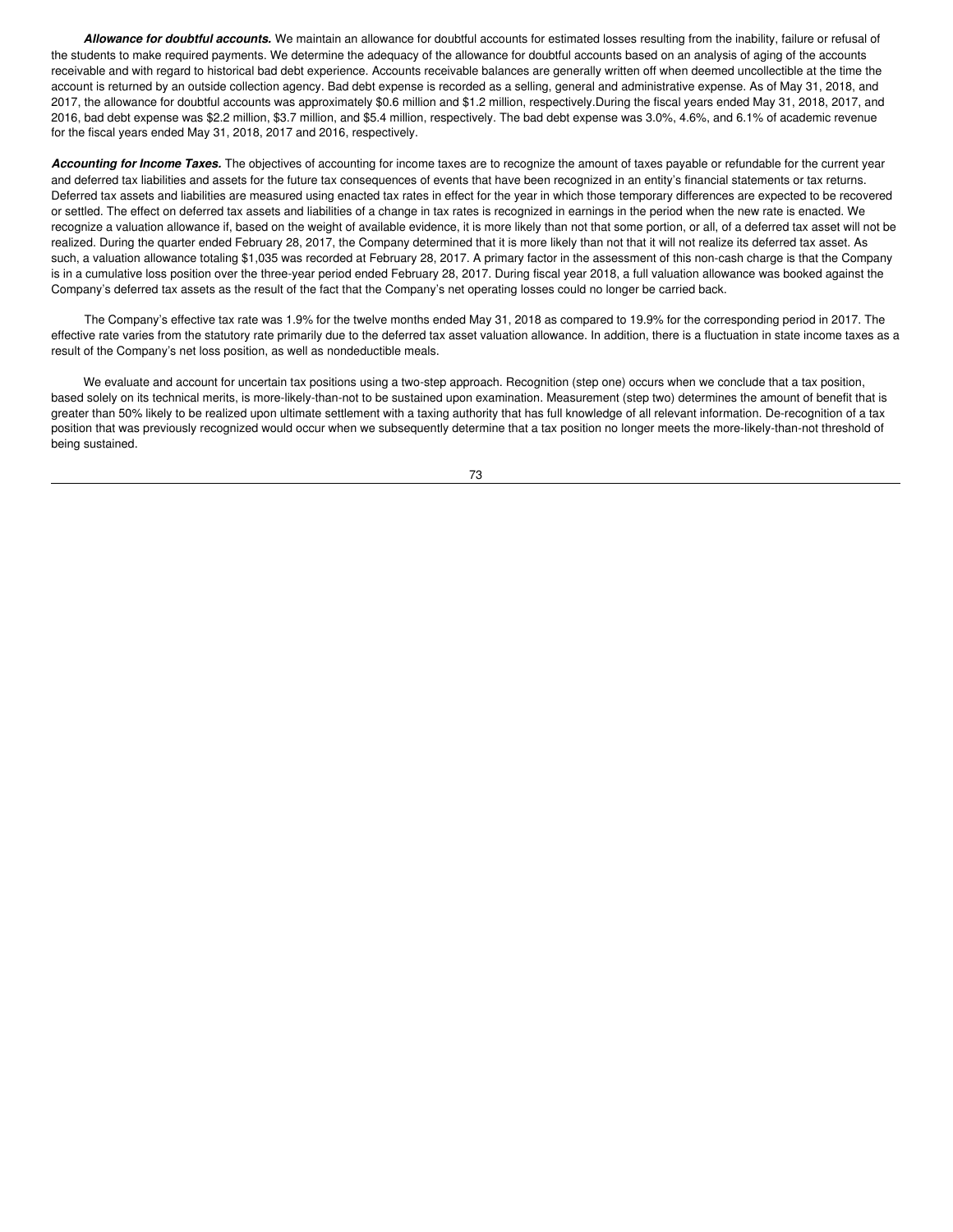*Allowance for doubtful accounts.* We maintain an allowance for doubtful accounts for estimated losses resulting from the inability, failure or refusal of the students to make required payments. We determine the adequacy of the allowance for doubtful accounts based on an analysis of aging of the accounts receivable and with regard to historical bad debt experience. Accounts receivable balances are generally written off when deemed uncollectible at the time the account is returned by an outside collection agency. Bad debt expense is recorded as a selling, general and administrative expense. As of May 31, 2018, and 2017, the allowance for doubtful accounts was approximately \$0.6 million and \$1.2 million, respectively.During the fiscal years ended May 31, 2018, 2017, and 2016, bad debt expense was \$2.2 million, \$3.7 million, and \$5.4 million, respectively. The bad debt expense was 3.0%, 4.6%, and 6.1% of academic revenue for the fiscal years ended May 31, 2018, 2017 and 2016, respectively.

Accounting for Income Taxes. The objectives of accounting for income taxes are to recognize the amount of taxes payable or refundable for the current year and deferred tax liabilities and assets for the future tax consequences of events that have been recognized in an entity's financial statements or tax returns. Deferred tax assets and liabilities are measured using enacted tax rates in effect for the year in which those temporary differences are expected to be recovered or settled. The effect on deferred tax assets and liabilities of a change in tax rates is recognized in earnings in the period when the new rate is enacted. We recognize a valuation allowance if, based on the weight of available evidence, it is more likely than not that some portion, or all, of a deferred tax asset will not be realized. During the quarter ended February 28, 2017, the Company determined that it is more likely than not that it will not realize its deferred tax asset. As such, a valuation allowance totaling \$1,035 was recorded at February 28, 2017. A primary factor in the assessment of this non-cash charge is that the Company is in a cumulative loss position over the three-year period ended February 28, 2017. During fiscal year 2018, a full valuation allowance was booked against the Company's deferred tax assets as the result of the fact that the Company's net operating losses could no longer be carried back.

The Company's effective tax rate was 1.9% for the twelve months ended May 31, 2018 as compared to 19.9% for the corresponding period in 2017. The effective rate varies from the statutory rate primarily due to the deferred tax asset valuation allowance. In addition, there is a fluctuation in state income taxes as a result of the Company's net loss position, as well as nondeductible meals.

We evaluate and account for uncertain tax positions using a two-step approach. Recognition (step one) occurs when we conclude that a tax position, based solely on its technical merits, is more-likely-than-not to be sustained upon examination. Measurement (step two) determines the amount of benefit that is greater than 50% likely to be realized upon ultimate settlement with a taxing authority that has full knowledge of all relevant information. De-recognition of a tax position that was previously recognized would occur when we subsequently determine that a tax position no longer meets the more-likely-than-not threshold of being sustained.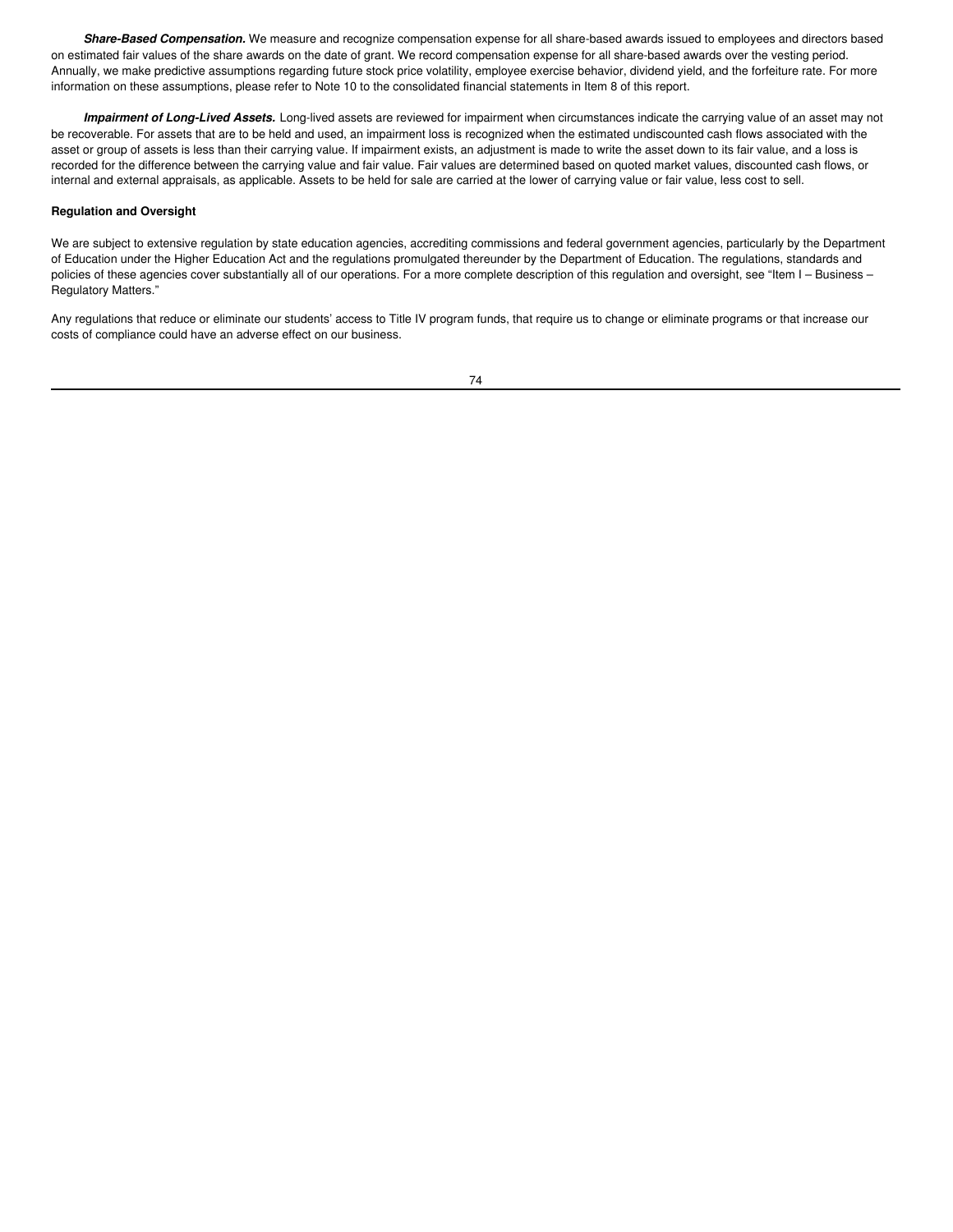*Share-Based Compensation.* We measure and recognize compensation expense for all share-based awards issued to employees and directors based on estimated fair values of the share awards on the date of grant. We record compensation expense for all share-based awards over the vesting period. Annually, we make predictive assumptions regarding future stock price volatility, employee exercise behavior, dividend yield, and the forfeiture rate. For more information on these assumptions, please refer to Note 10 to the consolidated financial statements in Item 8 of this report.

*Impairment of Long-Lived Assets.* Long-lived assets are reviewed for impairment when circumstances indicate the carrying value of an asset may not be recoverable. For assets that are to be held and used, an impairment loss is recognized when the estimated undiscounted cash flows associated with the asset or group of assets is less than their carrying value. If impairment exists, an adjustment is made to write the asset down to its fair value, and a loss is recorded for the difference between the carrying value and fair value. Fair values are determined based on quoted market values, discounted cash flows, or internal and external appraisals, as applicable. Assets to be held for sale are carried at the lower of carrying value or fair value, less cost to sell.

#### **Regulation and Oversight**

We are subject to extensive regulation by state education agencies, accrediting commissions and federal government agencies, particularly by the Department of Education under the Higher Education Act and the regulations promulgated thereunder by the Department of Education. The regulations, standards and policies of these agencies cover substantially all of our operations. For a more complete description of this regulation and oversight, see "Item I - Business -Regulatory Matters."

Any regulations that reduce or eliminate our students' access to Title IV program funds, that require us to change or eliminate programs or that increase our costs of compliance could have an adverse effect on our business.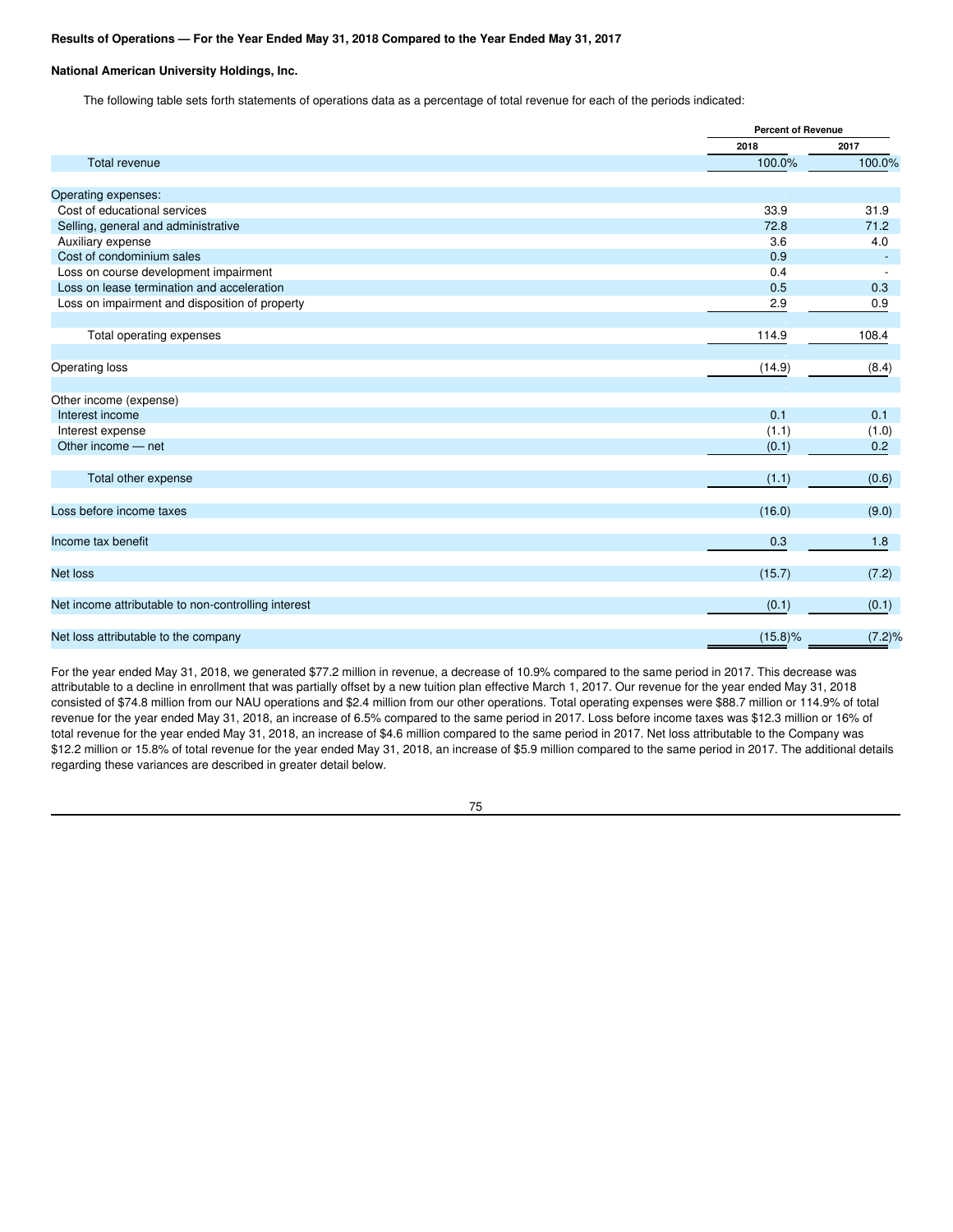### Results of Operations - For the Year Ended May 31, 2018 Compared to the Year Ended May 31, 2017

#### **National American University Holdings, Inc.**

The following table sets forth statements of operations data as a percentage of total revenue for each of the periods indicated:

|                                                     | <b>Percent of Revenue</b> |        |
|-----------------------------------------------------|---------------------------|--------|
|                                                     | 2018                      | 2017   |
| <b>Total revenue</b>                                | 100.0%                    | 100.0% |
|                                                     |                           |        |
| Operating expenses:                                 |                           |        |
| Cost of educational services                        | 33.9                      | 31.9   |
| Selling, general and administrative                 | 72.8                      | 71.2   |
| Auxiliary expense                                   | 3.6                       | 4.0    |
| Cost of condominium sales                           | 0.9                       |        |
| Loss on course development impairment               | 0.4                       |        |
| Loss on lease termination and acceleration          | 0.5                       | 0.3    |
| Loss on impairment and disposition of property      | 2.9                       | 0.9    |
| Total operating expenses                            | 114.9                     | 108.4  |
| Operating loss                                      | (14.9)                    | (8.4)  |
|                                                     |                           |        |
| Other income (expense)                              |                           |        |
| Interest income                                     | 0.1                       | 0.1    |
| Interest expense                                    | (1.1)                     | (1.0)  |
| Other income $-$ net                                | (0.1)                     | 0.2    |
| Total other expense                                 | (1.1)                     | (0.6)  |
| Loss before income taxes                            | (16.0)                    | (9.0)  |
| Income tax benefit                                  | 0.3                       | 1.8    |
| <b>Net loss</b>                                     | (15.7)                    | (7.2)  |
| Net income attributable to non-controlling interest | (0.1)                     | (0.1)  |
| Net loss attributable to the company                | $(15.8)\%$                | (7.2)% |
|                                                     |                           |        |

For the year ended May 31, 2018, we generated \$77.2 million in revenue, a decrease of 10.9% compared to the same period in 2017. This decrease was attributable to a decline in enrollment that was partially offset by a new tuition plan effective March 1, 2017. Our revenue for the year ended May 31, 2018 consisted of \$74.8 million from our NAU operations and \$2.4 million from our other operations. Total operating expenses were \$88.7 million or 114.9% of total revenue for the year ended May 31, 2018, an increase of 6.5% compared to the same period in 2017. Loss before income taxes was \$12.3 million or 16% of total revenue for the year ended May 31, 2018, an increase of \$4.6 million compared to the same period in 2017. Net loss attributable to the Company was \$12.2 million or 15.8% of total revenue for the year ended May 31, 2018, an increase of \$5.9 million compared to the same period in 2017. The additional details regarding these variances are described in greater detail below.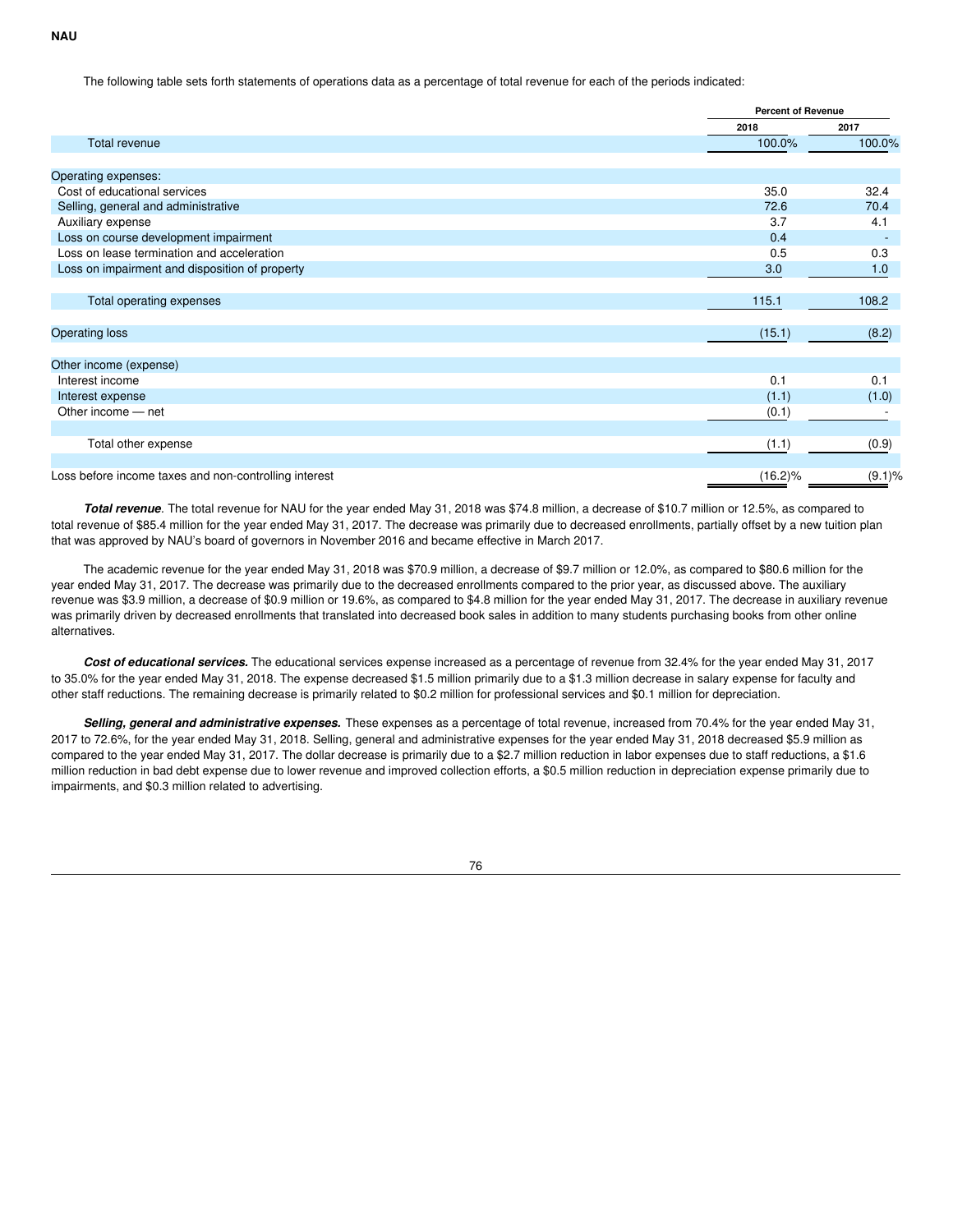The following table sets forth statements of operations data as a percentage of total revenue for each of the periods indicated:

|                                                       | <b>Percent of Revenue</b> |           |
|-------------------------------------------------------|---------------------------|-----------|
|                                                       | 2018                      | 2017      |
| Total revenue                                         | 100.0%                    | 100.0%    |
|                                                       |                           |           |
| Operating expenses:                                   |                           |           |
| Cost of educational services                          | 35.0                      | 32.4      |
| Selling, general and administrative                   | 72.6                      | 70.4      |
| Auxiliary expense                                     | 3.7                       | 4.1       |
| Loss on course development impairment                 | 0.4                       |           |
| Loss on lease termination and acceleration            | 0.5                       | 0.3       |
| Loss on impairment and disposition of property        | 3.0                       | 1.0       |
|                                                       |                           |           |
| Total operating expenses                              | 115.1                     | 108.2     |
| <b>Operating loss</b>                                 | (15.1)                    | (8.2)     |
| Other income (expense)                                |                           |           |
| Interest income                                       | 0.1                       | 0.1       |
| Interest expense                                      | (1.1)                     | (1.0)     |
| Other income - net                                    | (0.1)                     |           |
|                                                       |                           |           |
| Total other expense                                   | (1.1)                     | (0.9)     |
| Loss before income taxes and non-controlling interest | $(16.2)\%$                | $(9.1)\%$ |

*Total revenue.* The total revenue for NAU for the year ended May 31, 2018 was \$74.8 million, a decrease of \$10.7 million or 12.5%, as compared to total revenue of \$85.4 million for the year ended May 31, 2017. The decrease was primarily due to decreased enrollments, partially offset by a new tuition plan that was approved by NAU's board of governors in November 2016 and became effective in March 2017.

The academic revenue for the year ended May 31, 2018 was \$70.9 million, a decrease of \$9.7 million or 12.0%, as compared to \$80.6 million for the year ended May 31, 2017. The decrease was primarily due to the decreased enrollments compared to the prior year, as discussed above. The auxiliary revenue was \$3.9 million, a decrease of \$0.9 million or 19.6%, as compared to \$4.8 million for the year ended May 31, 2017. The decrease in auxiliary revenue was primarily driven by decreased enrollments that translated into decreased book sales in addition to many students purchasing books from other online alternatives.

*Cost of educational services.* The educational services expense increased as a percentage of revenue from 32.4% for the year ended May 31, 2017 to 35.0% for the year ended May 31, 2018. The expense decreased \$1.5 million primarily due to a \$1.3 million decrease in salary expense for faculty and other staff reductions. The remaining decrease is primarily related to \$0.2 million for professional services and \$0.1 million for depreciation.

*Selling, general and administrative expenses.* These expenses as a percentage of total revenue, increased from 70.4% for the year ended May 31, 2017 to 72.6%, for the year ended May 31, 2018. Selling, general and administrative expenses for the year ended May 31, 2018 decreased \$5.9 million as compared to the year ended May 31, 2017. The dollar decrease is primarily due to a \$2.7 million reduction in labor expenses due to staff reductions, a \$1.6 million reduction in bad debt expense due to lower revenue and improved collection efforts, a \$0.5 million reduction in depreciation expense primarily due to impairments, and \$0.3 million related to advertising.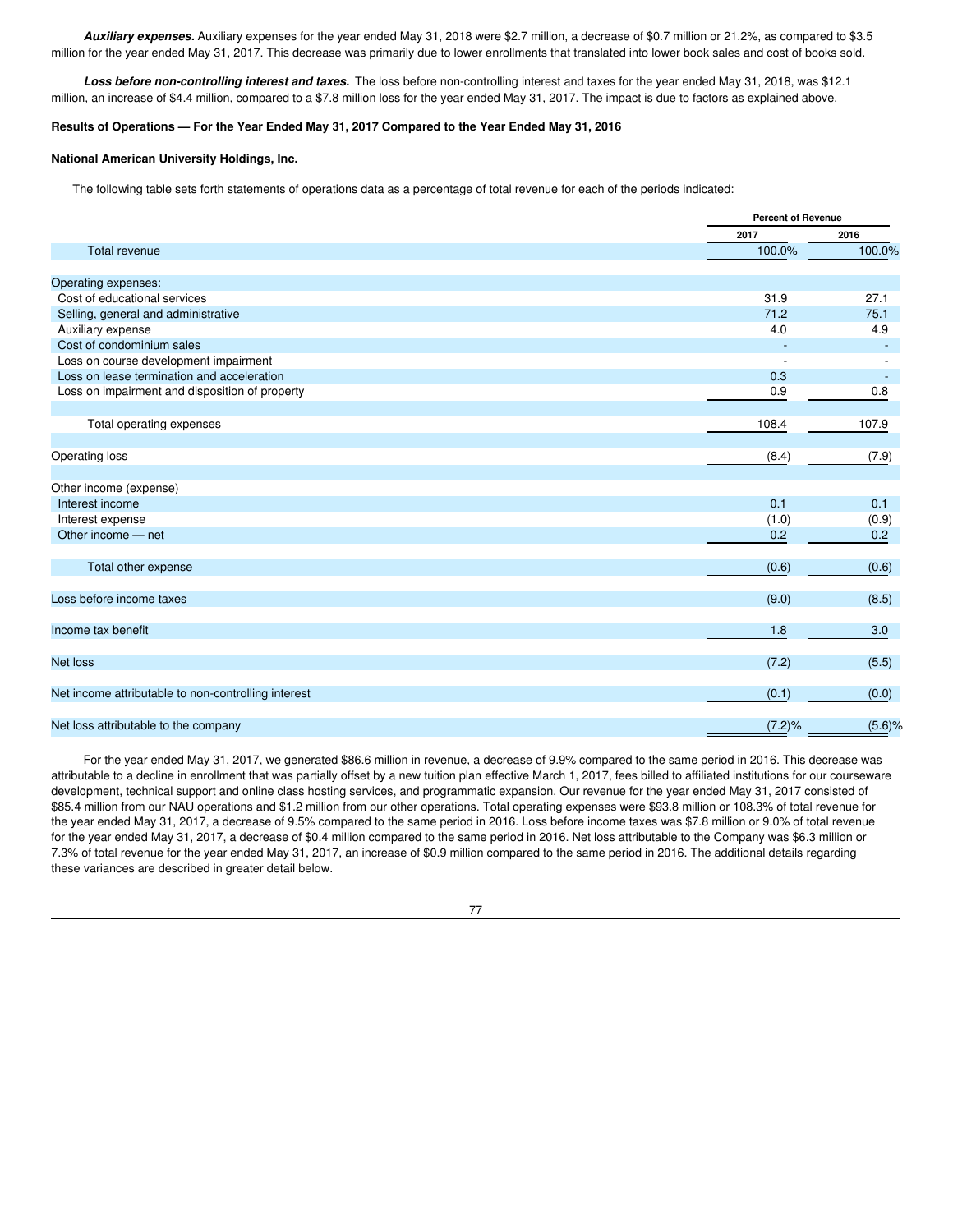*Auxiliary expenses.* Auxiliary expenses for the year ended May 31, 2018 were \$2.7 million, a decrease of \$0.7 million or 21.2%, as compared to \$3.5 million for the year ended May 31, 2017. This decrease was primarily due to lower enrollments that translated into lower book sales and cost of books sold.

*Loss before non-controlling interest and taxes.* The loss before non-controlling interest and taxes for the year ended May 31, 2018, was \$12.1 million, an increase of \$4.4 million, compared to a \$7.8 million loss for the year ended May 31, 2017. The impact is due to factors as explained above.

#### Results of Operations - For the Year Ended May 31, 2017 Compared to the Year Ended May 31, 2016

#### **National American University Holdings, Inc.**

The following table sets forth statements of operations data as a percentage of total revenue for each of the periods indicated:

|                                                     | <b>Percent of Revenue</b> |                |
|-----------------------------------------------------|---------------------------|----------------|
|                                                     | 2017                      | 2016           |
| Total revenue                                       | 100.0%                    | 100.0%         |
| Operating expenses:                                 |                           |                |
| Cost of educational services                        | 31.9                      | 27.1           |
| Selling, general and administrative                 | 71.2                      | 75.1           |
| Auxiliary expense                                   | 4.0                       | 4.9            |
| Cost of condominium sales                           |                           |                |
| Loss on course development impairment               |                           |                |
| Loss on lease termination and acceleration          | 0.3                       | $\blacksquare$ |
| Loss on impairment and disposition of property      | 0.9                       | 0.8            |
|                                                     |                           |                |
| Total operating expenses                            | 108.4                     | 107.9          |
|                                                     |                           |                |
| Operating loss                                      | (8.4)                     | (7.9)          |
|                                                     |                           |                |
| Other income (expense)                              |                           |                |
| Interest income                                     | 0.1                       | 0.1            |
| Interest expense                                    | (1.0)                     | (0.9)          |
| Other income - net                                  | 0.2                       | 0.2            |
| Total other expense                                 | (0.6)                     | (0.6)          |
| Loss before income taxes                            | (9.0)                     | (8.5)          |
| Income tax benefit                                  | 1.8                       | 3.0            |
| <b>Net loss</b>                                     | (7.2)                     | (5.5)          |
| Net income attributable to non-controlling interest | (0.1)                     | (0.0)          |
| Net loss attributable to the company                | (7.2)%                    | (5.6)%         |

For the year ended May 31, 2017, we generated \$86.6 million in revenue, a decrease of 9.9% compared to the same period in 2016. This decrease was attributable to a decline in enrollment that was partially offset by a new tuition plan effective March 1, 2017, fees billed to affiliated institutions for our courseware development, technical support and online class hosting services, and programmatic expansion. Our revenue for the year ended May 31, 2017 consisted of \$85.4 million from our NAU operations and \$1.2 million from our other operations. Total operating expenses were \$93.8 million or 108.3% of total revenue for the year ended May 31, 2017, a decrease of 9.5% compared to the same period in 2016. Loss before income taxes was \$7.8 million or 9.0% of total revenue for the year ended May 31, 2017, a decrease of \$0.4 million compared to the same period in 2016. Net loss attributable to the Company was \$6.3 million or 7.3% of total revenue for the year ended May 31, 2017, an increase of \$0.9 million compared to the same period in 2016. The additional details regarding these variances are described in greater detail below.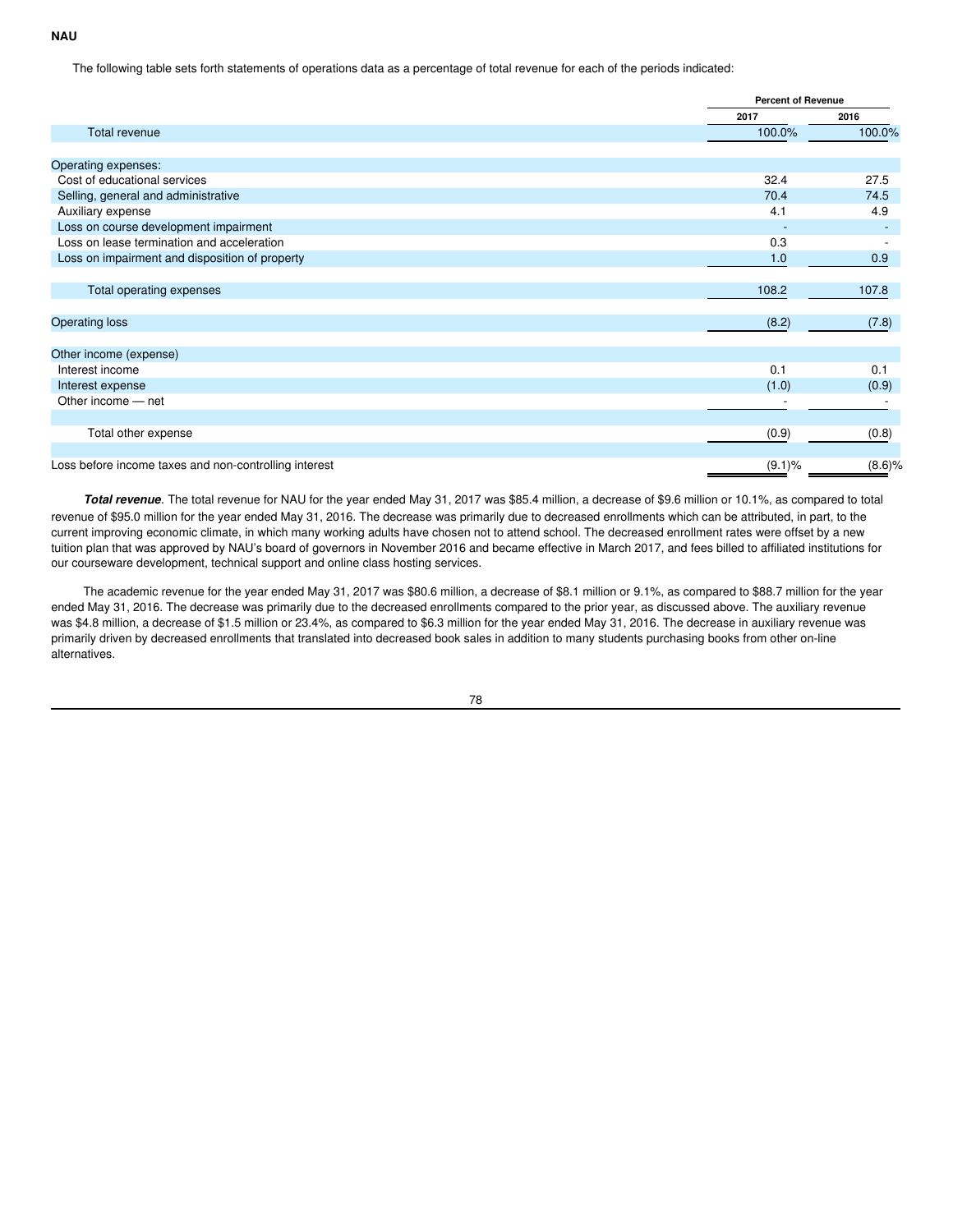The following table sets forth statements of operations data as a percentage of total revenue for each of the periods indicated:

|                                                       | <b>Percent of Revenue</b> |           |
|-------------------------------------------------------|---------------------------|-----------|
|                                                       | 2017                      | 2016      |
| Total revenue                                         | 100.0%                    | 100.0%    |
|                                                       |                           |           |
| Operating expenses:                                   |                           |           |
| Cost of educational services                          | 32.4                      | 27.5      |
| Selling, general and administrative                   | 70.4                      | 74.5      |
| Auxiliary expense                                     | 4.1                       | 4.9       |
| Loss on course development impairment                 |                           |           |
| Loss on lease termination and acceleration            | 0.3                       |           |
| Loss on impairment and disposition of property        | 1.0                       | 0.9       |
|                                                       |                           |           |
| Total operating expenses                              | 108.2                     | 107.8     |
|                                                       |                           |           |
| <b>Operating loss</b>                                 | (8.2)                     | (7.8)     |
| Other income (expense)                                |                           |           |
| Interest income                                       | 0.1                       | 0.1       |
| Interest expense                                      | (1.0)                     | (0.9)     |
| Other income - net                                    |                           |           |
|                                                       |                           |           |
| Total other expense                                   | (0.9)                     | (0.8)     |
|                                                       |                           |           |
| Loss before income taxes and non-controlling interest | $(9.1)\%$                 | $(8.6)$ % |

*Total revenue.* The total revenue for NAU for the year ended May 31, 2017 was \$85.4 million, a decrease of \$9.6 million or 10.1%, as compared to total revenue of \$95.0 million for the year ended May 31, 2016. The decrease was primarily due to decreased enrollments which can be attributed, in part, to the current improving economic climate, in which many working adults have chosen not to attend school. The decreased enrollment rates were offset by a new tuition plan that was approved by NAU's board of governors in November 2016 and became effective in March 2017, and fees billed to affiliated institutions for our courseware development, technical support and online class hosting services.

The academic revenue for the year ended May 31, 2017 was \$80.6 million, a decrease of \$8.1 million or 9.1%, as compared to \$88.7 million for the year ended May 31, 2016. The decrease was primarily due to the decreased enrollments compared to the prior year, as discussed above. The auxiliary revenue was \$4.8 million, a decrease of \$1.5 million or 23.4%, as compared to \$6.3 million for the year ended May 31, 2016. The decrease in auxiliary revenue was primarily driven by decreased enrollments that translated into decreased book sales in addition to many students purchasing books from other on-line alternatives.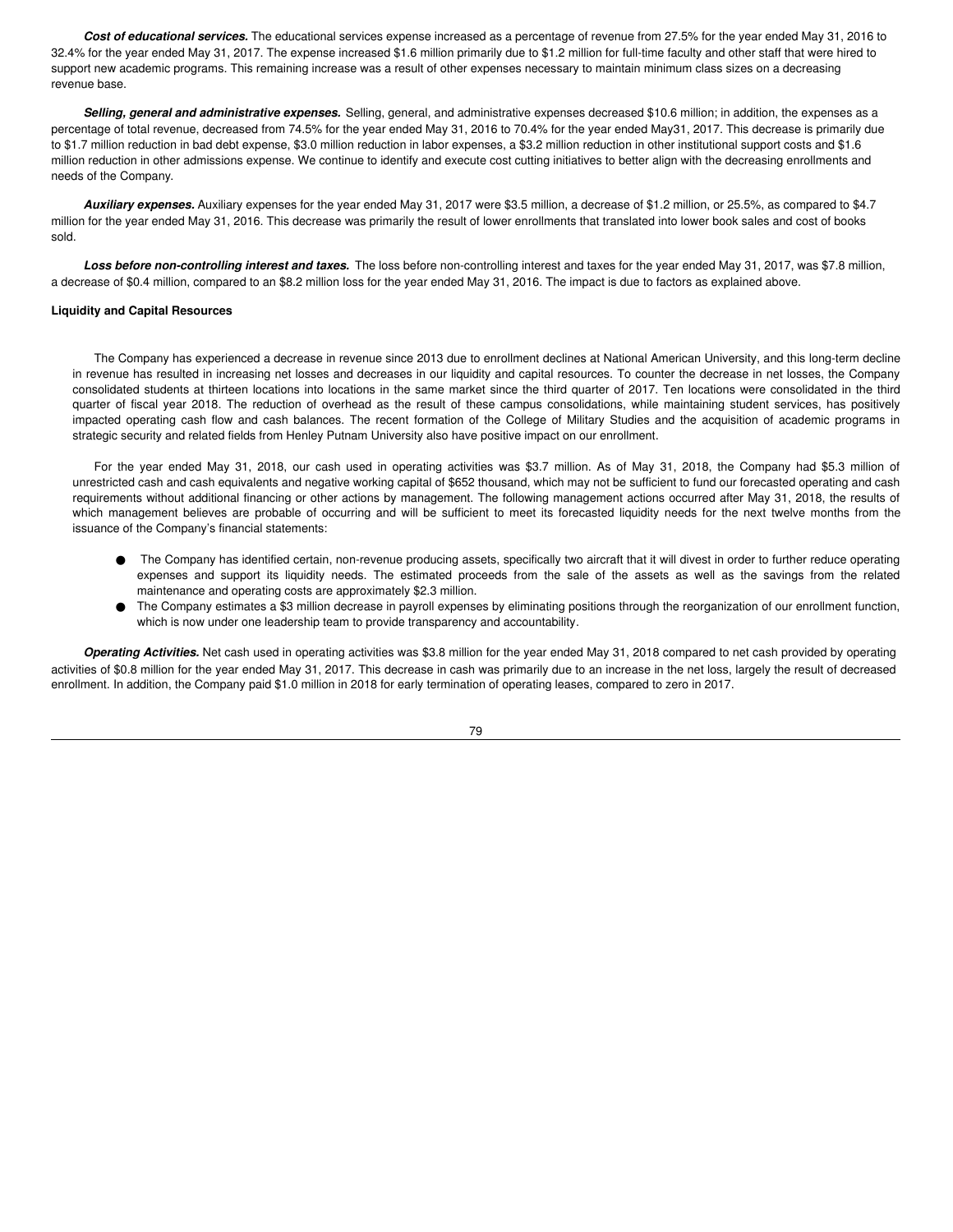*Cost of educational services.* The educational services expense increased as a percentage of revenue from 27.5% for the year ended May 31, 2016 to 32.4% for the year ended May 31, 2017. The expense increased \$1.6 million primarily due to \$1.2 million for full-time faculty and other staff that were hired to support new academic programs. This remaining increase was a result of other expenses necessary to maintain minimum class sizes on a decreasing revenue base.

*Selling, general and administrative expenses.* Selling, general, and administrative expenses decreased \$10.6 million; in addition, the expenses as a percentage of total revenue, decreased from 74.5% for the year ended May 31, 2016 to 70.4% for the year ended May31, 2017. This decrease is primarily due to \$1.7 million reduction in bad debt expense, \$3.0 million reduction in labor expenses, a \$3.2 million reduction in other institutional support costs and \$1.6 million reduction in other admissions expense. We continue to identify and execute cost cutting initiatives to better align with the decreasing enrollments and needs of the Company.

*Auxiliary expenses.* Auxiliary expenses for the year ended May 31, 2017 were \$3.5 million, a decrease of \$1.2 million, or 25.5%, as compared to \$4.7 million for the year ended May 31, 2016. This decrease was primarily the result of lower enrollments that translated into lower book sales and cost of books sold.

*Loss before non-controlling interest and taxes.* The loss before non-controlling interest and taxes for the year ended May 31, 2017, was \$7.8 million, a decrease of \$0.4 million, compared to an \$8.2 million loss for the year ended May 31, 2016. The impact is due to factors as explained above.

#### **Liquidity and Capital Resources**

The Company has experienced a decrease in revenue since 2013 due to enrollment declines at National American University, and this long-term decline in revenue has resulted in increasing net losses and decreases in our liquidity and capital resources. To counter the decrease in net losses, the Company consolidated students at thirteen locations into locations in the same market since the third quarter of 2017. Ten locations were consolidated in the third quarter of fiscal year 2018. The reduction of overhead as the result of these campus consolidations, while maintaining student services, has positively impacted operating cash flow and cash balances. The recent formation of the College of Military Studies and the acquisition of academic programs in strategic security and related fields from Henley Putnam University also have positive impact on our enrollment.

For the year ended May 31, 2018, our cash used in operating activities was \$3.7 million. As of May 31, 2018, the Company had \$5.3 million of unrestricted cash and cash equivalents and negative working capital of \$652 thousand, which may not be sufficient to fund our forecasted operating and cash requirements without additional financing or other actions by management. The following management actions occurred after May 31, 2018, the results of which management believes are probable of occurring and will be sufficient to meet its forecasted liquidity needs for the next twelve months from the issuance of the Company's financial statements:

- The Company has identified certain, non-revenue producing assets, specifically two aircraft that it will divest in order to further reduce operating expenses and support its liquidity needs. The estimated proceeds from the sale of the assets as well as the savings from the related maintenance and operating costs are approximately \$2.3 million.
- The Company estimates a \$3 million decrease in payroll expenses by eliminating positions through the reorganization of our enrollment function, which is now under one leadership team to provide transparency and accountability.

*Operating Activities.* Net cash used in operating activities was \$3.8 million for the year ended May 31, 2018 compared to net cash provided by operating activities of \$0.8 million for the year ended May 31, 2017. This decrease in cash was primarily due to an increase in the net loss, largely the result of decreased enrollment. In addition, the Company paid \$1.0 million in 2018 for early termination of operating leases, compared to zero in 2017.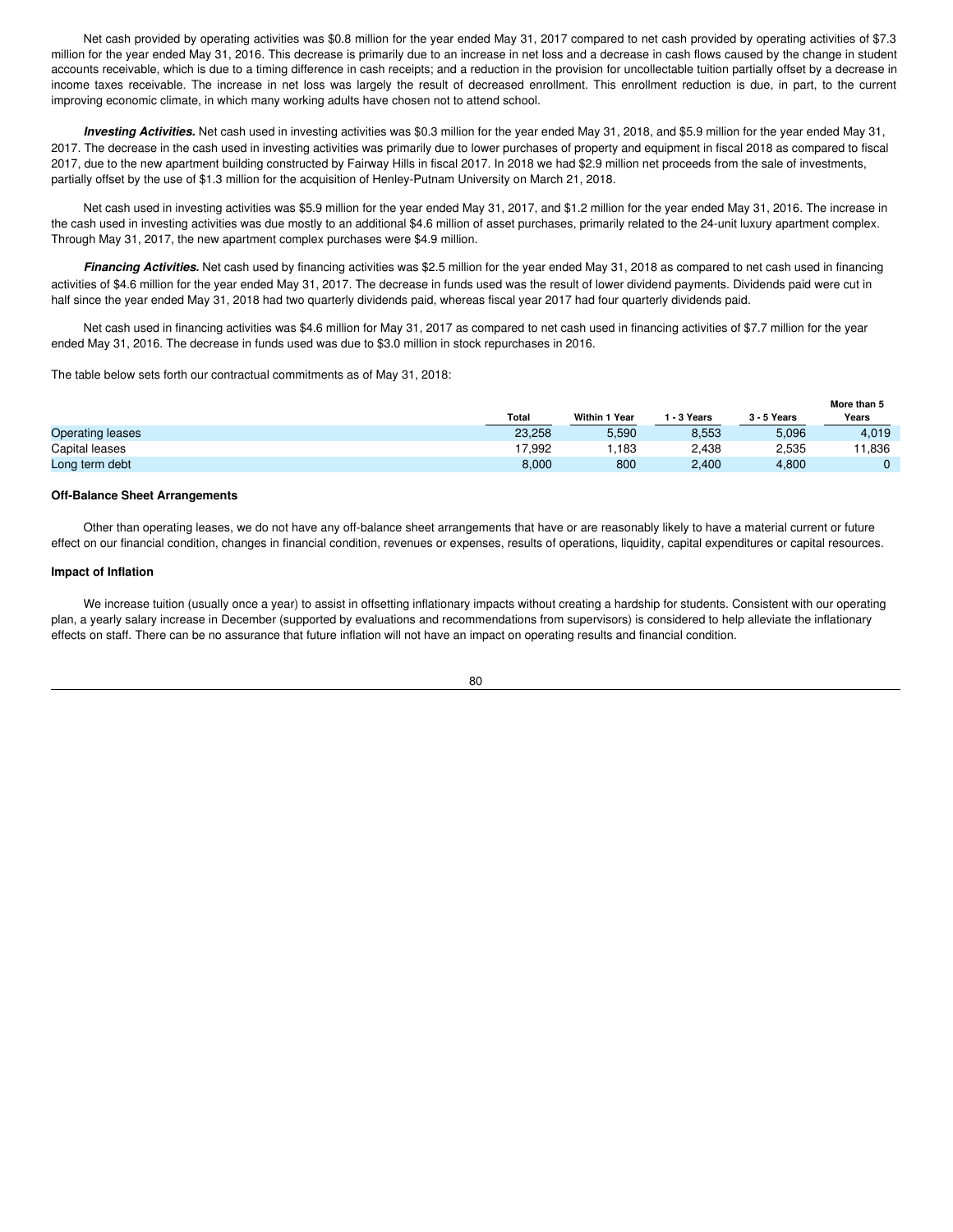Net cash provided by operating activities was \$0.8 million for the year ended May 31, 2017 compared to net cash provided by operating activities of \$7.3 million for the year ended May 31, 2016. This decrease is primarily due to an increase in net loss and a decrease in cash flows caused by the change in student accounts receivable, which is due to a timing difference in cash receipts; and a reduction in the provision for uncollectable tuition partially offset by a decrease in income taxes receivable. The increase in net loss was largely the result of decreased enrollment. This enrollment reduction is due, in part, to the current improving economic climate, in which many working adults have chosen not to attend school.

*Investing Activities.* Net cash used in investing activities was \$0.3 million for the year ended May 31, 2018, and \$5.9 million for the year ended May 31, 2017. The decrease in the cash used in investing activities was primarily due to lower purchases of property and equipment in fiscal 2018 as compared to fiscal 2017, due to the new apartment building constructed by Fairway Hills in fiscal 2017. In 2018 we had \$2.9 million net proceeds from the sale of investments, partially offset by the use of \$1.3 million for the acquisition of Henley-Putnam University on March 21, 2018.

Net cash used in investing activities was \$5.9 million for the year ended May 31, 2017, and \$1.2 million for the year ended May 31, 2016. The increase in the cash used in investing activities was due mostly to an additional \$4.6 million of asset purchases, primarily related to the 24-unit luxury apartment complex. Through May 31, 2017, the new apartment complex purchases were \$4.9 million.

*Financing Activities.* Net cash used by financing activities was \$2.5 million for the year ended May 31, 2018 as compared to net cash used in financing activities of \$4.6 million for the year ended May 31, 2017. The decrease in funds used was the result of lower dividend payments. Dividends paid were cut in half since the year ended May 31, 2018 had two quarterly dividends paid, whereas fiscal year 2017 had four quarterly dividends paid.

Net cash used in financing activities was \$4.6 million for May 31, 2017 as compared to net cash used in financing activities of \$7.7 million for the year ended May 31, 2016. The decrease in funds used was due to \$3.0 million in stock repurchases in 2016.

The table below sets forth our contractual commitments as of May 31, 2018:

|                         |        |               |             |             | More than 5 |
|-------------------------|--------|---------------|-------------|-------------|-------------|
|                         | Total  | Within 1 Year | 1 - 3 Years | 3 - 5 Years | Years       |
| <b>Operating leases</b> | 23,258 | 5,590         | 8,553       | 5,096       | 4,019       |
| Capital leases          | 17,992 | .183          | 2,438       | 2,535       | 11.836      |
| Long term debt          | 8,000  | 800           | 2,400       | 4,800       |             |

#### **Off-Balance Sheet Arrangements**

Other than operating leases, we do not have any off-balance sheet arrangements that have or are reasonably likely to have a material current or future effect on our financial condition, changes in financial condition, revenues or expenses, results of operations, liquidity, capital expenditures or capital resources.

### **Impact of Inflation**

We increase tuition (usually once a year) to assist in offsetting inflationary impacts without creating a hardship for students. Consistent with our operating plan, a yearly salary increase in December (supported by evaluations and recommendations from supervisors) is considered to help alleviate the inflationary effects on staff. There can be no assurance that future inflation will not have an impact on operating results and financial condition.

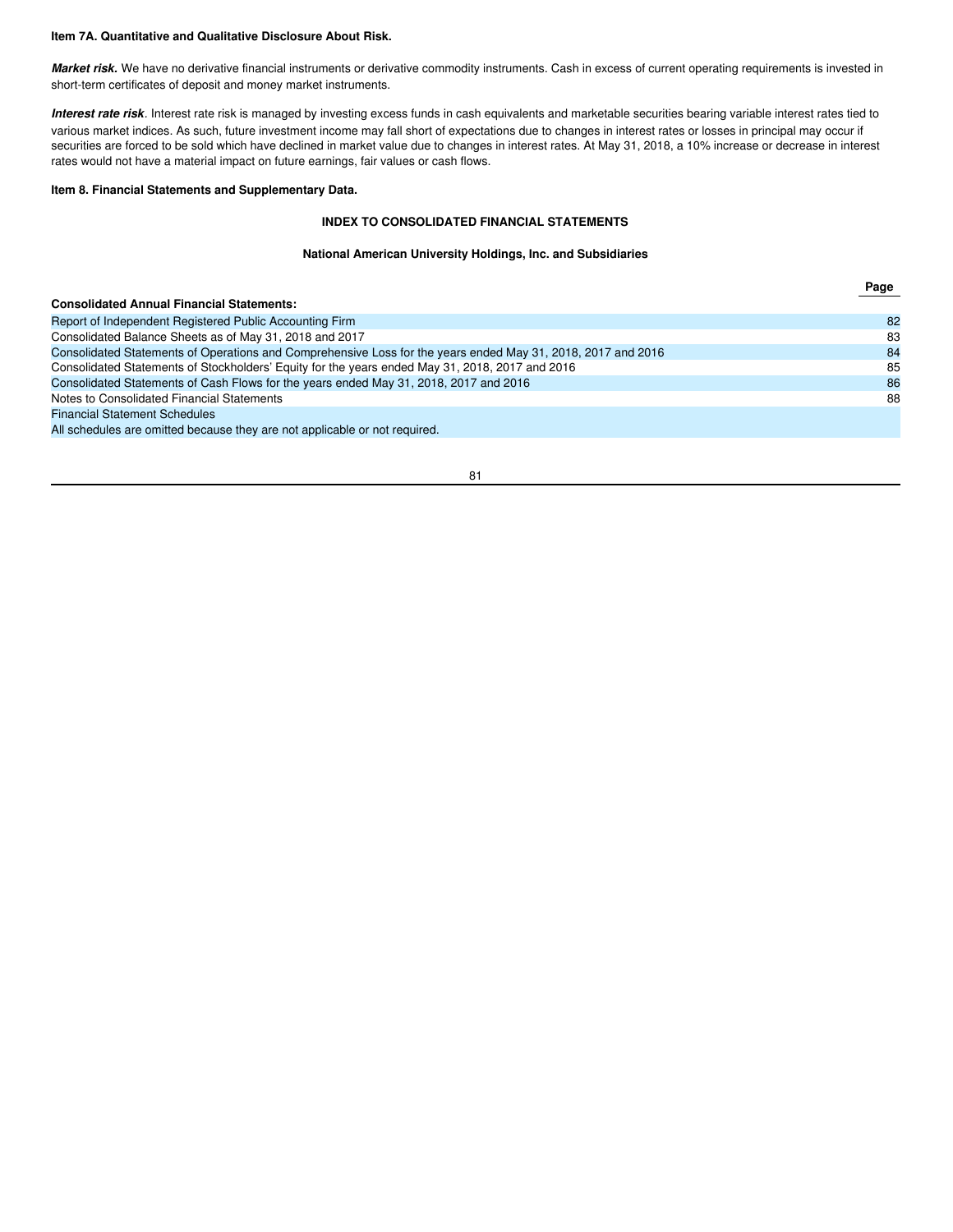#### **Item 7A. Quantitative and Qualitative Disclosure About Risk.**

*Market risk.* We have no derivative financial instruments or derivative commodity instruments. Cash in excess of current operating requirements is invested in short-term certificates of deposit and money market instruments.

*Interest rate risk.* Interest rate risk is managed by investing excess funds in cash equivalents and marketable securities bearing variable interest rates tied to various market indices. As such, future investment income may fall short of expectations due to changes in interest rates or losses in principal may occur if securities are forced to be sold which have declined in market value due to changes in interest rates. At May 31, 2018, a 10% increase or decrease in interest rates would not have a material impact on future earnings, fair values or cash flows.

#### **Item 8. Financial Statements and Supplementary Data.**

#### **INDEX TO CONSOLIDATED FINANCIAL STATEMENTS**

### **National American University Holdings, Inc. and Subsidiaries**

**Page**

| <b>Consolidated Annual Financial Statements:</b>                                                             |    |
|--------------------------------------------------------------------------------------------------------------|----|
| Report of Independent Registered Public Accounting Firm                                                      | 82 |
| Consolidated Balance Sheets as of May 31, 2018 and 2017                                                      | 83 |
| Consolidated Statements of Operations and Comprehensive Loss for the years ended May 31, 2018, 2017 and 2016 | 84 |
| Consolidated Statements of Stockholders' Equity for the years ended May 31, 2018, 2017 and 2016              | 85 |
| Consolidated Statements of Cash Flows for the years ended May 31, 2018, 2017 and 2016                        | 86 |
| Notes to Consolidated Financial Statements                                                                   | 88 |
| <b>Financial Statement Schedules</b>                                                                         |    |
| All schedules are omitted because they are not applicable or not required.                                   |    |
|                                                                                                              |    |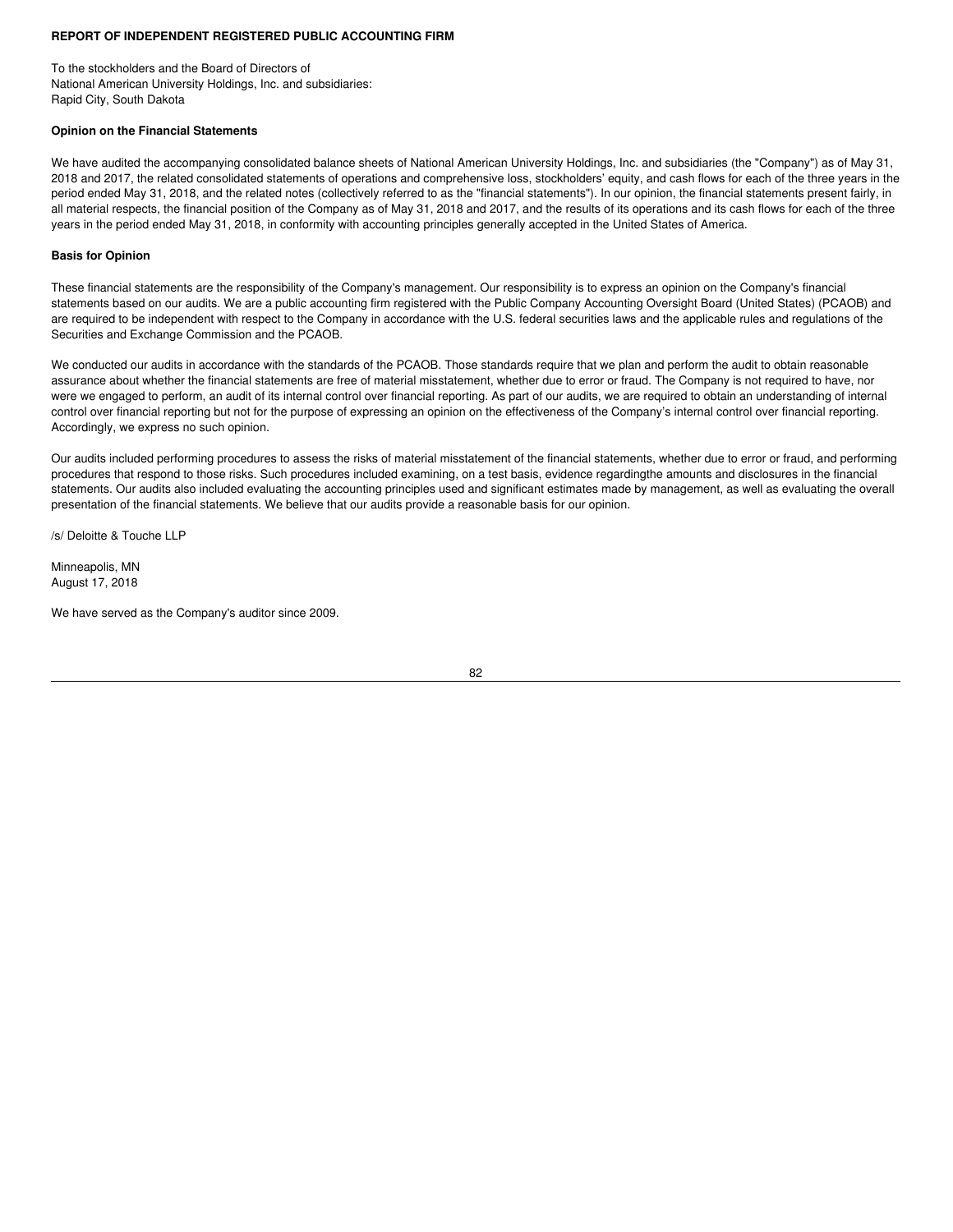### **REPORT OF INDEPENDENT REGISTERED PUBLIC ACCOUNTING FIRM**

To the stockholders and the Board of Directors of National American University Holdings, Inc. and subsidiaries: Rapid City, South Dakota

#### **Opinion on the Financial Statements**

We have audited the accompanying consolidated balance sheets of National American University Holdings, Inc. and subsidiaries (the "Company") as of May 31, 2018 and 2017, the related consolidated statements of operations and comprehensive loss, stockholders' equity, and cash flows for each of the three years in the period ended May 31, 2018, and the related notes (collectively referred to as the "financial statements"). In our opinion, the financial statements present fairly, in all material respects, the financial position of the Company as of May 31, 2018 and 2017, and the results of its operations and its cash flows for each of the three years in the period ended May 31, 2018, in conformity with accounting principles generally accepted in the United States of America.

#### **Basis for Opinion**

These financial statements are the responsibility of the Company's management. Our responsibility is to express an opinion on the Company's financial statements based on our audits. We are a public accounting firm registered with the Public Company Accounting Oversight Board (United States) (PCAOB) and are required to be independent with respect to the Company in accordance with the U.S. federal securities laws and the applicable rules and regulations of the Securities and Exchange Commission and the PCAOB.

We conducted our audits in accordance with the standards of the PCAOB. Those standards require that we plan and perform the audit to obtain reasonable assurance about whether the financial statements are free of material misstatement, whether due to error or fraud. The Company is not required to have, nor were we engaged to perform, an audit of its internal control over financial reporting. As part of our audits, we are required to obtain an understanding of internal control over financial reporting but not for the purpose of expressing an opinion on the effectiveness of the Company's internal control over financial reporting. Accordingly, we express no such opinion.

Our audits included performing procedures to assess the risks of material misstatement of the financial statements, whether due to error or fraud, and performing procedures that respond to those risks. Such procedures included examining, on a test basis, evidence regardingthe amounts and disclosures in the financial statements. Our audits also included evaluating the accounting principles used and significant estimates made by management, as well as evaluating the overall presentation of the financial statements. We believe that our audits provide a reasonable basis for our opinion.

/s/ Deloitte & Touche LLP

Minneapolis, MN August 17, 2018

We have served as the Company's auditor since 2009.

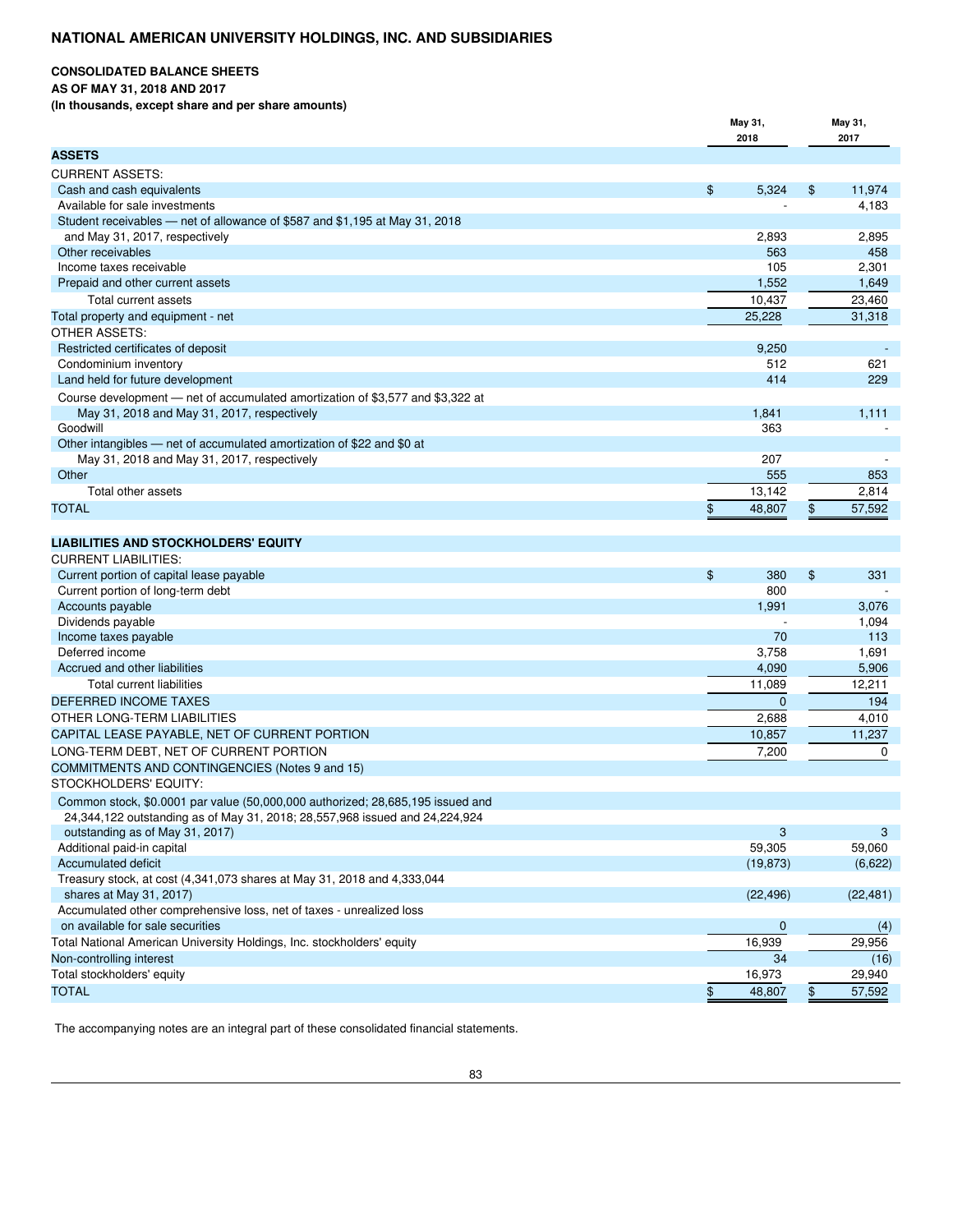# **CONSOLIDATED BALANCE SHEETS**

# **AS OF MAY 31, 2018 AND 2017**

| (In thousands, except share and per share amounts) |  |
|----------------------------------------------------|--|
|----------------------------------------------------|--|

|                                                                                |    | May 31,<br>2018 | May 31,<br>2017          |  |
|--------------------------------------------------------------------------------|----|-----------------|--------------------------|--|
| <b>ASSETS</b>                                                                  |    |                 |                          |  |
| CURRENT ASSETS:                                                                |    |                 |                          |  |
| Cash and cash equivalents                                                      | \$ | 5,324           | \$<br>11,974             |  |
| Available for sale investments                                                 |    |                 | 4,183                    |  |
| Student receivables — net of allowance of \$587 and \$1,195 at May 31, 2018    |    |                 |                          |  |
| and May 31, 2017, respectively                                                 |    | 2,893           | 2,895                    |  |
| Other receivables                                                              |    | 563             | 458                      |  |
| Income taxes receivable                                                        |    | 105             | 2,301                    |  |
| Prepaid and other current assets                                               |    | 1,552           | 1,649                    |  |
| Total current assets                                                           |    | 10,437          | 23,460                   |  |
| Total property and equipment - net                                             |    | 25,228          | 31,318                   |  |
| OTHER ASSETS:                                                                  |    |                 |                          |  |
| Restricted certificates of deposit                                             |    | 9,250           | $\overline{\phantom{a}}$ |  |
| Condominium inventory                                                          |    | 512             | 621                      |  |
| Land held for future development                                               |    | 414             | 229                      |  |
| Course development — net of accumulated amortization of \$3,577 and \$3,322 at |    |                 |                          |  |
| May 31, 2018 and May 31, 2017, respectively                                    |    | 1,841           | 1,111                    |  |
| Goodwill                                                                       |    | 363             |                          |  |
| Other intangibles — net of accumulated amortization of \$22 and \$0 at         |    |                 |                          |  |
| May 31, 2018 and May 31, 2017, respectively                                    |    | 207             |                          |  |
| Other                                                                          |    | 555             | 853                      |  |
| Total other assets                                                             |    | 13,142          | 2,814                    |  |
| <b>TOTAL</b>                                                                   | \$ | 48,807          | \$<br>57,592             |  |
|                                                                                |    |                 |                          |  |
| <b>LIABILITIES AND STOCKHOLDERS' EQUITY</b>                                    |    |                 |                          |  |
| <b>CURRENT LIABILITIES:</b>                                                    |    |                 |                          |  |
| Current portion of capital lease payable                                       | \$ | 380             | \$<br>331                |  |
| Current portion of long-term debt                                              |    | 800             |                          |  |
| Accounts payable                                                               |    | 1,991           | 3,076                    |  |
| Dividends payable                                                              |    |                 | 1,094                    |  |
| Income taxes payable                                                           |    | 70              | 113                      |  |
| Deferred income                                                                |    | 3,758           | 1,691                    |  |
| Accrued and other liabilities                                                  |    | 4,090           | 5,906                    |  |
| Total current liabilities                                                      |    | 11,089          | 12,211                   |  |
| DEFERRED INCOME TAXES                                                          |    | $\mathbf 0$     | 194                      |  |
| OTHER LONG-TERM LIABILITIES                                                    |    | 2,688           | 4,010                    |  |
| CAPITAL LEASE PAYABLE, NET OF CURRENT PORTION                                  |    | 10,857          | 11,237                   |  |
| LONG-TERM DEBT, NET OF CURRENT PORTION                                         |    | 7,200           | 0                        |  |
| COMMITMENTS AND CONTINGENCIES (Notes 9 and 15)                                 |    |                 |                          |  |
| STOCKHOLDERS' EQUITY:                                                          |    |                 |                          |  |
|                                                                                |    |                 |                          |  |
| Common stock, \$0.0001 par value (50,000,000 authorized; 28,685,195 issued and |    |                 |                          |  |
| 24,344,122 outstanding as of May 31, 2018; 28,557,968 issued and 24,224,924    |    |                 |                          |  |
| outstanding as of May 31, 2017)<br>Additional paid-in capital                  |    | 3<br>59,305     | 3<br>59,060              |  |
| <b>Accumulated deficit</b>                                                     |    | (19, 873)       | (6,622)                  |  |
| Treasury stock, at cost (4,341,073 shares at May 31, 2018 and 4,333,044        |    |                 |                          |  |
| shares at May 31, 2017)                                                        |    | (22, 496)       | (22, 481)                |  |
| Accumulated other comprehensive loss, net of taxes - unrealized loss           |    |                 |                          |  |
| on available for sale securities                                               |    | $\mathbf 0$     | (4)                      |  |
| Total National American University Holdings, Inc. stockholders' equity         |    | 16,939          | 29,956                   |  |
| Non-controlling interest                                                       |    | 34              | (16)                     |  |
| Total stockholders' equity                                                     |    | 16,973          | 29,940                   |  |
|                                                                                |    |                 |                          |  |
| <b>TOTAL</b>                                                                   | \$ | 48,807          | \$<br>57,592             |  |

The accompanying notes are an integral part of these consolidated financial statements.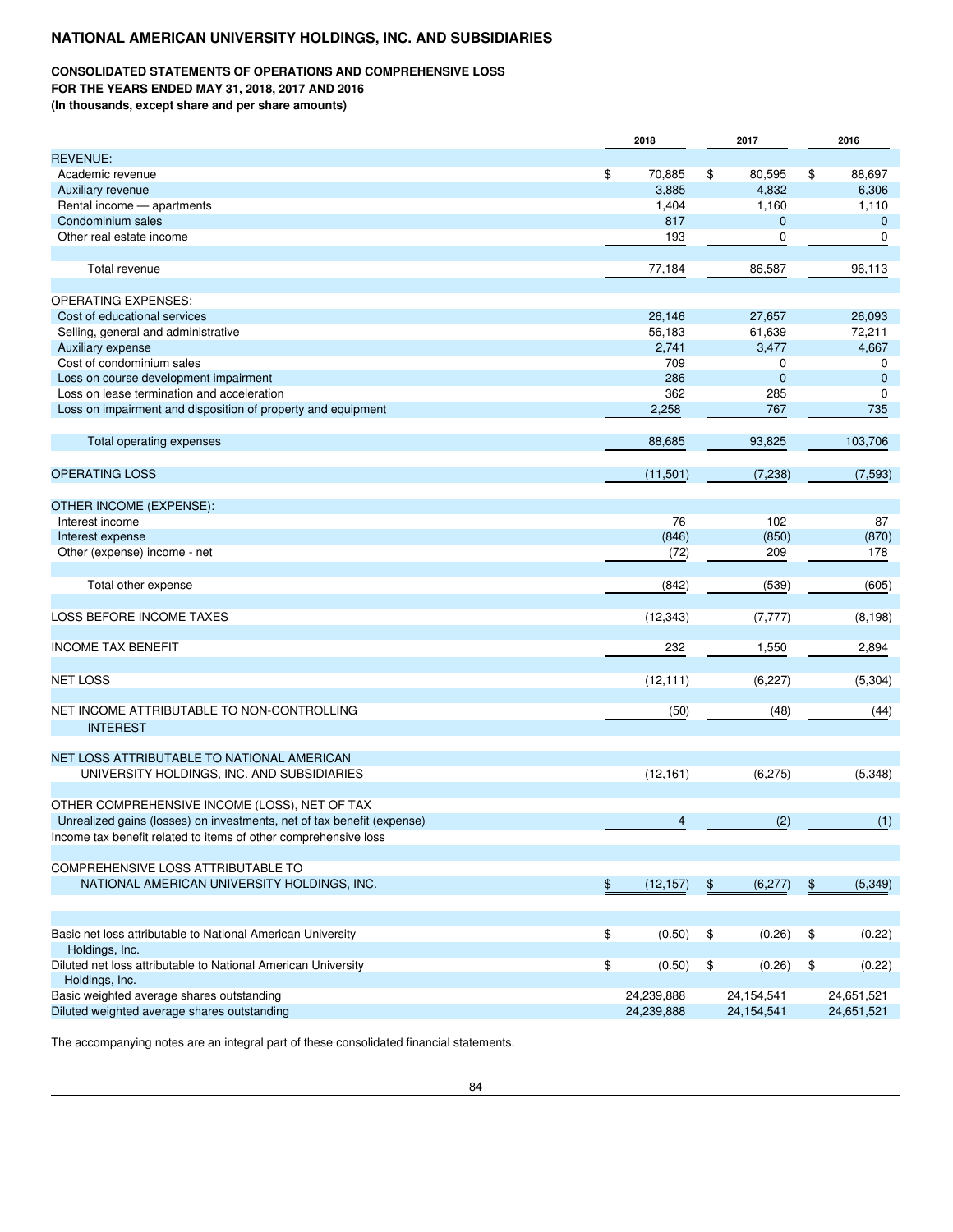# **CONSOLIDATED STATEMENTS OF OPERATIONS AND COMPREHENSIVE LOSS FOR THE YEARS ENDED MAY 31, 2018, 2017 AND 2016**

**(In thousands, except share and per share amounts)**

|                                                                        |      | 2018           | 2017           | 2016           |
|------------------------------------------------------------------------|------|----------------|----------------|----------------|
| <b>REVENUE:</b>                                                        |      |                |                |                |
| Academic revenue                                                       | \$   | 70,885         | \$<br>80,595   | \$<br>88,697   |
| Auxiliary revenue                                                      |      | 3,885          | 4,832          | 6,306          |
| Rental income - apartments                                             |      | 1,404          | 1,160          | 1,110          |
| Condominium sales                                                      |      | 817            | 0              | $\mathbf 0$    |
| Other real estate income                                               |      | 193            | 0              | 0              |
|                                                                        |      |                |                |                |
| Total revenue                                                          |      | 77,184         | 86,587         | 96,113         |
|                                                                        |      |                |                |                |
| <b>OPERATING EXPENSES:</b>                                             |      |                |                |                |
| Cost of educational services                                           |      | 26,146         | 27,657         | 26,093         |
| Selling, general and administrative                                    |      | 56,183         | 61,639         | 72,211         |
| Auxiliary expense                                                      |      | 2,741          | 3,477          | 4,667          |
| Cost of condominium sales                                              |      | 709            | 0              | 0              |
| Loss on course development impairment                                  |      | 286            | $\mathbf 0$    | $\mathbf 0$    |
| Loss on lease termination and acceleration                             |      | 362            | 285            | $\mathbf 0$    |
| Loss on impairment and disposition of property and equipment           |      | 2,258          | 767            | 735            |
|                                                                        |      |                |                |                |
| Total operating expenses                                               |      | 88,685         | 93,825         | 103,706        |
|                                                                        |      |                |                |                |
| <b>OPERATING LOSS</b>                                                  |      | (11, 501)      | (7, 238)       | (7, 593)       |
|                                                                        |      |                |                |                |
| OTHER INCOME (EXPENSE):                                                |      |                |                |                |
| Interest income                                                        |      | 76             | 102            | 87             |
| Interest expense                                                       |      | (846)          | (850)          | (870)          |
| Other (expense) income - net                                           |      | (72)           | 209            | 178            |
|                                                                        |      |                |                |                |
| Total other expense                                                    |      | (842)          | (539)          | (605)          |
|                                                                        |      |                |                |                |
| <b>LOSS BEFORE INCOME TAXES</b>                                        |      | (12, 343)      | (7, 777)       | (8, 198)       |
|                                                                        |      |                |                |                |
| <b>INCOME TAX BENEFIT</b>                                              |      | 232            | 1,550          | 2,894          |
|                                                                        |      |                |                |                |
| <b>NET LOSS</b>                                                        |      | (12, 111)      | (6, 227)       | (5,304)        |
|                                                                        |      |                |                |                |
| NET INCOME ATTRIBUTABLE TO NON-CONTROLLING                             |      | (50)           | (48)           | (44)           |
| <b>INTEREST</b>                                                        |      |                |                |                |
|                                                                        |      |                |                |                |
| NET LOSS ATTRIBUTABLE TO NATIONAL AMERICAN                             |      |                |                |                |
| UNIVERSITY HOLDINGS, INC. AND SUBSIDIARIES                             |      | (12, 161)      | (6, 275)       | (5,348)        |
|                                                                        |      |                |                |                |
| OTHER COMPREHENSIVE INCOME (LOSS), NET OF TAX                          |      |                |                |                |
| Unrealized gains (losses) on investments, net of tax benefit (expense) |      | $\overline{4}$ | (2)            | (1)            |
| Income tax benefit related to items of other comprehensive loss        |      |                |                |                |
|                                                                        |      |                |                |                |
| COMPREHENSIVE LOSS ATTRIBUTABLE TO                                     |      |                |                |                |
| NATIONAL AMERICAN UNIVERSITY HOLDINGS, INC.                            | $\,$ | (12, 157)      | \$<br>(6, 277) | \$<br>(5, 349) |
|                                                                        |      |                |                |                |
|                                                                        |      |                |                |                |
| Basic net loss attributable to National American University            | \$   | (0.50)         | \$<br>(0.26)   | \$<br>(0.22)   |
| Holdings, Inc.                                                         |      |                |                |                |
| Diluted net loss attributable to National American University          | \$   | (0.50)         | \$<br>(0.26)   | \$<br>(0.22)   |
| Holdings, Inc.                                                         |      |                |                |                |
| Basic weighted average shares outstanding                              |      | 24,239,888     | 24,154,541     | 24,651,521     |
| Diluted weighted average shares outstanding                            |      | 24,239,888     | 24, 154, 541   | 24,651,521     |
|                                                                        |      |                |                |                |

The accompanying notes are an integral part of these consolidated financial statements.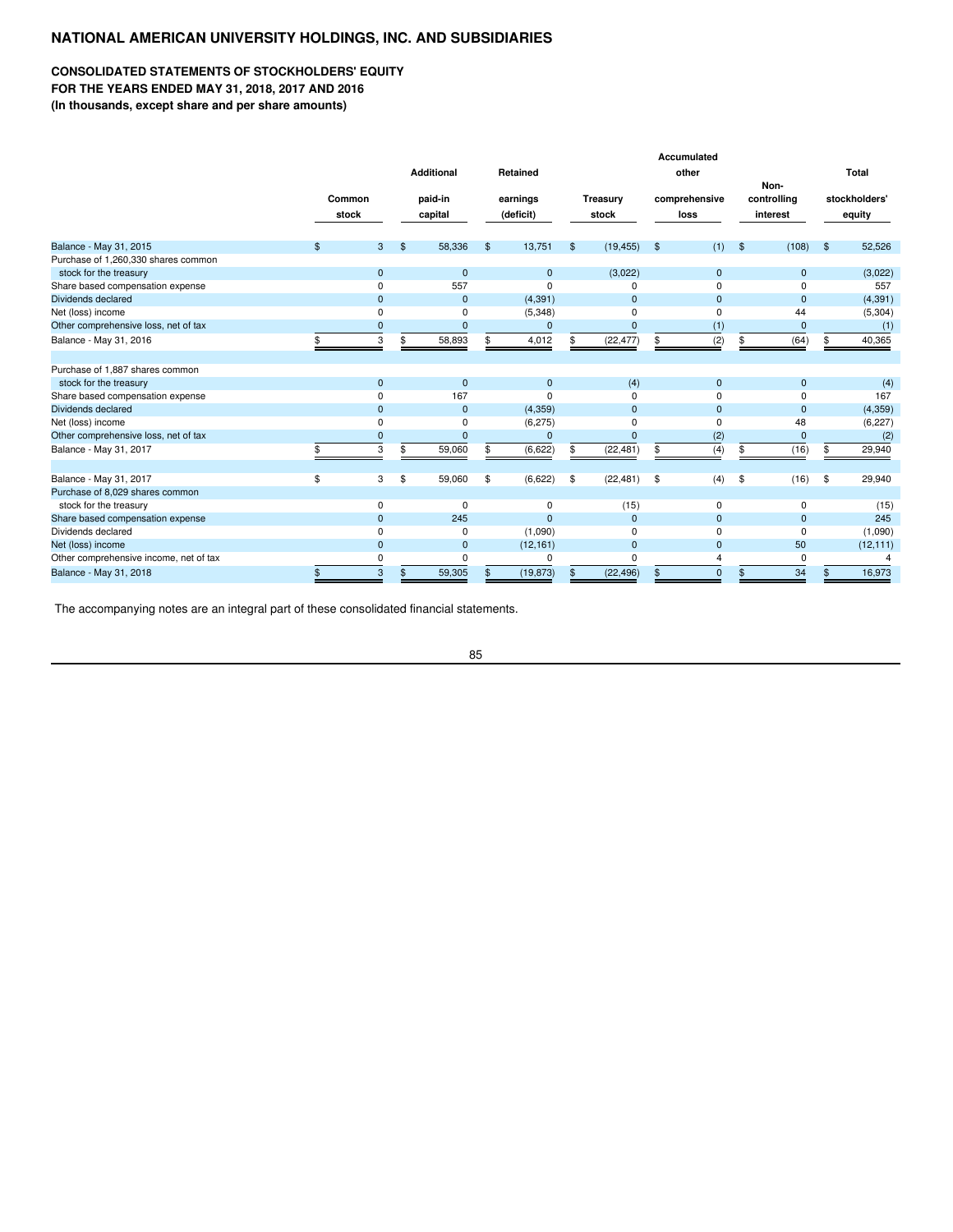# **CONSOLIDATED STATEMENTS OF STOCKHOLDERS' EQUITY FOR THE YEARS ENDED MAY 31, 2018, 2017 AND 2016 (In thousands, except share and per share amounts)**

|                                        |    |                 |                   |                                             |          | Accumulated              |                |                       |                |                                 |                |                         |               |           |
|----------------------------------------|----|-----------------|-------------------|---------------------------------------------|----------|--------------------------|----------------|-----------------------|----------------|---------------------------------|----------------|-------------------------|---------------|-----------|
|                                        |    |                 | <b>Additional</b> |                                             | Retained |                          |                |                       | other          |                                 |                |                         | Total         |           |
|                                        |    | Common<br>stock |                   | paid-in<br>earnings<br>capital<br>(deficit) |          | <b>Treasury</b><br>stock |                | comprehensive<br>loss |                | Non-<br>controlling<br>interest |                | stockholders'<br>equity |               |           |
|                                        |    |                 |                   |                                             |          |                          |                |                       |                |                                 |                |                         |               |           |
| Balance - May 31, 2015                 | \$ | 3               | $\$\$             | 58,336                                      | \$       | 13,751                   | $\mathfrak{S}$ | (19, 455)             | $\mathfrak{F}$ | (1)                             | $\mathfrak{F}$ | (108)                   | $\frac{3}{2}$ | 52,526    |
| Purchase of 1,260,330 shares common    |    |                 |                   |                                             |          |                          |                |                       |                |                                 |                |                         |               |           |
| stock for the treasury                 |    | $\mathbf{0}$    |                   | $\mathbf 0$                                 |          | $\mathbf 0$              |                | (3,022)               |                | $\mathbf{0}$                    |                | $\mathbf 0$             |               | (3,022)   |
| Share based compensation expense       |    | $\Omega$        |                   | 557                                         |          | $\Omega$                 |                | $\Omega$              |                | $\Omega$                        |                | $\mathbf 0$             |               | 557       |
| Dividends declared                     |    | $\mathbf{0}$    |                   | $\mathbf 0$                                 |          | (4, 391)                 |                | $\mathbf 0$           |                | $\mathbf 0$                     |                | $\mathbf 0$             |               | (4, 391)  |
| Net (loss) income                      |    | 0               |                   | $\mathbf 0$                                 |          | (5, 348)                 |                | $\mathbf 0$           |                | 0                               |                | 44                      |               | (5, 304)  |
| Other comprehensive loss, net of tax   |    | $\overline{0}$  |                   | 0                                           |          | 0                        |                | $\mathbf 0$           |                | (1)                             |                | $\mathbf 0$             |               | (1)       |
| Balance - May 31, 2016                 |    | 3               | \$                | 58,893                                      |          | 4,012                    | \$             | (22, 477)             | \$             | (2)                             |                | (64)                    |               | 40,365    |
|                                        |    |                 |                   |                                             |          |                          |                |                       |                |                                 |                |                         |               |           |
| Purchase of 1,887 shares common        |    |                 |                   |                                             |          |                          |                |                       |                |                                 |                |                         |               |           |
| stock for the treasury                 |    | $\mathbf{0}$    |                   | $\mathbf 0$                                 |          | $\mathbf 0$              |                | (4)                   |                | $\mathbf{0}$                    |                | $\mathbf 0$             |               | (4)       |
| Share based compensation expense       |    | 0               |                   | 167                                         |          | $\Omega$                 |                | $\mathbf 0$           |                | 0                               |                | 0                       |               | 167       |
| Dividends declared                     |    | $\mathbf{0}$    |                   | $\mathbf 0$                                 |          | (4,359)                  |                | $\mathbf{0}$          |                | $\mathbf{0}$                    |                | $\mathbf 0$             |               | (4,359)   |
| Net (loss) income                      |    | $\Omega$        |                   | 0                                           |          | (6, 275)                 |                | $\mathbf 0$           |                | $\Omega$                        |                | 48                      |               | (6, 227)  |
| Other comprehensive loss, net of tax   |    | $\Omega$        |                   | $\mathbf{0}$                                |          | 0                        |                | $\mathbf{0}$          |                | (2)                             |                | $\mathbf{0}$            |               | (2)       |
| Balance - May 31, 2017                 |    | 3               | \$                | 59,060                                      | \$       | (6,622)                  | \$             | (22, 481)             | \$             | (4)                             |                | (16)                    | S             | 29,940    |
| Balance - May 31, 2017                 | \$ | 3               | \$                | 59,060                                      | \$       | (6,622)                  | \$             | (22, 481)             | \$             | (4)                             | \$             | (16)                    | \$            | 29,940    |
| Purchase of 8,029 shares common        |    |                 |                   |                                             |          |                          |                |                       |                |                                 |                |                         |               |           |
| stock for the treasury                 |    | 0               |                   | $\mathbf 0$                                 |          | 0                        |                | (15)                  |                | 0                               |                | $\mathbf 0$             |               | (15)      |
| Share based compensation expense       |    | $\mathbf{0}$    |                   | 245                                         |          | 0                        |                | $\mathbf{0}$          |                | $\overline{0}$                  |                | $\mathbf{0}$            |               | 245       |
| Dividends declared                     |    | 0               |                   | $\mathbf 0$                                 |          | (1,090)                  |                | $\mathbf 0$           |                | $\Omega$                        |                | 0                       |               | (1,090)   |
| Net (loss) income                      |    | $\mathbf{0}$    |                   | $\mathbf 0$                                 |          | (12, 161)                |                | $\mathbf 0$           |                | $\overline{0}$                  |                | 50                      |               | (12, 111) |
| Other comprehensive income, net of tax |    |                 |                   |                                             |          |                          |                |                       |                |                                 |                | 0                       |               |           |
| Balance - May 31, 2018                 | \$ | 3               | $\$\$             | 59,305                                      | \$       | (19, 873)                | $\mathfrak{S}$ | (22, 496)             | $\mathfrak{S}$ | $\mathbf{0}$                    | \$             | 34                      | \$            | 16,973    |

The accompanying notes are an integral part of these consolidated financial statements.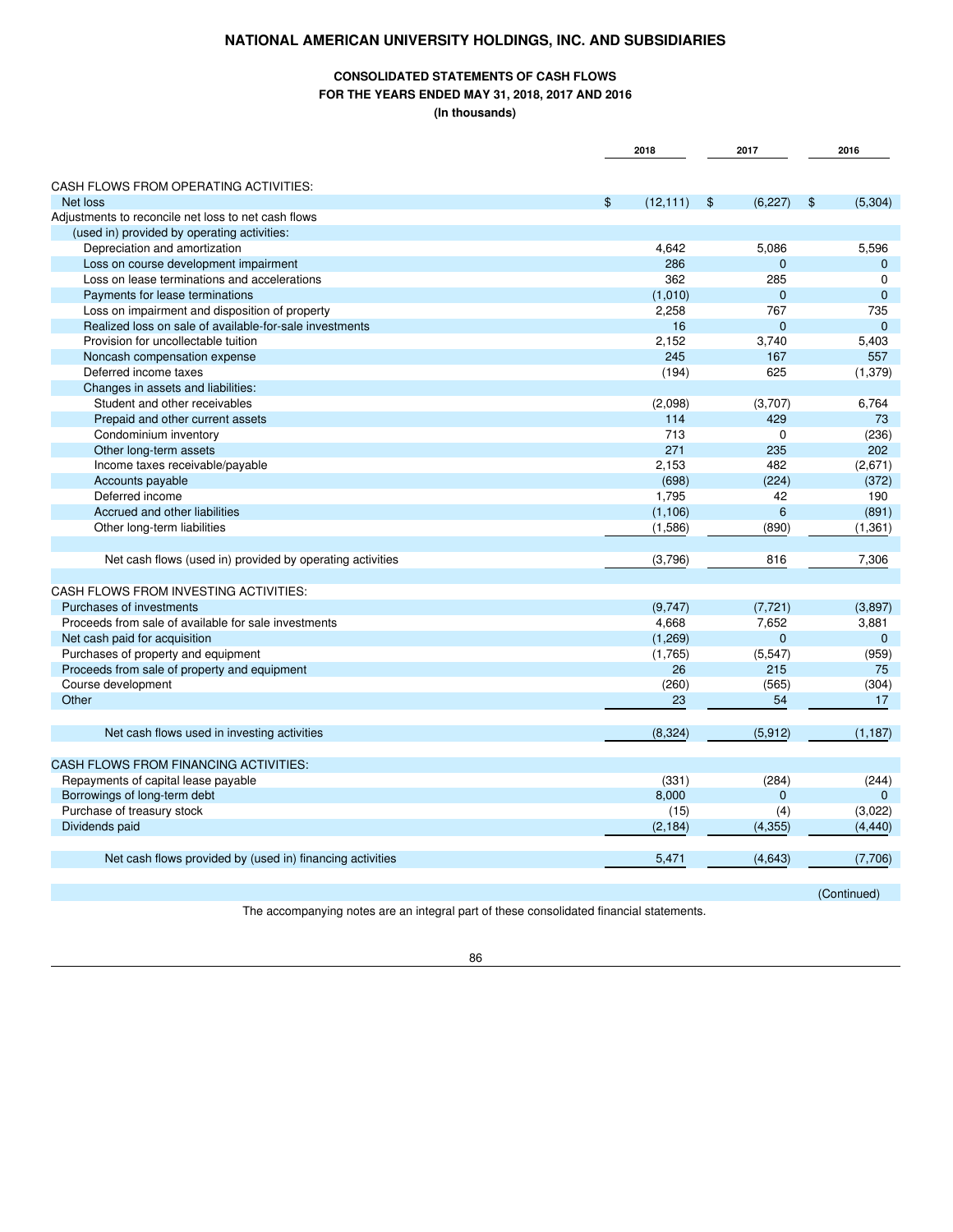# **CONSOLIDATED STATEMENTS OF CASH FLOWS FOR THE YEARS ENDED MAY 31, 2018, 2017 AND 2016**

**(In thousands)**

|                                                                    | 2018 |               | 2017 |                 | 2016          |
|--------------------------------------------------------------------|------|---------------|------|-----------------|---------------|
|                                                                    |      |               |      |                 |               |
| CASH FLOWS FROM OPERATING ACTIVITIES:                              |      |               |      |                 |               |
| Net loss                                                           | \$   | (12, 111)     | \$   | (6, 227)        | \$<br>(5,304) |
| Adjustments to reconcile net loss to net cash flows                |      |               |      |                 |               |
| (used in) provided by operating activities:                        |      |               |      |                 |               |
| Depreciation and amortization                                      |      | 4,642         |      | 5,086           | 5,596         |
| Loss on course development impairment                              |      | 286           |      | $\mathbf{0}$    | $\mathbf{0}$  |
| Loss on lease terminations and accelerations                       |      | 362           |      | 285             | 0             |
| Payments for lease terminations                                    |      | (1,010)       |      | $\Omega$        | $\Omega$      |
| Loss on impairment and disposition of property                     |      | 2,258         |      | 767             | 735           |
| Realized loss on sale of available-for-sale investments            |      | 16            |      | $\mathbf{0}$    | $\mathbf{0}$  |
| Provision for uncollectable tuition                                |      | 2,152         |      | 3,740           | 5,403         |
| Noncash compensation expense                                       |      | 245           |      | 167             | 557           |
| Deferred income taxes                                              |      | (194)         |      | 625             | (1, 379)      |
| Changes in assets and liabilities:                                 |      |               |      |                 |               |
| Student and other receivables                                      |      | (2,098)       |      | (3,707)         | 6,764         |
| Prepaid and other current assets                                   |      | 114           |      | 429             | 73            |
| Condominium inventory                                              |      | 713           |      | $\mathbf 0$     | (236)         |
| Other long-term assets                                             |      | 271           |      | 235             | 202           |
| Income taxes receivable/payable                                    |      | 2.153         |      | 482             | (2,671)       |
| Accounts payable                                                   |      | (698)         |      | (224)           | (372)         |
| Deferred income                                                    |      | 1,795         |      | 42              | 190           |
| Accrued and other liabilities                                      |      | (1, 106)      |      | $6\phantom{1}6$ | (891)         |
| Other long-term liabilities                                        |      | (1,586)       |      | (890)           | (1, 361)      |
|                                                                    |      |               |      |                 |               |
| Net cash flows (used in) provided by operating activities          |      | (3,796)       |      | 816             | 7,306         |
|                                                                    |      |               |      |                 |               |
| CASH FLOWS FROM INVESTING ACTIVITIES:                              |      |               |      |                 |               |
| Purchases of investments                                           |      | (9,747)       |      | (7, 721)        | (3,897)       |
| Proceeds from sale of available for sale investments               |      | 4.668         |      | 7.652           | 3,881         |
|                                                                    |      |               |      | $\mathbf{0}$    | $\mathbf{0}$  |
| Net cash paid for acquisition                                      |      | (1, 269)      |      | (5, 547)        |               |
| Purchases of property and equipment                                |      | (1,765)<br>26 |      | 215             | (959)         |
| Proceeds from sale of property and equipment<br>Course development |      |               |      | (565)           | 75            |
| Other                                                              |      | (260)<br>23   |      | 54              | (304)<br>17   |
|                                                                    |      |               |      |                 |               |
|                                                                    |      |               |      |                 |               |
| Net cash flows used in investing activities                        |      | (8, 324)      |      | (5, 912)        | (1, 187)      |
|                                                                    |      |               |      |                 |               |
| CASH FLOWS FROM FINANCING ACTIVITIES:                              |      |               |      |                 |               |
| Repayments of capital lease payable                                |      | (331)         |      | (284)           | (244)         |
| Borrowings of long-term debt                                       |      | 8,000         |      | $\mathbf{0}$    | $\mathbf{0}$  |
| Purchase of treasury stock                                         |      | (15)          |      | (4)             | (3,022)       |
| Dividends paid                                                     |      | (2, 184)      |      | (4,355)         | (4, 440)      |
|                                                                    |      |               |      |                 |               |
| Net cash flows provided by (used in) financing activities          |      | 5,471         |      | (4,643)         | (7,706)       |
|                                                                    |      |               |      |                 |               |

The accompanying notes are an integral part of these consolidated financial statements.

(Continued)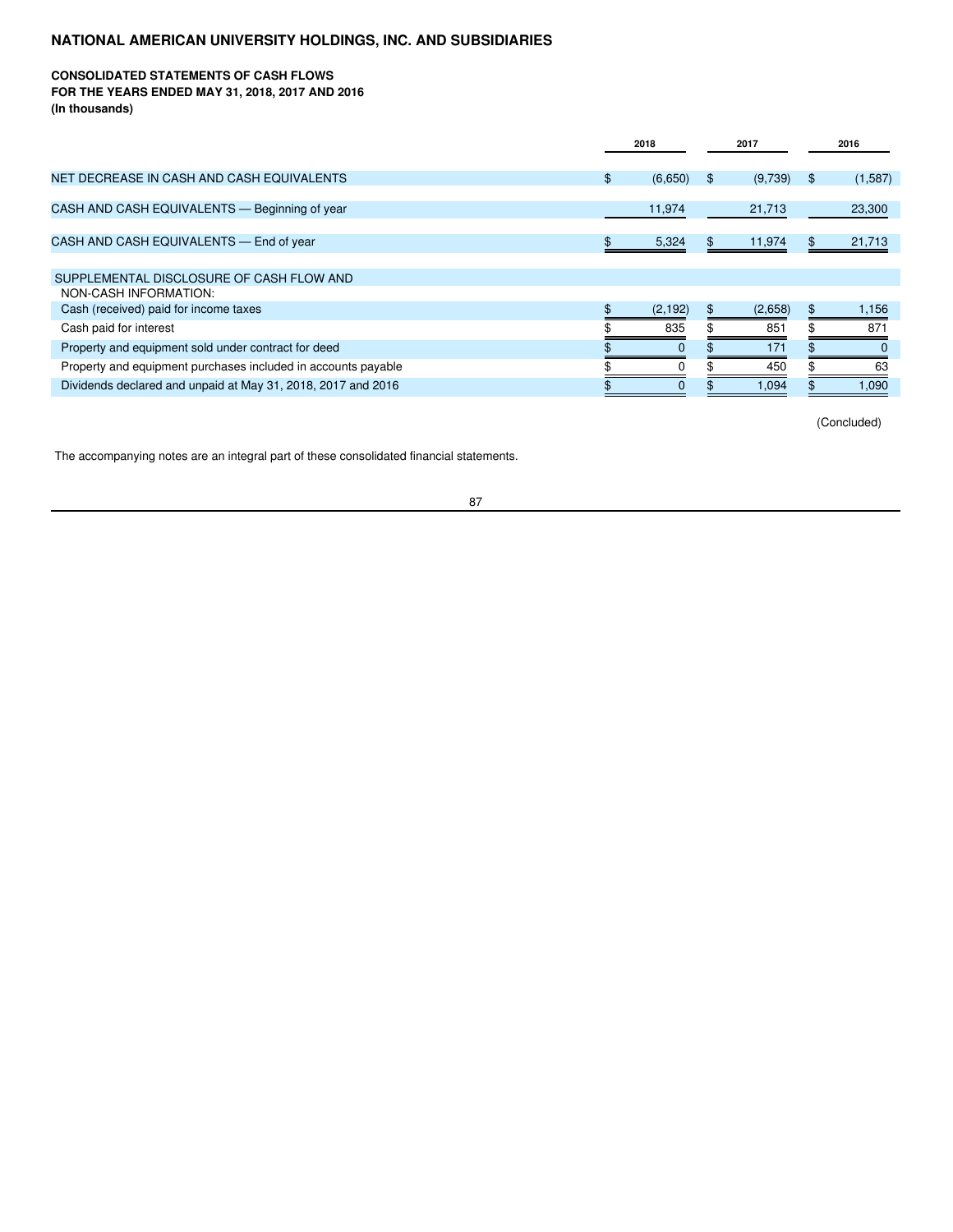# **CONSOLIDATED STATEMENTS OF CASH FLOWS**

**FOR THE YEARS ENDED MAY 31, 2018, 2017 AND 2016**

**(In thousands)**

|                                                                   | 2018          |     | 2017    | 2016          |
|-------------------------------------------------------------------|---------------|-----|---------|---------------|
| NET DECREASE IN CASH AND CASH EQUIVALENTS                         | \$<br>(6,650) | \$  | (9,739) | \$<br>(1,587) |
| CASH AND CASH EQUIVALENTS - Beginning of year                     | 11,974        |     | 21,713  | 23,300        |
| CASH AND CASH EQUIVALENTS - End of year                           | 5,324         | \$. | 11,974  | 21,713        |
| SUPPLEMENTAL DISCLOSURE OF CASH FLOW AND<br>NON-CASH INFORMATION: |               |     |         |               |
| Cash (received) paid for income taxes                             | (2, 192)      |     | (2,658) | 1,156         |
| Cash paid for interest                                            | 835           |     | 851     | 871           |
| Property and equipment sold under contract for deed               |               |     | 171     |               |
| Property and equipment purchases included in accounts payable     |               |     | 450     | 63            |
| Dividends declared and unpaid at May 31, 2018, 2017 and 2016      |               |     | ,094    | 090, ا        |

(Concluded)

The accompanying notes are an integral part of these consolidated financial statements.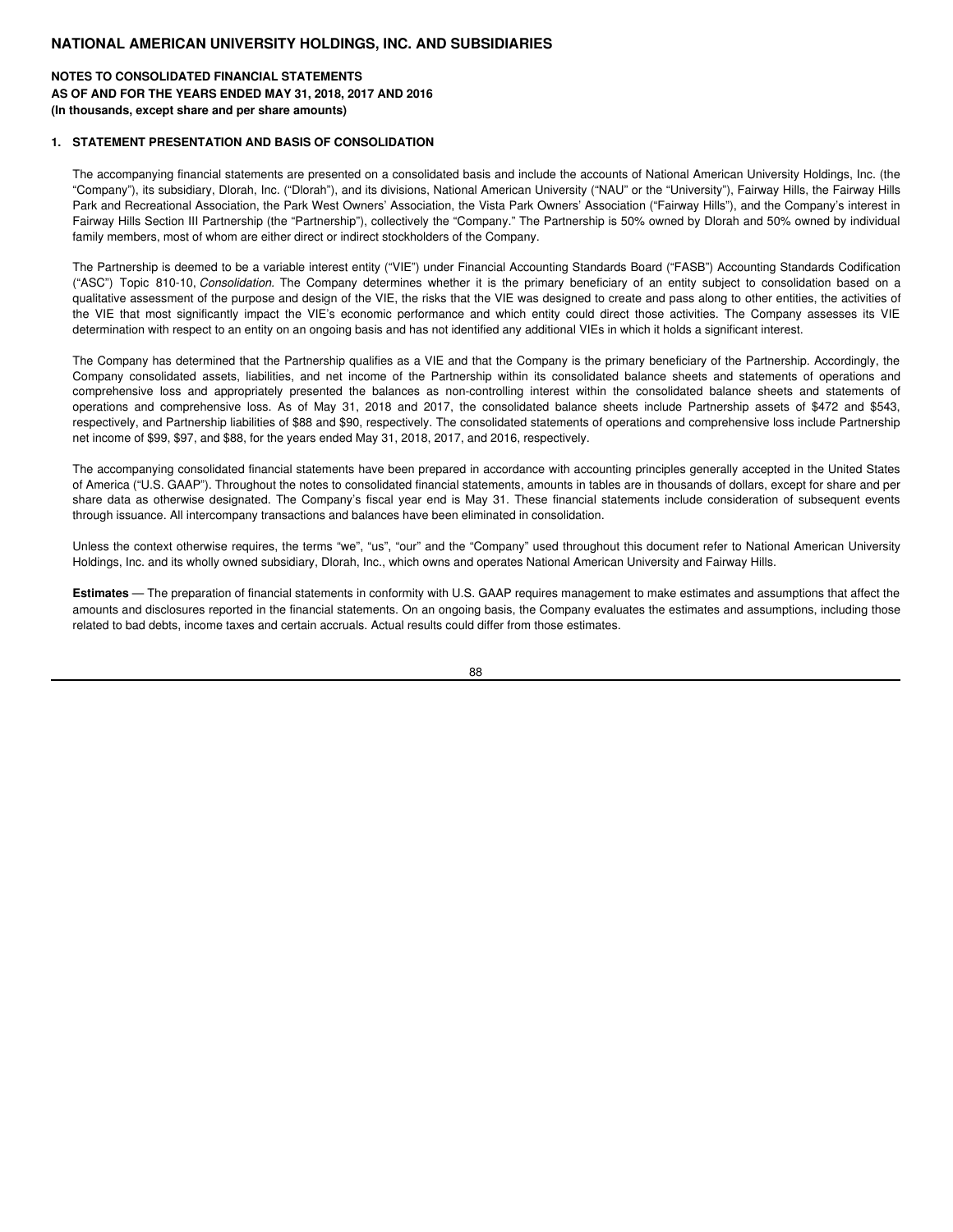# **NOTES TO CONSOLIDATED FINANCIAL STATEMENTS AS OF AND FOR THE YEARS ENDED MAY 31, 2018, 2017 AND 2016 (In thousands, except share and per share amounts)**

#### **1. STATEMENT PRESENTATION AND BASIS OF CONSOLIDATION**

The accompanying financial statements are presented on a consolidated basis and include the accounts of National American University Holdings, Inc. (the "Company"), its subsidiary, Dlorah, Inc. ("Dlorah"), and its divisions, National American University ("NAU" or the "University"), Fairway Hills, the Fairway Hills Park and Recreational Association, the Park West Owners' Association, the Vista Park Owners' Association ("Fairway Hills"), and the Company's interest in Fairway Hills Section III Partnership (the "Partnership"), collectively the "Company." The Partnership is 50% owned by Dlorah and 50% owned by individual family members, most of whom are either direct or indirect stockholders of the Company.

The Partnership is deemed to be a variable interest entity ("VIE") under Financial Accounting Standards Board ("FASB") Accounting Standards Codification ("ASC") Topic 810-10, *Consolidation.* The Company determines whether it is the primary beneficiary of an entity subject to consolidation based on a qualitative assessment of the purpose and design of the VIE, the risks that the VIE was designed to create and pass along to other entities, the activities of the VIE that most significantly impact the VIE's economic performance and which entity could direct those activities. The Company assesses its VIE determination with respect to an entity on an ongoing basis and has not identified any additional VIEs in which it holds a significant interest.

The Company has determined that the Partnership qualifies as a VIE and that the Company is the primary beneficiary of the Partnership. Accordingly, the Company consolidated assets, liabilities, and net income of the Partnership within its consolidated balance sheets and statements of operations and comprehensive loss and appropriately presented the balances as non-controlling interest within the consolidated balance sheets and statements of operations and comprehensive loss. As of May 31, 2018 and 2017, the consolidated balance sheets include Partnership assets of \$472 and \$543, respectively, and Partnership liabilities of \$88 and \$90, respectively. The consolidated statements of operations and comprehensive loss include Partnership net income of \$99, \$97, and \$88, for the years ended May 31, 2018, 2017, and 2016, respectively.

The accompanying consolidated financial statements have been prepared in accordance with accounting principles generally accepted in the United States of America ("U.S. GAAP"). Throughout the notes to consolidated financial statements, amounts in tables are in thousands of dollars, except for share and per share data as otherwise designated. The Company's fiscal year end is May 31. These financial statements include consideration of subsequent events through issuance. All intercompany transactions and balances have been eliminated in consolidation.

Unless the context otherwise requires, the terms "we", "us", "our" and the "Company" used throughout this document refer to National American University Holdings, Inc. and its wholly owned subsidiary, Dlorah, Inc., which owns and operates National American University and Fairway Hills.

**Estimates** — The preparation of financial statements in conformity with U.S. GAAP requires management to make estimates and assumptions that affect the amounts and disclosures reported in the financial statements. On an ongoing basis, the Company evaluates the estimates and assumptions, including those related to bad debts, income taxes and certain accruals. Actual results could differ from those estimates.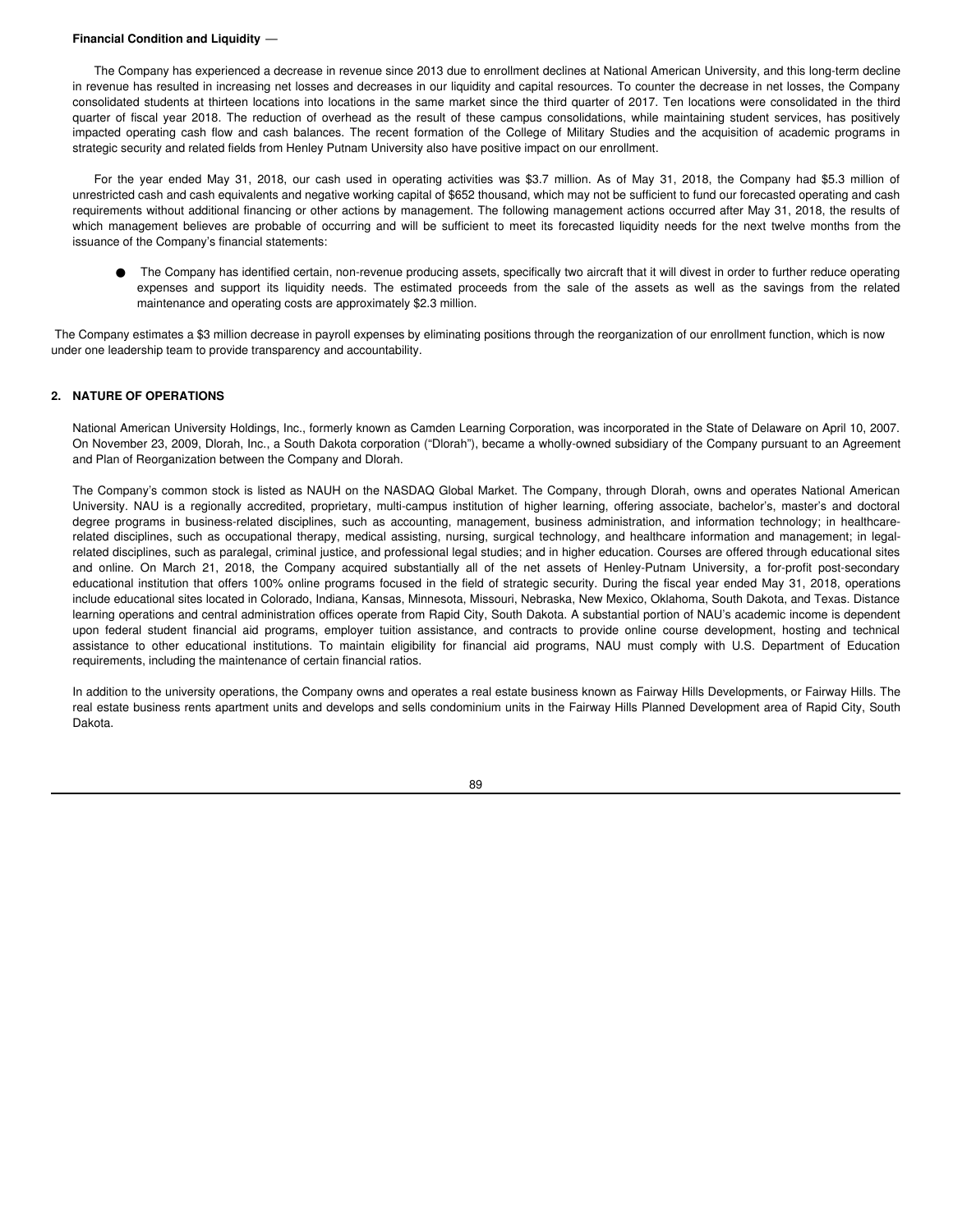#### **Financial Condition and Liquidity** —

The Company has experienced a decrease in revenue since 2013 due to enrollment declines at National American University, and this long-term decline in revenue has resulted in increasing net losses and decreases in our liquidity and capital resources. To counter the decrease in net losses, the Company consolidated students at thirteen locations into locations in the same market since the third quarter of 2017. Ten locations were consolidated in the third quarter of fiscal year 2018. The reduction of overhead as the result of these campus consolidations, while maintaining student services, has positively impacted operating cash flow and cash balances. The recent formation of the College of Military Studies and the acquisition of academic programs in strategic security and related fields from Henley Putnam University also have positive impact on our enrollment.

For the year ended May 31, 2018, our cash used in operating activities was \$3.7 million. As of May 31, 2018, the Company had \$5.3 million of unrestricted cash and cash equivalents and negative working capital of \$652 thousand, which may not be sufficient to fund our forecasted operating and cash requirements without additional financing or other actions by management. The following management actions occurred after May 31, 2018, the results of which management believes are probable of occurring and will be sufficient to meet its forecasted liquidity needs for the next twelve months from the issuance of the Company's financial statements:

The Company has identified certain, non-revenue producing assets, specifically two aircraft that it will divest in order to further reduce operating expenses and support its liquidity needs. The estimated proceeds from the sale of the assets as well as the savings from the related maintenance and operating costs are approximately \$2.3 million.

The Company estimates a \$3 million decrease in payroll expenses by eliminating positions through the reorganization of our enrollment function, which is now under one leadership team to provide transparency and accountability.

## **2. NATURE OF OPERATIONS**

National American University Holdings, Inc., formerly known as Camden Learning Corporation, was incorporated in the State of Delaware on April 10, 2007. On November 23, 2009, Dlorah, Inc., a South Dakota corporation ("Dlorah"), became a wholly-owned subsidiary of the Company pursuant to an Agreement and Plan of Reorganization between the Company and Dlorah.

The Company's common stock is listed as NAUH on the NASDAQ Global Market. The Company, through Dlorah, owns and operates National American University. NAU is a regionally accredited, proprietary, multi-campus institution of higher learning, offering associate, bachelor's, master's and doctoral degree programs in business-related disciplines, such as accounting, management, business administration, and information technology; in healthcarerelated disciplines, such as occupational therapy, medical assisting, nursing, surgical technology, and healthcare information and management; in legalrelated disciplines, such as paralegal, criminal justice, and professional legal studies; and in higher education. Courses are offered through educational sites and online. On March 21, 2018, the Company acquired substantially all of the net assets of Henley-Putnam University, a for-profit post-secondary educational institution that offers 100% online programs focused in the field of strategic security. During the fiscal year ended May 31, 2018, operations include educational sites located in Colorado, Indiana, Kansas, Minnesota, Missouri, Nebraska, New Mexico, Oklahoma, South Dakota, and Texas. Distance learning operations and central administration offices operate from Rapid City, South Dakota. A substantial portion of NAU's academic income is dependent upon federal student financial aid programs, employer tuition assistance, and contracts to provide online course development, hosting and technical assistance to other educational institutions. To maintain eligibility for financial aid programs, NAU must comply with U.S. Department of Education requirements, including the maintenance of certain financial ratios.

In addition to the university operations, the Company owns and operates a real estate business known as Fairway Hills Developments, or Fairway Hills. The real estate business rents apartment units and develops and sells condominium units in the Fairway Hills Planned Development area of Rapid City, South Dakota.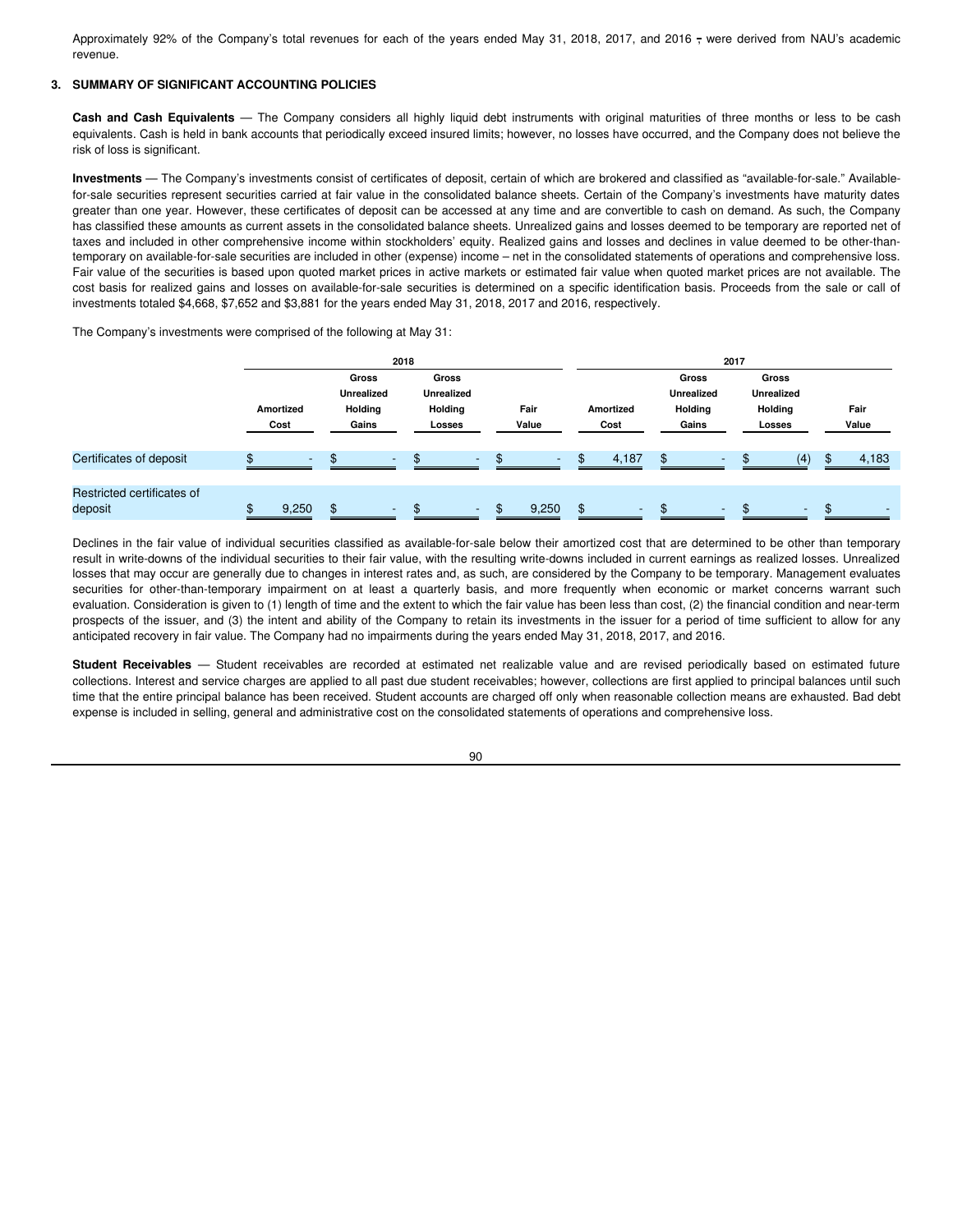Approximately 92% of the Company's total revenues for each of the years ended May 31, 2018, 2017, and 2016 - were derived from NAU's academic revenue.

# **3. SUMMARY OF SIGNIFICANT ACCOUNTING POLICIES**

**Cash and Cash Equivalents** — The Company considers all highly liquid debt instruments with original maturities of three months or less to be cash equivalents. Cash is held in bank accounts that periodically exceed insured limits; however, no losses have occurred, and the Company does not believe the risk of loss is significant.

**Investments** — The Company's investments consist of certificates of deposit, certain of which are brokered and classified as "available-for-sale." Availablefor-sale securities represent securities carried at fair value in the consolidated balance sheets. Certain of the Company's investments have maturity dates greater than one year. However, these certificates of deposit can be accessed at any time and are convertible to cash on demand. As such, the Company has classified these amounts as current assets in the consolidated balance sheets. Unrealized gains and losses deemed to be temporary are reported net of taxes and included in other comprehensive income within stockholders' equity. Realized gains and losses and declines in value deemed to be other-thantemporary on available-for-sale securities are included in other (expense) income – net in the consolidated statements of operations and comprehensive loss. Fair value of the securities is based upon quoted market prices in active markets or estimated fair value when quoted market prices are not available. The cost basis for realized gains and losses on available-for-sale securities is determined on a specific identification basis. Proceeds from the sale or call of investments totaled \$4,668, \$7,652 and \$3,881 for the years ended May 31, 2018, 2017 and 2016, respectively.

The Company's investments were comprised of the following at May 31:

|                                       | 2018                     |     |                                         |                |                                          | 2017 |                          |  |                          |  |                                         |  |                                          |  |               |
|---------------------------------------|--------------------------|-----|-----------------------------------------|----------------|------------------------------------------|------|--------------------------|--|--------------------------|--|-----------------------------------------|--|------------------------------------------|--|---------------|
|                                       | Amortized<br>Cost        |     | Gross<br>Unrealized<br>Holding<br>Gains |                | Gross<br>Unrealized<br>Holding<br>Losses |      | Fair<br>Value            |  | <b>Amortized</b><br>Cost |  | Gross<br>Unrealized<br>Holding<br>Gains |  | Gross<br>Unrealized<br>Holding<br>Losses |  | Fair<br>Value |
| Certificates of deposit               | $\overline{\phantom{0}}$ |     | $\sim$                                  | \$.            | $\overline{\phantom{a}}$                 |      | $\overline{\phantom{a}}$ |  | 4,187                    |  | -                                       |  | (4)                                      |  | 4,183         |
| Restricted certificates of<br>deposit | 9,250                    | \$. | $\overline{\phantom{0}}$                | $\mathfrak{L}$ | $\sim$                                   | £.   | 9,250                    |  | $\overline{\phantom{a}}$ |  | -                                       |  | $\sim$                                   |  |               |

Declines in the fair value of individual securities classified as available-for-sale below their amortized cost that are determined to be other than temporary result in write-downs of the individual securities to their fair value, with the resulting write-downs included in current earnings as realized losses. Unrealized losses that may occur are generally due to changes in interest rates and, as such, are considered by the Company to be temporary. Management evaluates securities for other-than-temporary impairment on at least a quarterly basis, and more frequently when economic or market concerns warrant such evaluation. Consideration is given to (1) length of time and the extent to which the fair value has been less than cost, (2) the financial condition and near-term prospects of the issuer, and (3) the intent and ability of the Company to retain its investments in the issuer for a period of time sufficient to allow for any anticipated recovery in fair value. The Company had no impairments during the years ended May 31, 2018, 2017, and 2016.

**Student Receivables** — Student receivables are recorded at estimated net realizable value and are revised periodically based on estimated future collections. Interest and service charges are applied to all past due student receivables; however, collections are first applied to principal balances until such time that the entire principal balance has been received. Student accounts are charged off only when reasonable collection means are exhausted. Bad debt expense is included in selling, general and administrative cost on the consolidated statements of operations and comprehensive loss.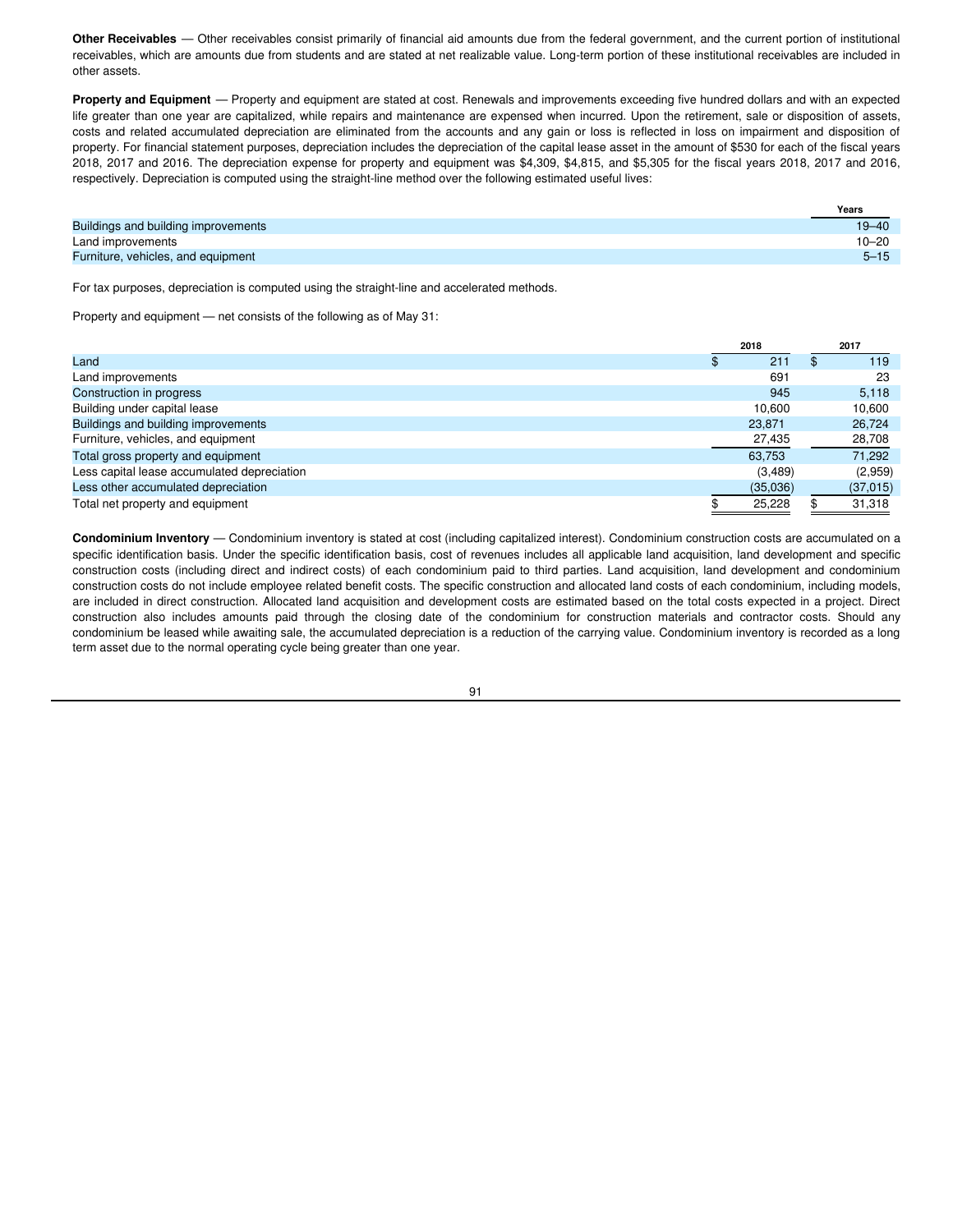**Other Receivables** — Other receivables consist primarily of financial aid amounts due from the federal government, and the current portion of institutional receivables, which are amounts due from students and are stated at net realizable value. Long-term portion of these institutional receivables are included in other assets.

**Property and Equipment** — Property and equipment are stated at cost. Renewals and improvements exceeding five hundred dollars and with an expected life greater than one vear are capitalized, while repairs and maintenance are expensed when incurred. Upon the retirement, sale or disposition of assets, costs and related accumulated depreciation are eliminated from the accounts and any gain or loss is reflected in loss on impairment and disposition of property. For financial statement purposes, depreciation includes the depreciation of the capital lease asset in the amount of \$530 for each of the fiscal years 2018, 2017 and 2016. The depreciation expense for property and equipment was \$4,309, \$4,815, and \$5,305 for the fiscal years 2018, 2017 and 2016, respectively. Depreciation is computed using the straight-line method over the following estimated useful lives:

|                                     | Years     |
|-------------------------------------|-----------|
| Buildings and building improvements | $19 - 40$ |
| Land improvements                   | $10 - 20$ |
| Furniture, vehicles, and equipment  | $5 - 15$  |

For tax purposes, depreciation is computed using the straight-line and accelerated methods.

Property and equipment — net consists of the following as of May 31:

|                                             |     | 2018     | 2017     |
|---------------------------------------------|-----|----------|----------|
| Land                                        | \$. | 211      | 119      |
| Land improvements                           |     | 691      | 23       |
| Construction in progress                    |     | 945      | 5,118    |
| Building under capital lease                |     | 10.600   | 10,600   |
| Buildings and building improvements         |     | 23,871   | 26,724   |
| Furniture, vehicles, and equipment          |     | 27,435   | 28,708   |
| Total gross property and equipment          |     | 63.753   | 71.292   |
| Less capital lease accumulated depreciation |     | (3,489)  | (2,959)  |
| Less other accumulated depreciation         |     | (35,036) | (37,015) |
| Total net property and equipment            |     | 25,228   | 31,318   |

**Condominium Inventory** — Condominium inventory is stated at cost (including capitalized interest). Condominium construction costs are accumulated on a specific identification basis. Under the specific identification basis, cost of revenues includes all applicable land acquisition, land development and specific construction costs (including direct and indirect costs) of each condominium paid to third parties. Land acquisition, land development and condominium construction costs do not include employee related benefit costs. The specific construction and allocated land costs of each condominium, including models, are included in direct construction. Allocated land acquisition and development costs are estimated based on the total costs expected in a project. Direct construction also includes amounts paid through the closing date of the condominium for construction materials and contractor costs. Should any condominium be leased while awaiting sale, the accumulated depreciation is a reduction of the carrying value. Condominium inventory is recorded as a long term asset due to the normal operating cycle being greater than one year.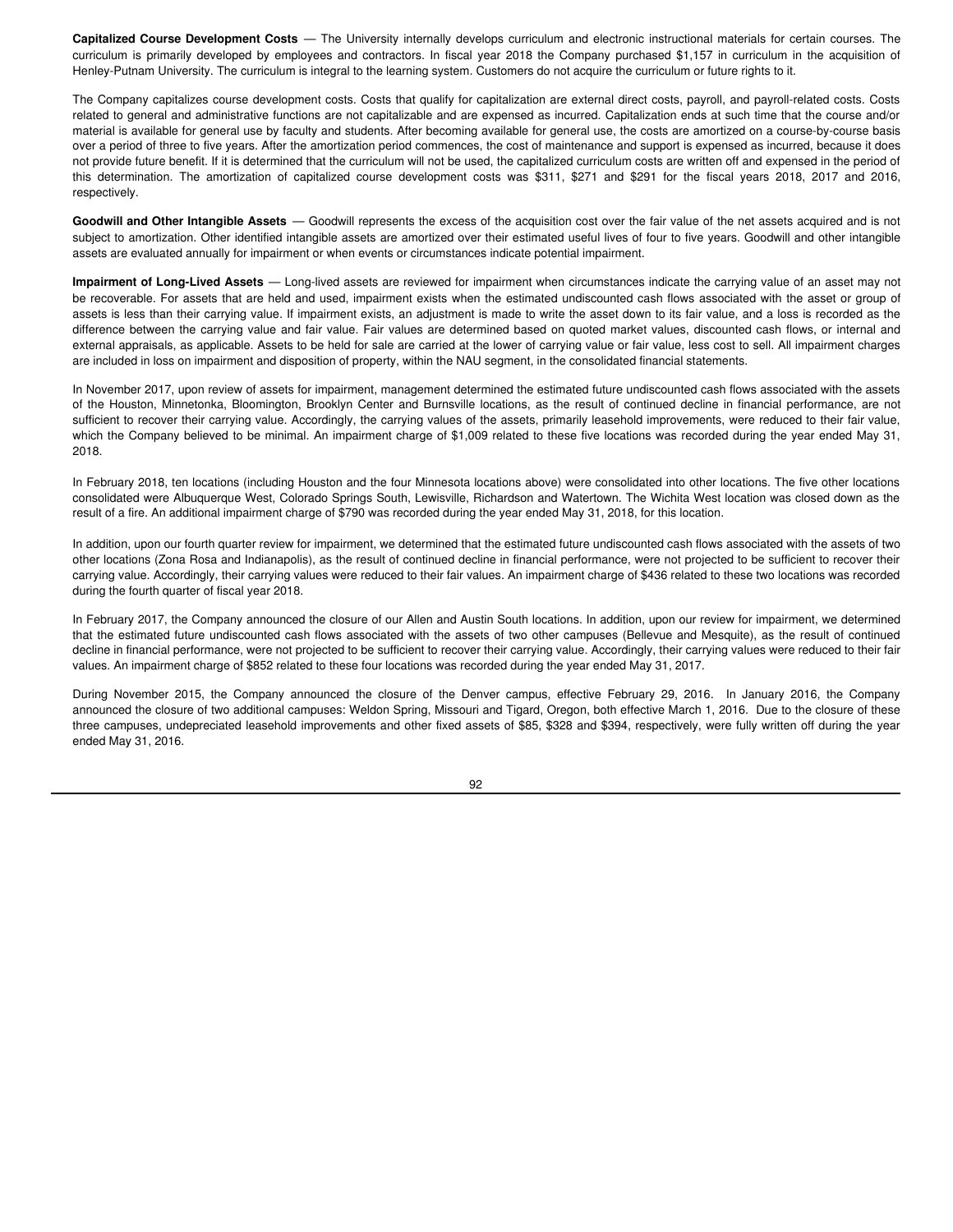**Capitalized Course Development Costs** — The University internally develops curriculum and electronic instructional materials for certain courses. The curriculum is primarily developed by employees and contractors. In fiscal year 2018 the Company purchased \$1,157 in curriculum in the acquisition of Henley-Putnam University. The curriculum is integral to the learning system. Customers do not acquire the curriculum or future rights to it.

The Company capitalizes course development costs. Costs that qualify for capitalization are external direct costs, payroll, and payroll-related costs. Costs related to general and administrative functions are not capitalizable and are expensed as incurred. Capitalization ends at such time that the course and/or material is available for general use by faculty and students. After becoming available for general use, the costs are amortized on a course-by-course basis over a period of three to five years. After the amortization period commences, the cost of maintenance and support is expensed as incurred, because it does not provide future benefit. If it is determined that the curriculum will not be used, the capitalized curriculum costs are written off and expensed in the period of this determination. The amortization of capitalized course development costs was \$311, \$271 and \$291 for the fiscal years 2018, 2017 and 2016, respectively.

**Goodwill and Other Intangible Assets** — Goodwill represents the excess of the acquisition cost over the fair value of the net assets acquired and is not subject to amortization. Other identified intangible assets are amortized over their estimated useful lives of four to five years. Goodwill and other intangible assets are evaluated annually for impairment or when events or circumstances indicate potential impairment.

**Impairment of Long-Lived Assets** — Long-lived assets are reviewed for impairment when circumstances indicate the carrying value of an asset may not be recoverable. For assets that are held and used, impairment exists when the estimated undiscounted cash flows associated with the asset or group of assets is less than their carrying value. If impairment exists, an adjustment is made to write the asset down to its fair value, and a loss is recorded as the difference between the carrying value and fair value. Fair values are determined based on quoted market values, discounted cash flows, or internal and external appraisals, as applicable. Assets to be held for sale are carried at the lower of carrying value or fair value, less cost to sell. All impairment charges are included in loss on impairment and disposition of property, within the NAU segment, in the consolidated financial statements.

In November 2017, upon review of assets for impairment, management determined the estimated future undiscounted cash flows associated with the assets of the Houston, Minnetonka, Bloomington, Brooklyn Center and Burnsville locations, as the result of continued decline in financial performance, are not sufficient to recover their carrying value. Accordingly, the carrying values of the assets, primarily leasehold improvements, were reduced to their fair value, which the Company believed to be minimal. An impairment charge of \$1,009 related to these five locations was recorded during the year ended May 31, 2018.

In February 2018, ten locations (including Houston and the four Minnesota locations above) were consolidated into other locations. The five other locations consolidated were Albuquerque West, Colorado Springs South, Lewisville, Richardson and Watertown. The Wichita West location was closed down as the result of a fire. An additional impairment charge of \$790 was recorded during the year ended May 31, 2018, for this location.

In addition, upon our fourth quarter review for impairment, we determined that the estimated future undiscounted cash flows associated with the assets of two other locations (Zona Rosa and Indianapolis), as the result of continued decline in financial performance, were not projected to be sufficient to recover their carrying value. Accordingly, their carrying values were reduced to their fair values. An impairment charge of \$436 related to these two locations was recorded during the fourth quarter of fiscal year 2018.

In February 2017, the Company announced the closure of our Allen and Austin South locations. In addition, upon our review for impairment, we determined that the estimated future undiscounted cash flows associated with the assets of two other campuses (Bellevue and Mesquite), as the result of continued decline in financial performance, were not projected to be sufficient to recover their carrying value. Accordingly, their carrying values were reduced to their fair values. An impairment charge of \$852 related to these four locations was recorded during the year ended May 31, 2017.

During November 2015, the Company announced the closure of the Denver campus, effective February 29, 2016. In January 2016, the Company announced the closure of two additional campuses: Weldon Spring, Missouri and Tigard, Oregon, both effective March 1, 2016. Due to the closure of these three campuses, undepreciated leasehold improvements and other fixed assets of \$85, \$328 and \$394, respectively, were fully written off during the year ended May 31, 2016.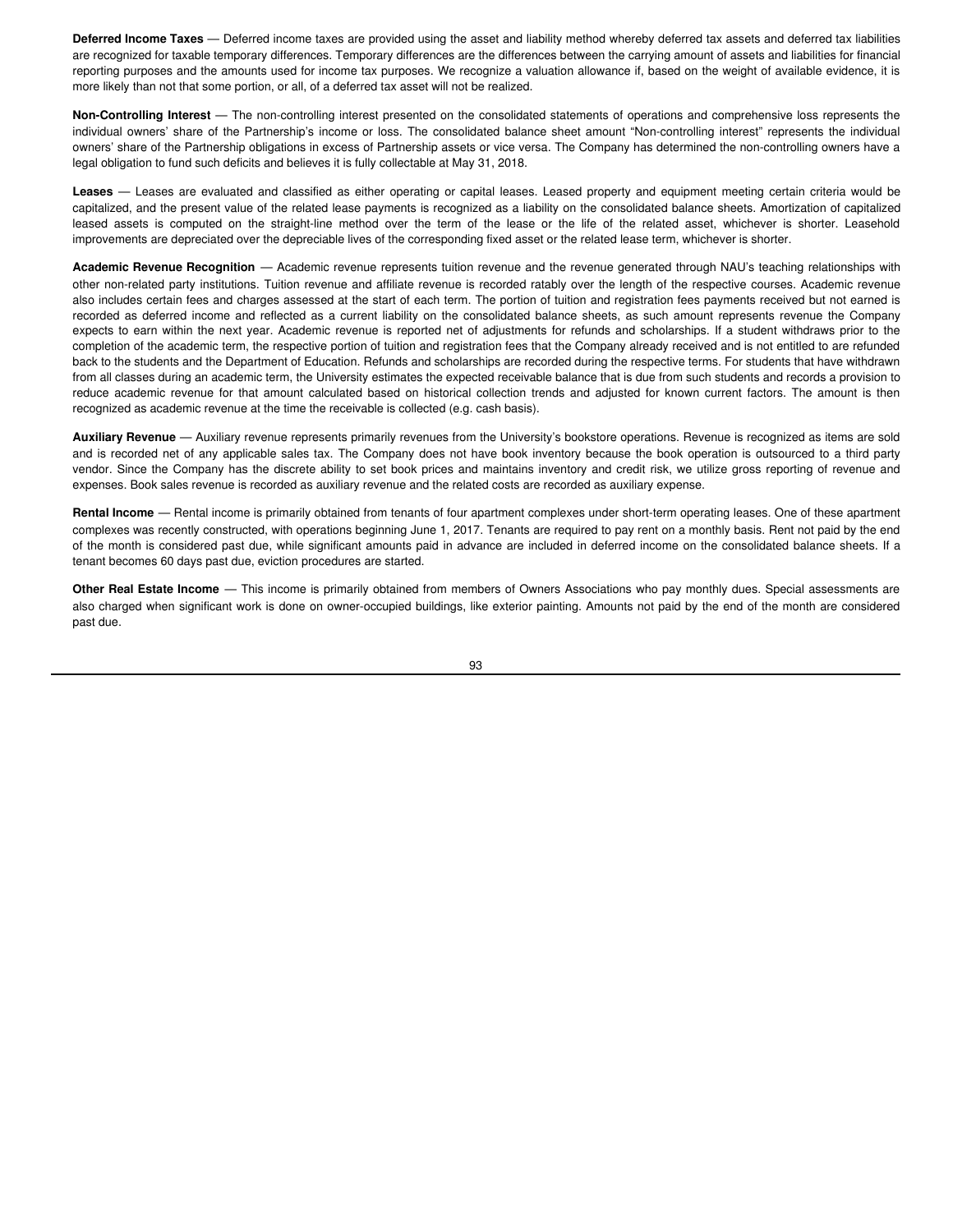**Deferred Income Taxes** — Deferred income taxes are provided using the asset and liability method whereby deferred tax assets and deferred tax liabilities are recognized for taxable temporary differences. Temporary differences are the differences between the carrying amount of assets and liabilities for financial reporting purposes and the amounts used for income tax purposes. We recognize a valuation allowance if, based on the weight of available evidence, it is more likely than not that some portion, or all, of a deferred tax asset will not be realized.

**Non-Controlling Interest** — The non-controlling interest presented on the consolidated statements of operations and comprehensive loss represents the individual owners' share of the Partnership's income or loss. The consolidated balance sheet amount "Non-controlling interest" represents the individual owners' share of the Partnership obligations in excess of Partnership assets or vice versa. The Company has determined the non-controlling owners have a legal obligation to fund such deficits and believes it is fully collectable at May 31, 2018.

**Leases** — Leases are evaluated and classified as either operating or capital leases. Leased property and equipment meeting certain criteria would be capitalized, and the present value of the related lease payments is recognized as a liability on the consolidated balance sheets. Amortization of capitalized leased assets is computed on the straight-line method over the term of the lease or the life of the related asset, whichever is shorter. Leasehold improvements are depreciated over the depreciable lives of the corresponding fixed asset or the related lease term, whichever is shorter.

**Academic Revenue Recognition** — Academic revenue represents tuition revenue and the revenue generated through NAU's teaching relationships with other non-related party institutions. Tuition revenue and affiliate revenue is recorded ratably over the length of the respective courses. Academic revenue also includes certain fees and charges assessed at the start of each term. The portion of tuition and registration fees payments received but not earned is recorded as deferred income and reflected as a current liability on the consolidated balance sheets, as such amount represents revenue the Company expects to earn within the next year. Academic revenue is reported net of adjustments for refunds and scholarships. If a student withdraws prior to the completion of the academic term, the respective portion of tuition and registration fees that the Company already received and is not entitled to are refunded back to the students and the Department of Education. Refunds and scholarships are recorded during the respective terms. For students that have withdrawn from all classes during an academic term, the University estimates the expected receivable balance that is due from such students and records a provision to reduce academic revenue for that amount calculated based on historical collection trends and adjusted for known current factors. The amount is then recognized as academic revenue at the time the receivable is collected (e.g. cash basis).

**Auxiliary Revenue** — Auxiliary revenue represents primarily revenues from the University's bookstore operations. Revenue is recognized as items are sold and is recorded net of any applicable sales tax. The Company does not have book inventory because the book operation is outsourced to a third party vendor. Since the Company has the discrete ability to set book prices and maintains inventory and credit risk, we utilize gross reporting of revenue and expenses. Book sales revenue is recorded as auxiliary revenue and the related costs are recorded as auxiliary expense.

**Rental Income** — Rental income is primarily obtained from tenants of four apartment complexes under short-term operating leases. One of these apartment complexes was recently constructed, with operations beginning June 1, 2017. Tenants are required to pay rent on a monthly basis. Rent not paid by the end of the month is considered past due, while significant amounts paid in advance are included in deferred income on the consolidated balance sheets. If a tenant becomes 60 days past due, eviction procedures are started.

**Other Real Estate Income** — This income is primarily obtained from members of Owners Associations who pay monthly dues. Special assessments are also charged when significant work is done on owner-occupied buildings, like exterior painting. Amounts not paid by the end of the month are considered past due.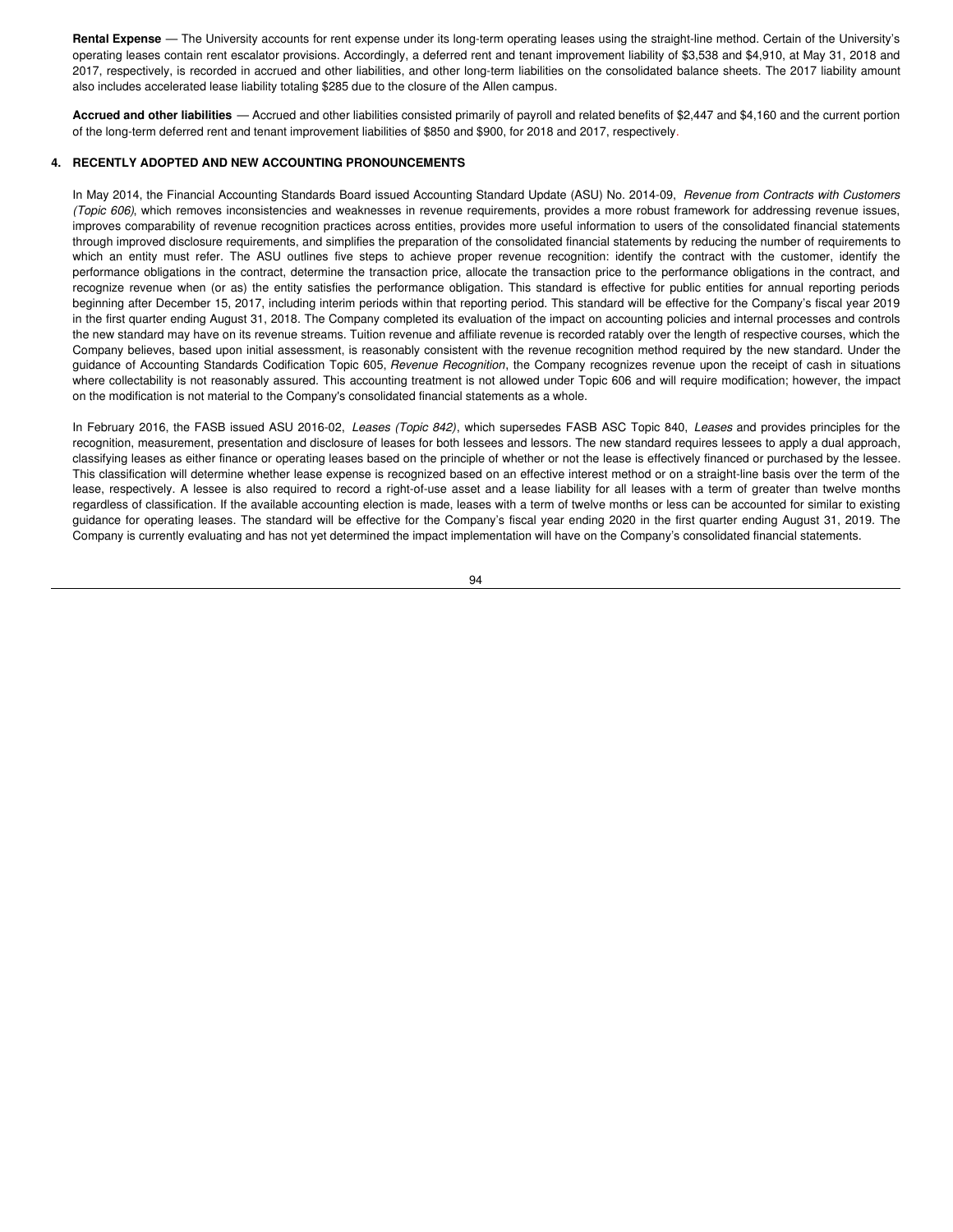**Rental Expense** — The University accounts for rent expense under its long-term operating leases using the straight-line method. Certain of the University's operating leases contain rent escalator provisions. Accordingly, a deferred rent and tenant improvement liability of \$3,538 and \$4,910, at May 31, 2018 and 2017, respectively, is recorded in accrued and other liabilities, and other long-term liabilities on the consolidated balance sheets. The 2017 liability amount also includes accelerated lease liability totaling \$285 due to the closure of the Allen campus.

**Accrued and other liabilities** — Accrued and other liabilities consisted primarily of payroll and related benefits of \$2,447 and \$4,160 and the current portion of the long-term deferred rent and tenant improvement liabilities of \$850 and \$900, for 2018 and 2017, respectively.

#### **4. RECENTLY ADOPTED AND NEW ACCOUNTING PRONOUNCEMENTS**

In May 2014, the Financial Accounting Standards Board issued Accounting Standard Update (ASU) No. 2014-09, *Revenue from Contracts with Customers (Topic 606)*, which removes inconsistencies and weaknesses in revenue requirements, provides a more robust framework for addressing revenue issues, improves comparability of revenue recognition practices across entities, provides more useful information to users of the consolidated financial statements through improved disclosure requirements, and simplifies the preparation of the consolidated financial statements by reducing the number of requirements to which an entity must refer. The ASU outlines five steps to achieve proper revenue recognition: identify the contract with the customer, identify the performance obligations in the contract, determine the transaction price, allocate the transaction price to the performance obligations in the contract, and recognize revenue when (or as) the entity satisfies the performance obligation. This standard is effective for public entities for annual reporting periods beginning after December 15, 2017, including interim periods within that reporting period. This standard will be effective for the Company's fiscal year 2019 in the first quarter ending August 31, 2018. The Company completed its evaluation of the impact on accounting policies and internal processes and controls the new standard may have on its revenue streams. Tuition revenue and affiliate revenue is recorded ratably over the length of respective courses, which the Company believes, based upon initial assessment, is reasonably consistent with the revenue recognition method required by the new standard. Under the guidance of Accounting Standards Codification Topic 605, *Revenue Recognition*, the Company recognizes revenue upon the receipt of cash in situations where collectability is not reasonably assured. This accounting treatment is not allowed under Topic 606 and will require modification; however, the impact on the modification is not material to the Company's consolidated financial statements as a whole.

In February 2016, the FASB issued ASU 2016-02, *Leases (Topic 842)*, which supersedes FASB ASC Topic 840, *Leases* and provides principles for the recognition, measurement, presentation and disclosure of leases for both lessees and lessors. The new standard requires lessees to apply a dual approach, classifying leases as either finance or operating leases based on the principle of whether or not the lease is effectively financed or purchased by the lessee. This classification will determine whether lease expense is recognized based on an effective interest method or on a straight-line basis over the term of the lease, respectively. A lessee is also required to record a right-of-use asset and a lease liability for all leases with a term of greater than twelve months regardless of classification. If the available accounting election is made, leases with a term of twelve months or less can be accounted for similar to existing guidance for operating leases. The standard will be effective for the Company's fiscal year ending 2020 in the first quarter ending August 31, 2019. The Company is currently evaluating and has not yet determined the impact implementation will have on the Company's consolidated financial statements.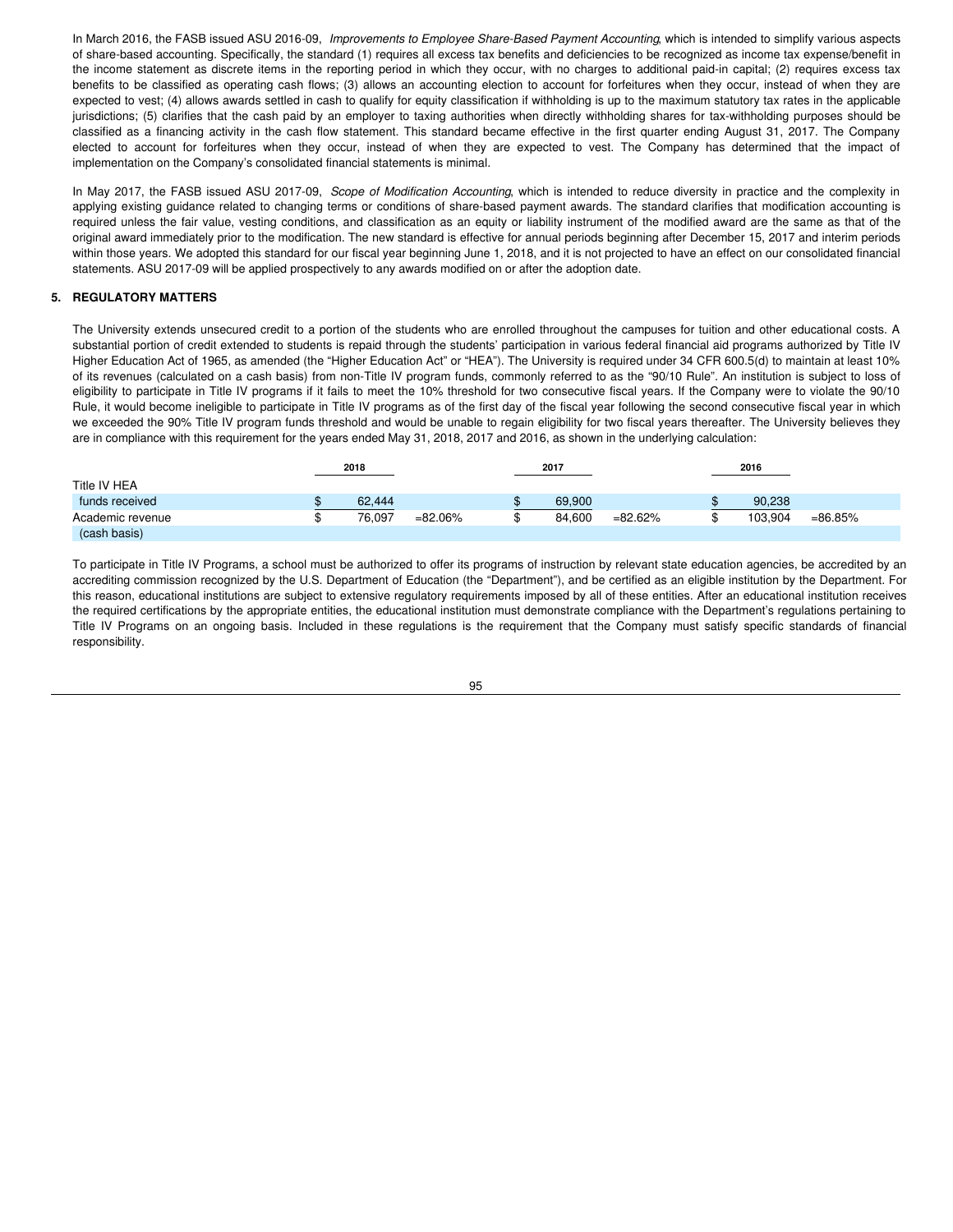In March 2016, the FASB issued ASU 2016-09, *Improvements to Employee Share-Based Payment Accounting*, which is intended to simplify various aspects of share-based accounting. Specifically, the standard (1) requires all excess tax benefits and deficiencies to be recognized as income tax expense/benefit in the income statement as discrete items in the reporting period in which they occur, with no charges to additional paid-in capital; (2) requires excess tax benefits to be classified as operating cash flows; (3) allows an accounting election to account for forfeitures when they occur, instead of when they are expected to vest; (4) allows awards settled in cash to qualify for equity classification if withholding is up to the maximum statutory tax rates in the applicable jurisdictions; (5) clarifies that the cash paid by an employer to taxing authorities when directly withholding shares for tax-withholding purposes should be classified as a financing activity in the cash flow statement. This standard became effective in the first quarter ending August 31, 2017. The Company elected to account for forfeitures when they occur, instead of when they are expected to vest. The Company has determined that the impact of implementation on the Company's consolidated financial statements is minimal.

In May 2017, the FASB issued ASU 2017-09, *Scope of Modification Accounting*, which is intended to reduce diversity in practice and the complexity in applying existing guidance related to changing terms or conditions of share-based payment awards. The standard clarifies that modification accounting is required unless the fair value, vesting conditions, and classification as an equity or liability instrument of the modified award are the same as that of the original award immediately prior to the modification. The new standard is effective for annual periods beginning after December 15, 2017 and interim periods within those years. We adopted this standard for our fiscal year beginning June 1, 2018, and it is not projected to have an effect on our consolidated financial statements. ASU 2017-09 will be applied prospectively to any awards modified on or after the adoption date.

# **5. REGULATORY MATTERS**

The University extends unsecured credit to a portion of the students who are enrolled throughout the campuses for tuition and other educational costs. A substantial portion of credit extended to students is repaid through the students' participation in various federal financial aid programs authorized by Title IV Higher Education Act of 1965, as amended (the "Higher Education Act" or "HEA"). The University is required under 34 CFR 600.5(d) to maintain at least 10% of its revenues (calculated on a cash basis) from non-Title IV program funds, commonly referred to as the "90/10 Rule". An institution is subject to loss of eligibility to participate in Title IV programs if it fails to meet the 10% threshold for two consecutive fiscal years. If the Company were to violate the 90/10 Rule, it would become ineligible to participate in Title IV programs as of the first day of the fiscal year following the second consecutive fiscal year in which we exceeded the 90% Title IV program funds threshold and would be unable to regain eligibility for two fiscal years thereafter. The University believes they are in compliance with this requirement for the years ended May 31, 2018, 2017 and 2016, as shown in the underlying calculation:

|                  | 2018   |             | 2017 |        |             | 2016    |             |  |
|------------------|--------|-------------|------|--------|-------------|---------|-------------|--|
| Title IV HEA     |        |             |      |        |             |         |             |  |
| funds received   | 62.444 |             |      | 69.900 |             | 90.238  |             |  |
| Academic revenue | 76.097 | $= 82.06\%$ |      | 84.600 | $= 82.62\%$ | 103.904 | $= 86.85\%$ |  |
| (cash basis)     |        |             |      |        |             |         |             |  |

To participate in Title IV Programs, a school must be authorized to offer its programs of instruction by relevant state education agencies, be accredited by an accrediting commission recognized by the U.S. Department of Education (the "Department"), and be certified as an eligible institution by the Department. For this reason, educational institutions are subject to extensive regulatory requirements imposed by all of these entities. After an educational institution receives the required certifications by the appropriate entities, the educational institution must demonstrate compliance with the Department's regulations pertaining to Title IV Programs on an ongoing basis. Included in these regulations is the requirement that the Company must satisfy specific standards of financial responsibility.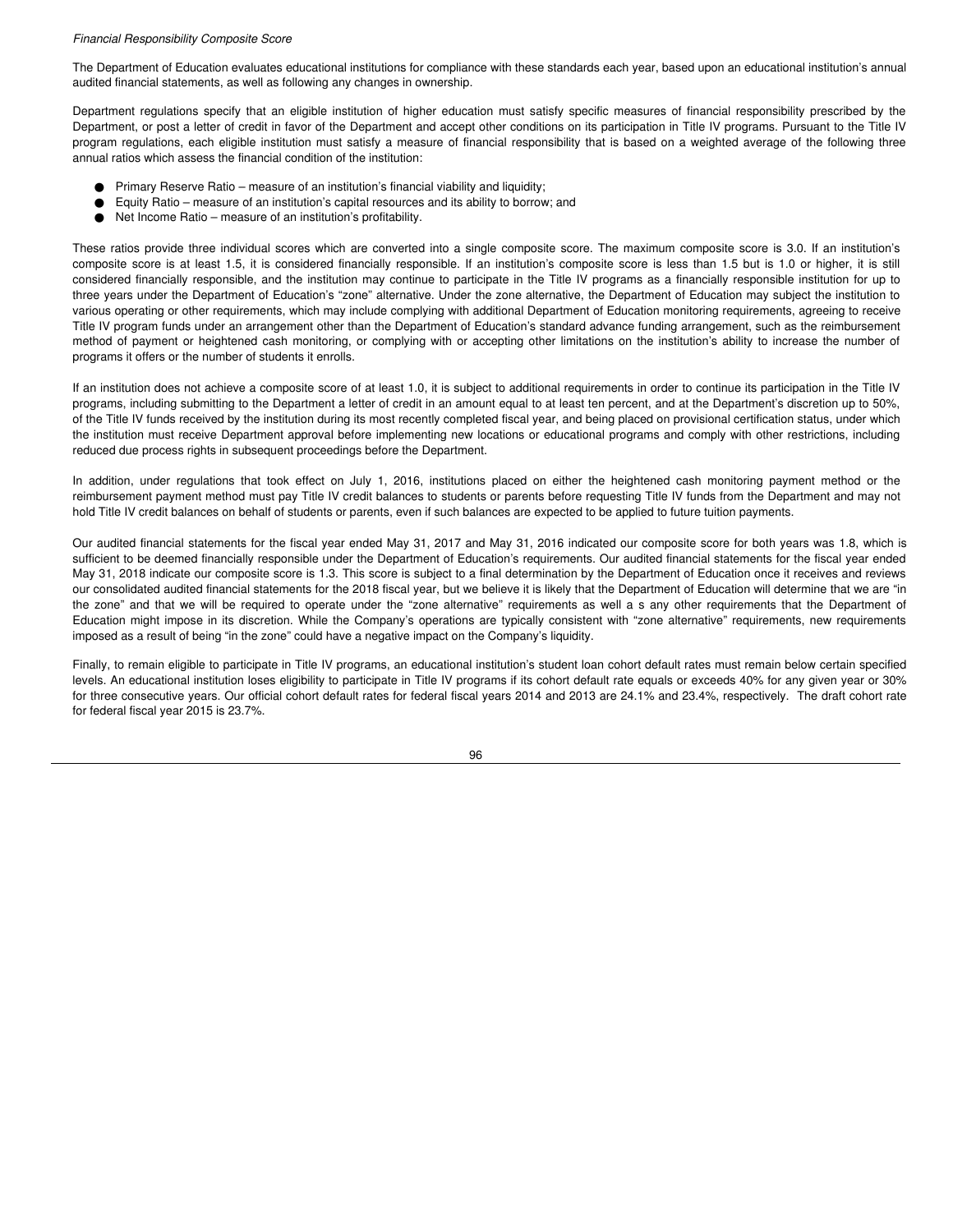#### *Financial Responsibility Composite Score*

The Department of Education evaluates educational institutions for compliance with these standards each year, based upon an educational institution's annual audited financial statements, as well as following any changes in ownership.

Department regulations specify that an eligible institution of higher education must satisfy specific measures of financial responsibility prescribed by the Department, or post a letter of credit in favor of the Department and accept other conditions on its participation in Title IV programs. Pursuant to the Title IV program regulations, each eligible institution must satisfy a measure of financial responsibility that is based on a weighted average of the following three annual ratios which assess the financial condition of the institution:

- Primary Reserve Ratio measure of an institution's financial viability and liquidity;
- Equity Ratio measure of an institution's capital resources and its ability to borrow; and
- Net Income Ratio measure of an institution's profitability.

These ratios provide three individual scores which are converted into a single composite score. The maximum composite score is 3.0. If an institution's composite score is at least 1.5, it is considered financially responsible. If an institution's composite score is less than 1.5 but is 1.0 or higher, it is still considered financially responsible, and the institution may continue to participate in the Title IV programs as a financially responsible institution for up to three years under the Department of Education's "zone" alternative. Under the zone alternative, the Department of Education may subject the institution to various operating or other requirements, which may include complying with additional Department of Education monitoring requirements, agreeing to receive Title IV program funds under an arrangement other than the Department of Education's standard advance funding arrangement, such as the reimbursement method of payment or heightened cash monitoring, or complying with or accepting other limitations on the institution's ability to increase the number of programs it offers or the number of students it enrolls.

If an institution does not achieve a composite score of at least 1.0, it is subject to additional requirements in order to continue its participation in the Title IV programs, including submitting to the Department a letter of credit in an amount equal to at least ten percent, and at the Department's discretion up to 50%, of the Title IV funds received by the institution during its most recently completed fiscal year, and being placed on provisional certification status, under which the institution must receive Department approval before implementing new locations or educational programs and comply with other restrictions, including reduced due process rights in subsequent proceedings before the Department.

In addition, under regulations that took effect on July 1, 2016, institutions placed on either the heightened cash monitoring payment method or the reimbursement payment method must pay Title IV credit balances to students or parents before requesting Title IV funds from the Department and may not hold Title IV credit balances on behalf of students or parents, even if such balances are expected to be applied to future tuition payments.

Our audited financial statements for the fiscal year ended May 31, 2017 and May 31, 2016 indicated our composite score for both years was 1.8, which is sufficient to be deemed financially responsible under the Department of Education's requirements. Our audited financial statements for the fiscal year ended May 31, 2018 indicate our composite score is 1.3. This score is subject to a final determination by the Department of Education once it receives and reviews our consolidated audited financial statements for the 2018 fiscal year, but we believe it is likely that the Department of Education will determine that we are "in the zone" and that we will be required to operate under the "zone alternative" requirements as well a s any other requirements that the Department of Education might impose in its discretion. While the Company's operations are typically consistent with "zone alternative" requirements, new requirements imposed as a result of being "in the zone" could have a negative impact on the Company's liquidity.

Finally, to remain eligible to participate in Title IV programs, an educational institution's student loan cohort default rates must remain below certain specified levels. An educational institution loses eligibility to participate in Title IV programs if its cohort default rate equals or exceeds 40% for any given year or 30% for three consecutive years. Our official cohort default rates for federal fiscal years 2014 and 2013 are 24.1% and 23.4%, respectively. The draft cohort rate for federal fiscal year 2015 is 23.7%.

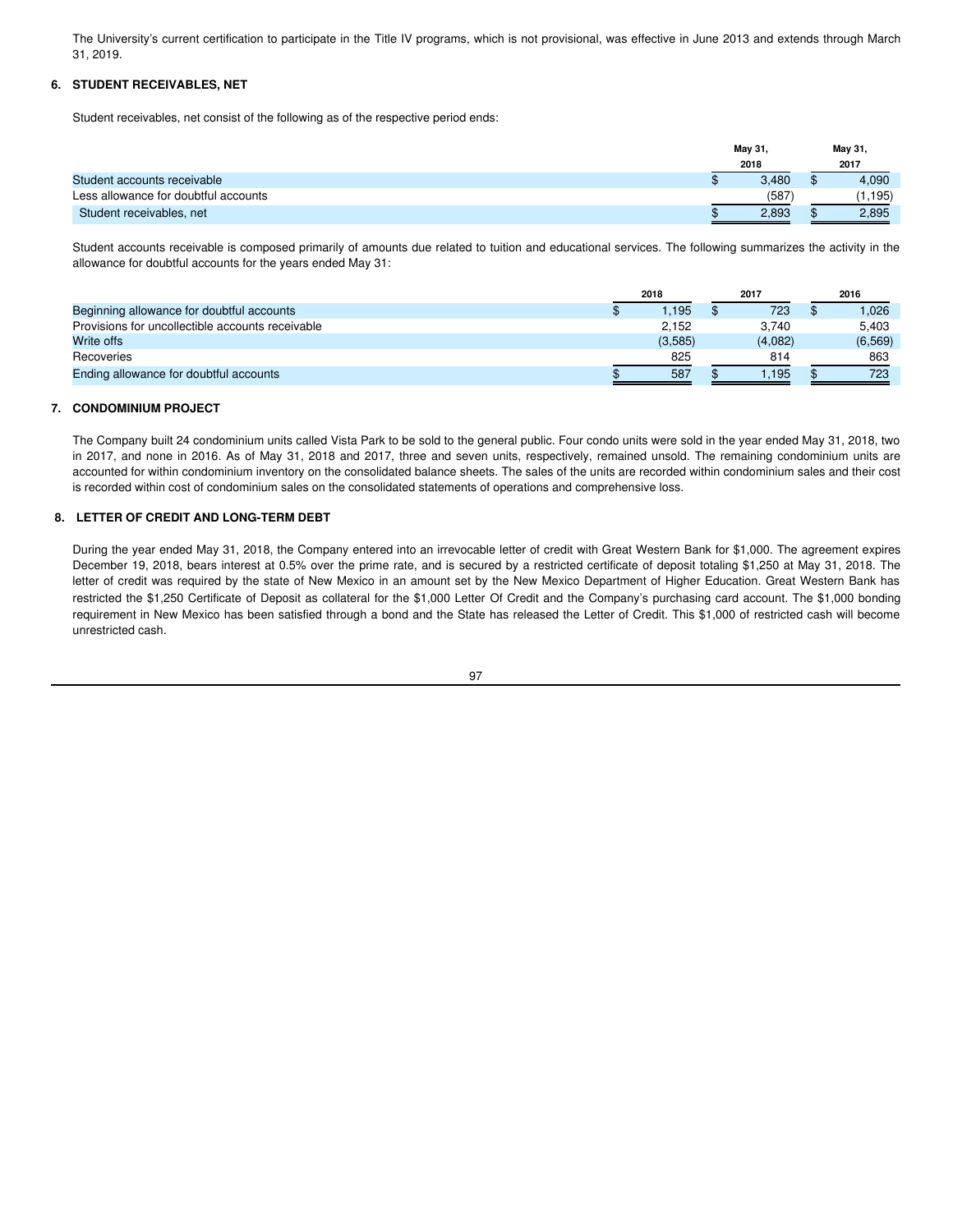The University's current certification to participate in the Title IV programs, which is not provisional, was effective in June 2013 and extends through March 31, 2019.

# **6. STUDENT RECEIVABLES, NET**

Student receivables, net consist of the following as of the respective period ends:

|                                      | May 31,     |  | May 31, |
|--------------------------------------|-------------|--|---------|
|                                      | 2018        |  | 2017    |
| Student accounts receivable          | \$<br>3.480 |  | 4,090   |
| Less allowance for doubtful accounts | (587        |  | (1.195) |
| Student receivables, net             | 2,893       |  | 2,895   |

Student accounts receivable is composed primarily of amounts due related to tuition and educational services. The following summarizes the activity in the allowance for doubtful accounts for the years ended May 31:

|                                                  | 2018    | 2017    | 2016     |
|--------------------------------------------------|---------|---------|----------|
| Beginning allowance for doubtful accounts        | 1,195   | 723     | 1,026    |
| Provisions for uncollectible accounts receivable | 2.152   | 3.740   | 5.403    |
| Write offs                                       | (3,585) | (4,082) | (6, 569) |
| Recoveries                                       | 825     | 814     | 863      |
| Ending allowance for doubtful accounts           | 587     | .195    | 723      |

### **7. CONDOMINIUM PROJECT**

The Company built 24 condominium units called Vista Park to be sold to the general public. Four condo units were sold in the year ended May 31, 2018, two in 2017, and none in 2016. As of May 31, 2018 and 2017, three and seven units, respectively, remained unsold. The remaining condominium units are accounted for within condominium inventory on the consolidated balance sheets. The sales of the units are recorded within condominium sales and their cost is recorded within cost of condominium sales on the consolidated statements of operations and comprehensive loss.

### **8. LETTER OF CREDIT AND LONG-TERM DEBT**

During the year ended May 31, 2018, the Company entered into an irrevocable letter of credit with Great Western Bank for \$1,000. The agreement expires December 19, 2018, bears interest at 0.5% over the prime rate, and is secured by a restricted certificate of deposit totaling \$1,250 at May 31, 2018. The letter of credit was required by the state of New Mexico in an amount set by the New Mexico Department of Higher Education. Great Western Bank has restricted the \$1,250 Certificate of Deposit as collateral for the \$1,000 Letter Of Credit and the Company's purchasing card account. The \$1,000 bonding requirement in New Mexico has been satisfied through a bond and the State has released the Letter of Credit. This \$1,000 of restricted cash will become unrestricted cash.

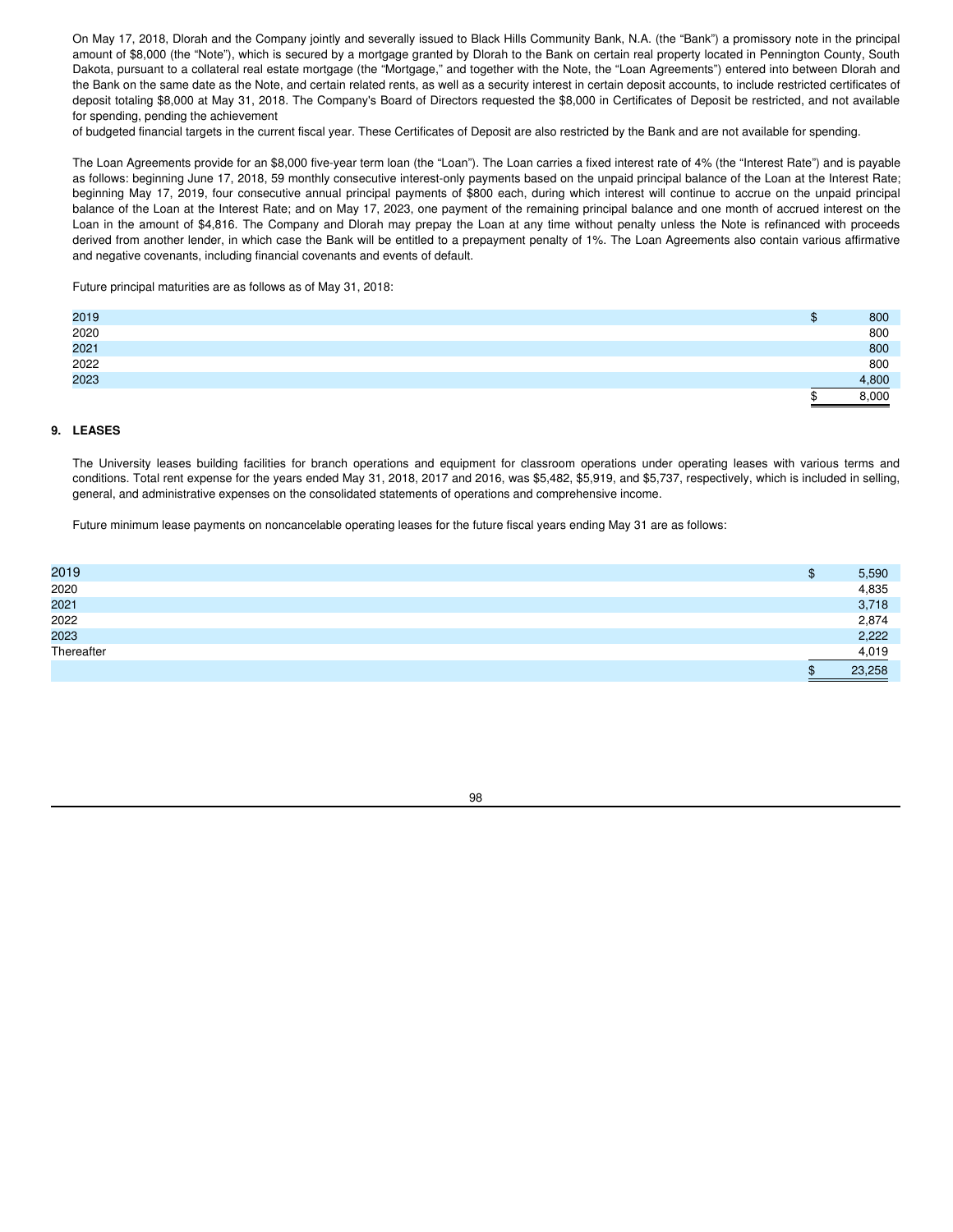On May 17, 2018, Dlorah and the Company jointly and severally issued to Black Hills Community Bank, N.A. (the "Bank") a promissory note in the principal amount of \$8,000 (the "Note"), which is secured by a mortgage granted by Dlorah to the Bank on certain real property located in Pennington County, South Dakota, pursuant to a collateral real estate mortgage (the "Mortgage," and together with the Note, the "Loan Agreements") entered into between Dlorah and the Bank on the same date as the Note, and certain related rents, as well as a security interest in certain deposit accounts, to include restricted certificates of deposit totaling \$8,000 at May 31, 2018. The Company's Board of Directors requested the \$8,000 in Certificates of Deposit be restricted, and not available for spending, pending the achievement

of budgeted financial targets in the current fiscal year. These Certificates of Deposit are also restricted by the Bank and are not available for spending.

The Loan Agreements provide for an \$8,000 five-year term loan (the "Loan"). The Loan carries a fixed interest rate of 4% (the "Interest Rate") and is payable as follows: beginning June 17, 2018, 59 monthly consecutive interest-only payments based on the unpaid principal balance of the Loan at the Interest Rate; beginning May 17, 2019, four consecutive annual principal payments of \$800 each, during which interest will continue to accrue on the unpaid principal balance of the Loan at the Interest Rate; and on May 17, 2023, one payment of the remaining principal balance and one month of accrued interest on the Loan in the amount of \$4,816. The Company and Dlorah may prepay the Loan at any time without penalty unless the Note is refinanced with proceeds derived from another lender, in which case the Bank will be entitled to a prepayment penalty of 1%. The Loan Agreements also contain various affirmative and negative covenants, including financial covenants and events of default.

Future principal maturities are as follows as of May 31, 2018:

| 2019 | ۰D | 800   |
|------|----|-------|
| 2020 |    | 800   |
| 2021 |    | 800   |
| 2022 |    | 800   |
| 2023 |    | 4,800 |
|      |    | ,000  |

#### **9. LEASES**

The University leases building facilities for branch operations and equipment for classroom operations under operating leases with various terms and conditions. Total rent expense for the years ended May 31, 2018, 2017 and 2016, was \$5,482, \$5,919, and \$5,737, respectively, which is included in selling, general, and administrative expenses on the consolidated statements of operations and comprehensive income.

Future minimum lease payments on noncancelable operating leases for the future fiscal years ending May 31 are as follows:

| 2019       | \$<br>5,590 |
|------------|-------------|
| 2020       | 4,835       |
| 2021       | 3,718       |
| 2022       | 2,874       |
| 2023       | 2,222       |
| Thereafter | 4,019       |
|            | 23,258      |

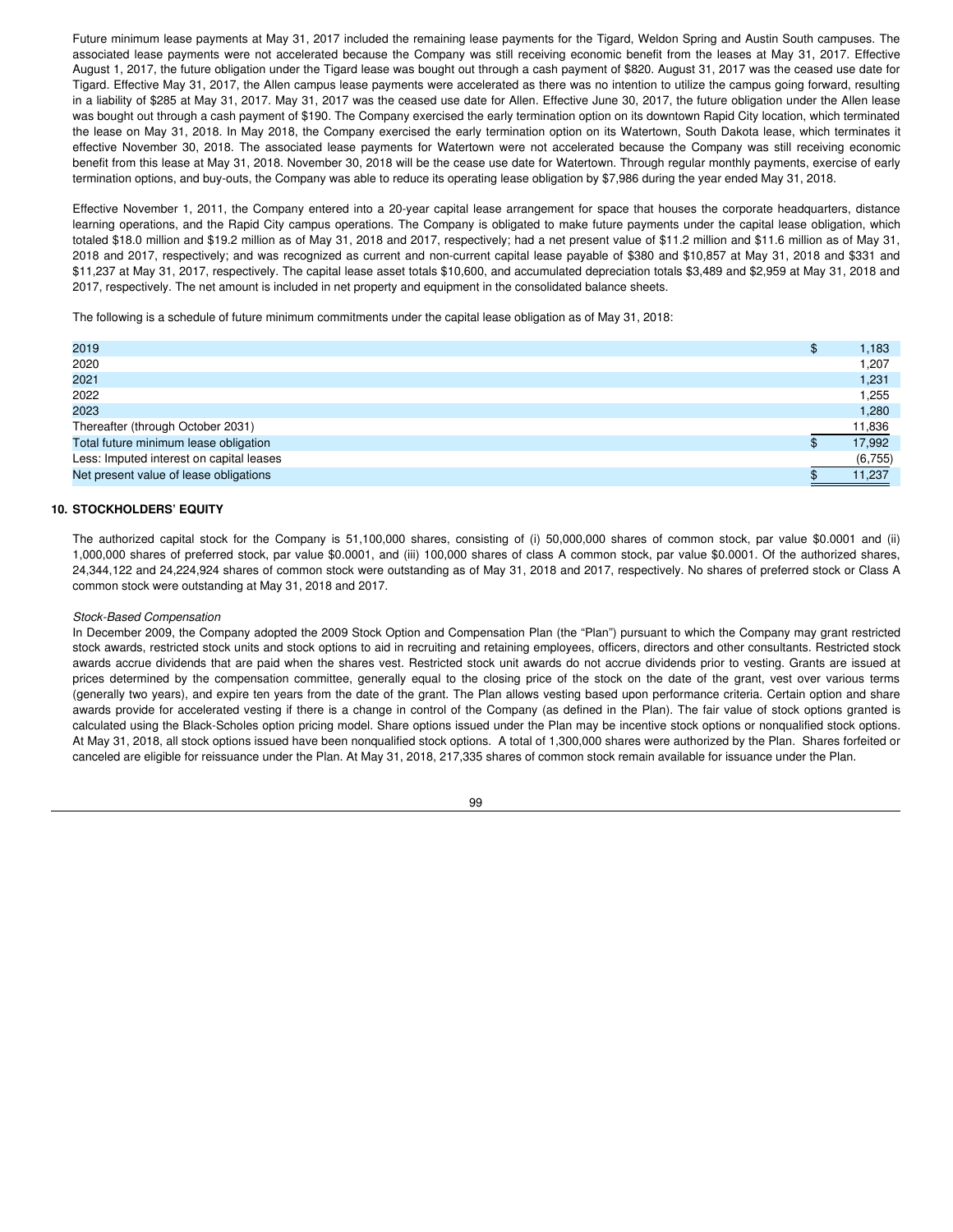Future minimum lease payments at May 31, 2017 included the remaining lease payments for the Tigard, Weldon Spring and Austin South campuses. The associated lease payments were not accelerated because the Company was still receiving economic benefit from the leases at May 31, 2017. Effective August 1, 2017, the future obligation under the Tigard lease was bought out through a cash payment of \$820. August 31, 2017 was the ceased use date for Tigard. Effective May 31, 2017, the Allen campus lease payments were accelerated as there was no intention to utilize the campus going forward, resulting in a liability of \$285 at May 31, 2017. May 31, 2017 was the ceased use date for Allen. Effective June 30, 2017, the future obligation under the Allen lease was bought out through a cash payment of \$190. The Company exercised the early termination option on its downtown Rapid City location, which terminated the lease on May 31, 2018. In May 2018, the Company exercised the early termination option on its Watertown, South Dakota lease, which terminates it effective November 30, 2018. The associated lease payments for Watertown were not accelerated because the Company was still receiving economic benefit from this lease at May 31, 2018. November 30, 2018 will be the cease use date for Watertown. Through regular monthly payments, exercise of early termination options, and buy-outs, the Company was able to reduce its operating lease obligation by \$7,986 during the year ended May 31, 2018.

Effective November 1, 2011, the Company entered into a 20-year capital lease arrangement for space that houses the corporate headquarters, distance learning operations, and the Rapid City campus operations. The Company is obligated to make future payments under the capital lease obligation, which totaled \$18.0 million and \$19.2 million as of May 31, 2018 and 2017, respectively; had a net present value of \$11.2 million and \$11.6 million as of May 31, 2018 and 2017, respectively; and was recognized as current and non-current capital lease payable of \$380 and \$10,857 at May 31, 2018 and \$331 and \$11,237 at May 31, 2017, respectively. The capital lease asset totals \$10,600, and accumulated depreciation totals \$3,489 and \$2,959 at May 31, 2018 and 2017, respectively. The net amount is included in net property and equipment in the consolidated balance sheets.

The following is a schedule of future minimum commitments under the capital lease obligation as of May 31, 2018:

| D | 1,183    |
|---|----------|
|   | 1,207    |
|   | 1,231    |
|   | 1.255    |
|   | 1,280    |
|   | 11,836   |
|   | 17,992   |
|   | (6, 755) |
|   | 11,237   |
|   |          |

#### **10. STOCKHOLDERS' EQUITY**

The authorized capital stock for the Company is 51,100,000 shares, consisting of (i) 50,000,000 shares of common stock, par value \$0.0001 and (ii) 1,000,000 shares of preferred stock, par value \$0.0001, and (iii) 100,000 shares of class A common stock, par value \$0.0001. Of the authorized shares, 24,344,122 and 24,224,924 shares of common stock were outstanding as of May 31, 2018 and 2017, respectively. No shares of preferred stock or Class A common stock were outstanding at May 31, 2018 and 2017.

#### *Stock-Based Compensation*

In December 2009, the Company adopted the 2009 Stock Option and Compensation Plan (the "Plan") pursuant to which the Company may grant restricted stock awards, restricted stock units and stock options to aid in recruiting and retaining employees, officers, directors and other consultants. Restricted stock awards accrue dividends that are paid when the shares vest. Restricted stock unit awards do not accrue dividends prior to vesting. Grants are issued at prices determined by the compensation committee, generally equal to the closing price of the stock on the date of the grant, vest over various terms (generally two years), and expire ten years from the date of the grant. The Plan allows vesting based upon performance criteria. Certain option and share awards provide for accelerated vesting if there is a change in control of the Company (as defined in the Plan). The fair value of stock options granted is calculated using the Black-Scholes option pricing model. Share options issued under the Plan may be incentive stock options or nonqualified stock options. At May 31, 2018, all stock options issued have been nonqualified stock options. A total of 1,300,000 shares were authorized by the Plan. Shares forfeited or canceled are eligible for reissuance under the Plan. At May 31, 2018, 217,335 shares of common stock remain available for issuance under the Plan.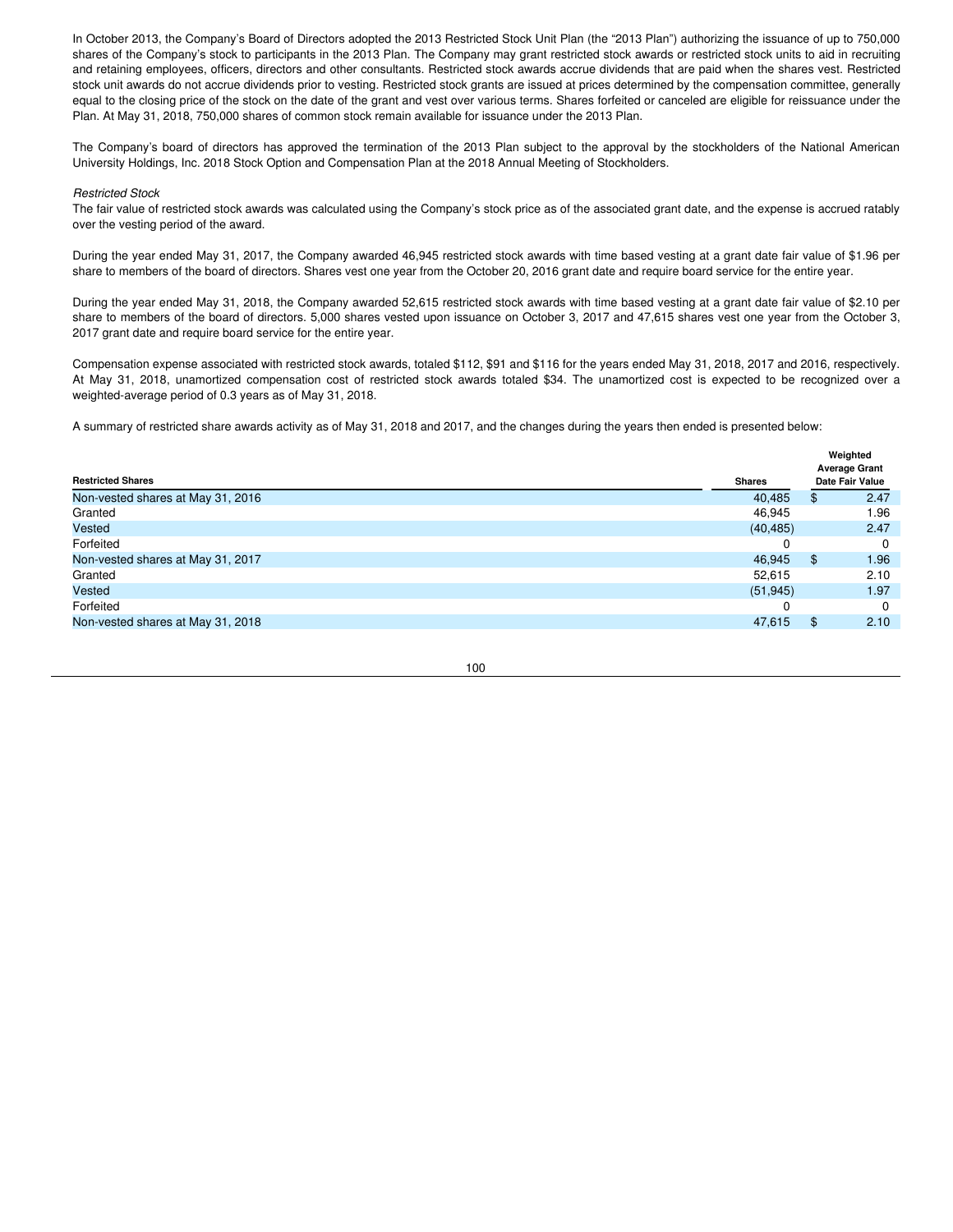In October 2013, the Company's Board of Directors adopted the 2013 Restricted Stock Unit Plan (the "2013 Plan") authorizing the issuance of up to 750,000 shares of the Company's stock to participants in the 2013 Plan. The Company may grant restricted stock awards or restricted stock units to aid in recruiting and retaining employees, officers, directors and other consultants. Restricted stock awards accrue dividends that are paid when the shares vest. Restricted stock unit awards do not accrue dividends prior to vesting. Restricted stock grants are issued at prices determined by the compensation committee, generally equal to the closing price of the stock on the date of the grant and vest over various terms. Shares forfeited or canceled are eligible for reissuance under the Plan. At May 31, 2018, 750,000 shares of common stock remain available for issuance under the 2013 Plan.

The Company's board of directors has approved the termination of the 2013 Plan subject to the approval by the stockholders of the National American University Holdings, Inc. 2018 Stock Option and Compensation Plan at the 2018 Annual Meeting of Stockholders.

#### *Restricted Stock*

The fair value of restricted stock awards was calculated using the Company's stock price as of the associated grant date, and the expense is accrued ratably over the vesting period of the award.

During the year ended May 31, 2017, the Company awarded 46,945 restricted stock awards with time based vesting at a grant date fair value of \$1.96 per share to members of the board of directors. Shares vest one year from the October 20, 2016 grant date and require board service for the entire year.

During the year ended May 31, 2018, the Company awarded 52,615 restricted stock awards with time based vesting at a grant date fair value of \$2.10 per share to members of the board of directors. 5,000 shares vested upon issuance on October 3, 2017 and 47,615 shares vest one year from the October 3, 2017 grant date and require board service for the entire year.

Compensation expense associated with restricted stock awards, totaled \$112, \$91 and \$116 for the years ended May 31, 2018, 2017 and 2016, respectively. At May 31, 2018, unamortized compensation cost of restricted stock awards totaled \$34. The unamortized cost is expected to be recognized over a weighted-average period of 0.3 years as of May 31, 2018.

A summary of restricted share awards activity as of May 31, 2018 and 2017, and the changes during the years then ended is presented below:

| <b>Restricted Shares</b>          | <b>Shares</b> | Weighted<br><b>Average Grant</b><br>Date Fair Value |
|-----------------------------------|---------------|-----------------------------------------------------|
| Non-vested shares at May 31, 2016 | 40,485        | \$<br>2.47                                          |
| Granted                           | 46,945        | 1.96                                                |
| Vested                            | (40, 485)     | 2.47                                                |
| Forfeited                         | 0             | 0                                                   |
| Non-vested shares at May 31, 2017 | 46,945        | \$<br>1.96                                          |
| Granted                           | 52,615        | 2.10                                                |
| Vested                            | (51, 945)     | 1.97                                                |
| Forfeited                         | 0             | 0                                                   |
| Non-vested shares at May 31, 2018 | 47,615        | \$<br>2.10                                          |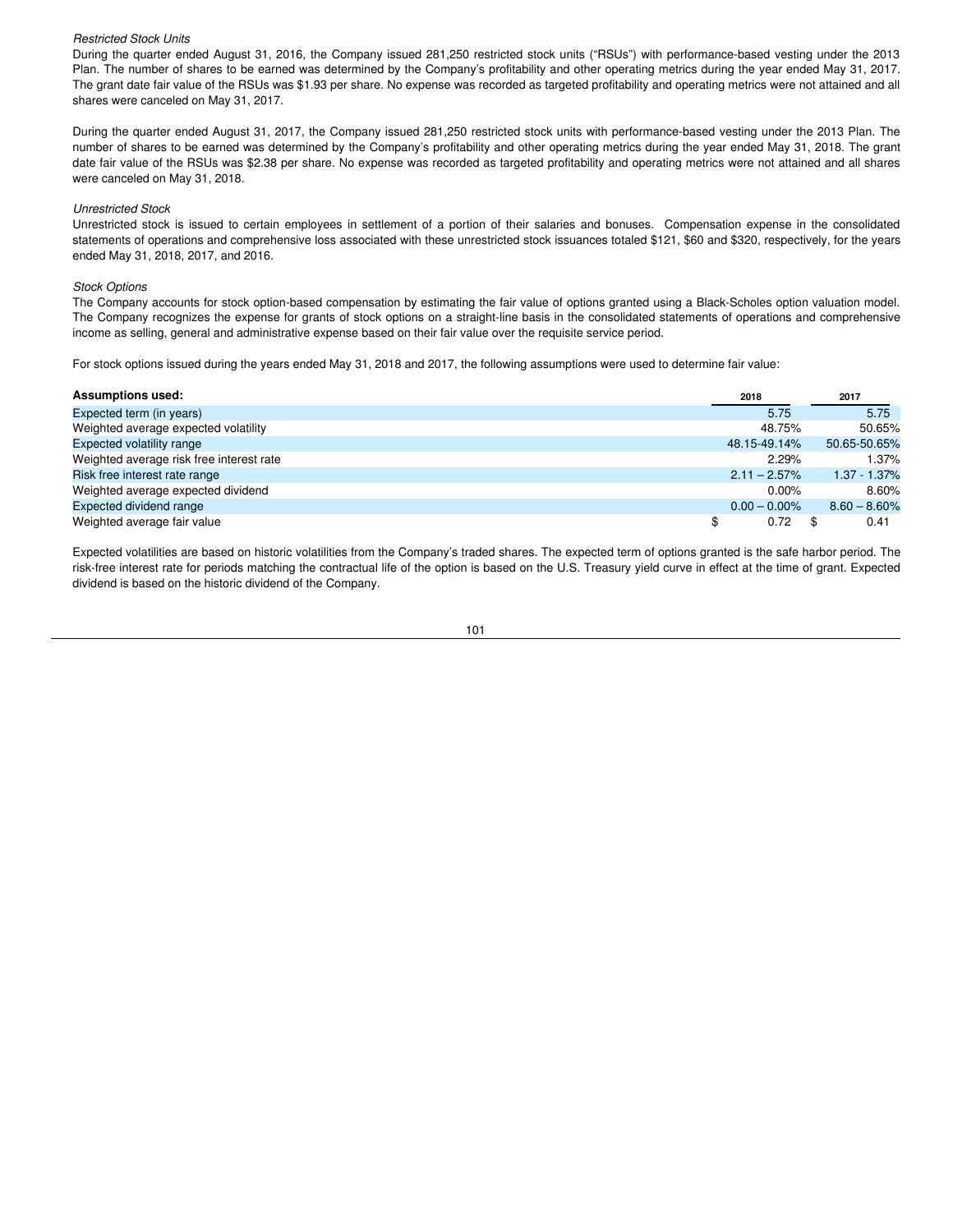#### *Restricted Stock Units*

During the quarter ended August 31, 2016, the Company issued 281,250 restricted stock units ("RSUs") with performance-based vesting under the 2013 Plan. The number of shares to be earned was determined by the Company's profitability and other operating metrics during the year ended May 31, 2017. The grant date fair value of the RSUs was \$1.93 per share. No expense was recorded as targeted profitability and operating metrics were not attained and all shares were canceled on May 31, 2017.

During the quarter ended August 31, 2017, the Company issued 281,250 restricted stock units with performance-based vesting under the 2013 Plan. The number of shares to be earned was determined by the Company's profitability and other operating metrics during the year ended May 31, 2018. The grant date fair value of the RSUs was \$2.38 per share. No expense was recorded as targeted profitability and operating metrics were not attained and all shares were canceled on May 31, 2018.

#### *Unrestricted Stock*

Unrestricted stock is issued to certain employees in settlement of a portion of their salaries and bonuses. Compensation expense in the consolidated statements of operations and comprehensive loss associated with these unrestricted stock issuances totaled \$121, \$60 and \$320, respectively, for the years ended May 31, 2018, 2017, and 2016.

#### *Stock Options*

The Company accounts for stock option-based compensation by estimating the fair value of options granted using a Black-Scholes option valuation model. The Company recognizes the expense for grants of stock options on a straight-line basis in the consolidated statements of operations and comprehensive income as selling, general and administrative expense based on their fair value over the requisite service period.

For stock options issued during the years ended May 31, 2018 and 2017, the following assumptions were used to determine fair value:

| <b>Assumptions used:</b>                 | 2018            | 2017            |
|------------------------------------------|-----------------|-----------------|
| Expected term (in years)                 | 5.75            | 5.75            |
| Weighted average expected volatility     | 48.75%          | 50.65%          |
| Expected volatility range                | 48.15-49.14%    | 50.65-50.65%    |
| Weighted average risk free interest rate | 2.29%           | 1.37%           |
| Risk free interest rate range            | $2.11 - 2.57\%$ | $1.37 - 1.37%$  |
| Weighted average expected dividend       | $0.00\%$        | 8.60%           |
| Expected dividend range                  | $0.00 - 0.00\%$ | $8.60 - 8.60\%$ |
| Weighted average fair value              | \$<br>0.72      | 0.41            |

Expected volatilities are based on historic volatilities from the Company's traded shares. The expected term of options granted is the safe harbor period. The risk-free interest rate for periods matching the contractual life of the option is based on the U.S. Treasury yield curve in effect at the time of grant. Expected dividend is based on the historic dividend of the Company.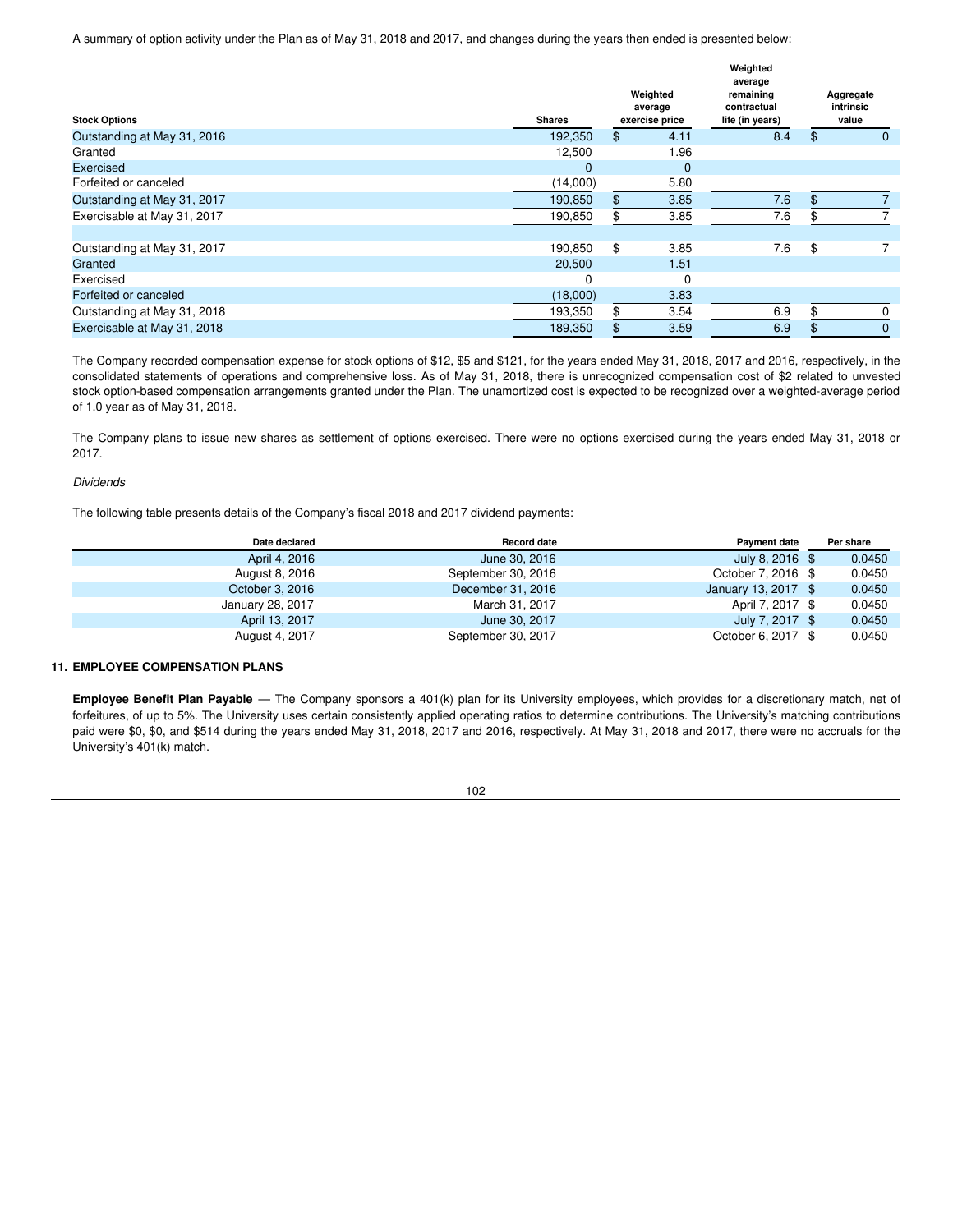A summary of option activity under the Plan as of May 31, 2018 and 2017, and changes during the years then ended is presented below:

|                             |               | Weighted<br>average |                                       |                                             |    |                                 |
|-----------------------------|---------------|---------------------|---------------------------------------|---------------------------------------------|----|---------------------------------|
| <b>Stock Options</b>        | <b>Shares</b> |                     | Weighted<br>average<br>exercise price | remaining<br>contractual<br>life (in years) |    | Aggregate<br>intrinsic<br>value |
| Outstanding at May 31, 2016 | 192,350       | \$                  | 4.11                                  | 8.4                                         | \$ | 0                               |
| Granted                     | 12,500        |                     | 1.96                                  |                                             |    |                                 |
| Exercised                   | $\mathbf{0}$  |                     | $\mathbf{0}$                          |                                             |    |                                 |
| Forfeited or canceled       | (14,000)      |                     | 5.80                                  |                                             |    |                                 |
| Outstanding at May 31, 2017 | 190,850       | \$                  | 3.85                                  | 7.6                                         |    |                                 |
| Exercisable at May 31, 2017 | 190,850       |                     | 3.85                                  | 7.6                                         |    |                                 |
| Outstanding at May 31, 2017 | 190,850       | \$                  | 3.85                                  | 7.6                                         | \$ | 7                               |
| Granted                     | 20,500        |                     | 1.51                                  |                                             |    |                                 |
| Exercised                   | 0             |                     | 0                                     |                                             |    |                                 |
| Forfeited or canceled       | (18,000)      |                     | 3.83                                  |                                             |    |                                 |
| Outstanding at May 31, 2018 | 193,350       | \$                  | 3.54                                  | 6.9                                         |    |                                 |
| Exercisable at May 31, 2018 | 189,350       |                     | 3.59                                  | 6.9                                         |    | $\mathbf 0$                     |

The Company recorded compensation expense for stock options of \$12, \$5 and \$121, for the years ended May 31, 2018, 2017 and 2016, respectively, in the consolidated statements of operations and comprehensive loss. As of May 31, 2018, there is unrecognized compensation cost of \$2 related to unvested stock option-based compensation arrangements granted under the Plan. The unamortized cost is expected to be recognized over a weighted-average period of 1.0 year as of May 31, 2018.

The Company plans to issue new shares as settlement of options exercised. There were no options exercised during the years ended May 31, 2018 or 2017.

#### *Dividends*

The following table presents details of the Company's fiscal 2018 and 2017 dividend payments:

| Date declared    | <b>Record date</b> | <b>Payment date</b> | Per share |
|------------------|--------------------|---------------------|-----------|
| April 4, 2016    | June 30, 2016      | July 8, 2016 \$     | 0.0450    |
| August 8, 2016   | September 30, 2016 | October 7, 2016 \$  | 0.0450    |
| October 3, 2016  | December 31, 2016  | January 13, 2017 \$ | 0.0450    |
| January 28, 2017 | March 31, 2017     | April 7, 2017 \$    | 0.0450    |
| April 13, 2017   | June 30, 2017      | July 7, 2017 \$     | 0.0450    |
| August 4, 2017   | September 30, 2017 | October 6, 2017 \$  | 0.0450    |

# **11. EMPLOYEE COMPENSATION PLANS**

**Employee Benefit Plan Payable** — The Company sponsors a 401(k) plan for its University employees, which provides for a discretionary match, net of forfeitures, of up to 5%. The University uses certain consistently applied operating ratios to determine contributions. The University's matching contributions paid were \$0, \$0, and \$514 during the years ended May 31, 2018, 2017 and 2016, respectively. At May 31, 2018 and 2017, there were no accruals for the University's 401(k) match.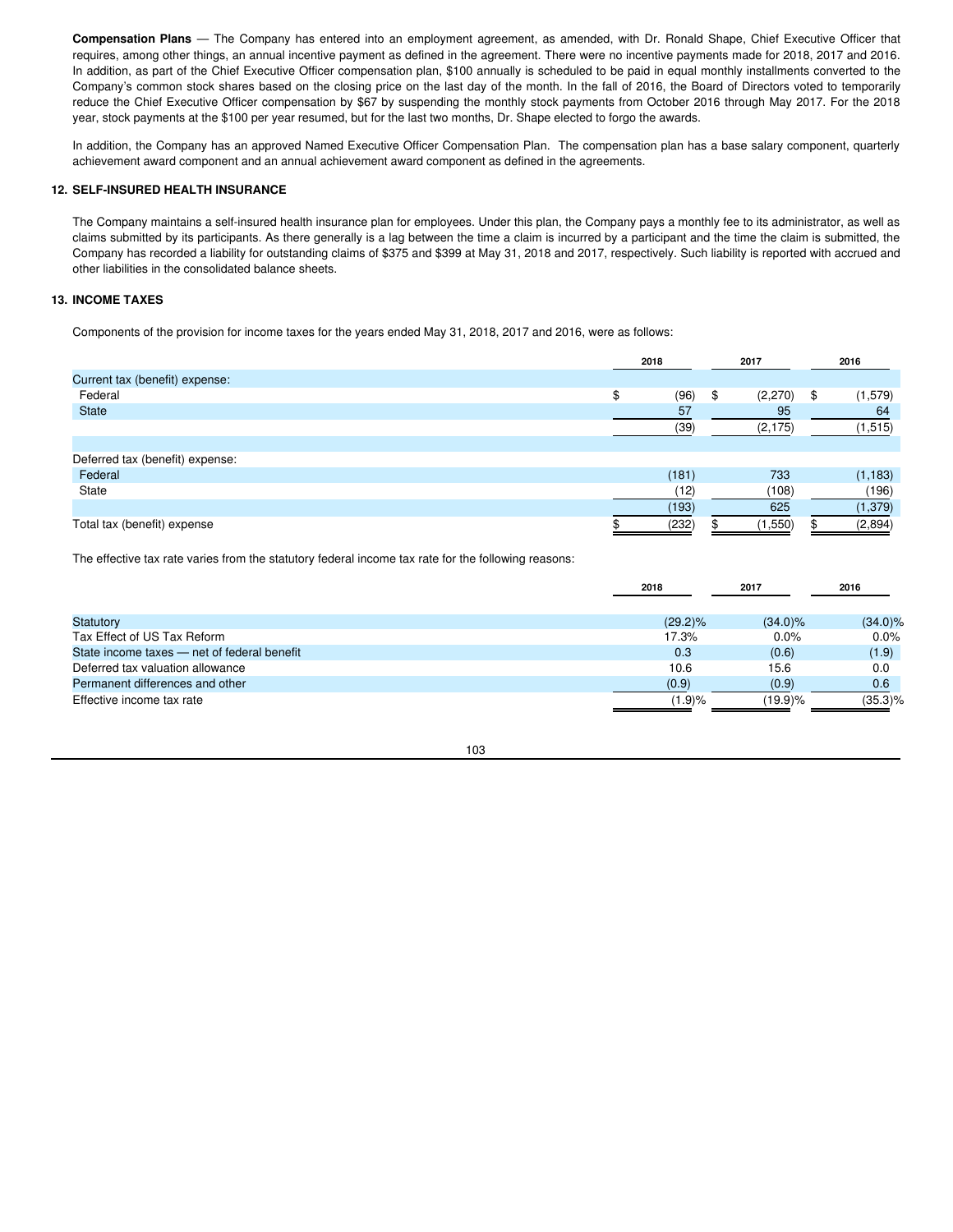**Compensation Plans** — The Company has entered into an employment agreement, as amended, with Dr. Ronald Shape, Chief Executive Officer that requires, among other things, an annual incentive payment as defined in the agreement. There were no incentive payments made for 2018, 2017 and 2016. In addition, as part of the Chief Executive Officer compensation plan, \$100 annually is scheduled to be paid in equal monthly installments converted to the Company's common stock shares based on the closing price on the last day of the month. In the fall of 2016, the Board of Directors voted to temporarily reduce the Chief Executive Officer compensation by \$67 by suspending the monthly stock payments from October 2016 through May 2017. For the 2018 year, stock payments at the \$100 per year resumed, but for the last two months, Dr. Shape elected to forgo the awards.

In addition, the Company has an approved Named Executive Officer Compensation Plan. The compensation plan has a base salary component, quarterly achievement award component and an annual achievement award component as defined in the agreements.

### **12. SELF-INSURED HEALTH INSURANCE**

The Company maintains a self-insured health insurance plan for employees. Under this plan, the Company pays a monthly fee to its administrator, as well as claims submitted by its participants. As there generally is a lag between the time a claim is incurred by a participant and the time the claim is submitted, the Company has recorded a liability for outstanding claims of \$375 and \$399 at May 31, 2018 and 2017, respectively. Such liability is reported with accrued and other liabilities in the consolidated balance sheets.

# **13. INCOME TAXES**

Components of the provision for income taxes for the years ended May 31, 2018, 2017 and 2016, were as follows:

|                                 | 2018       | 2017          | 2016          |
|---------------------------------|------------|---------------|---------------|
| Current tax (benefit) expense:  |            |               |               |
| Federal                         | \$<br>(96) | \$<br>(2,270) | \$<br>(1,579) |
| <b>State</b>                    | 57         | 95            | 64            |
|                                 | (39)       | (2, 175)      | (1, 515)      |
|                                 |            |               |               |
| Deferred tax (benefit) expense: |            |               |               |
| Federal                         | (181)      | 733           | (1, 183)      |
| State                           | (12)       | (108)         | (196)         |
|                                 | (193)      | 625           | (1, 379)      |
| Total tax (benefit) expense     | (232)      | (1,550)       | (2,894)       |

The effective tax rate varies from the statutory federal income tax rate for the following reasons:

|                                             | 2018       | 2017       | 2016       |
|---------------------------------------------|------------|------------|------------|
|                                             |            |            |            |
| Statutory                                   | $(29.2)\%$ | $(34.0)\%$ | $(34.0)\%$ |
| Tax Effect of US Tax Reform                 | 17.3%      | 0.0%       | $0.0\%$    |
| State income taxes - net of federal benefit | 0.3        | (0.6)      | (1.9)      |
| Deferred tax valuation allowance            | 10.6       | 15.6       | 0.0        |
| Permanent differences and other             | (0.9)      | (0.9)      | 0.6        |
| Effective income tax rate                   | (1.9)%     | $(19.9)$ % | $(35.3)\%$ |

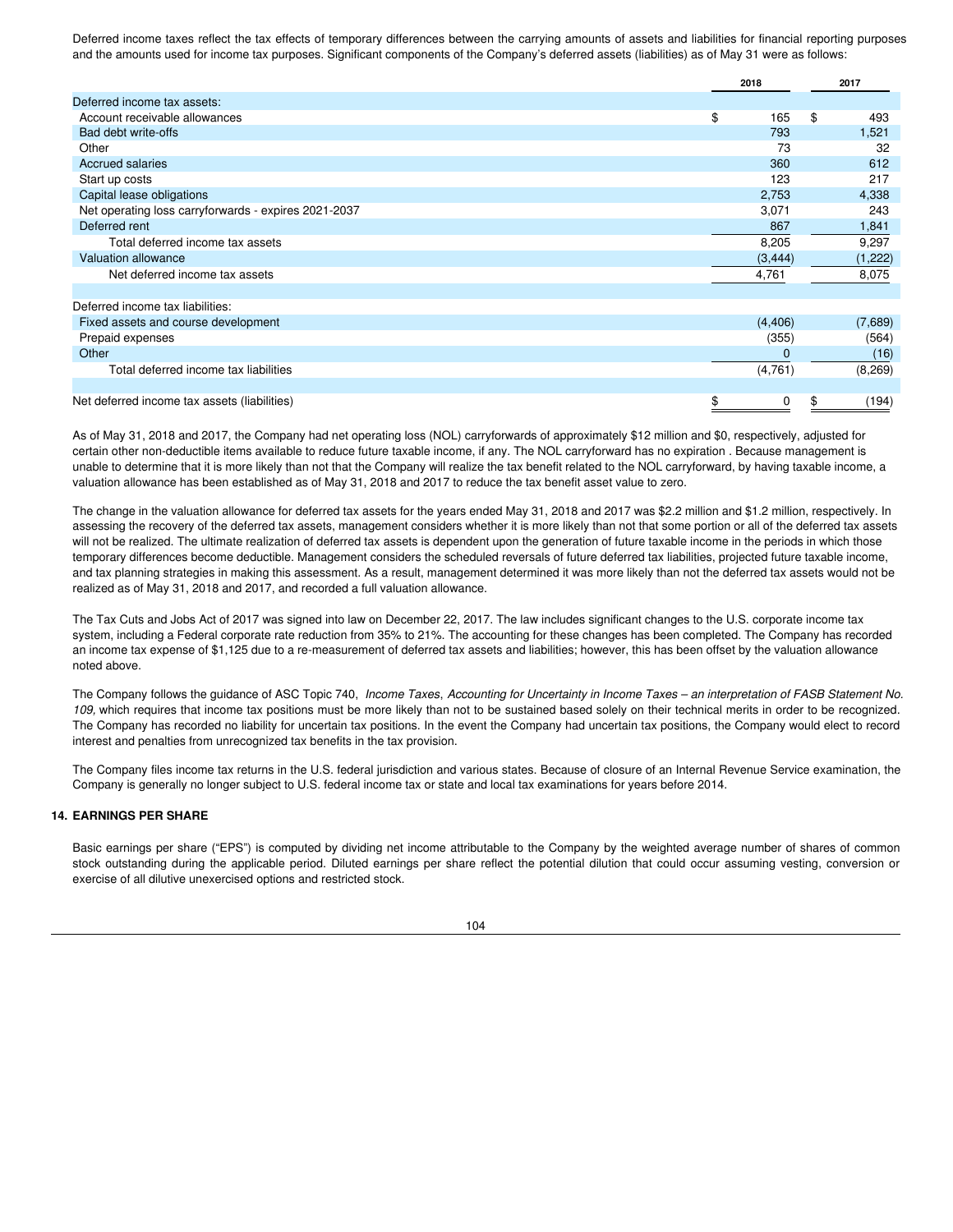Deferred income taxes reflect the tax effects of temporary differences between the carrying amounts of assets and liabilities for financial reporting purposes and the amounts used for income tax purposes. Significant components of the Company's deferred assets (liabilities) as of May 31 were as follows:

|                                                      | 2018      | 2017        |
|------------------------------------------------------|-----------|-------------|
| Deferred income tax assets:                          |           |             |
| Account receivable allowances                        | \$<br>165 | \$<br>493   |
| Bad debt write-offs                                  | 793       | 1,521       |
| Other                                                | 73        | 32          |
| <b>Accrued salaries</b>                              | 360       | 612         |
| Start up costs                                       | 123       | 217         |
| Capital lease obligations                            | 2,753     | 4,338       |
| Net operating loss carryforwards - expires 2021-2037 | 3,071     | 243         |
| Deferred rent                                        | 867       | 1,841       |
| Total deferred income tax assets                     | 8,205     | 9,297       |
| Valuation allowance                                  | (3, 444)  | (1,222)     |
| Net deferred income tax assets                       | 4,761     | 8,075       |
|                                                      |           |             |
| Deferred income tax liabilities:                     |           |             |
| Fixed assets and course development                  | (4, 406)  | (7,689)     |
| Prepaid expenses                                     | (355)     | (564)       |
| Other                                                | $\Omega$  | (16)        |
| Total deferred income tax liabilities                | (4, 761)  | (8,269)     |
|                                                      |           |             |
| Net deferred income tax assets (liabilities)         | \$<br>0   | (194)<br>\$ |

As of May 31, 2018 and 2017, the Company had net operating loss (NOL) carryforwards of approximately \$12 million and \$0, respectively, adjusted for certain other non-deductible items available to reduce future taxable income, if any. The NOL carryforward has no expiration . Because management is unable to determine that it is more likely than not that the Company will realize the tax benefit related to the NOL carryforward, by having taxable income, a valuation allowance has been established as of May 31, 2018 and 2017 to reduce the tax benefit asset value to zero.

The change in the valuation allowance for deferred tax assets for the years ended May 31, 2018 and 2017 was \$2.2 million and \$1.2 million, respectively. In assessing the recovery of the deferred tax assets, management considers whether it is more likely than not that some portion or all of the deferred tax assets will not be realized. The ultimate realization of deferred tax assets is dependent upon the generation of future taxable income in the periods in which those temporary differences become deductible. Management considers the scheduled reversals of future deferred tax liabilities, projected future taxable income, and tax planning strategies in making this assessment. As a result, management determined it was more likely than not the deferred tax assets would not be realized as of May 31, 2018 and 2017, and recorded a full valuation allowance.

The Tax Cuts and Jobs Act of 2017 was signed into law on December 22, 2017. The law includes significant changes to the U.S. corporate income tax system, including a Federal corporate rate reduction from 35% to 21%. The accounting for these changes has been completed. The Company has recorded an income tax expense of \$1,125 due to a re-measurement of deferred tax assets and liabilities; however, this has been offset by the valuation allowance noted above.

The Company follows the guidance of ASC Topic 740, Income Taxes, Accounting for Uncertainty in Income Taxes - an interpretation of FASB Statement No. *109,* which requires that income tax positions must be more likely than not to be sustained based solely on their technical merits in order to be recognized. The Company has recorded no liability for uncertain tax positions. In the event the Company had uncertain tax positions, the Company would elect to record interest and penalties from unrecognized tax benefits in the tax provision.

The Company files income tax returns in the U.S. federal jurisdiction and various states. Because of closure of an Internal Revenue Service examination, the Company is generally no longer subject to U.S. federal income tax or state and local tax examinations for years before 2014.

### **14. EARNINGS PER SHARE**

Basic earnings per share ("EPS") is computed by dividing net income attributable to the Company by the weighted average number of shares of common stock outstanding during the applicable period. Diluted earnings per share reflect the potential dilution that could occur assuming vesting, conversion or exercise of all dilutive unexercised options and restricted stock.

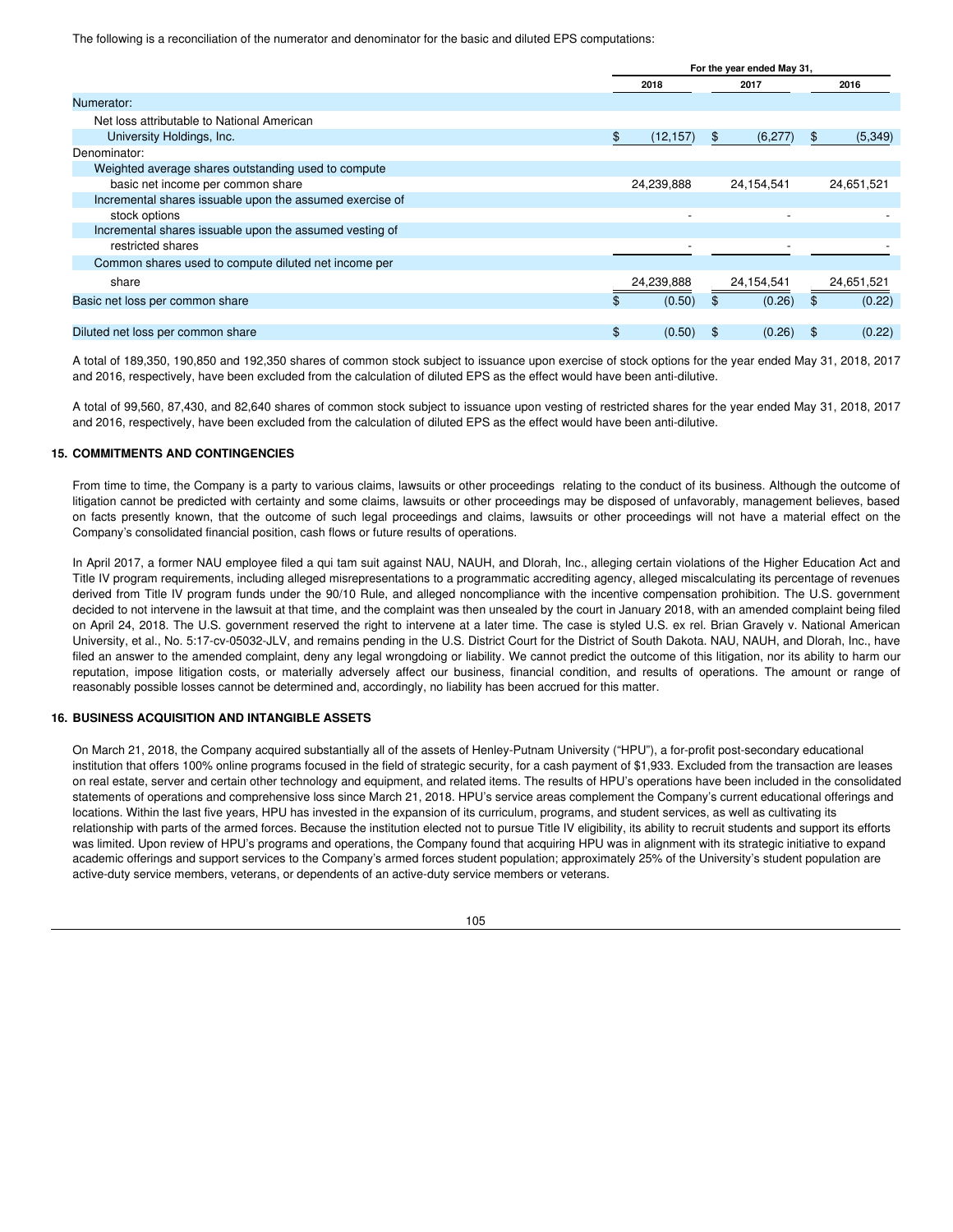The following is a reconciliation of the numerator and denominator for the basic and diluted EPS computations:

|                                                          | For the year ended May 31, |            |     |            |    |            |
|----------------------------------------------------------|----------------------------|------------|-----|------------|----|------------|
|                                                          |                            | 2018       |     | 2017       |    | 2016       |
| Numerator:                                               |                            |            |     |            |    |            |
| Net loss attributable to National American               |                            |            |     |            |    |            |
| University Holdings, Inc.                                |                            | (12,157)   | \$. | (6, 277)   | \$ | (5,349)    |
| Denominator:                                             |                            |            |     |            |    |            |
| Weighted average shares outstanding used to compute      |                            |            |     |            |    |            |
| basic net income per common share                        |                            | 24,239,888 |     | 24,154,541 |    | 24,651,521 |
| Incremental shares issuable upon the assumed exercise of |                            |            |     |            |    |            |
| stock options                                            |                            |            |     |            |    |            |
| Incremental shares issuable upon the assumed vesting of  |                            |            |     |            |    |            |
| restricted shares                                        |                            |            |     |            |    |            |
| Common shares used to compute diluted net income per     |                            |            |     |            |    |            |
| share                                                    |                            | 24,239,888 |     | 24,154,541 |    | 24,651,521 |
| Basic net loss per common share                          |                            | (0.50)     | \$  | (0.26)     | \$ | (0.22)     |
| Diluted net loss per common share                        | \$                         | (0.50)     | \$  | (0.26)     | \$ | (0.22)     |
|                                                          |                            |            |     |            |    |            |

A total of 189,350, 190,850 and 192,350 shares of common stock subject to issuance upon exercise of stock options for the year ended May 31, 2018, 2017 and 2016, respectively, have been excluded from the calculation of diluted EPS as the effect would have been anti-dilutive.

A total of 99,560, 87,430, and 82,640 shares of common stock subject to issuance upon vesting of restricted shares for the year ended May 31, 2018, 2017 and 2016, respectively, have been excluded from the calculation of diluted EPS as the effect would have been anti-dilutive.

#### **15. COMMITMENTS AND CONTINGENCIES**

From time to time, the Company is a party to various claims, lawsuits or other proceedings relating to the conduct of its business. Although the outcome of litigation cannot be predicted with certainty and some claims, lawsuits or other proceedings may be disposed of unfavorably, management believes, based on facts presently known, that the outcome of such legal proceedings and claims, lawsuits or other proceedings will not have a material effect on the Company's consolidated financial position, cash flows or future results of operations.

In April 2017, a former NAU employee filed a qui tam suit against NAU, NAUH, and Dlorah, Inc., alleging certain violations of the Higher Education Act and Title IV program requirements, including alleged misrepresentations to a programmatic accrediting agency, alleged miscalculating its percentage of revenues derived from Title IV program funds under the 90/10 Rule, and alleged noncompliance with the incentive compensation prohibition. The U.S. government decided to not intervene in the lawsuit at that time, and the complaint was then unsealed by the court in January 2018, with an amended complaint being filed on April 24, 2018. The U.S. government reserved the right to intervene at a later time. The case is styled U.S. ex rel. Brian Gravely v. National American University, et al., No. 5:17-cv-05032-JLV, and remains pending in the U.S. District Court for the District of South Dakota. NAU, NAUH, and Dlorah, Inc., have filed an answer to the amended complaint, deny any legal wrongdoing or liability. We cannot predict the outcome of this litigation, nor its ability to harm our reputation, impose litigation costs, or materially adversely affect our business, financial condition, and results of operations. The amount or range of reasonably possible losses cannot be determined and, accordingly, no liability has been accrued for this matter.

#### **16. BUSINESS ACQUISITION AND INTANGIBLE ASSETS**

On March 21, 2018, the Company acquired substantially all of the assets of Henley-Putnam University ("HPU"), a for-profit post-secondary educational institution that offers 100% online programs focused in the field of strategic security, for a cash payment of \$1,933. Excluded from the transaction are leases on real estate, server and certain other technology and equipment, and related items. The results of HPU's operations have been included in the consolidated statements of operations and comprehensive loss since March 21, 2018. HPU's service areas complement the Company's current educational offerings and locations. Within the last five years, HPU has invested in the expansion of its curriculum, programs, and student services, as well as cultivating its relationship with parts of the armed forces. Because the institution elected not to pursue Title IV eligibility, its ability to recruit students and support its efforts was limited. Upon review of HPU's programs and operations, the Company found that acquiring HPU was in alignment with its strategic initiative to expand academic offerings and support services to the Company's armed forces student population; approximately 25% of the University's student population are active-duty service members, veterans, or dependents of an active-duty service members or veterans.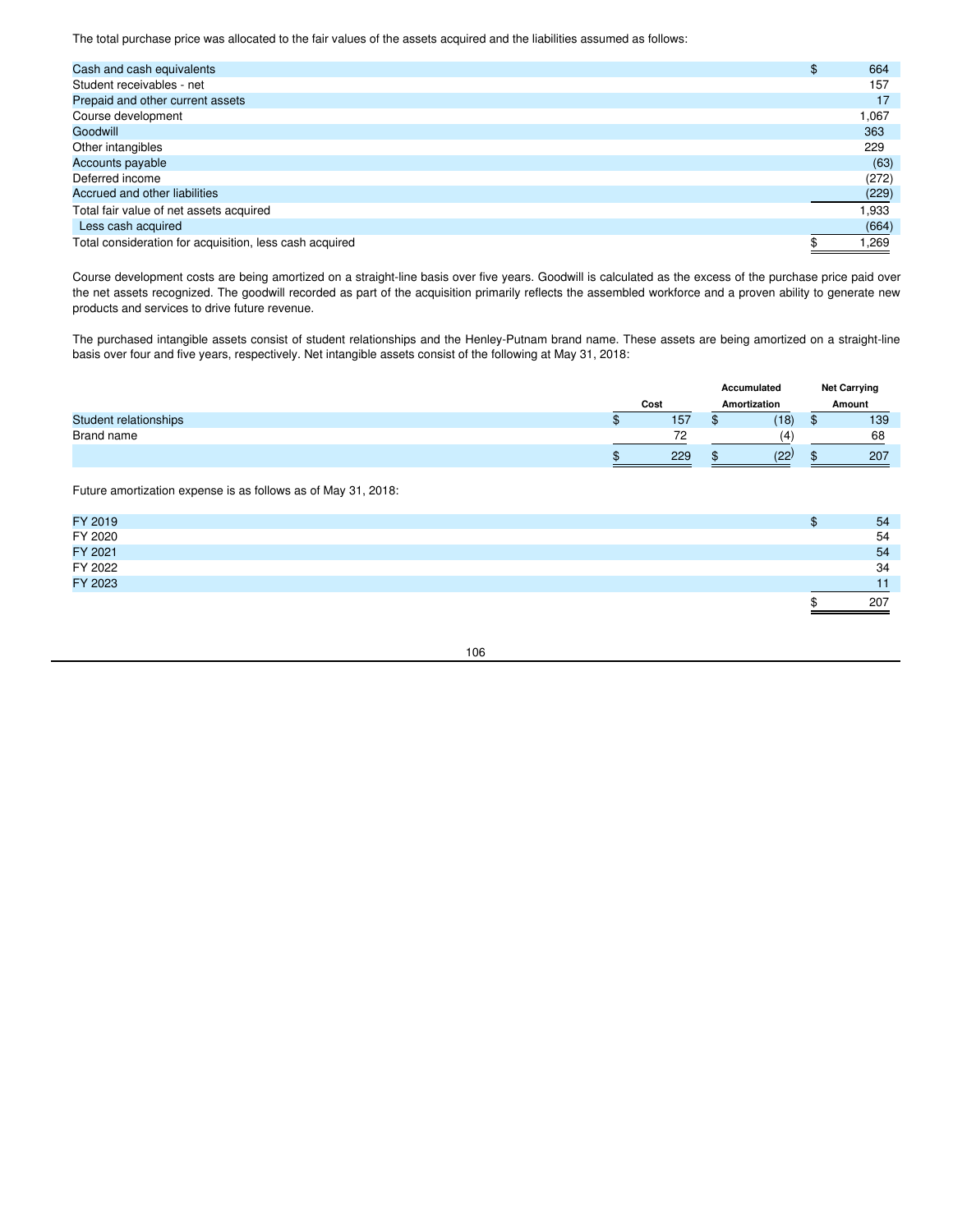The total purchase price was allocated to the fair values of the assets acquired and the liabilities assumed as follows:

| Cash and cash equivalents                               | \$<br>664 |
|---------------------------------------------------------|-----------|
| Student receivables - net                               | 157       |
| Prepaid and other current assets                        | 17        |
| Course development                                      | 1,067     |
| Goodwill                                                | 363       |
| Other intangibles                                       | 229       |
| Accounts payable                                        | (63)      |
| Deferred income                                         | (272)     |
| Accrued and other liabilities                           | (229)     |
| Total fair value of net assets acquired                 | 1,933     |
| Less cash acquired                                      | (664)     |
| Total consideration for acquisition, less cash acquired | 1,269     |

Course development costs are being amortized on a straight-line basis over five years. Goodwill is calculated as the excess of the purchase price paid over the net assets recognized. The goodwill recorded as part of the acquisition primarily reflects the assembled workforce and a proven ability to generate new products and services to drive future revenue.

The purchased intangible assets consist of student relationships and the Henley-Putnam brand name. These assets are being amortized on a straight-line basis over four and five years, respectively. Net intangible assets consist of the following at May 31, 2018:

|                       | Accumulated |  |                | <b>Net Carrying</b> |        |  |
|-----------------------|-------------|--|----------------|---------------------|--------|--|
|                       | Cost        |  | Amortization   |                     | Amount |  |
| Student relationships | 157         |  | (18)           | w                   | 139    |  |
| Brand name            | -72         |  | $\overline{4}$ |                     | 68     |  |
|                       | 229         |  | (22)           |                     | 207    |  |

Future amortization expense is as follows as of May 31, 2018:

| FY 2019 | ۰D | 54  |
|---------|----|-----|
| FY 2020 |    | 54  |
| FY 2021 |    | 54  |
| FY 2022 |    | 34  |
| FY 2023 |    | 11  |
|         |    | 207 |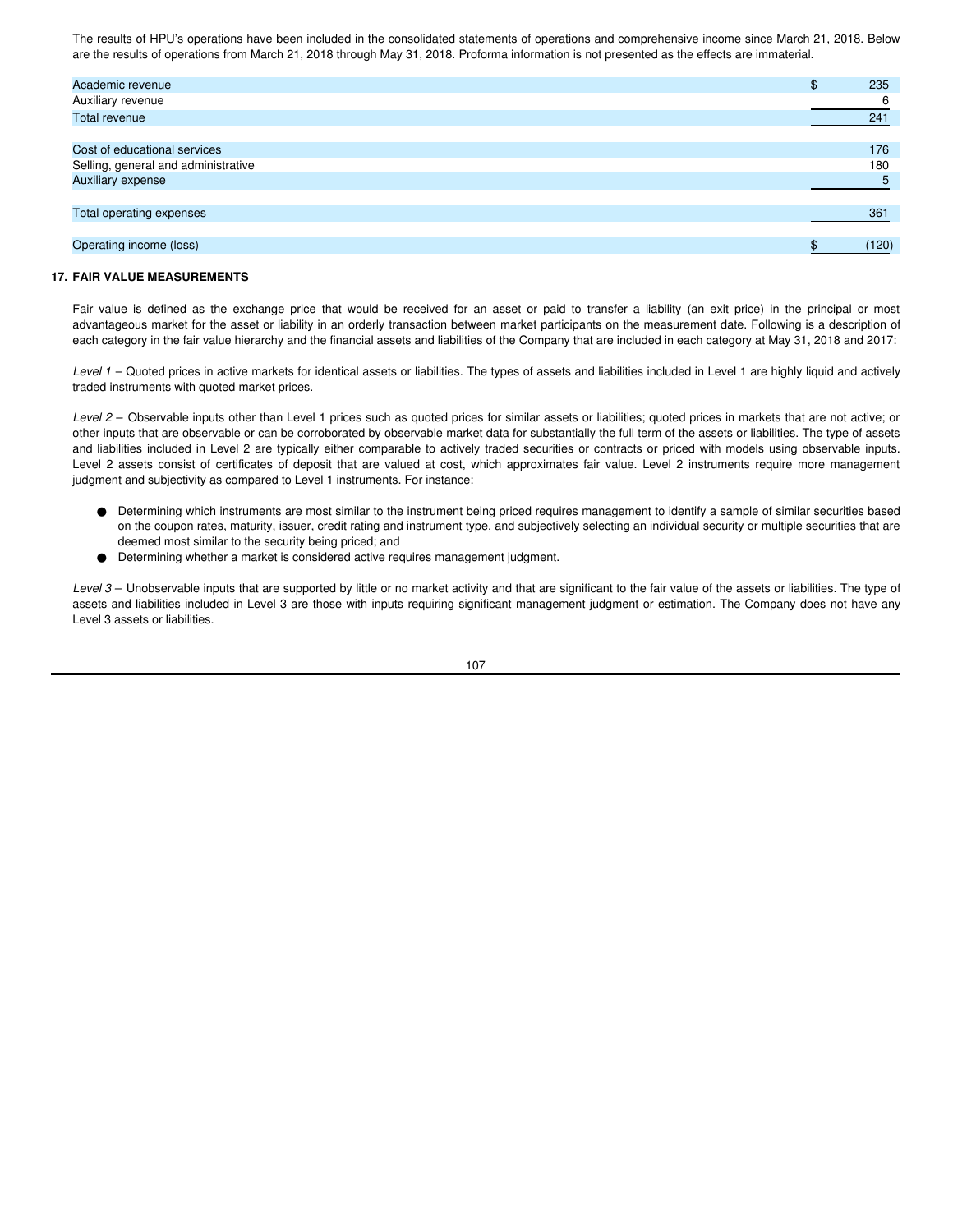The results of HPU's operations have been included in the consolidated statements of operations and comprehensive income since March 21, 2018. Below are the results of operations from March 21, 2018 through May 31, 2018. Proforma information is not presented as the effects are immaterial.

| Academic revenue                    | 235   |
|-------------------------------------|-------|
| Auxiliary revenue                   | 6     |
|                                     |       |
| <b>Total revenue</b>                | 241   |
|                                     |       |
| Cost of educational services        | 176   |
| Selling, general and administrative | 180   |
| <b>Auxiliary expense</b>            |       |
|                                     |       |
| Total operating expenses            | 361   |
|                                     |       |
| Operating income (loss)             | (120) |

### **17. FAIR VALUE MEASUREMENTS**

Fair value is defined as the exchange price that would be received for an asset or paid to transfer a liability (an exit price) in the principal or most advantageous market for the asset or liability in an orderly transaction between market participants on the measurement date. Following is a description of each category in the fair value hierarchy and the financial assets and liabilities of the Company that are included in each category at May 31, 2018 and 2017:

Level 1 - Quoted prices in active markets for identical assets or liabilities. The types of assets and liabilities included in Level 1 are highly liquid and actively traded instruments with quoted market prices.

Level 2 - Observable inputs other than Level 1 prices such as quoted prices for similar assets or liabilities; quoted prices in markets that are not active; or other inputs that are observable or can be corroborated by observable market data for substantially the full term of the assets or liabilities. The type of assets and liabilities included in Level 2 are typically either comparable to actively traded securities or contracts or priced with models using observable inputs. Level 2 assets consist of certificates of deposit that are valued at cost, which approximates fair value. Level 2 instruments require more management judgment and subjectivity as compared to Level 1 instruments. For instance:

- Determining which instruments are most similar to the instrument being priced requires management to identify a sample of similar securities based on the coupon rates, maturity, issuer, credit rating and instrument type, and subjectively selecting an individual security or multiple securities that are deemed most similar to the security being priced; and
- Determining whether a market is considered active requires management judgment.

Level 3 – Unobservable inputs that are supported by little or no market activity and that are significant to the fair value of the assets or liabilities. The type of assets and liabilities included in Level 3 are those with inputs requiring significant management judgment or estimation. The Company does not have any Level 3 assets or liabilities.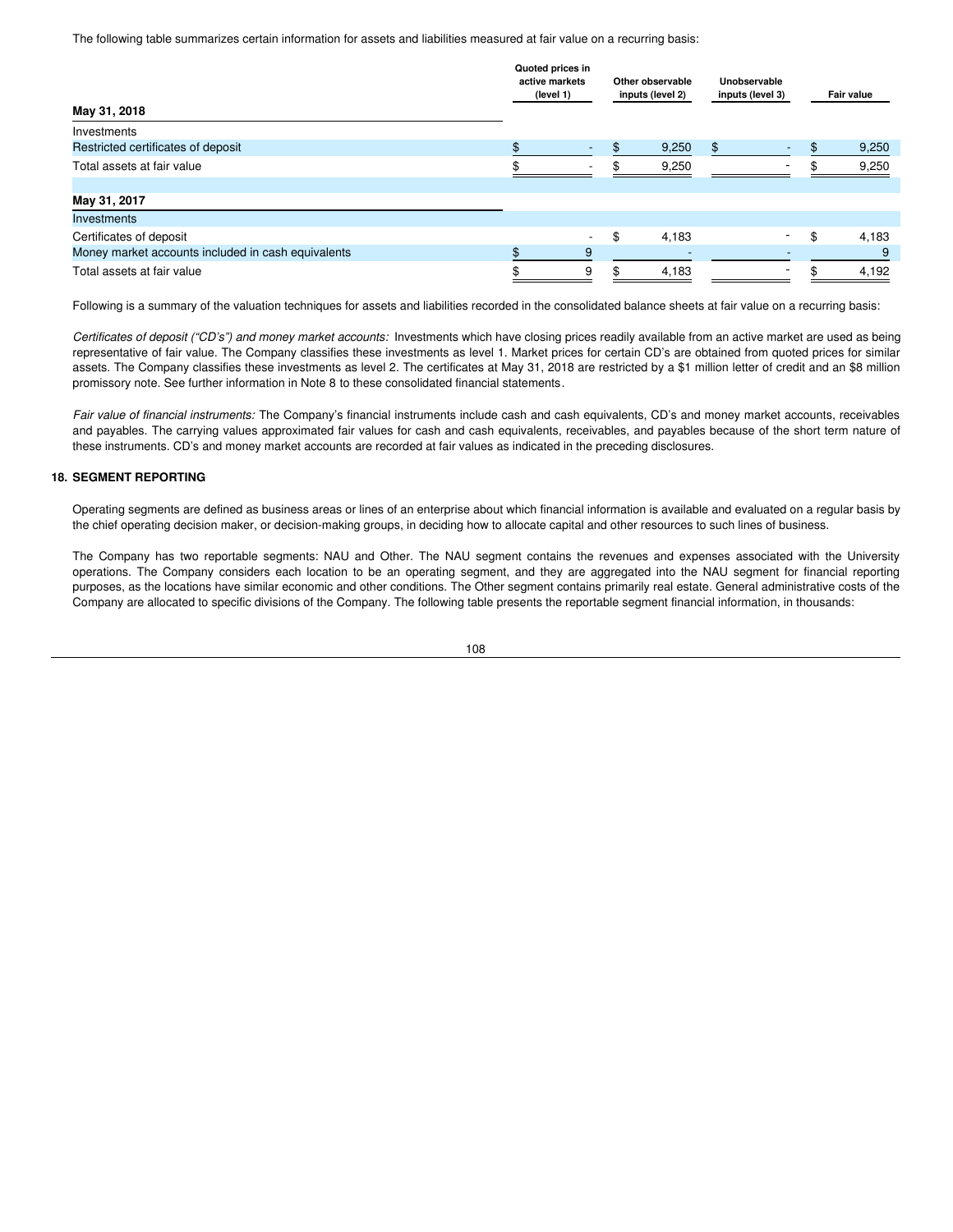The following table summarizes certain information for assets and liabilities measured at fair value on a recurring basis:

|                                                    | Quoted prices in<br>active markets<br>(level 1) | Other observable<br>inputs (level 2) | Unobservable<br>inputs (level 3) |  | Fair value |
|----------------------------------------------------|-------------------------------------------------|--------------------------------------|----------------------------------|--|------------|
| May 31, 2018                                       |                                                 |                                      |                                  |  |            |
| Investments                                        |                                                 |                                      |                                  |  |            |
| Restricted certificates of deposit                 |                                                 | 9,250                                | \$                               |  | 9,250      |
| Total assets at fair value                         |                                                 | 9,250                                |                                  |  | 9,250      |
|                                                    |                                                 |                                      |                                  |  |            |
| May 31, 2017                                       |                                                 |                                      |                                  |  |            |
| <b>Investments</b>                                 |                                                 |                                      |                                  |  |            |
| Certificates of deposit                            | $\overline{\phantom{0}}$                        | \$<br>4,183                          |                                  |  | 4,183      |
| Money market accounts included in cash equivalents | 9                                               |                                      |                                  |  | 9          |
| Total assets at fair value                         | g                                               | 4.183                                |                                  |  | 4,192      |

Following is a summary of the valuation techniques for assets and liabilities recorded in the consolidated balance sheets at fair value on a recurring basis:

*Certificates of deposit ("CD's") and money market accounts:* Investments which have closing prices readily available from an active market are used as being representative of fair value. The Company classifies these investments as level 1. Market prices for certain CD's are obtained from quoted prices for similar assets. The Company classifies these investments as level 2. The certificates at May 31, 2018 are restricted by a \$1 million letter of credit and an \$8 million promissory note. See further information in Note 8 to these consolidated financial statements.

*Fair value of financial instruments:* The Company's financial instruments include cash and cash equivalents, CD's and money market accounts, receivables and payables. The carrying values approximated fair values for cash and cash equivalents, receivables, and payables because of the short term nature of these instruments. CD's and money market accounts are recorded at fair values as indicated in the preceding disclosures.

### **18. SEGMENT REPORTING**

Operating segments are defined as business areas or lines of an enterprise about which financial information is available and evaluated on a regular basis by the chief operating decision maker, or decision-making groups, in deciding how to allocate capital and other resources to such lines of business.

The Company has two reportable segments: NAU and Other. The NAU segment contains the revenues and expenses associated with the University operations. The Company considers each location to be an operating segment, and they are aggregated into the NAU segment for financial reporting purposes, as the locations have similar economic and other conditions. The Other segment contains primarily real estate. General administrative costs of the Company are allocated to specific divisions of the Company. The following table presents the reportable segment financial information, in thousands: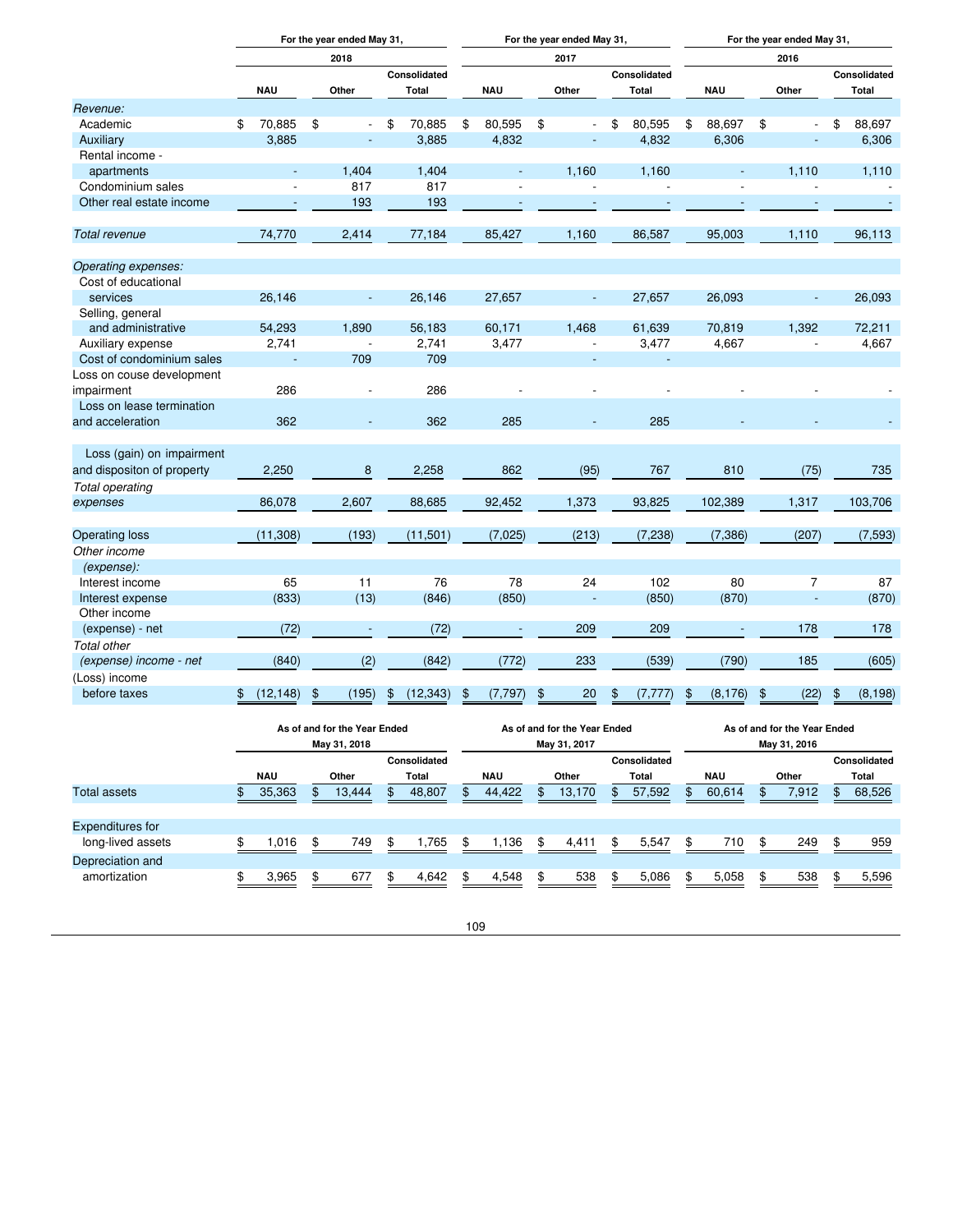|                              | For the year ended May 31, |            |    |                              |              |              | For the year ended May 31, |            |                              |                |    | For the year ended May 31, |      |            |    |                |    |              |
|------------------------------|----------------------------|------------|----|------------------------------|--------------|--------------|----------------------------|------------|------------------------------|----------------|----|----------------------------|------|------------|----|----------------|----|--------------|
|                              |                            |            |    | 2018                         |              |              |                            | 2017       |                              |                |    |                            | 2016 |            |    |                |    |              |
|                              |                            |            |    |                              | Consolidated |              |                            |            |                              |                |    | Consolidated               |      |            |    |                |    | Consolidated |
|                              |                            | <b>NAU</b> |    | Other                        |              | Total        |                            | <b>NAU</b> |                              | Other          |    | <b>Total</b>               |      | <b>NAU</b> |    | Other          |    | <b>Total</b> |
| Revenue:                     |                            |            |    |                              |              |              |                            |            |                              |                |    |                            |      |            |    |                |    |              |
| Academic                     | \$                         | 70,885     | \$ |                              | \$           | 70,885       | \$                         | 80,595     |                              | \$             | \$ | 80,595                     | \$   | 88,697     | \$ |                | \$ | 88,697       |
| Auxiliary                    |                            | 3.885      |    |                              |              | 3,885        |                            | 4,832      |                              |                |    | 4,832                      |      | 6,306      |    |                |    | 6,306        |
| Rental income -              |                            |            |    |                              |              |              |                            |            |                              |                |    |                            |      |            |    |                |    |              |
| apartments                   |                            |            |    | 1,404                        |              | 1,404        |                            |            |                              | 1,160          |    | 1,160                      |      |            |    | 1,110          |    | 1,110        |
| Condominium sales            |                            |            |    | 817                          |              | 817          |                            |            |                              | $\overline{a}$ |    |                            |      |            |    |                |    |              |
| Other real estate income     |                            |            |    | 193                          |              | 193          |                            |            |                              |                |    |                            |      |            |    |                |    |              |
| Total revenue                |                            | 74,770     |    | 2,414                        |              | 77,184       |                            | 85,427     |                              | 1,160          |    | 86,587                     |      | 95,003     |    | 1,110          |    | 96,113       |
| Operating expenses:          |                            |            |    |                              |              |              |                            |            |                              |                |    |                            |      |            |    |                |    |              |
| Cost of educational          |                            |            |    |                              |              |              |                            |            |                              |                |    |                            |      |            |    |                |    |              |
| services                     |                            | 26,146     |    | L.                           |              | 26,146       |                            | 27,657     |                              |                |    | 27,657                     |      | 26,093     |    |                |    | 26,093       |
| Selling, general             |                            |            |    |                              |              |              |                            |            |                              |                |    |                            |      |            |    |                |    |              |
| and administrative           |                            | 54,293     |    | 1,890                        |              | 56,183       |                            | 60,171     |                              | 1,468          |    | 61,639                     |      | 70,819     |    | 1,392          |    | 72,211       |
| Auxiliary expense            |                            | 2,741      |    |                              |              | 2,741        |                            | 3,477      |                              | $\overline{a}$ |    | 3,477                      |      | 4,667      |    | $\overline{a}$ |    | 4,667        |
| Cost of condominium sales    |                            | L,         |    | 709                          |              | 709          |                            |            |                              | ÷.             |    |                            |      |            |    |                |    |              |
| Loss on couse development    |                            |            |    |                              |              |              |                            |            |                              |                |    |                            |      |            |    |                |    |              |
| impairment                   |                            | 286        |    |                              |              | 286          |                            |            |                              |                |    |                            |      |            |    |                |    |              |
| Loss on lease termination    |                            |            |    |                              |              |              |                            |            |                              |                |    |                            |      |            |    |                |    |              |
| and acceleration             |                            | 362        |    |                              |              | 362          |                            | 285        |                              |                |    | 285                        |      |            |    |                |    |              |
| Loss (gain) on impairment    |                            |            |    |                              |              |              |                            |            |                              |                |    |                            |      |            |    |                |    |              |
| and dispositon of property   |                            | 2,250      |    | 8                            |              | 2,258        |                            | 862        |                              | (95)           |    | 767                        |      | 810        |    | (75)           |    | 735          |
| Total operating              |                            |            |    |                              |              |              |                            |            |                              |                |    |                            |      |            |    |                |    |              |
| expenses                     |                            | 86,078     |    | 2,607                        |              | 88,685       |                            | 92,452     |                              | 1,373          |    | 93,825                     |      | 102,389    |    | 1,317          |    | 103,706      |
|                              |                            |            |    |                              |              |              |                            |            |                              |                |    |                            |      |            |    |                |    |              |
| <b>Operating loss</b>        |                            | (11, 308)  |    | (193)                        |              | (11, 501)    |                            | (7,025)    |                              | (213)          |    | (7, 238)                   |      | (7, 386)   |    | (207)          |    | (7, 593)     |
| Other income                 |                            |            |    |                              |              |              |                            |            |                              |                |    |                            |      |            |    |                |    |              |
| (expense):                   |                            |            |    |                              |              |              |                            |            |                              |                |    |                            |      |            |    |                |    |              |
| Interest income              |                            | 65         |    | 11                           |              | 76           |                            | 78         |                              | 24             |    | 102                        |      | 80         |    | $\overline{7}$ |    | 87           |
| Interest expense             |                            | (833)      |    | (13)                         |              | (846)        |                            | (850)      |                              |                |    | (850)                      |      | (870)      |    |                |    | (870)        |
| Other income                 |                            |            |    |                              |              |              |                            |            |                              |                |    |                            |      |            |    |                |    |              |
| (expense) - net              |                            | (72)       |    |                              |              | (72)         |                            |            |                              | 209            |    | 209                        |      |            |    | 178            |    | 178          |
| Total other                  |                            |            |    |                              |              |              |                            |            |                              |                |    |                            |      |            |    |                |    |              |
| (expense) income - net       |                            | (840)      |    | (2)                          |              | (842)        |                            | (772)      |                              | 233            |    | (539)                      |      | (790)      |    | 185            |    | (605)        |
| (Loss) income                |                            |            |    |                              |              |              |                            |            |                              |                |    |                            |      |            |    |                |    |              |
| before taxes                 | \$                         | (12, 148)  | \$ | (195)                        | \$           | (12, 343)    | \$                         | (7, 797)   |                              | \$<br>20       | \$ | (7, 777)                   | \$   | (8, 176)   | \$ | (22)           | \$ | (8, 198)     |
| As of and for the Year Ended |                            |            |    | As of and for the Year Ended |              |              |                            |            | As of and for the Year Ended |                |    |                            |      |            |    |                |    |              |
|                              | May 31, 2018               |            |    | May 31, 2017                 |              |              |                            |            | May 31, 2016                 |                |    |                            |      |            |    |                |    |              |
|                              |                            |            |    |                              |              | Consolidated |                            |            |                              |                |    | Consolidated               |      |            |    |                |    | Consolidated |
|                              |                            | <b>NAU</b> |    | Other                        |              | <b>Total</b> |                            | <b>NAU</b> |                              | Other          |    | <b>Total</b>               |      | <b>NAU</b> |    | Other          |    | <b>Total</b> |
| <b>Total assets</b>          | \$                         | 35,363     | \$ | 13.444                       | \$           | 48,807       | \$                         | 44.422     |                              | 13.170<br>\$   | \$ | 57,592                     | \$   | 60,614     | \$ | 7.912          | \$ | 68,526       |

| TULAI ASSUIS            | w | ັບບ.ບບບ | w | 10.777 | w | 40.007 | $\mathbf{D}$ | 77.74C | ື | 10, 110 | w | <u>ے تی ، رت</u> | $\mathbf{D}$ | 00,017 | ے اتی ا | w | <b>UU.JLU</b> |
|-------------------------|---|---------|---|--------|---|--------|--------------|--------|---|---------|---|------------------|--------------|--------|---------|---|---------------|
|                         |   |         |   |        |   |        |              |        |   |         |   |                  |              |        |         |   |               |
| <b>Expenditures for</b> |   |         |   |        |   |        |              |        |   |         |   |                  |              |        |         |   |               |
| long-lived assets       |   | .016    |   | 749    |   | .765   |              | .136   |   | 4.411   |   | 5.547            |              | 710    | 249     |   | 959           |
| Depreciation and        |   |         |   |        |   |        |              |        |   |         |   |                  |              |        |         |   |               |
| amortization            |   | 3.965   |   | 677    |   | 4.642  |              | 4.548  |   | 538     |   | 5.086            |              | 5,058  | 538     |   | 5,596         |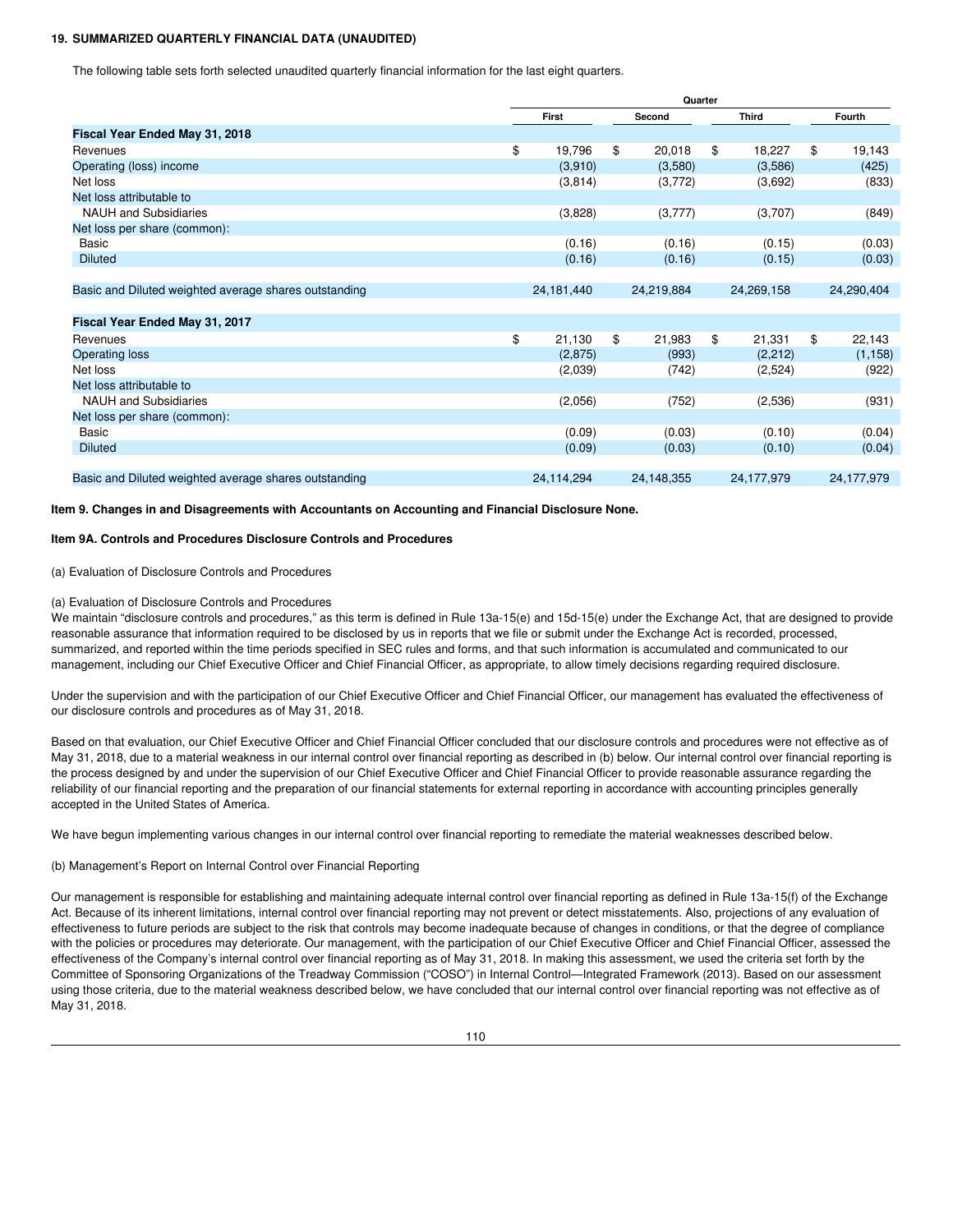### **19. SUMMARIZED QUARTERLY FINANCIAL DATA (UNAUDITED)**

The following table sets forth selected unaudited quarterly financial information for the last eight quarters.

|                                                       | Quarter      |    |            |    |              |    |            |
|-------------------------------------------------------|--------------|----|------------|----|--------------|----|------------|
|                                                       | First        |    | Second     |    | <b>Third</b> |    | Fourth     |
| Fiscal Year Ended May 31, 2018                        |              |    |            |    |              |    |            |
| Revenues                                              | \$<br>19,796 | \$ | 20,018     | \$ | 18,227       | \$ | 19,143     |
| Operating (loss) income                               | (3,910)      |    | (3,580)    |    | (3,586)      |    | (425)      |
| Net loss                                              | (3,814)      |    | (3,772)    |    | (3,692)      |    | (833)      |
| Net loss attributable to                              |              |    |            |    |              |    |            |
| <b>NAUH</b> and Subsidiaries                          | (3,828)      |    | (3,777)    |    | (3,707)      |    | (849)      |
| Net loss per share (common):                          |              |    |            |    |              |    |            |
| Basic                                                 | (0.16)       |    | (0.16)     |    | (0.15)       |    | (0.03)     |
| <b>Diluted</b>                                        | (0.16)       |    | (0.16)     |    | (0.15)       |    | (0.03)     |
|                                                       |              |    |            |    |              |    |            |
| Basic and Diluted weighted average shares outstanding | 24,181,440   |    | 24,219,884 |    | 24,269,158   |    | 24,290,404 |
| Fiscal Year Ended May 31, 2017                        |              |    |            |    |              |    |            |
| Revenues                                              | \$<br>21,130 | \$ | 21,983     | \$ | 21,331       | \$ | 22,143     |
| <b>Operating loss</b>                                 | (2,875)      |    | (993)      |    | (2,212)      |    | (1, 158)   |
| Net loss                                              | (2,039)      |    | (742)      |    | (2,524)      |    | (922)      |
| Net loss attributable to                              |              |    |            |    |              |    |            |
| <b>NAUH</b> and Subsidiaries                          | (2,056)      |    | (752)      |    | (2,536)      |    | (931)      |
| Net loss per share (common):                          |              |    |            |    |              |    |            |
| Basic                                                 | (0.09)       |    | (0.03)     |    | (0.10)       |    | (0.04)     |
| <b>Diluted</b>                                        | (0.09)       |    | (0.03)     |    | (0.10)       |    | (0.04)     |
|                                                       |              |    |            |    |              |    |            |
| Basic and Diluted weighted average shares outstanding | 24,114,294   |    | 24,148,355 |    | 24,177,979   |    | 24,177,979 |

**Item 9. Changes in and Disagreements with Accountants on Accounting and Financial Disclosure None.**

### **Item 9A. Controls and Procedures Disclosure Controls and Procedures**

(a) Evaluation of Disclosure Controls and Procedures

#### (a) Evaluation of Disclosure Controls and Procedures

We maintain "disclosure controls and procedures," as this term is defined in Rule 13a-15(e) and 15d-15(e) under the Exchange Act, that are designed to provide reasonable assurance that information required to be disclosed by us in reports that we file or submit under the Exchange Act is recorded, processed, summarized, and reported within the time periods specified in SEC rules and forms, and that such information is accumulated and communicated to our management, including our Chief Executive Officer and Chief Financial Officer, as appropriate, to allow timely decisions regarding required disclosure.

Under the supervision and with the participation of our Chief Executive Officer and Chief Financial Officer, our management has evaluated the effectiveness of our disclosure controls and procedures as of May 31, 2018.

Based on that evaluation, our Chief Executive Officer and Chief Financial Officer concluded that our disclosure controls and procedures were not effective as of May 31, 2018, due to a material weakness in our internal control over financial reporting as described in (b) below. Our internal control over financial reporting is the process designed by and under the supervision of our Chief Executive Officer and Chief Financial Officer to provide reasonable assurance regarding the reliability of our financial reporting and the preparation of our financial statements for external reporting in accordance with accounting principles generally accepted in the United States of America.

We have begun implementing various changes in our internal control over financial reporting to remediate the material weaknesses described below.

### (b) Management's Report on Internal Control over Financial Reporting

Our management is responsible for establishing and maintaining adequate internal control over financial reporting as defined in Rule 13a-15(f) of the Exchange Act. Because of its inherent limitations, internal control over financial reporting may not prevent or detect misstatements. Also, projections of any evaluation of effectiveness to future periods are subject to the risk that controls may become inadequate because of changes in conditions, or that the degree of compliance with the policies or procedures may deteriorate. Our management, with the participation of our Chief Executive Officer and Chief Financial Officer, assessed the effectiveness of the Company's internal control over financial reporting as of May 31, 2018. In making this assessment, we used the criteria set forth by the Committee of Sponsoring Organizations of the Treadway Commission ("COSO") in Internal Control—Integrated Framework (2013). Based on our assessment using those criteria, due to the material weakness described below, we have concluded that our internal control over financial reporting was not effective as of May 31, 2018.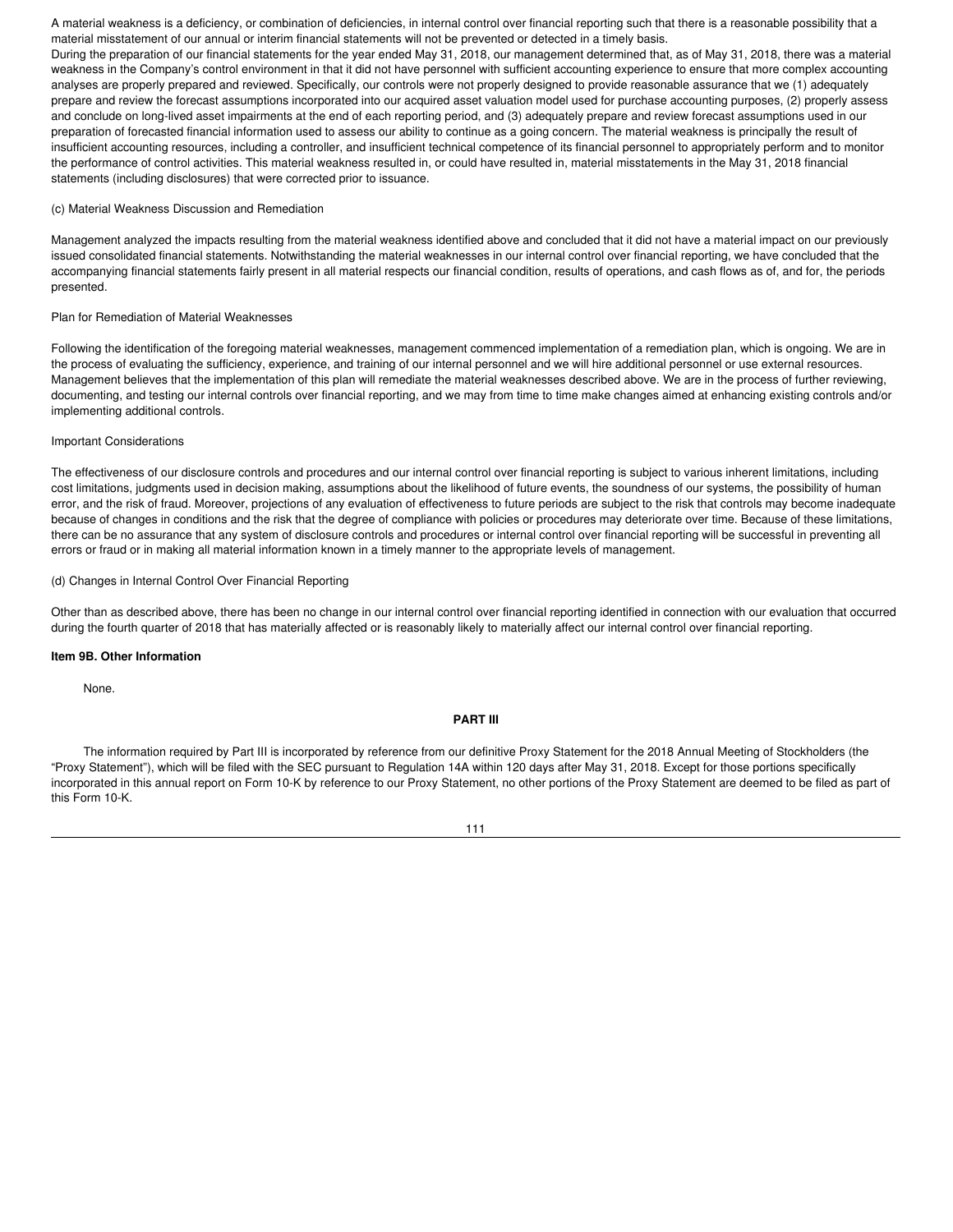A material weakness is a deficiency, or combination of deficiencies, in internal control over financial reporting such that there is a reasonable possibility that a material misstatement of our annual or interim financial statements will not be prevented or detected in a timely basis.

During the preparation of our financial statements for the year ended May 31, 2018, our management determined that, as of May 31, 2018, there was a material weakness in the Company's control environment in that it did not have personnel with sufficient accounting experience to ensure that more complex accounting analyses are properly prepared and reviewed. Specifically, our controls were not properly designed to provide reasonable assurance that we (1) adequately prepare and review the forecast assumptions incorporated into our acquired asset valuation model used for purchase accounting purposes, (2) properly assess and conclude on long-lived asset impairments at the end of each reporting period, and (3) adequately prepare and review forecast assumptions used in our preparation of forecasted financial information used to assess our ability to continue as a going concern. The material weakness is principally the result of insufficient accounting resources, including a controller, and insufficient technical competence of its financial personnel to appropriately perform and to monitor the performance of control activities. This material weakness resulted in, or could have resulted in, material misstatements in the May 31, 2018 financial statements (including disclosures) that were corrected prior to issuance.

#### (c) Material Weakness Discussion and Remediation

Management analyzed the impacts resulting from the material weakness identified above and concluded that it did not have a material impact on our previously issued consolidated financial statements. Notwithstanding the material weaknesses in our internal control over financial reporting, we have concluded that the accompanying financial statements fairly present in all material respects our financial condition, results of operations, and cash flows as of, and for, the periods presented.

### Plan for Remediation of Material Weaknesses

Following the identification of the foregoing material weaknesses, management commenced implementation of a remediation plan, which is ongoing. We are in the process of evaluating the sufficiency, experience, and training of our internal personnel and we will hire additional personnel or use external resources. Management believes that the implementation of this plan will remediate the material weaknesses described above. We are in the process of further reviewing, documenting, and testing our internal controls over financial reporting, and we may from time to time make changes aimed at enhancing existing controls and/or implementing additional controls.

#### Important Considerations

The effectiveness of our disclosure controls and procedures and our internal control over financial reporting is subject to various inherent limitations, including cost limitations, judgments used in decision making, assumptions about the likelihood of future events, the soundness of our systems, the possibility of human error, and the risk of fraud. Moreover, projections of any evaluation of effectiveness to future periods are subject to the risk that controls may become inadequate because of changes in conditions and the risk that the degree of compliance with policies or procedures may deteriorate over time. Because of these limitations, there can be no assurance that any system of disclosure controls and procedures or internal control over financial reporting will be successful in preventing all errors or fraud or in making all material information known in a timely manner to the appropriate levels of management.

### (d) Changes in Internal Control Over Financial Reporting

Other than as described above, there has been no change in our internal control over financial reporting identified in connection with our evaluation that occurred during the fourth quarter of 2018 that has materially affected or is reasonably likely to materially affect our internal control over financial reporting.

### **Item 9B. Other Information**

None.

### **PART III**

The information required by Part III is incorporated by reference from our definitive Proxy Statement for the 2018 Annual Meeting of Stockholders (the "Proxy Statement"), which will be filed with the SEC pursuant to Regulation 14A within 120 days after May 31, 2018. Except for those portions specifically incorporated in this annual report on Form 10-K by reference to our Proxy Statement, no other portions of the Proxy Statement are deemed to be filed as part of this Form 10-K.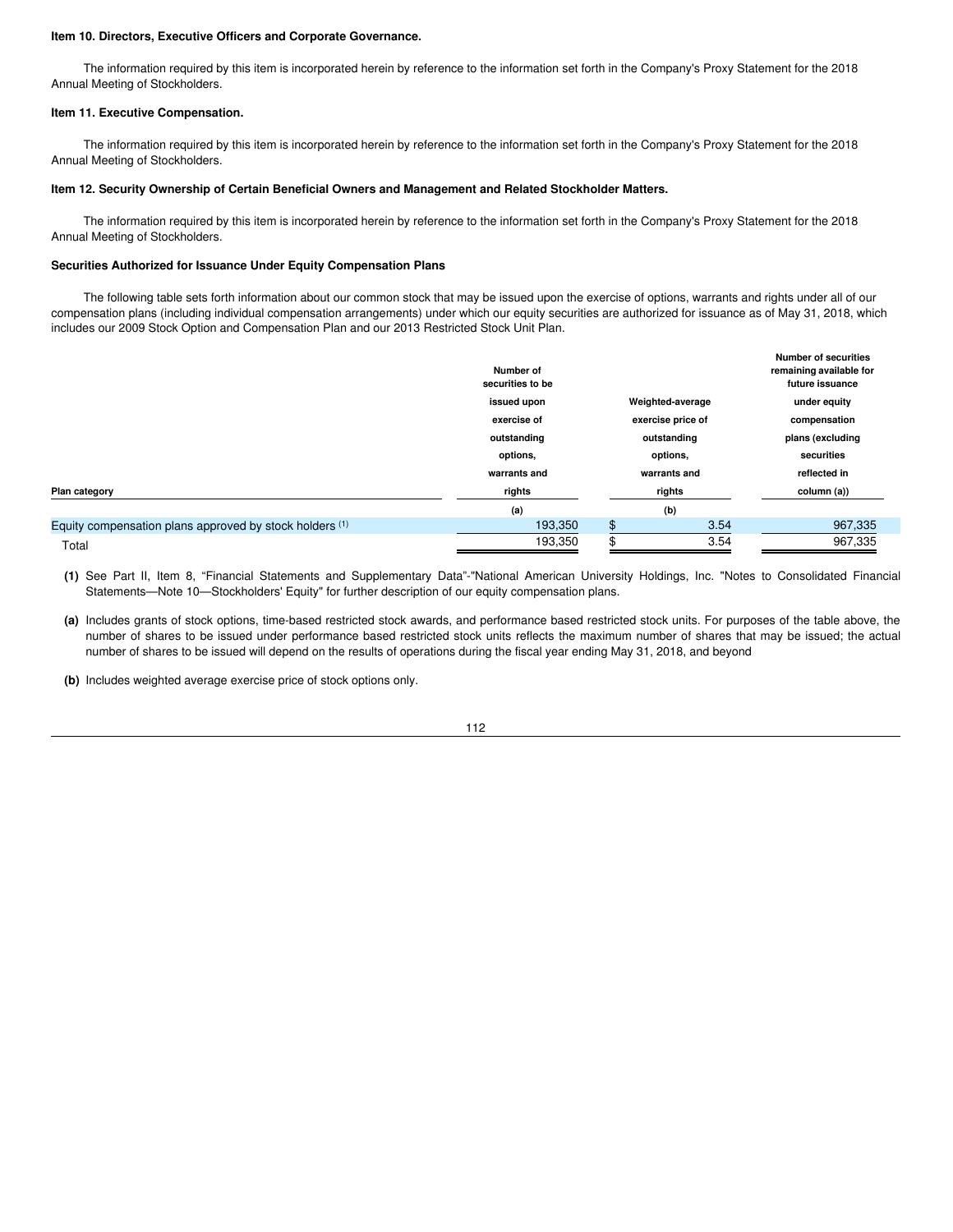#### **Item 10. Directors, Executive Officers and Corporate Governance.**

The information required by this item is incorporated herein by reference to the information set forth in the Company's Proxy Statement for the 2018 Annual Meeting of Stockholders.

### **Item 11. Executive Compensation.**

The information required by this item is incorporated herein by reference to the information set forth in the Company's Proxy Statement for the 2018 Annual Meeting of Stockholders.

### **Item 12. Security Ownership of Certain Beneficial Owners and Management and Related Stockholder Matters.**

The information required by this item is incorporated herein by reference to the information set forth in the Company's Proxy Statement for the 2018 Annual Meeting of Stockholders.

### **Securities Authorized for Issuance Under Equity Compensation Plans**

The following table sets forth information about our common stock that may be issued upon the exercise of options, warrants and rights under all of our compensation plans (including individual compensation arrangements) under which our equity securities are authorized for issuance as of May 31, 2018, which includes our 2009 Stock Option and Compensation Plan and our 2013 Restricted Stock Unit Plan.

|                                                         | Number of<br>securities to be |                   | <b>Number of securities</b><br>remaining available for<br>future issuance |  |  |
|---------------------------------------------------------|-------------------------------|-------------------|---------------------------------------------------------------------------|--|--|
|                                                         | issued upon                   | Weighted-average  | under equity                                                              |  |  |
|                                                         | exercise of                   | exercise price of | compensation                                                              |  |  |
|                                                         | outstanding                   | outstanding       | plans (excluding                                                          |  |  |
|                                                         | options.                      | options,          | securities                                                                |  |  |
|                                                         | warrants and                  | warrants and      | reflected in                                                              |  |  |
| Plan category                                           | rights                        | rights            | column (a))                                                               |  |  |
|                                                         | (a)                           | (b)               |                                                                           |  |  |
| Equity compensation plans approved by stock holders (1) | 193,350                       | \$<br>3.54        | 967,335                                                                   |  |  |
| Total                                                   | 193,350                       | 3.54              | 967,335                                                                   |  |  |

- **(1)** See Part II, Item 8, "Financial Statements and Supplementary Data"-"National American University Holdings, Inc. "Notes to Consolidated Financial Statements—Note 10—Stockholders' Equity" for further description of our equity compensation plans.
- **(a)** Includes grants of stock options, time-based restricted stock awards, and performance based restricted stock units. For purposes of the table above, the number of shares to be issued under performance based restricted stock units reflects the maximum number of shares that may be issued; the actual number of shares to be issued will depend on the results of operations during the fiscal year ending May 31, 2018, and beyond

**(b)** Includes weighted average exercise price of stock options only.

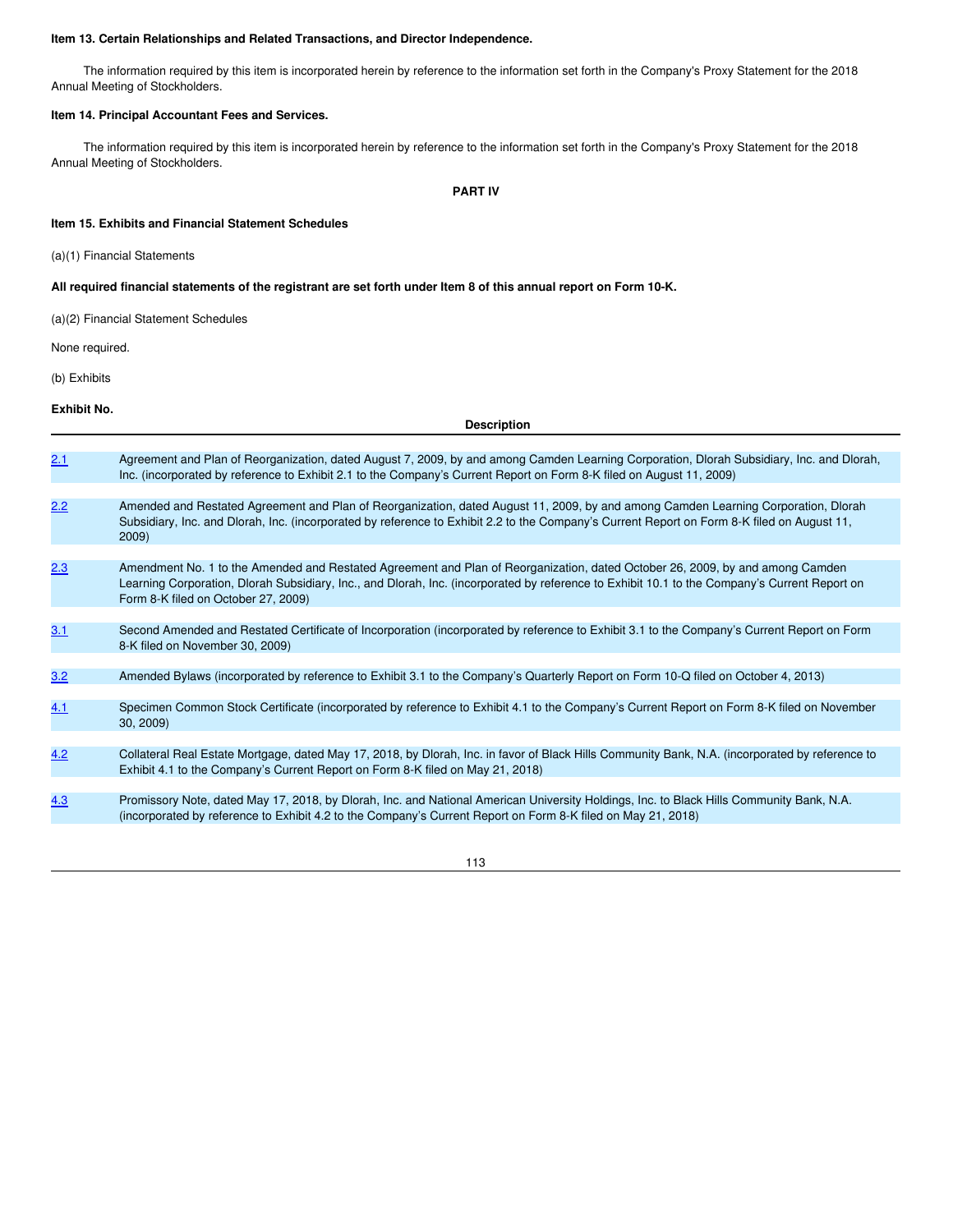## **Item 13. Certain Relationships and Related Transactions, and Director Independence.**

The information required by this item is incorporated herein by reference to the information set forth in the Company's Proxy Statement for the 2018 Annual Meeting of Stockholders.

#### **Item 14. Principal Accountant Fees and Services.**

The information required by this item is incorporated herein by reference to the information set forth in the Company's Proxy Statement for the 2018 Annual Meeting of Stockholders.

### **PART IV**

## **Item 15. Exhibits and Financial Statement Schedules**

(a)(1) Financial Statements

All required financial statements of the registrant are set forth under Item 8 of this annual report on Form 10-K.

(a)(2) Financial Statement Schedules

None required.

(b) Exhibits

### **Exhibit No.**

| 2.1 | Agreement and Plan of Reorganization, dated August 7, 2009, by and among Camden Learning Corporation, Dlorah Subsidiary, Inc. and Dlorah,<br>Inc. (incorporated by reference to Exhibit 2.1 to the Company's Current Report on Form 8-K filed on August 11, 2009)                                                     |
|-----|-----------------------------------------------------------------------------------------------------------------------------------------------------------------------------------------------------------------------------------------------------------------------------------------------------------------------|
|     |                                                                                                                                                                                                                                                                                                                       |
| 2.2 | Amended and Restated Agreement and Plan of Reorganization, dated August 11, 2009, by and among Camden Learning Corporation, Dlorah<br>Subsidiary, Inc. and Dlorah, Inc. (incorporated by reference to Exhibit 2.2 to the Company's Current Report on Form 8-K filed on August 11,<br>2009)                            |
|     |                                                                                                                                                                                                                                                                                                                       |
| 2.3 | Amendment No. 1 to the Amended and Restated Agreement and Plan of Reorganization, dated October 26, 2009, by and among Camden<br>Learning Corporation, Dlorah Subsidiary, Inc., and Dlorah, Inc. (incorporated by reference to Exhibit 10.1 to the Company's Current Report on<br>Form 8-K filed on October 27, 2009) |
|     |                                                                                                                                                                                                                                                                                                                       |
| 3.1 | Second Amended and Restated Certificate of Incorporation (incorporated by reference to Exhibit 3.1 to the Company's Current Report on Form<br>8-K filed on November 30, 2009)                                                                                                                                         |
|     |                                                                                                                                                                                                                                                                                                                       |
| 3.2 | Amended Bylaws (incorporated by reference to Exhibit 3.1 to the Company's Quarterly Report on Form 10-Q filed on October 4, 2013)                                                                                                                                                                                     |
| 4.1 | Specimen Common Stock Certificate (incorporated by reference to Exhibit 4.1 to the Company's Current Report on Form 8-K filed on November<br>30, 2009                                                                                                                                                                 |
|     |                                                                                                                                                                                                                                                                                                                       |
| 4.2 | Collateral Real Estate Mortgage, dated May 17, 2018, by Dlorah, Inc. in favor of Black Hills Community Bank, N.A. (incorporated by reference to<br>Exhibit 4.1 to the Company's Current Report on Form 8-K filed on May 21, 2018)                                                                                     |
|     |                                                                                                                                                                                                                                                                                                                       |
| 4.3 | Promissory Note, dated May 17, 2018, by Dlorah, Inc. and National American University Holdings, Inc. to Black Hills Community Bank, N.A.<br>(incorporated by reference to Exhibit 4.2 to the Company's Current Report on Form 8-K filed on May 21, 2018)                                                              |

**Description**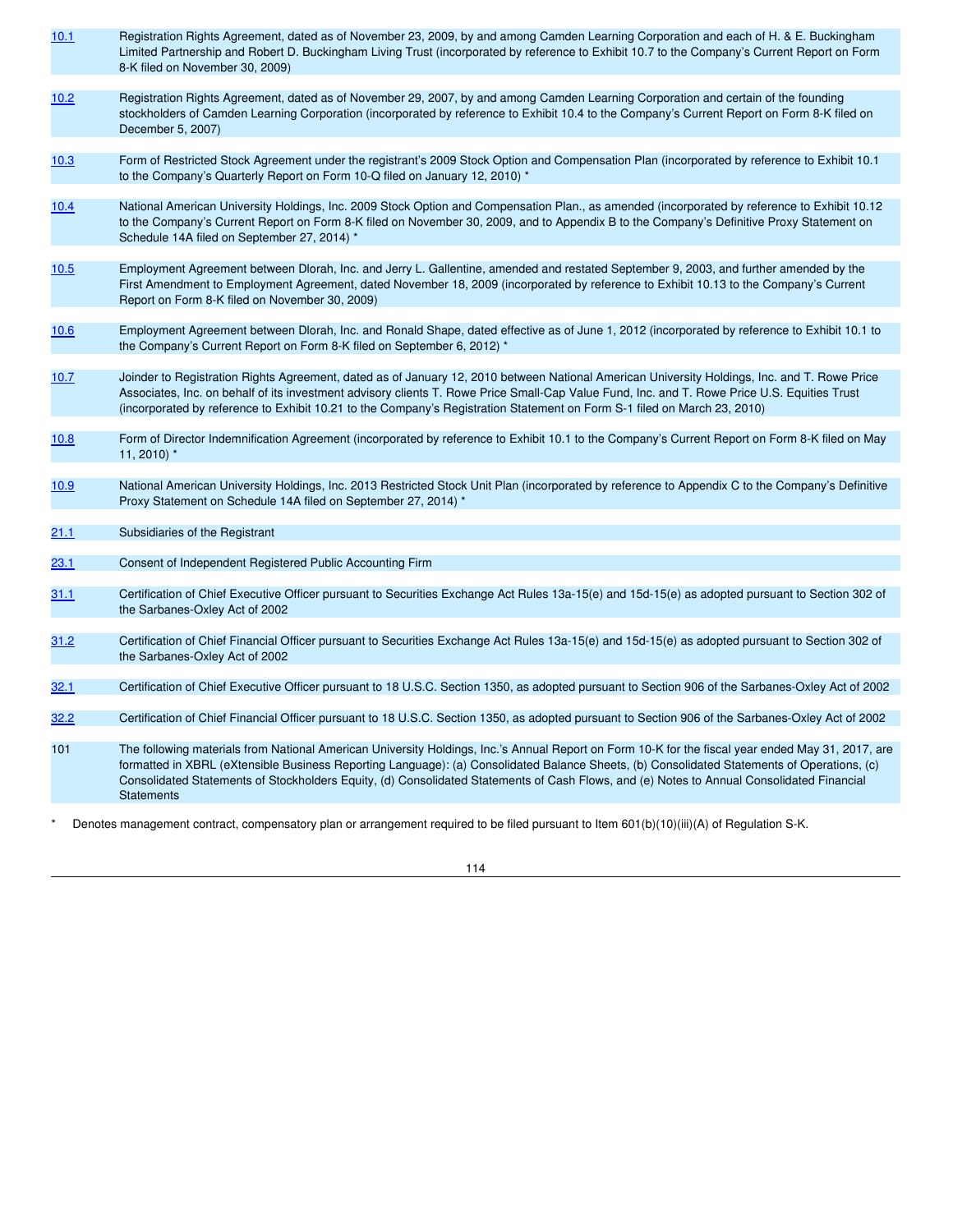| <u> 10.1</u> | Registration Rights Agreement, dated as of November 23, 2009, by and among Camden Learning Corporation and each of H. & E. Buckingham<br>Limited Partnership and Robert D. Buckingham Living Trust (incorporated by reference to Exhibit 10.7 to the Company's Current Report on Form<br>8-K filed on November 30, 2009)                                                                                                 |
|--------------|--------------------------------------------------------------------------------------------------------------------------------------------------------------------------------------------------------------------------------------------------------------------------------------------------------------------------------------------------------------------------------------------------------------------------|
|              |                                                                                                                                                                                                                                                                                                                                                                                                                          |
| 10.2         | Registration Rights Agreement, dated as of November 29, 2007, by and among Camden Learning Corporation and certain of the founding<br>stockholders of Camden Learning Corporation (incorporated by reference to Exhibit 10.4 to the Company's Current Report on Form 8-K filed on<br>December 5, 2007)                                                                                                                   |
| 10.3         | Form of Restricted Stock Agreement under the registrant's 2009 Stock Option and Compensation Plan (incorporated by reference to Exhibit 10.1<br>to the Company's Quarterly Report on Form 10-Q filed on January 12, 2010) *                                                                                                                                                                                              |
| 10.4         | National American University Holdings, Inc. 2009 Stock Option and Compensation Plan., as amended (incorporated by reference to Exhibit 10.12<br>to the Company's Current Report on Form 8-K filed on November 30, 2009, and to Appendix B to the Company's Definitive Proxy Statement on<br>Schedule 14A filed on September 27, 2014) *                                                                                  |
|              |                                                                                                                                                                                                                                                                                                                                                                                                                          |
| <u>10.5</u>  | Employment Agreement between Dlorah, Inc. and Jerry L. Gallentine, amended and restated September 9, 2003, and further amended by the<br>First Amendment to Employment Agreement, dated November 18, 2009 (incorporated by reference to Exhibit 10.13 to the Company's Current<br>Report on Form 8-K filed on November 30, 2009)                                                                                         |
|              |                                                                                                                                                                                                                                                                                                                                                                                                                          |
| 10.6         | Employment Agreement between Dlorah, Inc. and Ronald Shape, dated effective as of June 1, 2012 (incorporated by reference to Exhibit 10.1 to<br>the Company's Current Report on Form 8-K filed on September 6, 2012) *                                                                                                                                                                                                   |
|              |                                                                                                                                                                                                                                                                                                                                                                                                                          |
| 10.7         | Joinder to Registration Rights Agreement, dated as of January 12, 2010 between National American University Holdings, Inc. and T. Rowe Price<br>Associates, Inc. on behalf of its investment advisory clients T. Rowe Price Small-Cap Value Fund, Inc. and T. Rowe Price U.S. Equities Trust<br>(incorporated by reference to Exhibit 10.21 to the Company's Registration Statement on Form S-1 filed on March 23, 2010) |
| <u>10.8</u>  | Form of Director Indemnification Agreement (incorporated by reference to Exhibit 10.1 to the Company's Current Report on Form 8-K filed on May<br>11, 2010) $*$                                                                                                                                                                                                                                                          |
| 10.9         | National American University Holdings, Inc. 2013 Restricted Stock Unit Plan (incorporated by reference to Appendix C to the Company's Definitive<br>Proxy Statement on Schedule 14A filed on September 27, 2014) *                                                                                                                                                                                                       |
|              |                                                                                                                                                                                                                                                                                                                                                                                                                          |
| <u> 21.1</u> | Subsidiaries of the Registrant                                                                                                                                                                                                                                                                                                                                                                                           |
|              |                                                                                                                                                                                                                                                                                                                                                                                                                          |
| <u>23.1</u>  | Consent of Independent Registered Public Accounting Firm                                                                                                                                                                                                                                                                                                                                                                 |
| <u>31.1</u>  | Certification of Chief Executive Officer pursuant to Securities Exchange Act Rules 13a-15(e) and 15d-15(e) as adopted pursuant to Section 302 of<br>the Sarbanes-Oxley Act of 2002                                                                                                                                                                                                                                       |
|              |                                                                                                                                                                                                                                                                                                                                                                                                                          |
| <u>31.2</u>  | Certification of Chief Financial Officer pursuant to Securities Exchange Act Rules 13a-15(e) and 15d-15(e) as adopted pursuant to Section 302 of<br>the Sarbanes-Oxley Act of 2002                                                                                                                                                                                                                                       |
| 32.1         | Certification of Chief Executive Officer pursuant to 18 U.S.C. Section 1350, as adopted pursuant to Section 906 of the Sarbanes-Oxley Act of 2002                                                                                                                                                                                                                                                                        |
| 32.2         | Certification of Chief Financial Officer pursuant to 18 U.S.C. Section 1350, as adopted pursuant to Section 906 of the Sarbanes-Oxley Act of 2002                                                                                                                                                                                                                                                                        |
| 101          | The following materials from National American University Holdings, Inc.'s Annual Report on Form 10-K for the fiscal year ended May 31, 2017, are                                                                                                                                                                                                                                                                        |
|              | formatted in XBRL (eXtensible Business Reporting Language): (a) Consolidated Balance Sheets, (b) Consolidated Statements of Operations, (c)<br>Consolidated Statements of Stockholders Equity, (d) Consolidated Statements of Cash Flows, and (e) Notes to Annual Consolidated Financial<br><b>Statements</b>                                                                                                            |
|              |                                                                                                                                                                                                                                                                                                                                                                                                                          |

\* Denotes management contract, compensatory plan or arrangement required to be filed pursuant to Item 601(b)(10)(iii)(A) of Regulation S-K.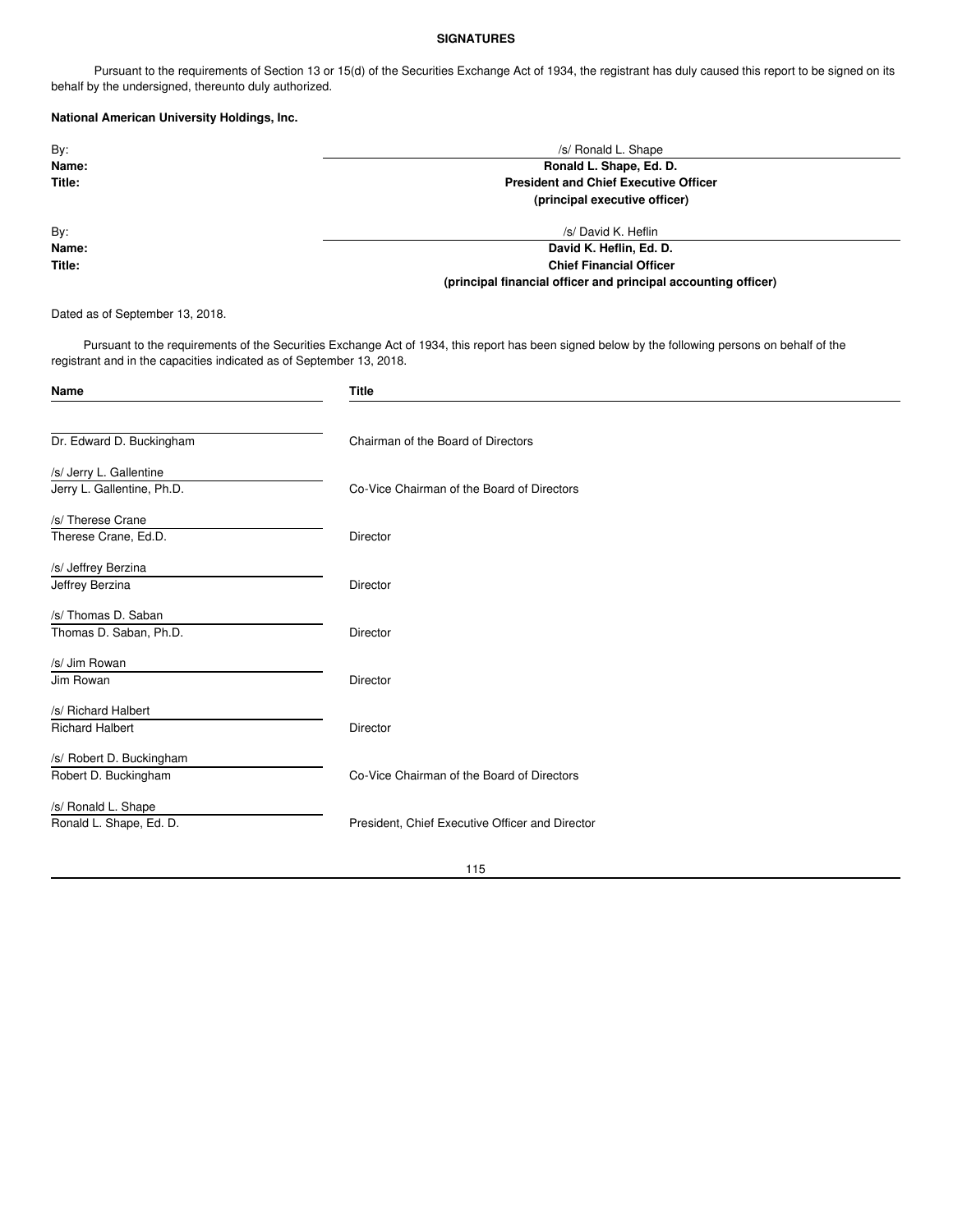## **SIGNATURES**

Pursuant to the requirements of Section 13 or 15(d) of the Securities Exchange Act of 1934, the registrant has duly caused this report to be signed on its behalf by the undersigned, thereunto duly authorized.

| National American University Holdings, Inc.                          |                                                                                                                                                  |
|----------------------------------------------------------------------|--------------------------------------------------------------------------------------------------------------------------------------------------|
| By:                                                                  | /s/ Ronald L. Shape                                                                                                                              |
| Name:                                                                | Ronald L. Shape, Ed. D.                                                                                                                          |
| Title:                                                               | <b>President and Chief Executive Officer</b>                                                                                                     |
|                                                                      | (principal executive officer)                                                                                                                    |
| By:                                                                  | /s/ David K. Heflin                                                                                                                              |
| Name:                                                                | David K. Heflin, Ed. D.                                                                                                                          |
| Title:                                                               | <b>Chief Financial Officer</b>                                                                                                                   |
|                                                                      | (principal financial officer and principal accounting officer)                                                                                   |
| Dated as of September 13, 2018.                                      |                                                                                                                                                  |
| registrant and in the capacities indicated as of September 13, 2018. | Pursuant to the requirements of the Securities Exchange Act of 1934, this report has been signed below by the following persons on behalf of the |
| Name                                                                 | <b>Title</b>                                                                                                                                     |
|                                                                      |                                                                                                                                                  |
| Dr. Edward D. Buckingham                                             | Chairman of the Board of Directors                                                                                                               |
| /s/ Jerry L. Gallentine                                              |                                                                                                                                                  |
| Jerry L. Gallentine, Ph.D.                                           | Co-Vice Chairman of the Board of Directors                                                                                                       |
| /s/ Therese Crane                                                    |                                                                                                                                                  |
| Therese Crane, Ed.D.                                                 | Director                                                                                                                                         |
| /s/ Jeffrey Berzina                                                  |                                                                                                                                                  |
| Jeffrey Berzina                                                      | Director                                                                                                                                         |
| /s/ Thomas D. Saban                                                  |                                                                                                                                                  |
| Thomas D. Saban, Ph.D.                                               | Director                                                                                                                                         |
| /s/ Jim Rowan                                                        |                                                                                                                                                  |
| Jim Rowan                                                            | Director                                                                                                                                         |
| /s/ Richard Halbert                                                  |                                                                                                                                                  |
| <b>Richard Halbert</b>                                               | Director                                                                                                                                         |
| /s/ Robert D. Buckingham                                             |                                                                                                                                                  |
| Robert D. Buckingham                                                 | Co-Vice Chairman of the Board of Directors                                                                                                       |
| /s/ Ronald L. Shape                                                  |                                                                                                                                                  |
| Ronald L. Shape, Ed. D.                                              | President, Chief Executive Officer and Director                                                                                                  |
|                                                                      |                                                                                                                                                  |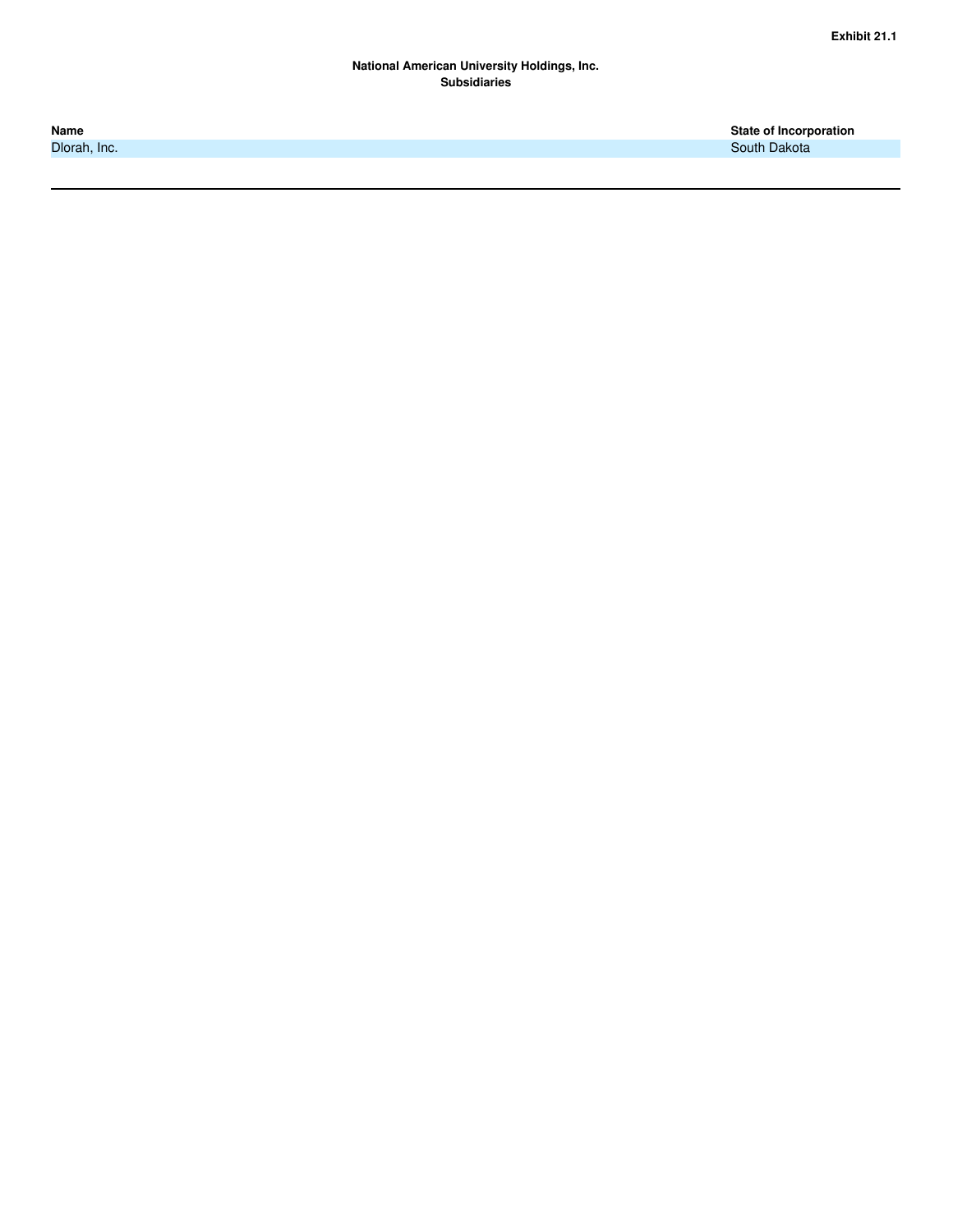# **National American University Holdings, Inc. Subsidiaries**

**Name State of Incorporation Dlorah, Inc.** South Dakota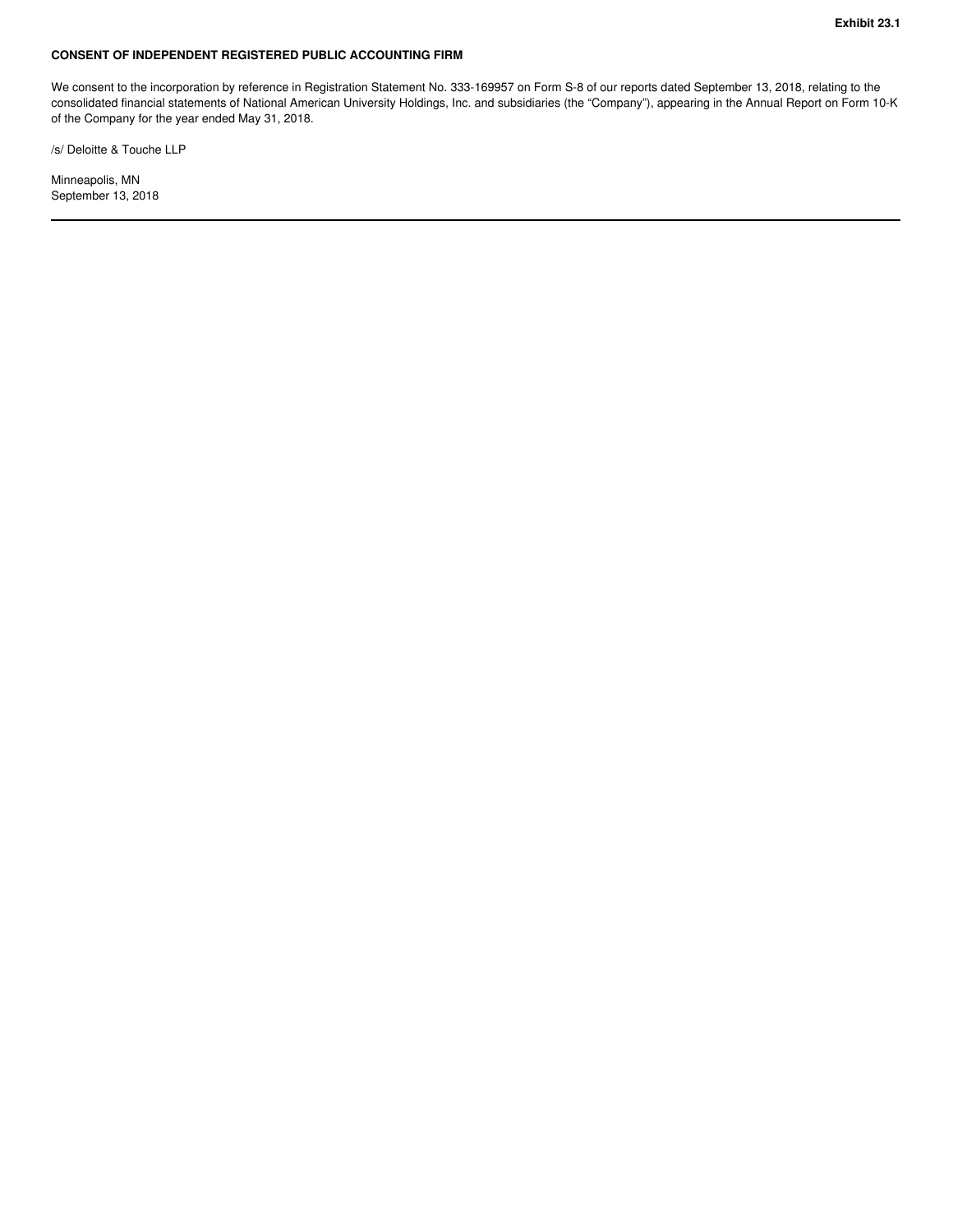# **CONSENT OF INDEPENDENT REGISTERED PUBLIC ACCOUNTING FIRM**

We consent to the incorporation by reference in Registration Statement No. 333-169957 on Form S-8 of our reports dated September 13, 2018, relating to the consolidated financial statements of National American University Holdings, Inc. and subsidiaries (the "Company"), appearing in the Annual Report on Form 10-K of the Company for the year ended May 31, 2018.

/s/ Deloitte & Touche LLP

Minneapolis, MN September 13, 2018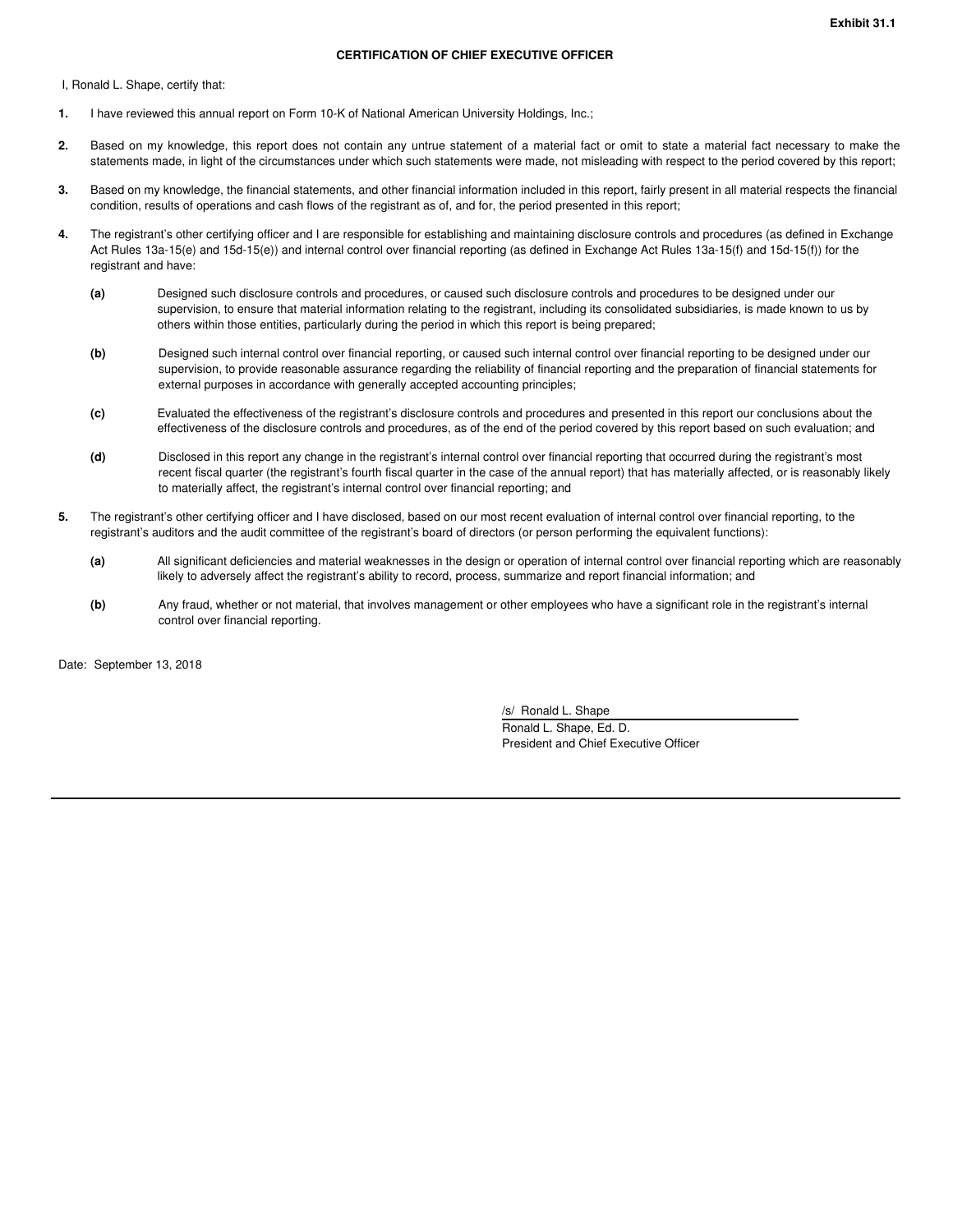### **CERTIFICATION OF CHIEF EXECUTIVE OFFICER**

I, Ronald L. Shape, certify that:

- **1.** I have reviewed this annual report on Form 10-K of National American University Holdings, Inc.;
- **2.** Based on my knowledge, this report does not contain any untrue statement of a material fact or omit to state a material fact necessary to make the statements made, in light of the circumstances under which such statements were made, not misleading with respect to the period covered by this report;
- **3.** Based on my knowledge, the financial statements, and other financial information included in this report, fairly present in all material respects the financial condition, results of operations and cash flows of the registrant as of, and for, the period presented in this report;
- **4.** The registrant's other certifying officer and I are responsible for establishing and maintaining disclosure controls and procedures (as defined in Exchange Act Rules 13a-15(e) and 15d-15(e)) and internal control over financial reporting (as defined in Exchange Act Rules 13a-15(f) and 15d-15(f)) for the registrant and have:
	- **(a)** Designed such disclosure controls and procedures, or caused such disclosure controls and procedures to be designed under our supervision, to ensure that material information relating to the registrant, including its consolidated subsidiaries, is made known to us by others within those entities, particularly during the period in which this report is being prepared;
	- **(b)** Designed such internal control over financial reporting, or caused such internal control over financial reporting to be designed under our supervision, to provide reasonable assurance regarding the reliability of financial reporting and the preparation of financial statements for external purposes in accordance with generally accepted accounting principles;
	- **(c)** Evaluated the effectiveness of the registrant's disclosure controls and procedures and presented in this report our conclusions about the effectiveness of the disclosure controls and procedures, as of the end of the period covered by this report based on such evaluation; and
	- **(d)** Disclosed in this report any change in the registrant's internal control over financial reporting that occurred during the registrant's most recent fiscal quarter (the registrant's fourth fiscal quarter in the case of the annual report) that has materially affected, or is reasonably likely to materially affect, the registrant's internal control over financial reporting; and
- **5.** The registrant's other certifying officer and I have disclosed, based on our most recent evaluation of internal control over financial reporting, to the registrant's auditors and the audit committee of the registrant's board of directors (or person performing the equivalent functions):
	- **(a)** All significant deficiencies and material weaknesses in the design or operation of internal control over financial reporting which are reasonably likely to adversely affect the registrant's ability to record, process, summarize and report financial information; and
	- **(b)** Any fraud, whether or not material, that involves management or other employees who have a significant role in the registrant's internal control over financial reporting.

Date: September 13, 2018

/s/ Ronald L. Shape Ronald L. Shape, Ed. D. President and Chief Executive Officer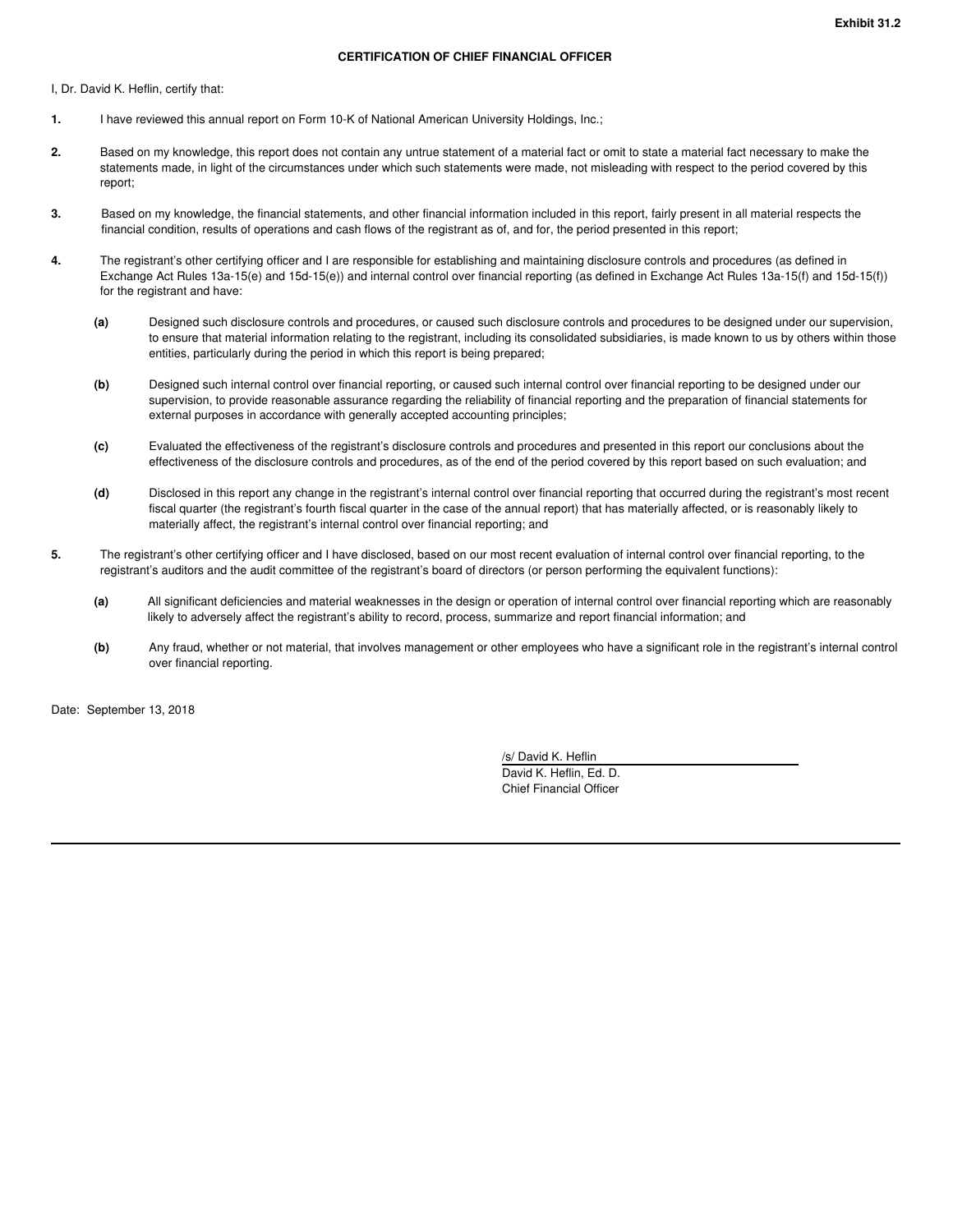### **CERTIFICATION OF CHIEF FINANCIAL OFFICER**

### I, Dr. David K. Heflin, certify that:

- **1.** I have reviewed this annual report on Form 10-K of National American University Holdings, Inc.;
- **2.** Based on my knowledge, this report does not contain any untrue statement of a material fact or omit to state a material fact necessary to make the statements made, in light of the circumstances under which such statements were made, not misleading with respect to the period covered by this report;
- **3.** Based on my knowledge, the financial statements, and other financial information included in this report, fairly present in all material respects the financial condition, results of operations and cash flows of the registrant as of, and for, the period presented in this report;
- **4.** The registrant's other certifying officer and I are responsible for establishing and maintaining disclosure controls and procedures (as defined in Exchange Act Rules 13a-15(e) and 15d-15(e)) and internal control over financial reporting (as defined in Exchange Act Rules 13a-15(f) and 15d-15(f)) for the registrant and have:
	- **(a)** Designed such disclosure controls and procedures, or caused such disclosure controls and procedures to be designed under our supervision, to ensure that material information relating to the registrant, including its consolidated subsidiaries, is made known to us by others within those entities, particularly during the period in which this report is being prepared;
	- **(b)** Designed such internal control over financial reporting, or caused such internal control over financial reporting to be designed under our supervision, to provide reasonable assurance regarding the reliability of financial reporting and the preparation of financial statements for external purposes in accordance with generally accepted accounting principles;
	- **(c)** Evaluated the effectiveness of the registrant's disclosure controls and procedures and presented in this report our conclusions about the effectiveness of the disclosure controls and procedures, as of the end of the period covered by this report based on such evaluation; and
	- **(d)** Disclosed in this report any change in the registrant's internal control over financial reporting that occurred during the registrant's most recent fiscal quarter (the registrant's fourth fiscal quarter in the case of the annual report) that has materially affected, or is reasonably likely to materially affect, the registrant's internal control over financial reporting; and
- **5.** The registrant's other certifying officer and I have disclosed, based on our most recent evaluation of internal control over financial reporting, to the registrant's auditors and the audit committee of the registrant's board of directors (or person performing the equivalent functions):
	- **(a)** All significant deficiencies and material weaknesses in the design or operation of internal control over financial reporting which are reasonably likely to adversely affect the registrant's ability to record, process, summarize and report financial information; and
	- **(b)** Any fraud, whether or not material, that involves management or other employees who have a significant role in the registrant's internal control over financial reporting.

Date: September 13, 2018

/s/ David K. Heflin

David K. Heflin, Ed. D. Chief Financial Officer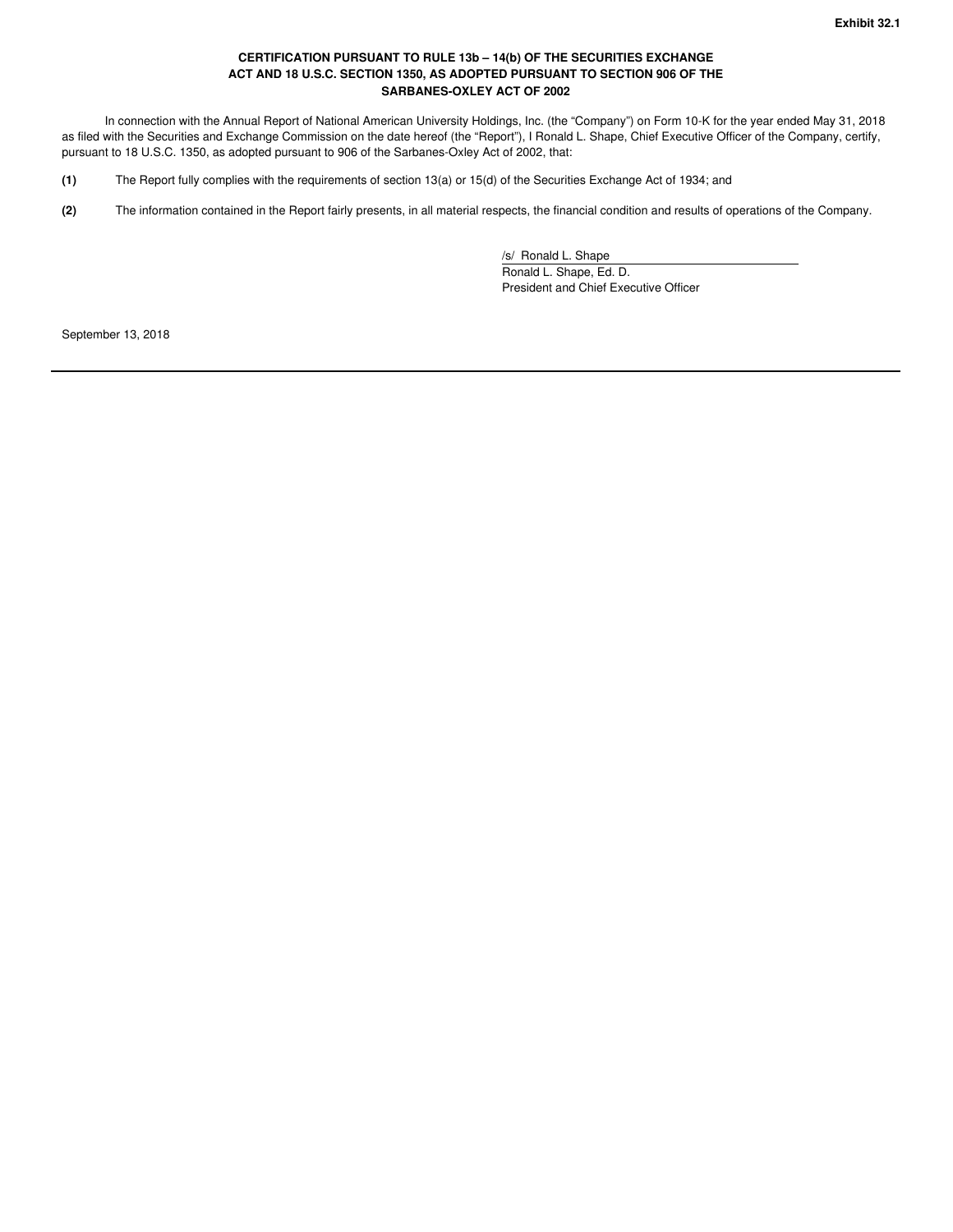# **CERTIFICATION PURSUANT TO RULE 13b – 14(b) OF THE SECURITIES EXCHANGE ACT AND 18 U.S.C. SECTION 1350, AS ADOPTED PURSUANT TO SECTION 906 OF THE SARBANES-OXLEY ACT OF 2002**

In connection with the Annual Report of National American University Holdings, Inc. (the "Company") on Form 10-K for the year ended May 31, 2018 as filed with the Securities and Exchange Commission on the date hereof (the "Report"), I Ronald L. Shape, Chief Executive Officer of the Company, certify, pursuant to 18 U.S.C. 1350, as adopted pursuant to 906 of the Sarbanes-Oxley Act of 2002, that:

**(1)** The Report fully complies with the requirements of section 13(a) or 15(d) of the Securities Exchange Act of 1934; and

**(2)** The information contained in the Report fairly presents, in all material respects, the financial condition and results of operations of the Company.

/s/ Ronald L. Shape Ronald L. Shape, Ed. D. President and Chief Executive Officer

September 13, 2018